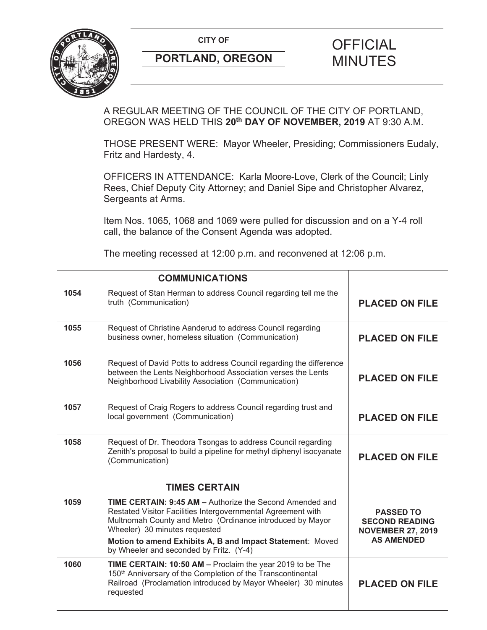**CITY OF CITY OF PICIAL** 



# **PORTLAND, OREGON MINUTES**

# A REGULAR MEETING OF THE COUNCIL OF THE CITY OF PORTLAND, OREGON WAS HELD THIS **20th DAY OF NOVEMBER, 2019** AT 9:30 A.M.

THOSE PRESENT WERE: Mayor Wheeler, Presiding; Commissioners Eudaly, Fritz and Hardesty, 4.

OFFICERS IN ATTENDANCE: Karla Moore-Love, Clerk of the Council; Linly Rees, Chief Deputy City Attorney; and Daniel Sipe and Christopher Alvarez, Sergeants at Arms.

Item Nos. 1065, 1068 and 1069 were pulled for discussion and on a Y-4 roll call, the balance of the Consent Agenda was adopted.

The meeting recessed at 12:00 p.m. and reconvened at 12:06 p.m.

|      | <b>COMMUNICATIONS</b>                                                                                                                                                                                                                                                                                                                 |                                                                                            |
|------|---------------------------------------------------------------------------------------------------------------------------------------------------------------------------------------------------------------------------------------------------------------------------------------------------------------------------------------|--------------------------------------------------------------------------------------------|
| 1054 | Request of Stan Herman to address Council regarding tell me the<br>truth (Communication)                                                                                                                                                                                                                                              | <b>PLACED ON FILE</b>                                                                      |
| 1055 | Request of Christine Aanderud to address Council regarding<br>business owner, homeless situation (Communication)                                                                                                                                                                                                                      | <b>PLACED ON FILE</b>                                                                      |
| 1056 | Request of David Potts to address Council regarding the difference<br>between the Lents Neighborhood Association verses the Lents<br>Neighborhood Livability Association (Communication)                                                                                                                                              | <b>PLACED ON FILE</b>                                                                      |
| 1057 | Request of Craig Rogers to address Council regarding trust and<br>local government (Communication)                                                                                                                                                                                                                                    | <b>PLACED ON FILE</b>                                                                      |
| 1058 | Request of Dr. Theodora Tsongas to address Council regarding<br>Zenith's proposal to build a pipeline for methyl diphenyl isocyanate<br>(Communication)                                                                                                                                                                               | <b>PLACED ON FILE</b>                                                                      |
|      | <b>TIMES CERTAIN</b>                                                                                                                                                                                                                                                                                                                  |                                                                                            |
| 1059 | <b>TIME CERTAIN: 9:45 AM - Authorize the Second Amended and</b><br>Restated Visitor Facilities Intergovernmental Agreement with<br>Multnomah County and Metro (Ordinance introduced by Mayor<br>Wheeler) 30 minutes requested<br>Motion to amend Exhibits A, B and Impact Statement: Moved<br>by Wheeler and seconded by Fritz. (Y-4) | <b>PASSED TO</b><br><b>SECOND READING</b><br><b>NOVEMBER 27, 2019</b><br><b>AS AMENDED</b> |
| 1060 | TIME CERTAIN: 10:50 AM - Proclaim the year 2019 to be The<br>150 <sup>th</sup> Anniversary of the Completion of the Transcontinental<br>Railroad (Proclamation introduced by Mayor Wheeler) 30 minutes<br>requested                                                                                                                   | <b>PLACED ON FILE</b>                                                                      |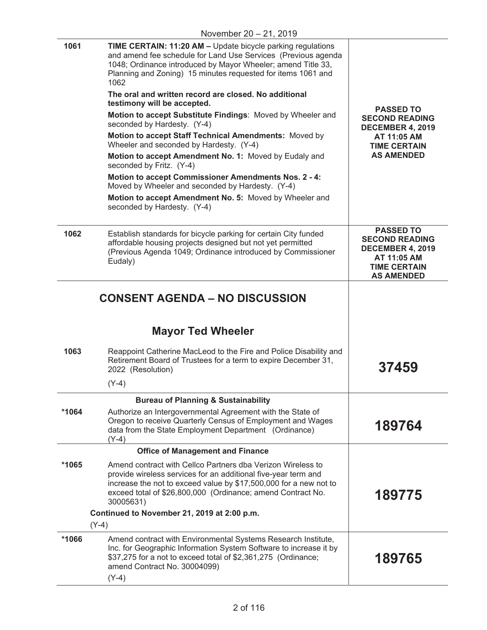|         | November 20 - 21, 2019                                                                                                                                                                                                                                                                                                                                                                                                                                                                                                                                                                                                                                                                                                                                                                                                                                         |                                                                                                                                 |
|---------|----------------------------------------------------------------------------------------------------------------------------------------------------------------------------------------------------------------------------------------------------------------------------------------------------------------------------------------------------------------------------------------------------------------------------------------------------------------------------------------------------------------------------------------------------------------------------------------------------------------------------------------------------------------------------------------------------------------------------------------------------------------------------------------------------------------------------------------------------------------|---------------------------------------------------------------------------------------------------------------------------------|
| 1061    | TIME CERTAIN: 11:20 AM - Update bicycle parking regulations<br>and amend fee schedule for Land Use Services (Previous agenda<br>1048; Ordinance introduced by Mayor Wheeler; amend Title 33,<br>Planning and Zoning) 15 minutes requested for items 1061 and<br>1062<br>The oral and written record are closed. No additional<br>testimony will be accepted.<br>Motion to accept Substitute Findings: Moved by Wheeler and<br>seconded by Hardesty. (Y-4)<br>Motion to accept Staff Technical Amendments: Moved by<br>Wheeler and seconded by Hardesty. (Y-4)<br>Motion to accept Amendment No. 1: Moved by Eudaly and<br>seconded by Fritz. (Y-4)<br><b>Motion to accept Commissioner Amendments Nos. 2 - 4:</b><br>Moved by Wheeler and seconded by Hardesty. (Y-4)<br>Motion to accept Amendment No. 5: Moved by Wheeler and<br>seconded by Hardesty. (Y-4) | <b>PASSED TO</b><br><b>SECOND READING</b><br><b>DECEMBER 4, 2019</b><br>AT 11:05 AM<br><b>TIME CERTAIN</b><br><b>AS AMENDED</b> |
| 1062    | Establish standards for bicycle parking for certain City funded<br>affordable housing projects designed but not yet permitted<br>(Previous Agenda 1049; Ordinance introduced by Commissioner<br>Eudaly)                                                                                                                                                                                                                                                                                                                                                                                                                                                                                                                                                                                                                                                        | <b>PASSED TO</b><br><b>SECOND READING</b><br><b>DECEMBER 4, 2019</b><br>AT 11:05 AM<br><b>TIME CERTAIN</b><br><b>AS AMENDED</b> |
| 1063    | <b>CONSENT AGENDA – NO DISCUSSION</b><br><b>Mayor Ted Wheeler</b><br>Reappoint Catherine MacLeod to the Fire and Police Disability and<br>Retirement Board of Trustees for a term to expire December 31,<br>2022 (Resolution)                                                                                                                                                                                                                                                                                                                                                                                                                                                                                                                                                                                                                                  | 37459                                                                                                                           |
|         | $(Y-4)$                                                                                                                                                                                                                                                                                                                                                                                                                                                                                                                                                                                                                                                                                                                                                                                                                                                        |                                                                                                                                 |
| *1064   | <b>Bureau of Planning &amp; Sustainability</b><br>Authorize an Intergovernmental Agreement with the State of<br>Oregon to receive Quarterly Census of Employment and Wages<br>data from the State Employment Department (Ordinance)<br>$(Y-4)$                                                                                                                                                                                                                                                                                                                                                                                                                                                                                                                                                                                                                 | 189764                                                                                                                          |
|         | <b>Office of Management and Finance</b>                                                                                                                                                                                                                                                                                                                                                                                                                                                                                                                                                                                                                                                                                                                                                                                                                        |                                                                                                                                 |
| *1065   | Amend contract with Cellco Partners dba Verizon Wireless to<br>provide wireless services for an additional five-year term and<br>increase the not to exceed value by \$17,500,000 for a new not to<br>exceed total of \$26,800,000 (Ordinance; amend Contract No.<br>30005631)                                                                                                                                                                                                                                                                                                                                                                                                                                                                                                                                                                                 | 189775                                                                                                                          |
|         | Continued to November 21, 2019 at 2:00 p.m.                                                                                                                                                                                                                                                                                                                                                                                                                                                                                                                                                                                                                                                                                                                                                                                                                    |                                                                                                                                 |
|         | $(Y-4)$                                                                                                                                                                                                                                                                                                                                                                                                                                                                                                                                                                                                                                                                                                                                                                                                                                                        |                                                                                                                                 |
| $*1066$ | Amend contract with Environmental Systems Research Institute,<br>Inc. for Geographic Information System Software to increase it by<br>\$37,275 for a not to exceed total of \$2,361,275 (Ordinance;<br>amend Contract No. 30004099)<br>$(Y-4)$                                                                                                                                                                                                                                                                                                                                                                                                                                                                                                                                                                                                                 | 189765                                                                                                                          |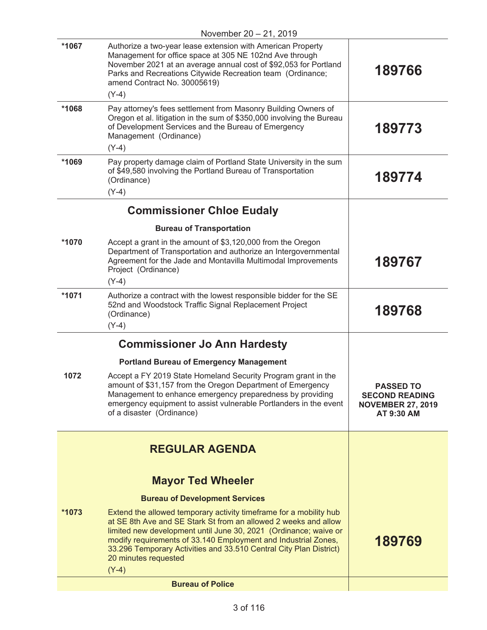|         | November 20 - 21, 2019                                                                                                                                                                                                                                                                                                                                                               |                                                                                     |
|---------|--------------------------------------------------------------------------------------------------------------------------------------------------------------------------------------------------------------------------------------------------------------------------------------------------------------------------------------------------------------------------------------|-------------------------------------------------------------------------------------|
| *1067   | Authorize a two-year lease extension with American Property<br>Management for office space at 305 NE 102nd Ave through<br>November 2021 at an average annual cost of \$92,053 for Portland<br>Parks and Recreations Citywide Recreation team (Ordinance;<br>amend Contract No. 30005619)<br>$(Y-4)$                                                                                  | 189766                                                                              |
| *1068   | Pay attorney's fees settlement from Masonry Building Owners of<br>Oregon et al. litigation in the sum of \$350,000 involving the Bureau<br>of Development Services and the Bureau of Emergency<br>Management (Ordinance)<br>$(Y-4)$                                                                                                                                                  | 189773                                                                              |
| *1069   | Pay property damage claim of Portland State University in the sum<br>of \$49,580 involving the Portland Bureau of Transportation<br>(Ordinance)<br>$(Y-4)$                                                                                                                                                                                                                           | 189774                                                                              |
|         | <b>Commissioner Chloe Eudaly</b>                                                                                                                                                                                                                                                                                                                                                     |                                                                                     |
|         | <b>Bureau of Transportation</b>                                                                                                                                                                                                                                                                                                                                                      |                                                                                     |
| *1070   | Accept a grant in the amount of \$3,120,000 from the Oregon<br>Department of Transportation and authorize an Intergovernmental<br>Agreement for the Jade and Montavilla Multimodal Improvements<br>Project (Ordinance)<br>$(Y-4)$                                                                                                                                                    | 189767                                                                              |
| *1071   | Authorize a contract with the lowest responsible bidder for the SE<br>52nd and Woodstock Traffic Signal Replacement Project<br>(Ordinance)<br>$(Y-4)$                                                                                                                                                                                                                                | 189768                                                                              |
|         | <b>Commissioner Jo Ann Hardesty</b>                                                                                                                                                                                                                                                                                                                                                  |                                                                                     |
|         | <b>Portland Bureau of Emergency Management</b>                                                                                                                                                                                                                                                                                                                                       |                                                                                     |
| 1072    | Accept a FY 2019 State Homeland Security Program grant in the<br>amount of \$31,157 from the Oregon Department of Emergency<br>Management to enhance emergency preparedness by providing<br>emergency equipment to assist vulnerable Portlanders in the event<br>of a disaster (Ordinance)                                                                                           | <b>PASSED TO</b><br><b>SECOND READING</b><br><b>NOVEMBER 27, 2019</b><br>AT 9:30 AM |
|         | <b>REGULAR AGENDA</b>                                                                                                                                                                                                                                                                                                                                                                |                                                                                     |
|         |                                                                                                                                                                                                                                                                                                                                                                                      |                                                                                     |
|         | <b>Mayor Ted Wheeler</b>                                                                                                                                                                                                                                                                                                                                                             |                                                                                     |
|         | <b>Bureau of Development Services</b>                                                                                                                                                                                                                                                                                                                                                |                                                                                     |
| $*1073$ | Extend the allowed temporary activity timeframe for a mobility hub<br>at SE 8th Ave and SE Stark St from an allowed 2 weeks and allow<br>limited new development until June 30, 2021 (Ordinance; waive or<br>modify requirements of 33.140 Employment and Industrial Zones,<br>33.296 Temporary Activities and 33.510 Central City Plan District)<br>20 minutes requested<br>$(Y-4)$ | 189769                                                                              |
|         | <b>Bureau of Police</b>                                                                                                                                                                                                                                                                                                                                                              |                                                                                     |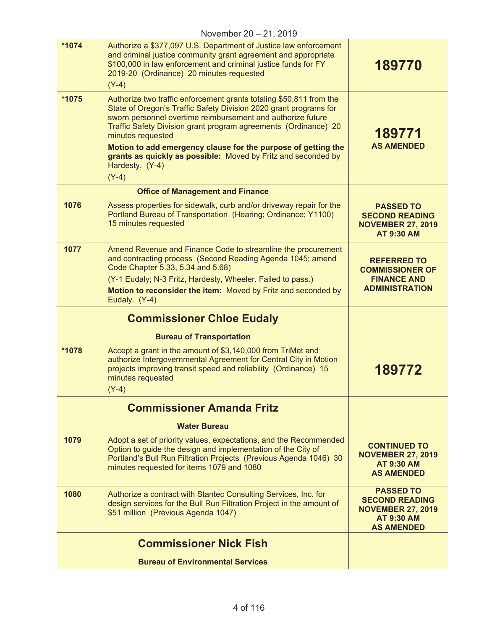|       | November 20 - 21, 2019                                                                                                                                                                                                                                                                                                                                                                                                                                          |                                                                                                                 |
|-------|-----------------------------------------------------------------------------------------------------------------------------------------------------------------------------------------------------------------------------------------------------------------------------------------------------------------------------------------------------------------------------------------------------------------------------------------------------------------|-----------------------------------------------------------------------------------------------------------------|
| *1074 | Authorize a \$377,097 U.S. Department of Justice law enforcement<br>and criminal justice community grant agreement and appropriate<br>\$100,000 in law enforcement and criminal justice funds for FY<br>2019-20 (Ordinance) 20 minutes requested<br>$(Y-4)$                                                                                                                                                                                                     | 189770                                                                                                          |
| *1075 | Authorize two traffic enforcement grants totaling \$50,811 from the<br>State of Oregon's Traffic Safety Division 2020 grant programs for<br>sworn personnel overtime reimbursement and authorize future<br>Traffic Safety Division grant program agreements (Ordinance) 20<br>minutes requested<br>Motion to add emergency clause for the purpose of getting the<br>grants as quickly as possible: Moved by Fritz and seconded by<br>Hardesty. (Y-4)<br>$(Y-4)$ | 189771<br><b>AS AMENDED</b>                                                                                     |
|       | <b>Office of Management and Finance</b>                                                                                                                                                                                                                                                                                                                                                                                                                         |                                                                                                                 |
| 1076  | Assess properties for sidewalk, curb and/or driveway repair for the<br>Portland Bureau of Transportation (Hearing; Ordinance; Y1100)<br>15 minutes requested                                                                                                                                                                                                                                                                                                    | <b>PASSED TO</b><br><b>SECOND READING</b><br><b>NOVEMBER 27, 2019</b><br><b>AT 9:30 AM</b>                      |
| 1077  | Amend Revenue and Finance Code to streamline the procurement<br>and contracting process (Second Reading Agenda 1045; amend<br>Code Chapter 5.33, 5.34 and 5.68)<br>(Y-1 Eudaly; N-3 Fritz, Hardesty, Wheeler. Failed to pass.)<br>Motion to reconsider the item: Moved by Fritz and seconded by<br>Eudaly. (Y-4)                                                                                                                                                | <b>REFERRED TO</b><br><b>COMMISSIONER OF</b><br><b>FINANCE AND</b><br><b>ADMINISTRATION</b>                     |
|       | <b>Commissioner Chloe Eudaly</b>                                                                                                                                                                                                                                                                                                                                                                                                                                |                                                                                                                 |
|       | <b>Bureau of Transportation</b>                                                                                                                                                                                                                                                                                                                                                                                                                                 |                                                                                                                 |
| *1078 | Accept a grant in the amount of \$3,140,000 from TriMet and<br>authorize Intergovernmental Agreement for Central City in Motion<br>projects improving transit speed and reliability (Ordinance) 15<br>minutes requested<br>$(Y-4)$                                                                                                                                                                                                                              | 189772                                                                                                          |
|       | <b>Commissioner Amanda Fritz</b>                                                                                                                                                                                                                                                                                                                                                                                                                                |                                                                                                                 |
|       | <b>Water Bureau</b>                                                                                                                                                                                                                                                                                                                                                                                                                                             |                                                                                                                 |
| 1079  | Adopt a set of priority values, expectations, and the Recommended<br>Option to guide the design and implementation of the City of<br>Portland's Bull Run Filtration Projects (Previous Agenda 1046) 30<br>minutes requested for items 1079 and 1080                                                                                                                                                                                                             | <b>CONTINUED TO</b><br><b>NOVEMBER 27, 2019</b><br><b>AT 9:30 AM</b><br><b>AS AMENDED</b>                       |
| 1080  | Authorize a contract with Stantec Consulting Services, Inc. for<br>design services for the Bull Run Filtration Project in the amount of<br>\$51 million (Previous Agenda 1047)                                                                                                                                                                                                                                                                                  | <b>PASSED TO</b><br><b>SECOND READING</b><br><b>NOVEMBER 27, 2019</b><br><b>AT 9:30 AM</b><br><b>AS AMENDED</b> |
|       | <b>Commissioner Nick Fish</b>                                                                                                                                                                                                                                                                                                                                                                                                                                   |                                                                                                                 |
|       | <b>Bureau of Environmental Services</b>                                                                                                                                                                                                                                                                                                                                                                                                                         |                                                                                                                 |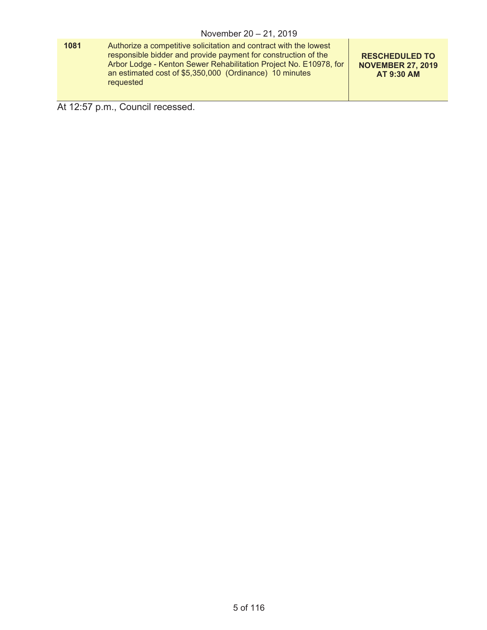| 1081 | Authorize a competitive solicitation and contract with the lowest<br>responsible bidder and provide payment for construction of the<br>Arbor Lodge - Kenton Sewer Rehabilitation Project No. E10978, for<br>an estimated cost of \$5,350,000 (Ordinance) 10 minutes<br>requested | <b>RESCHEDULED TO</b><br><b>NOVEMBER 27, 2019</b><br><b>AT 9:30 AM</b> |
|------|----------------------------------------------------------------------------------------------------------------------------------------------------------------------------------------------------------------------------------------------------------------------------------|------------------------------------------------------------------------|
|------|----------------------------------------------------------------------------------------------------------------------------------------------------------------------------------------------------------------------------------------------------------------------------------|------------------------------------------------------------------------|

At 12:57 p.m., Council recessed.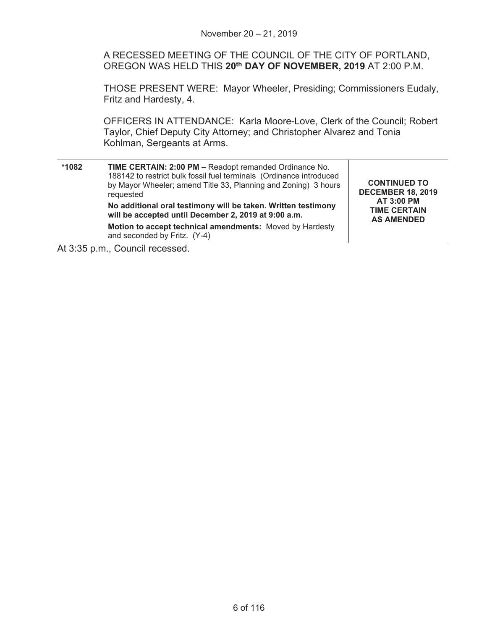A RECESSED MEETING OF THE COUNCIL OF THE CITY OF PORTLAND, OREGON WAS HELD THIS **20th DAY OF NOVEMBER, 2019** AT 2:00 P.M.

THOSE PRESENT WERE: Mayor Wheeler, Presiding; Commissioners Eudaly, Fritz and Hardesty, 4.

OFFICERS IN ATTENDANCE: Karla Moore-Love, Clerk of the Council; Robert Taylor, Chief Deputy City Attorney; and Christopher Alvarez and Tonia Kohlman, Sergeants at Arms.

| *1082 | TIME CERTAIN: 2:00 PM - Readopt remanded Ordinance No.<br>188142 to restrict bulk fossil fuel terminals (Ordinance introduced<br>by Mayor Wheeler; amend Title 33, Planning and Zoning) 3 hours<br>requested<br>No additional oral testimony will be taken. Written testimony<br>will be accepted until December 2, 2019 at 9:00 a.m. | <b>CONTINUED TO</b><br><b>DECEMBER 18, 2019</b><br><b>AT 3:00 PM</b><br><b>TIME CERTAIN</b><br><b>AS AMENDED</b> |
|-------|---------------------------------------------------------------------------------------------------------------------------------------------------------------------------------------------------------------------------------------------------------------------------------------------------------------------------------------|------------------------------------------------------------------------------------------------------------------|
|       | Motion to accept technical amendments: Moved by Hardesty<br>and seconded by Fritz. (Y-4)                                                                                                                                                                                                                                              |                                                                                                                  |

At 3:35 p.m., Council recessed.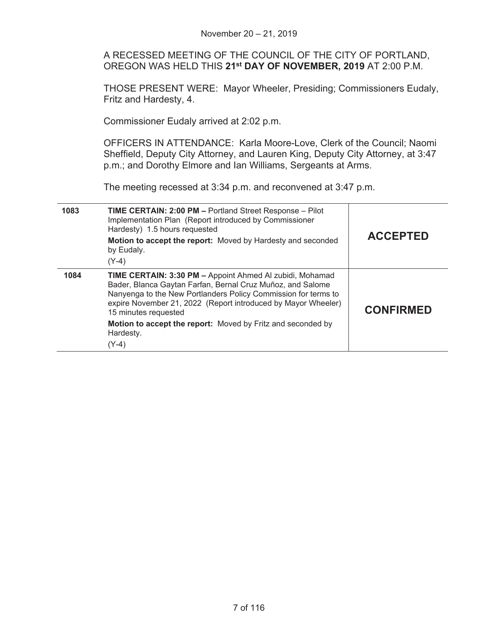|      | November 20 - 21, 2019                                                                                                                                                                                                                                                            |                  |
|------|-----------------------------------------------------------------------------------------------------------------------------------------------------------------------------------------------------------------------------------------------------------------------------------|------------------|
|      | A RECESSED MEETING OF THE COUNCIL OF THE CITY OF PORTLAND,<br>OREGON WAS HELD THIS 21 <sup>st</sup> DAY OF NOVEMBER, 2019 AT 2:00 P.M.                                                                                                                                            |                  |
|      | THOSE PRESENT WERE: Mayor Wheeler, Presiding; Commissioners Eudaly,<br>Fritz and Hardesty, 4.                                                                                                                                                                                     |                  |
|      | Commissioner Eudaly arrived at 2:02 p.m.                                                                                                                                                                                                                                          |                  |
|      | OFFICERS IN ATTENDANCE: Karla Moore-Love, Clerk of the Council; Naomi<br>Sheffield, Deputy City Attorney, and Lauren King, Deputy City Attorney, at 3:47<br>p.m.; and Dorothy Elmore and Ian Williams, Sergeants at Arms.                                                         |                  |
|      | The meeting recessed at 3:34 p.m. and reconvened at 3:47 p.m.                                                                                                                                                                                                                     |                  |
| 1083 | TIME CERTAIN: 2:00 PM - Portland Street Response - Pilot<br>Implementation Plan (Report introduced by Commissioner<br>Hardesty) 1.5 hours requested<br>Motion to accept the report: Moved by Hardesty and seconded                                                                | <b>ACCEPTED</b>  |
|      | by Eudaly.<br>$(Y-4)$                                                                                                                                                                                                                                                             |                  |
| 1084 | TIME CERTAIN: 3:30 PM - Appoint Ahmed Al zubidi, Mohamad<br>Bader, Blanca Gaytan Farfan, Bernal Cruz Muñoz, and Salome<br>Nanyenga to the New Portlanders Policy Commission for terms to<br>expire November 21, 2022 (Report introduced by Mayor Wheeler)<br>15 minutes requested | <b>CONFIRMED</b> |
|      | Motion to accept the report: Moved by Fritz and seconded by<br>Hardesty.<br>$(Y-4)$                                                                                                                                                                                               |                  |
|      |                                                                                                                                                                                                                                                                                   |                  |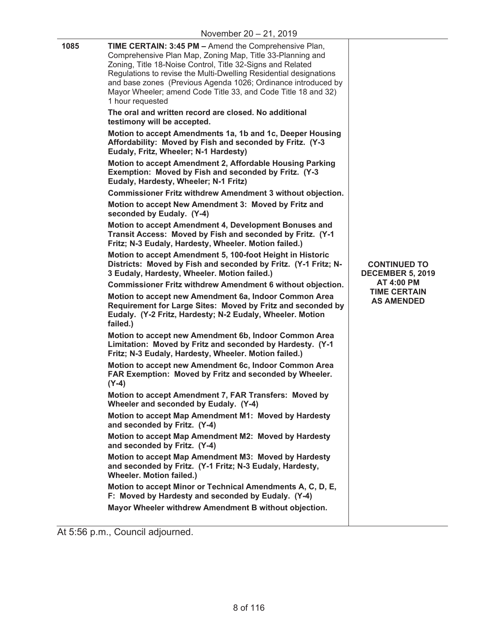| 1085 | TIME CERTAIN: 3:45 PM - Amend the Comprehensive Plan,<br>Comprehensive Plan Map, Zoning Map, Title 33-Planning and<br>Zoning, Title 18-Noise Control, Title 32-Signs and Related<br>Regulations to revise the Multi-Dwelling Residential designations<br>and base zones (Previous Agenda 1026; Ordinance introduced by<br>Mayor Wheeler; amend Code Title 33, and Code Title 18 and 32)<br>1 hour requested |                                                |
|------|-------------------------------------------------------------------------------------------------------------------------------------------------------------------------------------------------------------------------------------------------------------------------------------------------------------------------------------------------------------------------------------------------------------|------------------------------------------------|
|      | The oral and written record are closed. No additional<br>testimony will be accepted.                                                                                                                                                                                                                                                                                                                        |                                                |
|      | Motion to accept Amendments 1a, 1b and 1c, Deeper Housing<br>Affordability: Moved by Fish and seconded by Fritz. (Y-3<br>Eudaly, Fritz, Wheeler; N-1 Hardesty)                                                                                                                                                                                                                                              |                                                |
|      | Motion to accept Amendment 2, Affordable Housing Parking<br>Exemption: Moved by Fish and seconded by Fritz. (Y-3<br>Eudaly, Hardesty, Wheeler; N-1 Fritz)                                                                                                                                                                                                                                                   |                                                |
|      | <b>Commissioner Fritz withdrew Amendment 3 without objection.</b>                                                                                                                                                                                                                                                                                                                                           |                                                |
|      | Motion to accept New Amendment 3: Moved by Fritz and<br>seconded by Eudaly. (Y-4)                                                                                                                                                                                                                                                                                                                           |                                                |
|      | Motion to accept Amendment 4, Development Bonuses and<br>Transit Access: Moved by Fish and seconded by Fritz. (Y-1<br>Fritz; N-3 Eudaly, Hardesty, Wheeler. Motion failed.)                                                                                                                                                                                                                                 |                                                |
|      | Motion to accept Amendment 5, 100-foot Height in Historic<br>Districts: Moved by Fish and seconded by Fritz. (Y-1 Fritz; N-<br>3 Eudaly, Hardesty, Wheeler. Motion failed.)                                                                                                                                                                                                                                 | <b>CONTINUED TO</b><br><b>DECEMBER 5, 2019</b> |
|      | <b>Commissioner Fritz withdrew Amendment 6 without objection.</b>                                                                                                                                                                                                                                                                                                                                           | <b>AT 4:00 PM</b>                              |
|      | Motion to accept new Amendment 6a, Indoor Common Area<br>Requirement for Large Sites: Moved by Fritz and seconded by<br>Eudaly. (Y-2 Fritz, Hardesty; N-2 Eudaly, Wheeler. Motion<br>failed.)                                                                                                                                                                                                               | <b>TIME CERTAIN</b><br><b>AS AMENDED</b>       |
|      | Motion to accept new Amendment 6b, Indoor Common Area<br>Limitation: Moved by Fritz and seconded by Hardesty. (Y-1<br>Fritz; N-3 Eudaly, Hardesty, Wheeler. Motion failed.)                                                                                                                                                                                                                                 |                                                |
|      | Motion to accept new Amendment 6c, Indoor Common Area<br>FAR Exemption: Moved by Fritz and seconded by Wheeler.<br>$(Y-4)$                                                                                                                                                                                                                                                                                  |                                                |
|      | Motion to accept Amendment 7, FAR Transfers: Moved by<br>Wheeler and seconded by Eudaly. (Y-4)                                                                                                                                                                                                                                                                                                              |                                                |
|      | Motion to accept Map Amendment M1: Moved by Hardesty<br>and seconded by Fritz. (Y-4)                                                                                                                                                                                                                                                                                                                        |                                                |
|      | Motion to accept Map Amendment M2: Moved by Hardesty<br>and seconded by Fritz. (Y-4)                                                                                                                                                                                                                                                                                                                        |                                                |
|      | Motion to accept Map Amendment M3: Moved by Hardesty<br>and seconded by Fritz. (Y-1 Fritz; N-3 Eudaly, Hardesty,<br><b>Wheeler. Motion failed.)</b>                                                                                                                                                                                                                                                         |                                                |
|      | Motion to accept Minor or Technical Amendments A, C, D, E,<br>F: Moved by Hardesty and seconded by Eudaly. (Y-4)                                                                                                                                                                                                                                                                                            |                                                |
|      | Mayor Wheeler withdrew Amendment B without objection.                                                                                                                                                                                                                                                                                                                                                       |                                                |

At 5:56 p.m., Council adjourned.

<u>—</u>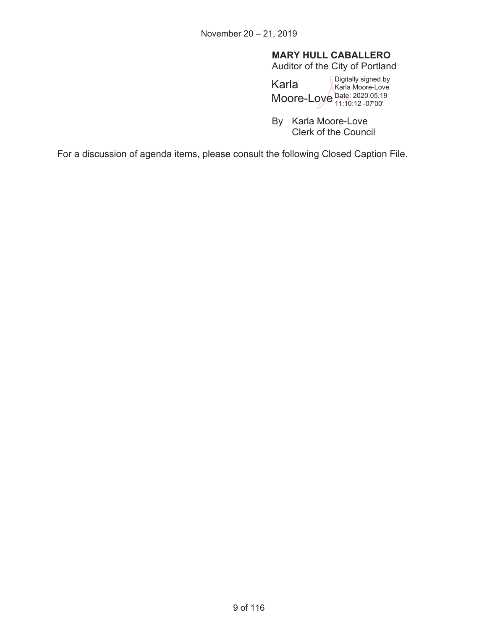# **MARY HULL CABALLERO**

Auditor of the City of Portland

Karla Moore-Love Date: 2020.05.19 Digitally signed by Karla Moore-Love 11:10:12 -07'00'

By Karla Moore-Love Clerk of the Council

For a discussion of agenda items, please consult the following Closed Caption File.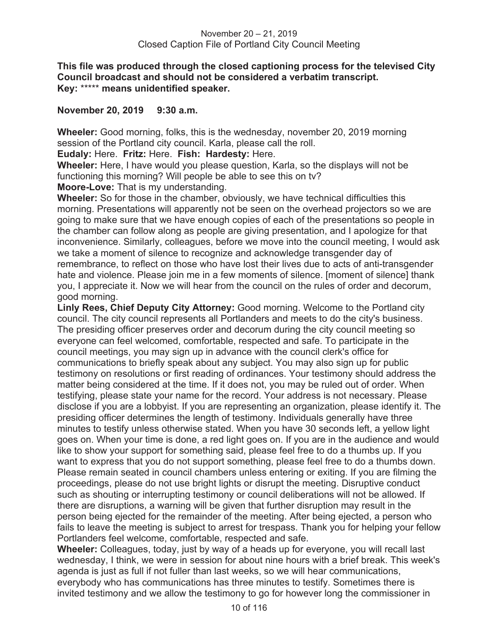**This file was produced through the closed captioning process for the televised City Council broadcast and should not be considered a verbatim transcript. Key:** \*\*\*\*\* **means unidentified speaker.** 

#### **November 20, 2019 9:30 a.m.**

**Wheeler:** Good morning, folks, this is the wednesday, november 20, 2019 morning session of the Portland city council. Karla, please call the roll.

**Eudaly:** Here. **Fritz:** Here. **Fish: Hardesty:** Here.

**Wheeler:** Here, I have would you please question, Karla, so the displays will not be functioning this morning? Will people be able to see this on tv?

**Moore-Love:** That is my understanding.

**Wheeler:** So for those in the chamber, obviously, we have technical difficulties this morning. Presentations will apparently not be seen on the overhead projectors so we are going to make sure that we have enough copies of each of the presentations so people in the chamber can follow along as people are giving presentation, and I apologize for that inconvenience. Similarly, colleagues, before we move into the council meeting, I would ask we take a moment of silence to recognize and acknowledge transgender day of remembrance, to reflect on those who have lost their lives due to acts of anti-transgender hate and violence. Please join me in a few moments of silence. [moment of silence] thank you, I appreciate it. Now we will hear from the council on the rules of order and decorum, good morning.

**Linly Rees, Chief Deputy City Attorney:** Good morning. Welcome to the Portland city council. The city council represents all Portlanders and meets to do the city's business. The presiding officer preserves order and decorum during the city council meeting so everyone can feel welcomed, comfortable, respected and safe. To participate in the council meetings, you may sign up in advance with the council clerk's office for communications to briefly speak about any subject. You may also sign up for public testimony on resolutions or first reading of ordinances. Your testimony should address the matter being considered at the time. If it does not, you may be ruled out of order. When testifying, please state your name for the record. Your address is not necessary. Please disclose if you are a lobbyist. If you are representing an organization, please identify it. The presiding officer determines the length of testimony. Individuals generally have three minutes to testify unless otherwise stated. When you have 30 seconds left, a yellow light goes on. When your time is done, a red light goes on. If you are in the audience and would like to show your support for something said, please feel free to do a thumbs up. If you want to express that you do not support something, please feel free to do a thumbs down. Please remain seated in council chambers unless entering or exiting. If you are filming the proceedings, please do not use bright lights or disrupt the meeting. Disruptive conduct such as shouting or interrupting testimony or council deliberations will not be allowed. If there are disruptions, a warning will be given that further disruption may result in the person being ejected for the remainder of the meeting. After being ejected, a person who fails to leave the meeting is subject to arrest for trespass. Thank you for helping your fellow Portlanders feel welcome, comfortable, respected and safe.

**Wheeler:** Colleagues, today, just by way of a heads up for everyone, you will recall last wednesday, I think, we were in session for about nine hours with a brief break. This week's agenda is just as full if not fuller than last weeks, so we will hear communications, everybody who has communications has three minutes to testify. Sometimes there is invited testimony and we allow the testimony to go for however long the commissioner in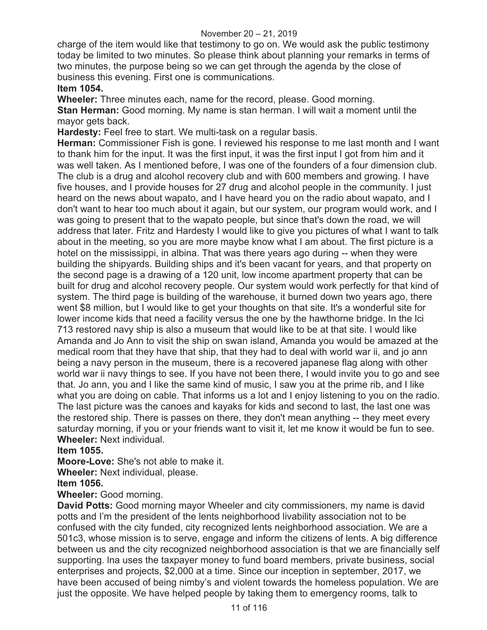charge of the item would like that testimony to go on. We would ask the public testimony today be limited to two minutes. So please think about planning your remarks in terms of two minutes, the purpose being so we can get through the agenda by the close of business this evening. First one is communications.

# **Item 1054.**

**Wheeler:** Three minutes each, name for the record, please. Good morning. **Stan Herman:** Good morning. My name is stan herman. I will wait a moment until the mayor gets back.

**Hardesty:** Feel free to start. We multi-task on a regular basis.

**Herman:** Commissioner Fish is gone. I reviewed his response to me last month and I want to thank him for the input. It was the first input, it was the first input I got from him and it was well taken. As I mentioned before, I was one of the founders of a four dimension club. The club is a drug and alcohol recovery club and with 600 members and growing. I have five houses, and I provide houses for 27 drug and alcohol people in the community. I just heard on the news about wapato, and I have heard you on the radio about wapato, and I don't want to hear too much about it again, but our system, our program would work, and I was going to present that to the wapato people, but since that's down the road, we will address that later. Fritz and Hardesty I would like to give you pictures of what I want to talk about in the meeting, so you are more maybe know what I am about. The first picture is a hotel on the mississippi, in albina. That was there years ago during -- when they were building the shipyards. Building ships and it's been vacant for years, and that property on the second page is a drawing of a 120 unit, low income apartment property that can be built for drug and alcohol recovery people. Our system would work perfectly for that kind of system. The third page is building of the warehouse, it burned down two years ago, there went \$8 million, but I would like to get your thoughts on that site. It's a wonderful site for lower income kids that need a facility versus the one by the hawthorne bridge. In the lci 713 restored navy ship is also a museum that would like to be at that site. I would like Amanda and Jo Ann to visit the ship on swan island, Amanda you would be amazed at the medical room that they have that ship, that they had to deal with world war ii, and jo ann being a navy person in the museum, there is a recovered japanese flag along with other world war ii navy things to see. If you have not been there, I would invite you to go and see that. Jo ann, you and I like the same kind of music, I saw you at the prime rib, and I like what you are doing on cable. That informs us a lot and I enjoy listening to you on the radio. The last picture was the canoes and kayaks for kids and second to last, the last one was the restored ship. There is passes on there, they don't mean anything -- they meet every saturday morning, if you or your friends want to visit it, let me know it would be fun to see. **Wheeler:** Next individual.

## **Item 1055.**

**Moore-Love:** She's not able to make it.

**Wheeler:** Next individual, please.

## **Item 1056.**

**Wheeler:** Good morning.

**David Potts:** Good morning mayor Wheeler and city commissioners, my name is david potts and I'm the president of the lents neighborhood livability association not to be confused with the city funded, city recognized lents neighborhood association. We are a 501c3, whose mission is to serve, engage and inform the citizens of lents. A big difference between us and the city recognized neighborhood association is that we are financially self supporting. lna uses the taxpayer money to fund board members, private business, social enterprises and projects, \$2,000 at a time. Since our inception in september, 2017, we have been accused of being nimby's and violent towards the homeless population. We are just the opposite. We have helped people by taking them to emergency rooms, talk to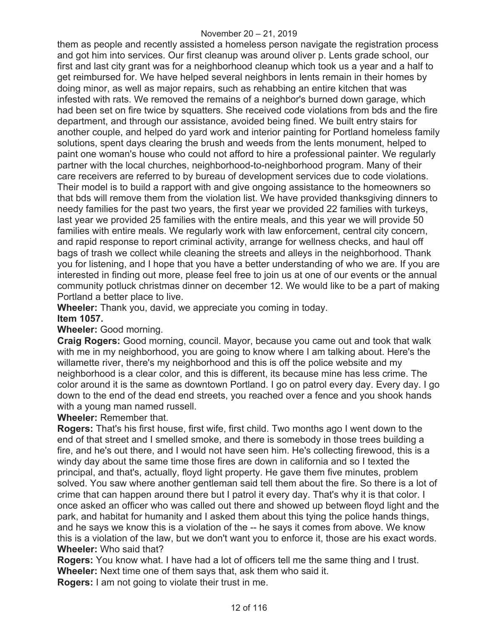them as people and recently assisted a homeless person navigate the registration process and got him into services. Our first cleanup was around oliver p. Lents grade school, our first and last city grant was for a neighborhood cleanup which took us a year and a half to get reimbursed for. We have helped several neighbors in lents remain in their homes by doing minor, as well as major repairs, such as rehabbing an entire kitchen that was infested with rats. We removed the remains of a neighbor's burned down garage, which had been set on fire twice by squatters. She received code violations from bds and the fire department, and through our assistance, avoided being fined. We built entry stairs for another couple, and helped do yard work and interior painting for Portland homeless family solutions, spent days clearing the brush and weeds from the lents monument, helped to paint one woman's house who could not afford to hire a professional painter. We regularly partner with the local churches, neighborhood-to-neighborhood program. Many of their care receivers are referred to by bureau of development services due to code violations. Their model is to build a rapport with and give ongoing assistance to the homeowners so that bds will remove them from the violation list. We have provided thanksgiving dinners to needy families for the past two years, the first year we provided 22 families with turkeys, last year we provided 25 families with the entire meals, and this year we will provide 50 families with entire meals. We regularly work with law enforcement, central city concern, and rapid response to report criminal activity, arrange for wellness checks, and haul off bags of trash we collect while cleaning the streets and alleys in the neighborhood. Thank you for listening, and I hope that you have a better understanding of who we are. If you are interested in finding out more, please feel free to join us at one of our events or the annual community potluck christmas dinner on december 12. We would like to be a part of making Portland a better place to live.

**Wheeler:** Thank you, david, we appreciate you coming in today.

## **Item 1057.**

**Wheeler:** Good morning.

**Craig Rogers:** Good morning, council. Mayor, because you came out and took that walk with me in my neighborhood, you are going to know where I am talking about. Here's the willamette river, there's my neighborhood and this is off the police website and my neighborhood is a clear color, and this is different, its because mine has less crime. The color around it is the same as downtown Portland. I go on patrol every day. Every day. I go down to the end of the dead end streets, you reached over a fence and you shook hands with a young man named russell.

**Wheeler:** Remember that.

**Rogers:** That's his first house, first wife, first child. Two months ago I went down to the end of that street and I smelled smoke, and there is somebody in those trees building a fire, and he's out there, and I would not have seen him. He's collecting firewood, this is a windy day about the same time those fires are down in california and so I texted the principal, and that's, actually, floyd light property. He gave them five minutes, problem solved. You saw where another gentleman said tell them about the fire. So there is a lot of crime that can happen around there but I patrol it every day. That's why it is that color. I once asked an officer who was called out there and showed up between floyd light and the park, and habitat for humanity and I asked them about this tying the police hands things, and he says we know this is a violation of the -- he says it comes from above. We know this is a violation of the law, but we don't want you to enforce it, those are his exact words. **Wheeler:** Who said that?

**Rogers:** You know what. I have had a lot of officers tell me the same thing and I trust. **Wheeler:** Next time one of them says that, ask them who said it.

**Rogers:** I am not going to violate their trust in me.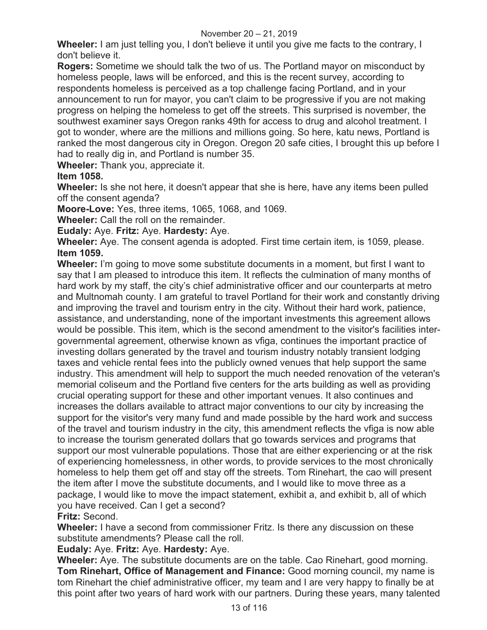**Wheeler:** I am just telling you, I don't believe it until you give me facts to the contrary, I don't believe it.

**Rogers:** Sometime we should talk the two of us. The Portland mayor on misconduct by homeless people, laws will be enforced, and this is the recent survey, according to respondents homeless is perceived as a top challenge facing Portland, and in your announcement to run for mayor, you can't claim to be progressive if you are not making progress on helping the homeless to get off the streets. This surprised is november, the southwest examiner says Oregon ranks 49th for access to drug and alcohol treatment. I got to wonder, where are the millions and millions going. So here, katu news, Portland is ranked the most dangerous city in Oregon. Oregon 20 safe cities, I brought this up before I had to really dig in, and Portland is number 35.

**Wheeler:** Thank you, appreciate it.

# **Item 1058.**

**Wheeler:** Is she not here, it doesn't appear that she is here, have any items been pulled off the consent agenda?

**Moore-Love:** Yes, three items, 1065, 1068, and 1069.

**Wheeler:** Call the roll on the remainder.

**Eudaly:** Aye. **Fritz:** Aye. **Hardesty:** Aye.

**Wheeler:** Aye. The consent agenda is adopted. First time certain item, is 1059, please. **Item 1059.**

**Wheeler:** I'm going to move some substitute documents in a moment, but first I want to say that I am pleased to introduce this item. It reflects the culmination of many months of hard work by my staff, the city's chief administrative officer and our counterparts at metro and Multnomah county. I am grateful to travel Portland for their work and constantly driving and improving the travel and tourism entry in the city. Without their hard work, patience, assistance, and understanding, none of the important investments this agreement allows would be possible. This item, which is the second amendment to the visitor's facilities intergovernmental agreement, otherwise known as vfiga, continues the important practice of investing dollars generated by the travel and tourism industry notably transient lodging taxes and vehicle rental fees into the publicly owned venues that help support the same industry. This amendment will help to support the much needed renovation of the veteran's memorial coliseum and the Portland five centers for the arts building as well as providing crucial operating support for these and other important venues. It also continues and increases the dollars available to attract major conventions to our city by increasing the support for the visitor's very many fund and made possible by the hard work and success of the travel and tourism industry in the city, this amendment reflects the vfiga is now able to increase the tourism generated dollars that go towards services and programs that support our most vulnerable populations. Those that are either experiencing or at the risk of experiencing homelessness, in other words, to provide services to the most chronically homeless to help them get off and stay off the streets. Tom Rinehart, the cao will present the item after I move the substitute documents, and I would like to move three as a package, I would like to move the impact statement, exhibit a, and exhibit b, all of which you have received. Can I get a second?

**Fritz:** Second.

**Wheeler:** I have a second from commissioner Fritz. Is there any discussion on these substitute amendments? Please call the roll.

# **Eudaly:** Aye. **Fritz:** Aye. **Hardesty:** Aye.

**Wheeler:** Aye. The substitute documents are on the table. Cao Rinehart, good morning. **Tom Rinehart, Office of Management and Finance:** Good morning council, my name is tom Rinehart the chief administrative officer, my team and I are very happy to finally be at this point after two years of hard work with our partners. During these years, many talented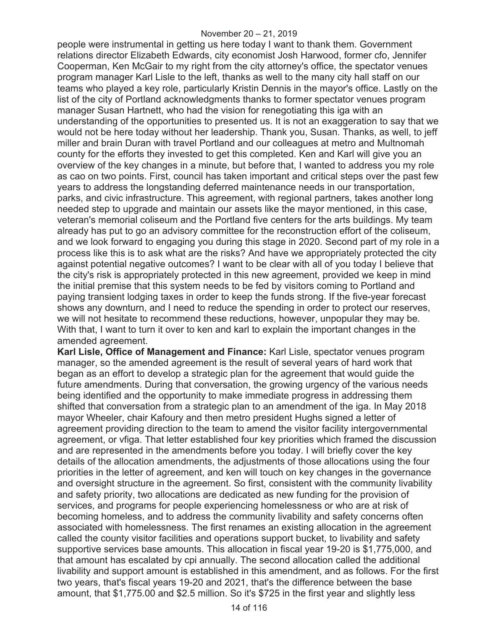people were instrumental in getting us here today I want to thank them. Government relations director Elizabeth Edwards, city economist Josh Harwood, former cfo, Jennifer Cooperman, Ken McGair to my right from the city attorney's office, the spectator venues program manager Karl Lisle to the left, thanks as well to the many city hall staff on our teams who played a key role, particularly Kristin Dennis in the mayor's office. Lastly on the list of the city of Portland acknowledgments thanks to former spectator venues program manager Susan Hartnett, who had the vision for renegotiating this iga with an understanding of the opportunities to presented us. It is not an exaggeration to say that we would not be here today without her leadership. Thank you, Susan. Thanks, as well, to jeff miller and brain Duran with travel Portland and our colleagues at metro and Multnomah county for the efforts they invested to get this completed. Ken and Karl will give you an overview of the key changes in a minute, but before that, I wanted to address you my role as cao on two points. First, council has taken important and critical steps over the past few years to address the longstanding deferred maintenance needs in our transportation, parks, and civic infrastructure. This agreement, with regional partners, takes another long needed step to upgrade and maintain our assets like the mayor mentioned, in this case, veteran's memorial coliseum and the Portland five centers for the arts buildings. My team already has put to go an advisory committee for the reconstruction effort of the coliseum, and we look forward to engaging you during this stage in 2020. Second part of my role in a process like this is to ask what are the risks? And have we appropriately protected the city against potential negative outcomes? I want to be clear with all of you today I believe that the city's risk is appropriately protected in this new agreement, provided we keep in mind the initial premise that this system needs to be fed by visitors coming to Portland and paying transient lodging taxes in order to keep the funds strong. If the five-year forecast shows any downturn, and I need to reduce the spending in order to protect our reserves, we will not hesitate to recommend these reductions, however, unpopular they may be. With that, I want to turn it over to ken and karl to explain the important changes in the amended agreement.

**Karl Lisle, Office of Management and Finance:** Karl Lisle, spectator venues program manager, so the amended agreement is the result of several years of hard work that began as an effort to develop a strategic plan for the agreement that would guide the future amendments. During that conversation, the growing urgency of the various needs being identified and the opportunity to make immediate progress in addressing them shifted that conversation from a strategic plan to an amendment of the iga. In May 2018 mayor Wheeler, chair Kafoury and then metro president Hughs signed a letter of agreement providing direction to the team to amend the visitor facility intergovernmental agreement, or vfiga. That letter established four key priorities which framed the discussion and are represented in the amendments before you today. I will briefly cover the key details of the allocation amendments, the adjustments of those allocations using the four priorities in the letter of agreement, and ken will touch on key changes in the governance and oversight structure in the agreement. So first, consistent with the community livability and safety priority, two allocations are dedicated as new funding for the provision of services, and programs for people experiencing homelessness or who are at risk of becoming homeless, and to address the community livability and safety concerns often associated with homelessness. The first renames an existing allocation in the agreement called the county visitor facilities and operations support bucket, to livability and safety supportive services base amounts. This allocation in fiscal year 19-20 is \$1,775,000, and that amount has escalated by cpi annually. The second allocation called the additional livability and support amount is established in this amendment, and as follows. For the first two years, that's fiscal years 19-20 and 2021, that's the difference between the base amount, that \$1,775.00 and \$2.5 million. So it's \$725 in the first year and slightly less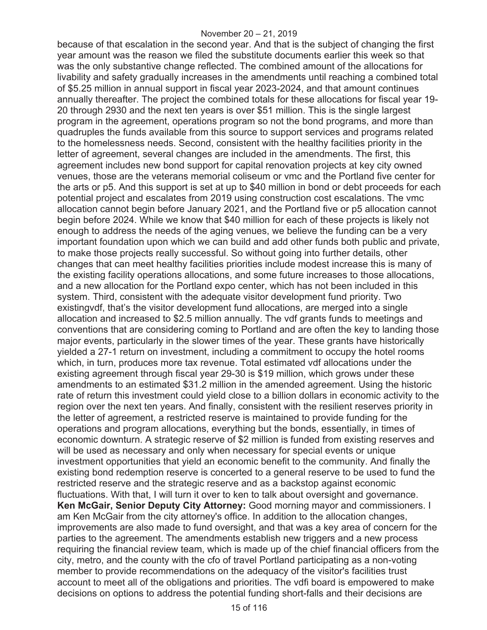because of that escalation in the second year. And that is the subject of changing the first year amount was the reason we filed the substitute documents earlier this week so that was the only substantive change reflected. The combined amount of the allocations for livability and safety gradually increases in the amendments until reaching a combined total of \$5.25 million in annual support in fiscal year 2023-2024, and that amount continues annually thereafter. The project the combined totals for these allocations for fiscal year 19- 20 through 2930 and the next ten years is over \$51 million. This is the single largest program in the agreement, operations program so not the bond programs, and more than quadruples the funds available from this source to support services and programs related to the homelessness needs. Second, consistent with the healthy facilities priority in the letter of agreement, several changes are included in the amendments. The first, this agreement includes new bond support for capital renovation projects at key city owned venues, those are the veterans memorial coliseum or vmc and the Portland five center for the arts or p5. And this support is set at up to \$40 million in bond or debt proceeds for each potential project and escalates from 2019 using construction cost escalations. The vmc allocation cannot begin before January 2021, and the Portland five or p5 allocation cannot begin before 2024. While we know that \$40 million for each of these projects is likely not enough to address the needs of the aging venues, we believe the funding can be a very important foundation upon which we can build and add other funds both public and private, to make those projects really successful. So without going into further details, other changes that can meet healthy facilities priorities include modest increase this is many of the existing facility operations allocations, and some future increases to those allocations, and a new allocation for the Portland expo center, which has not been included in this system. Third, consistent with the adequate visitor development fund priority. Two existingvdf, that's the visitor development fund allocations, are merged into a single allocation and increased to \$2.5 million annually. The vdf grants funds to meetings and conventions that are considering coming to Portland and are often the key to landing those major events, particularly in the slower times of the year. These grants have historically yielded a 27-1 return on investment, including a commitment to occupy the hotel rooms which, in turn, produces more tax revenue. Total estimated vdf allocations under the existing agreement through fiscal year 29-30 is \$19 million, which grows under these amendments to an estimated \$31.2 million in the amended agreement. Using the historic rate of return this investment could yield close to a billion dollars in economic activity to the region over the next ten years. And finally, consistent with the resilient reserves priority in the letter of agreement, a restricted reserve is maintained to provide funding for the operations and program allocations, everything but the bonds, essentially, in times of economic downturn. A strategic reserve of \$2 million is funded from existing reserves and will be used as necessary and only when necessary for special events or unique investment opportunities that yield an economic benefit to the community. And finally the existing bond redemption reserve is concerted to a general reserve to be used to fund the restricted reserve and the strategic reserve and as a backstop against economic fluctuations. With that, I will turn it over to ken to talk about oversight and governance. **Ken McGair, Senior Deputy City Attorney:** Good morning mayor and commissioners. I am Ken McGair from the city attorney's office. In addition to the allocation changes, improvements are also made to fund oversight, and that was a key area of concern for the parties to the agreement. The amendments establish new triggers and a new process requiring the financial review team, which is made up of the chief financial officers from the city, metro, and the county with the cfo of travel Portland participating as a non-voting member to provide recommendations on the adequacy of the visitor's facilities trust account to meet all of the obligations and priorities. The vdfi board is empowered to make decisions on options to address the potential funding short-falls and their decisions are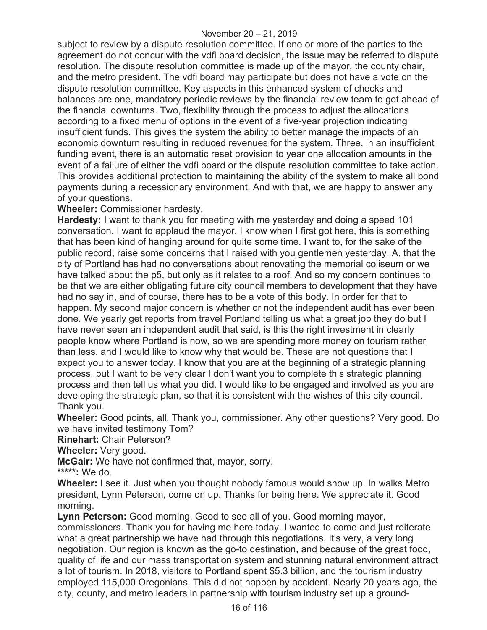subject to review by a dispute resolution committee. If one or more of the parties to the agreement do not concur with the vdfi board decision, the issue may be referred to dispute resolution. The dispute resolution committee is made up of the mayor, the county chair, and the metro president. The vdfi board may participate but does not have a vote on the dispute resolution committee. Key aspects in this enhanced system of checks and balances are one, mandatory periodic reviews by the financial review team to get ahead of the financial downturns. Two, flexibility through the process to adjust the allocations according to a fixed menu of options in the event of a five-year projection indicating insufficient funds. This gives the system the ability to better manage the impacts of an economic downturn resulting in reduced revenues for the system. Three, in an insufficient funding event, there is an automatic reset provision to year one allocation amounts in the event of a failure of either the vdfi board or the dispute resolution committee to take action. This provides additional protection to maintaining the ability of the system to make all bond payments during a recessionary environment. And with that, we are happy to answer any of your questions.

**Wheeler:** Commissioner hardesty.

**Hardesty:** I want to thank you for meeting with me yesterday and doing a speed 101 conversation. I want to applaud the mayor. I know when I first got here, this is something that has been kind of hanging around for quite some time. I want to, for the sake of the public record, raise some concerns that I raised with you gentlemen yesterday. A, that the city of Portland has had no conversations about renovating the memorial coliseum or we have talked about the p5, but only as it relates to a roof. And so my concern continues to be that we are either obligating future city council members to development that they have had no say in, and of course, there has to be a vote of this body. In order for that to happen. My second major concern is whether or not the independent audit has ever been done. We yearly get reports from travel Portland telling us what a great job they do but I have never seen an independent audit that said, is this the right investment in clearly people know where Portland is now, so we are spending more money on tourism rather than less, and I would like to know why that would be. These are not questions that I expect you to answer today. I know that you are at the beginning of a strategic planning process, but I want to be very clear I don't want you to complete this strategic planning process and then tell us what you did. I would like to be engaged and involved as you are developing the strategic plan, so that it is consistent with the wishes of this city council. Thank you.

**Wheeler:** Good points, all. Thank you, commissioner. Any other questions? Very good. Do we have invited testimony Tom?

**Rinehart:** Chair Peterson?

**Wheeler:** Very good.

**McGair:** We have not confirmed that, mayor, sorry.

**\*\*\*\*\*:** We do.

**Wheeler:** I see it. Just when you thought nobody famous would show up. In walks Metro president, Lynn Peterson, come on up. Thanks for being here. We appreciate it. Good morning.

**Lynn Peterson:** Good morning. Good to see all of you. Good morning mayor, commissioners. Thank you for having me here today. I wanted to come and just reiterate what a great partnership we have had through this negotiations. It's very, a very long negotiation. Our region is known as the go-to destination, and because of the great food, quality of life and our mass transportation system and stunning natural environment attract a lot of tourism. In 2018, visitors to Portland spent \$5.3 billion, and the tourism industry employed 115,000 Oregonians. This did not happen by accident. Nearly 20 years ago, the city, county, and metro leaders in partnership with tourism industry set up a ground-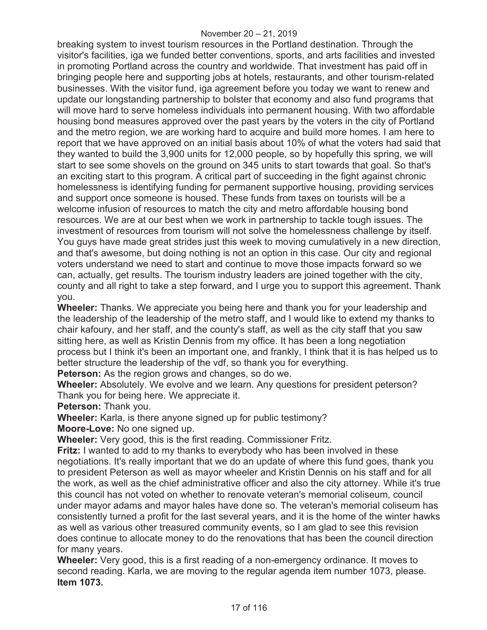breaking system to invest tourism resources in the Portland destination. Through the visitor's facilities, iga we funded better conventions, sports, and arts facilities and invested in promoting Portland across the country and worldwide. That investment has paid off in bringing people here and supporting jobs at hotels, restaurants, and other tourism-related businesses. With the visitor fund, iga agreement before you today we want to renew and update our longstanding partnership to bolster that economy and also fund programs that will move hard to serve homeless individuals into permanent housing. With two affordable housing bond measures approved over the past years by the voters in the city of Portland and the metro region, we are working hard to acquire and build more homes. I am here to report that we have approved on an initial basis about 10% of what the voters had said that they wanted to build the 3,900 units for 12,000 people, so by hopefully this spring, we will start to see some shovels on the ground on 345 units to start towards that goal. So that's an exciting start to this program. A critical part of succeeding in the fight against chronic homelessness is identifying funding for permanent supportive housing, providing services and support once someone is housed. These funds from taxes on tourists will be a welcome infusion of resources to match the city and metro affordable housing bond resources. We are at our best when we work in partnership to tackle tough issues. The investment of resources from tourism will not solve the homelessness challenge by itself. You guys have made great strides just this week to moving cumulatively in a new direction, and that's awesome, but doing nothing is not an option in this case. Our city and regional voters understand we need to start and continue to move those impacts forward so we can, actually, get results. The tourism industry leaders are joined together with the city, county and all right to take a step forward, and I urge you to support this agreement. Thank you.

**Wheeler:** Thanks. We appreciate you being here and thank you for your leadership and the leadership of the leadership of the metro staff, and I would like to extend my thanks to chair kafoury, and her staff, and the county's staff, as well as the city staff that you saw sitting here, as well as Kristin Dennis from my office. It has been a long negotiation process but I think it's been an important one, and frankly, I think that it is has helped us to better structure the leadership of the vdf, so thank you for everything.

**Peterson:** As the region grows and changes, so do we.

**Wheeler:** Absolutely. We evolve and we learn. Any questions for president peterson? Thank you for being here. We appreciate it.

**Peterson:** Thank you.

**Wheeler:** Karla, is there anyone signed up for public testimony?

**Moore-Love:** No one signed up.

**Wheeler:** Very good, this is the first reading. Commissioner Fritz.

**Fritz:** I wanted to add to my thanks to everybody who has been involved in these negotiations. It's really important that we do an update of where this fund goes, thank you to president Peterson as well as mayor wheeler and Kristin Dennis on his staff and for all the work, as well as the chief administrative officer and also the city attorney. While it's true this council has not voted on whether to renovate veteran's memorial coliseum, council under mayor adams and mayor hales have done so. The veteran's memorial coliseum has consistently turned a profit for the last several years, and it is the home of the winter hawks as well as various other treasured community events, so I am glad to see this revision does continue to allocate money to do the renovations that has been the council direction for many years.

**Wheeler:** Very good, this is a first reading of a non-emergency ordinance. It moves to second reading. Karla, we are moving to the regular agenda item number 1073, please. **Item 1073.**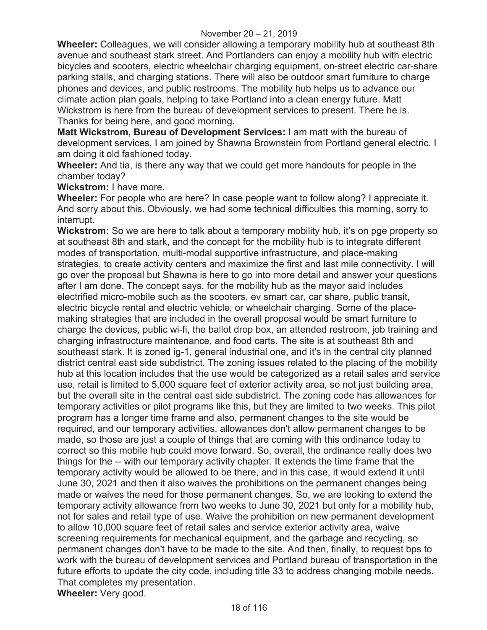**Wheeler:** Colleagues, we will consider allowing a temporary mobility hub at southeast 8th avenue and southeast stark street. And Portlanders can enjoy a mobility hub with electric bicycles and scooters, electric wheelchair charging equipment, on-street electric car-share parking stalls, and charging stations. There will also be outdoor smart furniture to charge phones and devices, and public restrooms. The mobility hub helps us to advance our climate action plan goals, helping to take Portland into a clean energy future. Matt Wickstrom is here from the bureau of development services to present. There he is. Thanks for being here, and good morning.

**Matt Wickstrom, Bureau of Development Services:** I am matt with the bureau of development services, I am joined by Shawna Brownstein from Portland general electric. I am doing it old fashioned today.

**Wheeler:** And tia, is there any way that we could get more handouts for people in the chamber today?

**Wickstrom:** I have more.

**Wheeler:** For people who are here? In case people want to follow along? I appreciate it. And sorry about this. Obviously, we had some technical difficulties this morning, sorry to interrupt.

**Wickstrom:** So we are here to talk about a temporary mobility hub, it's on pge property so at southeast 8th and stark, and the concept for the mobility hub is to integrate different modes of transportation, multi-modal supportive infrastructure, and place-making strategies, to create activity centers and maximize the first and last mile connectivity. I will go over the proposal but Shawna is here to go into more detail and answer your questions after I am done. The concept says, for the mobility hub as the mayor said includes electrified micro-mobile such as the scooters, ev smart car, car share, public transit, electric bicycle rental and electric vehicle, or wheelchair charging. Some of the placemaking strategies that are included in the overall proposal would be smart furniture to charge the devices, public wi-fi, the ballot drop box, an attended restroom, job training and charging infrastructure maintenance, and food carts. The site is at southeast 8th and southeast stark. It is zoned ig-1, general industrial one, and it's in the central city planned district central east side subdistrict. The zoning issues related to the placing of the mobility hub at this location includes that the use would be categorized as a retail sales and service use, retail is limited to 5,000 square feet of exterior activity area, so not just building area, but the overall site in the central east side subdistrict. The zoning code has allowances for temporary activities or pilot programs like this, but they are limited to two weeks. This pilot program has a longer time frame and also, permanent changes to the site would be required, and our temporary activities, allowances don't allow permanent changes to be made, so those are just a couple of things that are coming with this ordinance today to correct so this mobile hub could move forward. So, overall, the ordinance really does two things for the -- with our temporary activity chapter. It extends the time frame that the temporary activity would be allowed to be there, and in this case, it would extend it until June 30, 2021 and then it also waives the prohibitions on the permanent changes being made or waives the need for those permanent changes. So, we are looking to extend the temporary activity allowance from two weeks to June 30, 2021 but only for a mobility hub, not for sales and retail type of use. Waive the prohibition on new permanent development to allow 10,000 square feet of retail sales and service exterior activity area, waive screening requirements for mechanical equipment, and the garbage and recycling, so permanent changes don't have to be made to the site. And then, finally, to request bps to work with the bureau of development services and Portland bureau of transportation in the future efforts to update the city code, including title 33 to address changing mobile needs. That completes my presentation. **Wheeler:** Very good.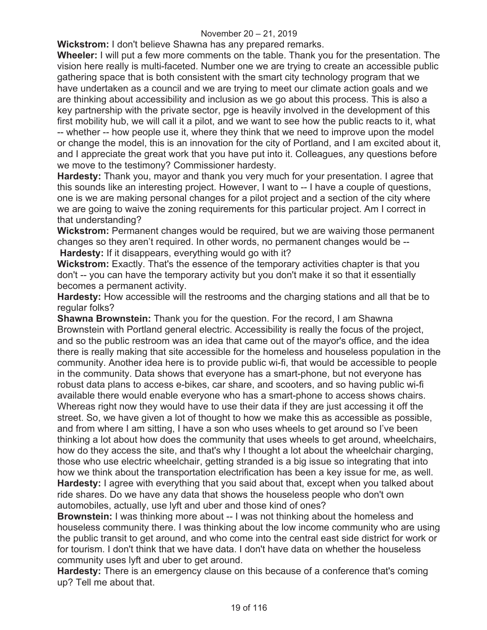#### November 20 – 21, 2019

**Wickstrom:** I don't believe Shawna has any prepared remarks.

**Wheeler:** I will put a few more comments on the table. Thank you for the presentation. The vision here really is multi-faceted. Number one we are trying to create an accessible public gathering space that is both consistent with the smart city technology program that we have undertaken as a council and we are trying to meet our climate action goals and we are thinking about accessibility and inclusion as we go about this process. This is also a key partnership with the private sector, pge is heavily involved in the development of this first mobility hub, we will call it a pilot, and we want to see how the public reacts to it, what -- whether -- how people use it, where they think that we need to improve upon the model or change the model, this is an innovation for the city of Portland, and I am excited about it, and I appreciate the great work that you have put into it. Colleagues, any questions before we move to the testimony? Commissioner hardesty.

**Hardesty:** Thank you, mayor and thank you very much for your presentation. I agree that this sounds like an interesting project. However, I want to -- I have a couple of questions, one is we are making personal changes for a pilot project and a section of the city where we are going to waive the zoning requirements for this particular project. Am I correct in that understanding?

**Wickstrom:** Permanent changes would be required, but we are waiving those permanent changes so they aren't required. In other words, no permanent changes would be -- **Hardesty:** If it disappears, everything would go with it?

**Wickstrom:** Exactly. That's the essence of the temporary activities chapter is that you don't -- you can have the temporary activity but you don't make it so that it essentially becomes a permanent activity.

**Hardesty:** How accessible will the restrooms and the charging stations and all that be to regular folks?

**Shawna Brownstein:** Thank you for the question. For the record, I am Shawna Brownstein with Portland general electric. Accessibility is really the focus of the project, and so the public restroom was an idea that came out of the mayor's office, and the idea there is really making that site accessible for the homeless and houseless population in the community. Another idea here is to provide public wi-fi, that would be accessible to people in the community. Data shows that everyone has a smart-phone, but not everyone has robust data plans to access e-bikes, car share, and scooters, and so having public wi-fi available there would enable everyone who has a smart-phone to access shows chairs. Whereas right now they would have to use their data if they are just accessing it off the street. So, we have given a lot of thought to how we make this as accessible as possible, and from where I am sitting, I have a son who uses wheels to get around so I've been thinking a lot about how does the community that uses wheels to get around, wheelchairs, how do they access the site, and that's why I thought a lot about the wheelchair charging, those who use electric wheelchair, getting stranded is a big issue so integrating that into how we think about the transportation electrification has been a key issue for me, as well. **Hardesty:** I agree with everything that you said about that, except when you talked about ride shares. Do we have any data that shows the houseless people who don't own automobiles, actually, use lyft and uber and those kind of ones?

**Brownstein:** I was thinking more about -- I was not thinking about the homeless and houseless community there. I was thinking about the low income community who are using the public transit to get around, and who come into the central east side district for work or for tourism. I don't think that we have data. I don't have data on whether the houseless community uses lyft and uber to get around.

**Hardesty:** There is an emergency clause on this because of a conference that's coming up? Tell me about that.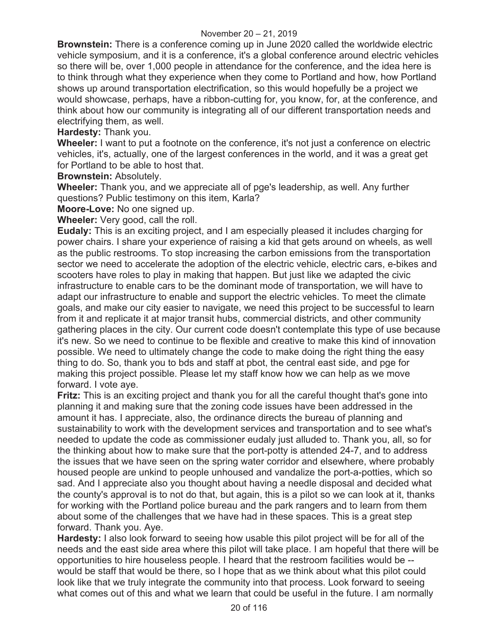**Brownstein:** There is a conference coming up in June 2020 called the worldwide electric vehicle symposium, and it is a conference, it's a global conference around electric vehicles so there will be, over 1,000 people in attendance for the conference, and the idea here is to think through what they experience when they come to Portland and how, how Portland shows up around transportation electrification, so this would hopefully be a project we would showcase, perhaps, have a ribbon-cutting for, you know, for, at the conference, and think about how our community is integrating all of our different transportation needs and electrifying them, as well.

**Hardesty:** Thank you.

**Wheeler:** I want to put a footnote on the conference, it's not just a conference on electric vehicles, it's, actually, one of the largest conferences in the world, and it was a great get for Portland to be able to host that.

**Brownstein:** Absolutely.

**Wheeler:** Thank you, and we appreciate all of pge's leadership, as well. Any further questions? Public testimony on this item, Karla?

**Moore-Love:** No one signed up.

**Wheeler:** Very good, call the roll.

**Eudaly:** This is an exciting project, and I am especially pleased it includes charging for power chairs. I share your experience of raising a kid that gets around on wheels, as well as the public restrooms. To stop increasing the carbon emissions from the transportation sector we need to accelerate the adoption of the electric vehicle, electric cars, e-bikes and scooters have roles to play in making that happen. But just like we adapted the civic infrastructure to enable cars to be the dominant mode of transportation, we will have to adapt our infrastructure to enable and support the electric vehicles. To meet the climate goals, and make our city easier to navigate, we need this project to be successful to learn from it and replicate it at major transit hubs, commercial districts, and other community gathering places in the city. Our current code doesn't contemplate this type of use because it's new. So we need to continue to be flexible and creative to make this kind of innovation possible. We need to ultimately change the code to make doing the right thing the easy thing to do. So, thank you to bds and staff at pbot, the central east side, and pge for making this project possible. Please let my staff know how we can help as we move forward. I vote aye.

**Fritz:** This is an exciting project and thank you for all the careful thought that's gone into planning it and making sure that the zoning code issues have been addressed in the amount it has. I appreciate, also, the ordinance directs the bureau of planning and sustainability to work with the development services and transportation and to see what's needed to update the code as commissioner eudaly just alluded to. Thank you, all, so for the thinking about how to make sure that the port-potty is attended 24-7, and to address the issues that we have seen on the spring water corridor and elsewhere, where probably housed people are unkind to people unhoused and vandalize the port-a-potties, which so sad. And I appreciate also you thought about having a needle disposal and decided what the county's approval is to not do that, but again, this is a pilot so we can look at it, thanks for working with the Portland police bureau and the park rangers and to learn from them about some of the challenges that we have had in these spaces. This is a great step forward. Thank you. Aye.

**Hardesty:** I also look forward to seeing how usable this pilot project will be for all of the needs and the east side area where this pilot will take place. I am hopeful that there will be opportunities to hire houseless people. I heard that the restroom facilities would be - would be staff that would be there, so I hope that as we think about what this pilot could look like that we truly integrate the community into that process. Look forward to seeing what comes out of this and what we learn that could be useful in the future. I am normally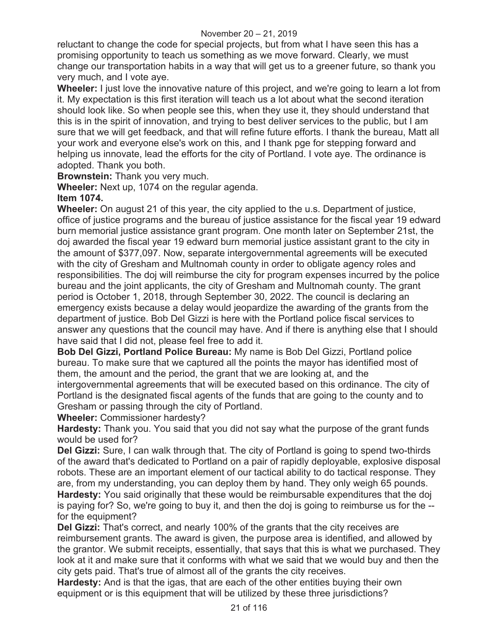reluctant to change the code for special projects, but from what I have seen this has a promising opportunity to teach us something as we move forward. Clearly, we must change our transportation habits in a way that will get us to a greener future, so thank you very much, and I vote aye.

**Wheeler:** I just love the innovative nature of this project, and we're going to learn a lot from it. My expectation is this first iteration will teach us a lot about what the second iteration should look like. So when people see this, when they use it, they should understand that this is in the spirit of innovation, and trying to best deliver services to the public, but I am sure that we will get feedback, and that will refine future efforts. I thank the bureau, Matt all your work and everyone else's work on this, and I thank pge for stepping forward and helping us innovate, lead the efforts for the city of Portland. I vote aye. The ordinance is adopted. Thank you both.

**Brownstein:** Thank you very much.

**Wheeler:** Next up, 1074 on the regular agenda.

# **Item 1074.**

**Wheeler:** On august 21 of this year, the city applied to the u.s. Department of justice, office of justice programs and the bureau of justice assistance for the fiscal year 19 edward burn memorial justice assistance grant program. One month later on September 21st, the doj awarded the fiscal year 19 edward burn memorial justice assistant grant to the city in the amount of \$377,097. Now, separate intergovernmental agreements will be executed with the city of Gresham and Multnomah county in order to obligate agency roles and responsibilities. The doj will reimburse the city for program expenses incurred by the police bureau and the joint applicants, the city of Gresham and Multnomah county. The grant period is October 1, 2018, through September 30, 2022. The council is declaring an emergency exists because a delay would jeopardize the awarding of the grants from the department of justice. Bob Del Gizzi is here with the Portland police fiscal services to answer any questions that the council may have. And if there is anything else that I should have said that I did not, please feel free to add it.

**Bob Del Gizzi, Portland Police Bureau:** My name is Bob Del Gizzi, Portland police bureau. To make sure that we captured all the points the mayor has identified most of them, the amount and the period, the grant that we are looking at, and the intergovernmental agreements that will be executed based on this ordinance. The city of Portland is the designated fiscal agents of the funds that are going to the county and to Gresham or passing through the city of Portland.

**Wheeler:** Commissioner hardesty?

**Hardesty:** Thank you. You said that you did not say what the purpose of the grant funds would be used for?

**Del Gizzi:** Sure, I can walk through that. The city of Portland is going to spend two-thirds of the award that's dedicated to Portland on a pair of rapidly deployable, explosive disposal robots. These are an important element of our tactical ability to do tactical response. They are, from my understanding, you can deploy them by hand. They only weigh 65 pounds. **Hardesty:** You said originally that these would be reimbursable expenditures that the doj is paying for? So, we're going to buy it, and then the doj is going to reimburse us for the - for the equipment?

**Del Gizzi:** That's correct, and nearly 100% of the grants that the city receives are reimbursement grants. The award is given, the purpose area is identified, and allowed by the grantor. We submit receipts, essentially, that says that this is what we purchased. They look at it and make sure that it conforms with what we said that we would buy and then the city gets paid. That's true of almost all of the grants the city receives.

**Hardesty:** And is that the igas, that are each of the other entities buying their own equipment or is this equipment that will be utilized by these three jurisdictions?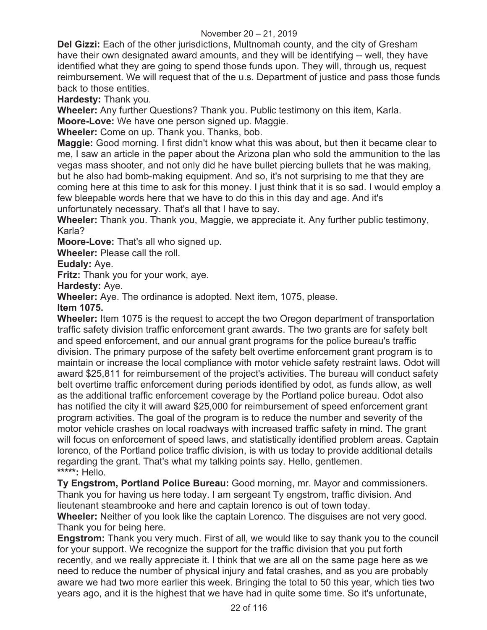**Del Gizzi:** Each of the other jurisdictions, Multnomah county, and the city of Gresham have their own designated award amounts, and they will be identifying -- well, they have identified what they are going to spend those funds upon. They will, through us, request reimbursement. We will request that of the u.s. Department of justice and pass those funds back to those entities.

**Hardesty:** Thank you.

**Wheeler:** Any further Questions? Thank you. Public testimony on this item, Karla.

**Moore-Love:** We have one person signed up. Maggie.

**Wheeler:** Come on up. Thank you. Thanks, bob.

**Maggie:** Good morning. I first didn't know what this was about, but then it became clear to me, I saw an article in the paper about the Arizona plan who sold the ammunition to the las vegas mass shooter, and not only did he have bullet piercing bullets that he was making, but he also had bomb-making equipment. And so, it's not surprising to me that they are coming here at this time to ask for this money. I just think that it is so sad. I would employ a few bleepable words here that we have to do this in this day and age. And it's unfortunately necessary. That's all that I have to say.

**Wheeler:** Thank you. Thank you, Maggie, we appreciate it. Any further public testimony, Karla?

**Moore-Love:** That's all who signed up.

**Wheeler:** Please call the roll.

**Eudaly:** Aye.

**Fritz:** Thank you for your work, aye.

**Hardesty:** Aye.

**Wheeler:** Aye. The ordinance is adopted. Next item, 1075, please.

**Item 1075.** 

**Wheeler:** Item 1075 is the request to accept the two Oregon department of transportation traffic safety division traffic enforcement grant awards. The two grants are for safety belt and speed enforcement, and our annual grant programs for the police bureau's traffic division. The primary purpose of the safety belt overtime enforcement grant program is to maintain or increase the local compliance with motor vehicle safety restraint laws. Odot will award \$25,811 for reimbursement of the project's activities. The bureau will conduct safety belt overtime traffic enforcement during periods identified by odot, as funds allow, as well as the additional traffic enforcement coverage by the Portland police bureau. Odot also has notified the city it will award \$25,000 for reimbursement of speed enforcement grant program activities. The goal of the program is to reduce the number and severity of the motor vehicle crashes on local roadways with increased traffic safety in mind. The grant will focus on enforcement of speed laws, and statistically identified problem areas. Captain lorenco, of the Portland police traffic division, is with us today to provide additional details regarding the grant. That's what my talking points say. Hello, gentlemen. **\*\*\*\*\*:** Hello.

**Ty Engstrom, Portland Police Bureau:** Good morning, mr. Mayor and commissioners. Thank you for having us here today. I am sergeant Ty engstrom, traffic division. And lieutenant steambrooke and here and captain lorenco is out of town today.

**Wheeler:** Neither of you look like the captain Lorenco. The disguises are not very good. Thank you for being here.

**Engstrom:** Thank you very much. First of all, we would like to say thank you to the council for your support. We recognize the support for the traffic division that you put forth recently, and we really appreciate it. I think that we are all on the same page here as we need to reduce the number of physical injury and fatal crashes, and as you are probably aware we had two more earlier this week. Bringing the total to 50 this year, which ties two years ago, and it is the highest that we have had in quite some time. So it's unfortunate,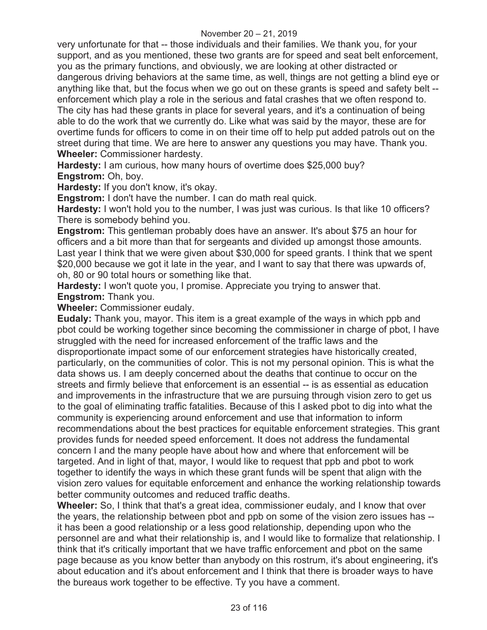very unfortunate for that -- those individuals and their families. We thank you, for your support, and as you mentioned, these two grants are for speed and seat belt enforcement, you as the primary functions, and obviously, we are looking at other distracted or dangerous driving behaviors at the same time, as well, things are not getting a blind eye or anything like that, but the focus when we go out on these grants is speed and safety belt - enforcement which play a role in the serious and fatal crashes that we often respond to. The city has had these grants in place for several years, and it's a continuation of being able to do the work that we currently do. Like what was said by the mayor, these are for overtime funds for officers to come in on their time off to help put added patrols out on the street during that time. We are here to answer any questions you may have. Thank you. **Wheeler:** Commissioner hardesty.

**Hardesty:** I am curious, how many hours of overtime does \$25,000 buy? **Engstrom:** Oh, boy.

**Hardesty:** If you don't know, it's okay.

**Engstrom:** I don't have the number. I can do math real quick.

**Hardesty:** I won't hold you to the number, I was just was curious. Is that like 10 officers? There is somebody behind you.

**Engstrom:** This gentleman probably does have an answer. It's about \$75 an hour for officers and a bit more than that for sergeants and divided up amongst those amounts. Last year I think that we were given about \$30,000 for speed grants. I think that we spent \$20,000 because we got it late in the year, and I want to say that there was upwards of, oh, 80 or 90 total hours or something like that.

**Hardesty:** I won't quote you, I promise. Appreciate you trying to answer that.

**Engstrom:** Thank you.

**Wheeler:** Commissioner eudaly.

**Eudaly:** Thank you, mayor. This item is a great example of the ways in which ppb and pbot could be working together since becoming the commissioner in charge of pbot, I have struggled with the need for increased enforcement of the traffic laws and the disproportionate impact some of our enforcement strategies have historically created, particularly, on the communities of color. This is not my personal opinion. This is what the data shows us. I am deeply concerned about the deaths that continue to occur on the streets and firmly believe that enforcement is an essential -- is as essential as education and improvements in the infrastructure that we are pursuing through vision zero to get us to the goal of eliminating traffic fatalities. Because of this I asked pbot to dig into what the community is experiencing around enforcement and use that information to inform recommendations about the best practices for equitable enforcement strategies. This grant provides funds for needed speed enforcement. It does not address the fundamental concern I and the many people have about how and where that enforcement will be targeted. And in light of that, mayor, I would like to request that ppb and pbot to work together to identify the ways in which these grant funds will be spent that align with the vision zero values for equitable enforcement and enhance the working relationship towards better community outcomes and reduced traffic deaths.

**Wheeler:** So, I think that that's a great idea, commissioner eudaly, and I know that over the years, the relationship between pbot and ppb on some of the vision zero issues has - it has been a good relationship or a less good relationship, depending upon who the personnel are and what their relationship is, and I would like to formalize that relationship. I think that it's critically important that we have traffic enforcement and pbot on the same page because as you know better than anybody on this rostrum, it's about engineering, it's about education and it's about enforcement and I think that there is broader ways to have the bureaus work together to be effective. Ty you have a comment.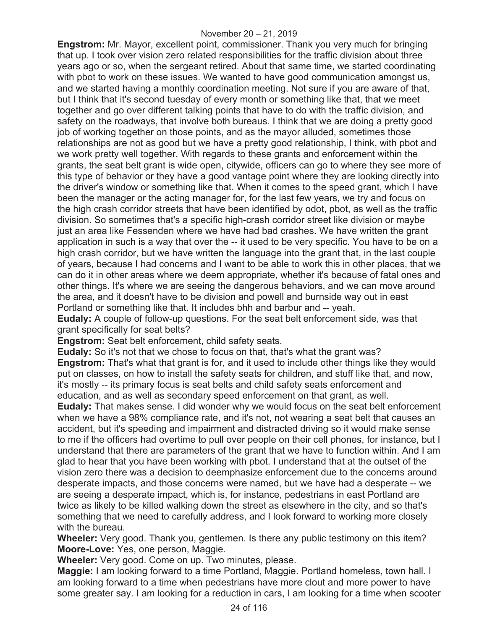**Engstrom:** Mr. Mayor, excellent point, commissioner. Thank you very much for bringing that up. I took over vision zero related responsibilities for the traffic division about three years ago or so, when the sergeant retired. About that same time, we started coordinating with pbot to work on these issues. We wanted to have good communication amongst us, and we started having a monthly coordination meeting. Not sure if you are aware of that, but I think that it's second tuesday of every month or something like that, that we meet together and go over different talking points that have to do with the traffic division, and safety on the roadways, that involve both bureaus. I think that we are doing a pretty good job of working together on those points, and as the mayor alluded, sometimes those relationships are not as good but we have a pretty good relationship, I think, with pbot and we work pretty well together. With regards to these grants and enforcement within the grants, the seat belt grant is wide open, citywide, officers can go to where they see more of this type of behavior or they have a good vantage point where they are looking directly into the driver's window or something like that. When it comes to the speed grant, which I have been the manager or the acting manager for, for the last few years, we try and focus on the high crash corridor streets that have been identified by odot, pbot, as well as the traffic division. So sometimes that's a specific high-crash corridor street like division or maybe just an area like Fessenden where we have had bad crashes. We have written the grant application in such is a way that over the -- it used to be very specific. You have to be on a high crash corridor, but we have written the language into the grant that, in the last couple of years, because I had concerns and I want to be able to work this in other places, that we can do it in other areas where we deem appropriate, whether it's because of fatal ones and other things. It's where we are seeing the dangerous behaviors, and we can move around the area, and it doesn't have to be division and powell and burnside way out in east Portland or something like that. It includes bhh and barbur and -- yeah.

**Eudaly:** A couple of follow-up questions. For the seat belt enforcement side, was that grant specifically for seat belts?

**Engstrom:** Seat belt enforcement, child safety seats.

**Eudaly:** So it's not that we chose to focus on that, that's what the grant was? **Engstrom:** That's what that grant is for, and it used to include other things like they would put on classes, on how to install the safety seats for children, and stuff like that, and now, it's mostly -- its primary focus is seat belts and child safety seats enforcement and education, and as well as secondary speed enforcement on that grant, as well.

**Eudaly:** That makes sense. I did wonder why we would focus on the seat belt enforcement when we have a 98% compliance rate, and it's not, not wearing a seat belt that causes an accident, but it's speeding and impairment and distracted driving so it would make sense to me if the officers had overtime to pull over people on their cell phones, for instance, but I understand that there are parameters of the grant that we have to function within. And I am glad to hear that you have been working with pbot. I understand that at the outset of the vision zero there was a decision to deemphasize enforcement due to the concerns around desperate impacts, and those concerns were named, but we have had a desperate -- we are seeing a desperate impact, which is, for instance, pedestrians in east Portland are twice as likely to be killed walking down the street as elsewhere in the city, and so that's something that we need to carefully address, and I look forward to working more closely with the bureau.

**Wheeler:** Very good. Thank you, gentlemen. Is there any public testimony on this item? **Moore-Love:** Yes, one person, Maggie.

**Wheeler:** Very good. Come on up. Two minutes, please.

**Maggie:** I am looking forward to a time Portland, Maggie. Portland homeless, town hall. I am looking forward to a time when pedestrians have more clout and more power to have some greater say. I am looking for a reduction in cars, I am looking for a time when scooter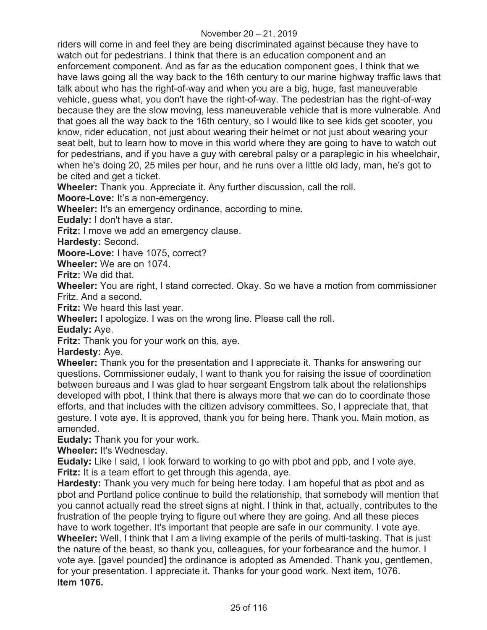riders will come in and feel they are being discriminated against because they have to watch out for pedestrians. I think that there is an education component and an enforcement component. And as far as the education component goes, I think that we have laws going all the way back to the 16th century to our marine highway traffic laws that talk about who has the right-of-way and when you are a big, huge, fast maneuverable vehicle, guess what, you don't have the right-of-way. The pedestrian has the right-of-way because they are the slow moving, less maneuverable vehicle that is more vulnerable. And that goes all the way back to the 16th century, so I would like to see kids get scooter, you know, rider education, not just about wearing their helmet or not just about wearing your seat belt, but to learn how to move in this world where they are going to have to watch out for pedestrians, and if you have a guy with cerebral palsy or a paraplegic in his wheelchair, when he's doing 20, 25 miles per hour, and he runs over a little old lady, man, he's got to be cited and get a ticket.

**Wheeler:** Thank you. Appreciate it. Any further discussion, call the roll.

**Moore-Love:** It's a non-emergency.

**Wheeler:** It's an emergency ordinance, according to mine.

**Eudaly:** I don't have a star.

**Fritz:** I move we add an emergency clause.

**Hardesty:** Second.

**Moore-Love:** I have 1075, correct?

**Wheeler:** We are on 1074.

**Fritz:** We did that.

**Wheeler:** You are right, I stand corrected. Okay. So we have a motion from commissioner Fritz. And a second.

**Fritz:** We heard this last year.

**Wheeler:** I apologize. I was on the wrong line. Please call the roll.

**Eudaly:** Aye.

**Fritz:** Thank you for your work on this, aye.

**Hardesty:** Aye.

**Wheeler:** Thank you for the presentation and I appreciate it. Thanks for answering our questions. Commissioner eudaly, I want to thank you for raising the issue of coordination between bureaus and I was glad to hear sergeant Engstrom talk about the relationships developed with pbot, I think that there is always more that we can do to coordinate those efforts, and that includes with the citizen advisory committees. So, I appreciate that, that gesture. I vote aye. It is approved, thank you for being here. Thank you. Main motion, as amended.

**Eudaly:** Thank you for your work.

**Wheeler:** It's Wednesday.

**Eudaly:** Like I said, I look forward to working to go with pbot and ppb, and I vote aye. **Fritz:** It is a team effort to get through this agenda, aye.

**Hardesty:** Thank you very much for being here today. I am hopeful that as pbot and as pbot and Portland police continue to build the relationship, that somebody will mention that you cannot actually read the street signs at night. I think in that, actually, contributes to the frustration of the people trying to figure out where they are going. And all these pieces have to work together. It's important that people are safe in our community. I vote aye. **Wheeler:** Well, I think that I am a living example of the perils of multi-tasking. That is just the nature of the beast, so thank you, colleagues, for your forbearance and the humor. I vote aye. [gavel pounded] the ordinance is adopted as Amended. Thank you, gentlemen, for your presentation. I appreciate it. Thanks for your good work. Next item, 1076. **Item 1076.**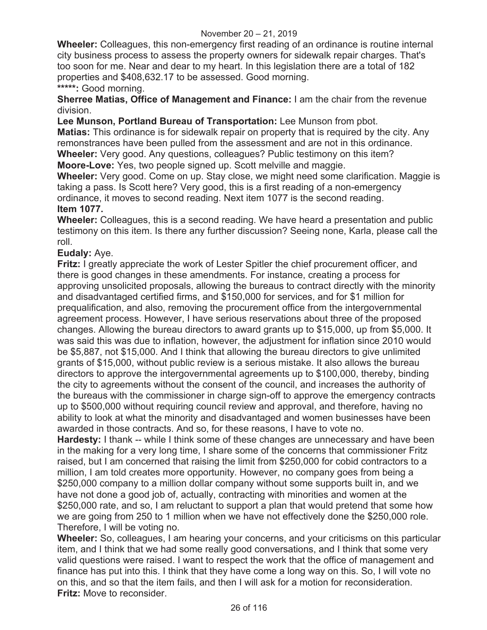#### November 20 – 21, 2019

**Wheeler:** Colleagues, this non-emergency first reading of an ordinance is routine internal city business process to assess the property owners for sidewalk repair charges. That's too soon for me. Near and dear to my heart. In this legislation there are a total of 182 properties and \$408,632.17 to be assessed. Good morning.

**\*\*\*\*\*:** Good morning.

**Sherree Matias, Office of Management and Finance:** I am the chair from the revenue division.

**Lee Munson, Portland Bureau of Transportation:** Lee Munson from pbot.

**Matias:** This ordinance is for sidewalk repair on property that is required by the city. Any remonstrances have been pulled from the assessment and are not in this ordinance. **Wheeler:** Very good. Any questions, colleagues? Public testimony on this item? **Moore-Love:** Yes, two people signed up. Scott melville and maggie.

**Wheeler:** Very good. Come on up. Stay close, we might need some clarification. Maggie is taking a pass. Is Scott here? Very good, this is a first reading of a non-emergency ordinance, it moves to second reading. Next item 1077 is the second reading. **Item 1077.** 

**Wheeler:** Colleagues, this is a second reading. We have heard a presentation and public testimony on this item. Is there any further discussion? Seeing none, Karla, please call the roll.

#### **Eudaly:** Aye.

**Fritz:** I greatly appreciate the work of Lester Spitler the chief procurement officer, and there is good changes in these amendments. For instance, creating a process for approving unsolicited proposals, allowing the bureaus to contract directly with the minority and disadvantaged certified firms, and \$150,000 for services, and for \$1 million for prequalification, and also, removing the procurement office from the intergovernmental agreement process. However, I have serious reservations about three of the proposed changes. Allowing the bureau directors to award grants up to \$15,000, up from \$5,000. It was said this was due to inflation, however, the adjustment for inflation since 2010 would be \$5,887, not \$15,000. And I think that allowing the bureau directors to give unlimited grants of \$15,000, without public review is a serious mistake. It also allows the bureau directors to approve the intergovernmental agreements up to \$100,000, thereby, binding the city to agreements without the consent of the council, and increases the authority of the bureaus with the commissioner in charge sign-off to approve the emergency contracts up to \$500,000 without requiring council review and approval, and therefore, having no ability to look at what the minority and disadvantaged and women businesses have been awarded in those contracts. And so, for these reasons, I have to vote no.

**Hardesty:** I thank -- while I think some of these changes are unnecessary and have been in the making for a very long time, I share some of the concerns that commissioner Fritz raised, but I am concerned that raising the limit from \$250,000 for cobid contractors to a million, I am told creates more opportunity. However, no company goes from being a \$250,000 company to a million dollar company without some supports built in, and we have not done a good job of, actually, contracting with minorities and women at the \$250,000 rate, and so, I am reluctant to support a plan that would pretend that some how we are going from 250 to 1 million when we have not effectively done the \$250,000 role. Therefore, I will be voting no.

**Wheeler:** So, colleagues, I am hearing your concerns, and your criticisms on this particular item, and I think that we had some really good conversations, and I think that some very valid questions were raised. I want to respect the work that the office of management and finance has put into this. I think that they have come a long way on this. So, I will vote no on this, and so that the item fails, and then I will ask for a motion for reconsideration. **Fritz:** Move to reconsider.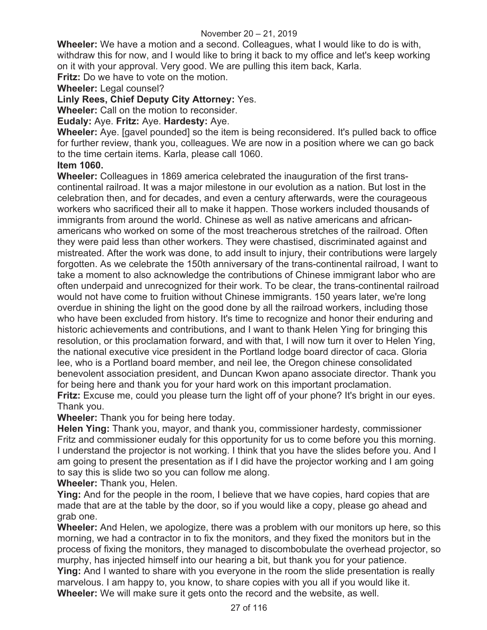#### November 20 – 21, 2019

**Wheeler:** We have a motion and a second. Colleagues, what I would like to do is with, withdraw this for now, and I would like to bring it back to my office and let's keep working on it with your approval. Very good. We are pulling this item back, Karla.

**Fritz:** Do we have to vote on the motion.

**Wheeler:** Legal counsel?

## **Linly Rees, Chief Deputy City Attorney:** Yes.

**Wheeler:** Call on the motion to reconsider.

## **Eudaly:** Aye. **Fritz:** Aye. **Hardesty:** Aye.

**Wheeler:** Aye. [gavel pounded] so the item is being reconsidered. It's pulled back to office for further review, thank you, colleagues. We are now in a position where we can go back to the time certain items. Karla, please call 1060.

#### **Item 1060.**

**Wheeler:** Colleagues in 1869 america celebrated the inauguration of the first transcontinental railroad. It was a major milestone in our evolution as a nation. But lost in the celebration then, and for decades, and even a century afterwards, were the courageous workers who sacrificed their all to make it happen. Those workers included thousands of immigrants from around the world. Chinese as well as native americans and africanamericans who worked on some of the most treacherous stretches of the railroad. Often they were paid less than other workers. They were chastised, discriminated against and mistreated. After the work was done, to add insult to injury, their contributions were largely forgotten. As we celebrate the 150th anniversary of the trans-continental railroad, I want to take a moment to also acknowledge the contributions of Chinese immigrant labor who are often underpaid and unrecognized for their work. To be clear, the trans-continental railroad would not have come to fruition without Chinese immigrants. 150 years later, we're long overdue in shining the light on the good done by all the railroad workers, including those who have been excluded from history. It's time to recognize and honor their enduring and historic achievements and contributions, and I want to thank Helen Ying for bringing this resolution, or this proclamation forward, and with that, I will now turn it over to Helen Ying, the national executive vice president in the Portland lodge board director of caca. Gloria lee, who is a Portland board member, and neil lee, the Oregon chinese consolidated benevolent association president, and Duncan Kwon apano associate director. Thank you for being here and thank you for your hard work on this important proclamation. **Fritz:** Excuse me, could you please turn the light off of your phone? It's bright in our eyes.

## Thank you.

**Wheeler:** Thank you for being here today.

**Helen Ying:** Thank you, mayor, and thank you, commissioner hardesty, commissioner Fritz and commissioner eudaly for this opportunity for us to come before you this morning. I understand the projector is not working. I think that you have the slides before you. And I am going to present the presentation as if I did have the projector working and I am going to say this is slide two so you can follow me along.

**Wheeler:** Thank you, Helen.

**Ying:** And for the people in the room, I believe that we have copies, hard copies that are made that are at the table by the door, so if you would like a copy, please go ahead and grab one.

**Wheeler:** And Helen, we apologize, there was a problem with our monitors up here, so this morning, we had a contractor in to fix the monitors, and they fixed the monitors but in the process of fixing the monitors, they managed to discombobulate the overhead projector, so murphy, has injected himself into our hearing a bit, but thank you for your patience. **Ying:** And I wanted to share with you everyone in the room the slide presentation is really marvelous. I am happy to, you know, to share copies with you all if you would like it. **Wheeler:** We will make sure it gets onto the record and the website, as well.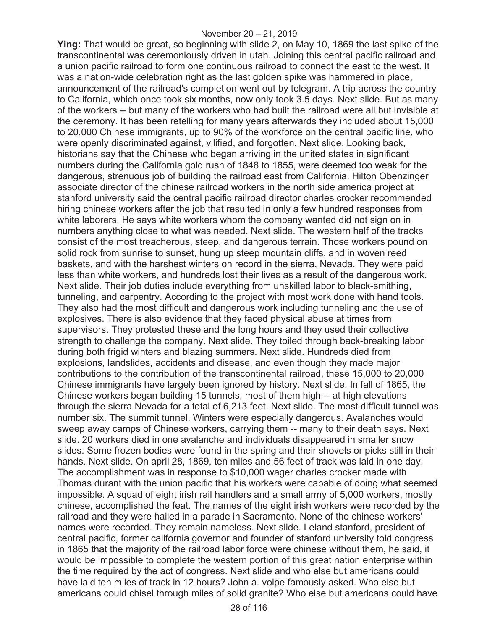**Ying:** That would be great, so beginning with slide 2, on May 10, 1869 the last spike of the transcontinental was ceremoniously driven in utah. Joining this central pacific railroad and a union pacific railroad to form one continuous railroad to connect the east to the west. It was a nation-wide celebration right as the last golden spike was hammered in place, announcement of the railroad's completion went out by telegram. A trip across the country to California, which once took six months, now only took 3.5 days. Next slide. But as many of the workers -- but many of the workers who had built the railroad were all but invisible at the ceremony. It has been retelling for many years afterwards they included about 15,000 to 20,000 Chinese immigrants, up to 90% of the workforce on the central pacific line, who were openly discriminated against, vilified, and forgotten. Next slide. Looking back, historians say that the Chinese who began arriving in the united states in significant numbers during the California gold rush of 1848 to 1855, were deemed too weak for the dangerous, strenuous job of building the railroad east from California. Hilton Obenzinger associate director of the chinese railroad workers in the north side america project at stanford university said the central pacific railroad director charles crocker recommended hiring chinese workers after the job that resulted in only a few hundred responses from white laborers. He says white workers whom the company wanted did not sign on in numbers anything close to what was needed. Next slide. The western half of the tracks consist of the most treacherous, steep, and dangerous terrain. Those workers pound on solid rock from sunrise to sunset, hung up steep mountain cliffs, and in woven reed baskets, and with the harshest winters on record in the sierra, Nevada. They were paid less than white workers, and hundreds lost their lives as a result of the dangerous work. Next slide. Their job duties include everything from unskilled labor to black-smithing, tunneling, and carpentry. According to the project with most work done with hand tools. They also had the most difficult and dangerous work including tunneling and the use of explosives. There is also evidence that they faced physical abuse at times from supervisors. They protested these and the long hours and they used their collective strength to challenge the company. Next slide. They toiled through back-breaking labor during both frigid winters and blazing summers. Next slide. Hundreds died from explosions, landslides, accidents and disease, and even though they made major contributions to the contribution of the transcontinental railroad, these 15,000 to 20,000 Chinese immigrants have largely been ignored by history. Next slide. In fall of 1865, the Chinese workers began building 15 tunnels, most of them high -- at high elevations through the sierra Nevada for a total of 6,213 feet. Next slide. The most difficult tunnel was number six. The summit tunnel. Winters were especially dangerous. Avalanches would sweep away camps of Chinese workers, carrying them -- many to their death says. Next slide. 20 workers died in one avalanche and individuals disappeared in smaller snow slides. Some frozen bodies were found in the spring and their shovels or picks still in their hands. Next slide. On april 28, 1869, ten miles and 56 feet of track was laid in one day. The accomplishment was in response to \$10,000 wager charles crocker made with Thomas durant with the union pacific that his workers were capable of doing what seemed impossible. A squad of eight irish rail handlers and a small army of 5,000 workers, mostly chinese, accomplished the feat. The names of the eight irish workers were recorded by the railroad and they were hailed in a parade in Sacramento. None of the chinese workers' names were recorded. They remain nameless. Next slide. Leland stanford, president of central pacific, former california governor and founder of stanford university told congress in 1865 that the majority of the railroad labor force were chinese without them, he said, it would be impossible to complete the western portion of this great nation enterprise within the time required by the act of congress. Next slide and who else but americans could have laid ten miles of track in 12 hours? John a. volpe famously asked. Who else but americans could chisel through miles of solid granite? Who else but americans could have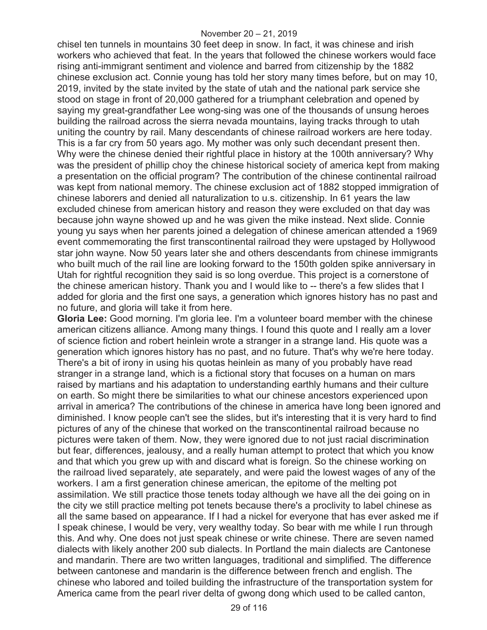chisel ten tunnels in mountains 30 feet deep in snow. In fact, it was chinese and irish workers who achieved that feat. In the years that followed the chinese workers would face rising anti-immigrant sentiment and violence and barred from citizenship by the 1882 chinese exclusion act. Connie young has told her story many times before, but on may 10, 2019, invited by the state invited by the state of utah and the national park service she stood on stage in front of 20,000 gathered for a triumphant celebration and opened by saying my great-grandfather Lee wong-sing was one of the thousands of unsung heroes building the railroad across the sierra nevada mountains, laying tracks through to utah uniting the country by rail. Many descendants of chinese railroad workers are here today. This is a far cry from 50 years ago. My mother was only such decendant present then. Why were the chinese denied their rightful place in history at the 100th anniversary? Why was the president of phillip choy the chinese historical society of america kept from making a presentation on the official program? The contribution of the chinese continental railroad was kept from national memory. The chinese exclusion act of 1882 stopped immigration of chinese laborers and denied all naturalization to u.s. citizenship. In 61 years the law excluded chinese from american history and reason they were excluded on that day was because john wayne showed up and he was given the mike instead. Next slide. Connie young yu says when her parents joined a delegation of chinese american attended a 1969 event commemorating the first transcontinental railroad they were upstaged by Hollywood star john wayne. Now 50 years later she and others descendants from chinese immigrants who built much of the rail line are looking forward to the 150th golden spike anniversary in Utah for rightful recognition they said is so long overdue. This project is a cornerstone of the chinese american history. Thank you and I would like to -- there's a few slides that I added for gloria and the first one says, a generation which ignores history has no past and no future, and gloria will take it from here.

**Gloria Lee:** Good morning. I'm gloria lee. I'm a volunteer board member with the chinese american citizens alliance. Among many things. I found this quote and I really am a lover of science fiction and robert heinlein wrote a stranger in a strange land. His quote was a generation which ignores history has no past, and no future. That's why we're here today. There's a bit of irony in using his quotas heinlein as many of you probably have read stranger in a strange land, which is a fictional story that focuses on a human on mars raised by martians and his adaptation to understanding earthly humans and their culture on earth. So might there be similarities to what our chinese ancestors experienced upon arrival in america? The contributions of the chinese in america have long been ignored and diminished. I know people can't see the slides, but it's interesting that it is very hard to find pictures of any of the chinese that worked on the transcontinental railroad because no pictures were taken of them. Now, they were ignored due to not just racial discrimination but fear, differences, jealousy, and a really human attempt to protect that which you know and that which you grew up with and discard what is foreign. So the chinese working on the railroad lived separately, ate separately, and were paid the lowest wages of any of the workers. I am a first generation chinese american, the epitome of the melting pot assimilation. We still practice those tenets today although we have all the dei going on in the city we still practice melting pot tenets because there's a proclivity to label chinese as all the same based on appearance. If I had a nickel for everyone that has ever asked me if I speak chinese, I would be very, very wealthy today. So bear with me while I run through this. And why. One does not just speak chinese or write chinese. There are seven named dialects with likely another 200 sub dialects. In Portland the main dialects are Cantonese and mandarin. There are two written languages, traditional and simplified. The difference between cantonese and mandarin is the difference between french and english. The chinese who labored and toiled building the infrastructure of the transportation system for America came from the pearl river delta of gwong dong which used to be called canton,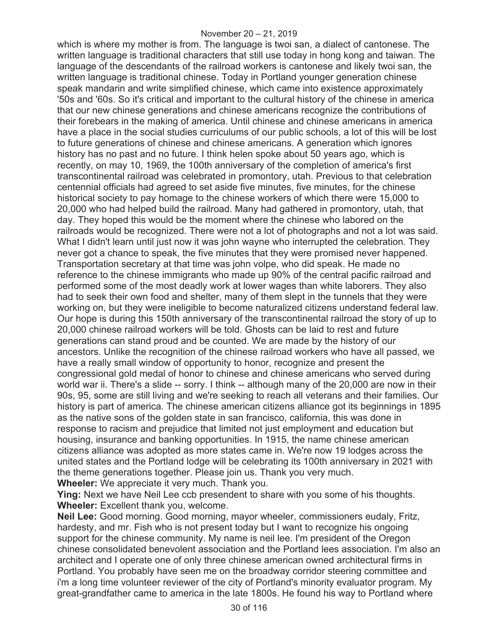which is where my mother is from. The language is twoi san, a dialect of cantonese. The written language is traditional characters that still use today in hong kong and taiwan. The language of the descendants of the railroad workers is cantonese and likely twoi san, the written language is traditional chinese. Today in Portland younger generation chinese speak mandarin and write simplified chinese, which came into existence approximately '50s and '60s. So it's critical and important to the cultural history of the chinese in america that our new chinese generations and chinese americans recognize the contributions of their forebears in the making of america. Until chinese and chinese americans in america have a place in the social studies curriculums of our public schools, a lot of this will be lost to future generations of chinese and chinese americans. A generation which ignores history has no past and no future. I think helen spoke about 50 years ago, which is recently, on may 10, 1969, the 100th anniversary of the completion of america's first transcontinental railroad was celebrated in promontory, utah. Previous to that celebration centennial officials had agreed to set aside five minutes, five minutes, for the chinese historical society to pay homage to the chinese workers of which there were 15,000 to 20,000 who had helped build the railroad. Many had gathered in promontory, utah, that day. They hoped this would be the moment where the chinese who labored on the railroads would be recognized. There were not a lot of photographs and not a lot was said. What I didn't learn until just now it was john wayne who interrupted the celebration. They never got a chance to speak, the five minutes that they were promised never happened. Transportation secretary at that time was john volpe, who did speak. He made no reference to the chinese immigrants who made up 90% of the central pacific railroad and performed some of the most deadly work at lower wages than white laborers. They also had to seek their own food and shelter, many of them slept in the tunnels that they were working on, but they were ineligible to become naturalized citizens understand federal law. Our hope is during this 150th anniversary of the transcontinental railroad the story of up to 20,000 chinese railroad workers will be told. Ghosts can be laid to rest and future generations can stand proud and be counted. We are made by the history of our ancestors. Unlike the recognition of the chinese railroad workers who have all passed, we have a really small window of opportunity to honor, recognize and present the congressional gold medal of honor to chinese and chinese americans who served during world war ii. There's a slide -- sorry. I think -- although many of the 20,000 are now in their 90s, 95, some are still living and we're seeking to reach all veterans and their families. Our history is part of america. The chinese american citizens alliance got its beginnings in 1895 as the native sons of the golden state in san francisco, california, this was done in response to racism and prejudice that limited not just employment and education but housing, insurance and banking opportunities. In 1915, the name chinese american citizens alliance was adopted as more states came in. We're now 19 lodges across the united states and the Portland lodge will be celebrating its 100th anniversary in 2021 with the theme generations together. Please join us. Thank you very much. **Wheeler:** We appreciate it very much. Thank you.

**Ying:** Next we have Neil Lee ccb presendent to share with you some of his thoughts. **Wheeler:** Excellent thank you, welcome.

**Neil Lee:** Good morning. Good morning, mayor wheeler, commissioners eudaly, Fritz, hardesty, and mr. Fish who is not present today but I want to recognize his ongoing support for the chinese community. My name is neil lee. I'm president of the Oregon chinese consolidated benevolent association and the Portland lees association. I'm also an architect and I operate one of only three chinese american owned architectural firms in Portland. You probably have seen me on the broadway corridor steering committee and i'm a long time volunteer reviewer of the city of Portland's minority evaluator program. My great-grandfather came to america in the late 1800s. He found his way to Portland where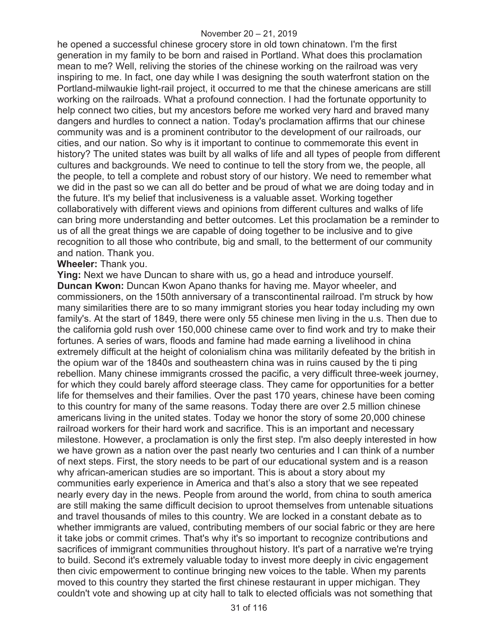he opened a successful chinese grocery store in old town chinatown. I'm the first generation in my family to be born and raised in Portland. What does this proclamation mean to me? Well, reliving the stories of the chinese working on the railroad was very inspiring to me. In fact, one day while I was designing the south waterfront station on the Portland-milwaukie light-rail project, it occurred to me that the chinese americans are still working on the railroads. What a profound connection. I had the fortunate opportunity to help connect two cities, but my ancestors before me worked very hard and braved many dangers and hurdles to connect a nation. Today's proclamation affirms that our chinese community was and is a prominent contributor to the development of our railroads, our cities, and our nation. So why is it important to continue to commemorate this event in history? The united states was built by all walks of life and all types of people from different cultures and backgrounds. We need to continue to tell the story from we, the people, all the people, to tell a complete and robust story of our history. We need to remember what we did in the past so we can all do better and be proud of what we are doing today and in the future. It's my belief that inclusiveness is a valuable asset. Working together collaboratively with different views and opinions from different cultures and walks of life can bring more understanding and better outcomes. Let this proclamation be a reminder to us of all the great things we are capable of doing together to be inclusive and to give recognition to all those who contribute, big and small, to the betterment of our community and nation. Thank you.

**Wheeler:** Thank you.

**Ying:** Next we have Duncan to share with us, go a head and introduce yourself. **Duncan Kwon:** Duncan Kwon Apano thanks for having me. Mayor wheeler, and commissioners, on the 150th anniversary of a transcontinental railroad. I'm struck by how many similarities there are to so many immigrant stories you hear today including my own family's. At the start of 1849, there were only 55 chinese men living in the u.s. Then due to the california gold rush over 150,000 chinese came over to find work and try to make their fortunes. A series of wars, floods and famine had made earning a livelihood in china extremely difficult at the height of colonialism china was militarily defeated by the british in the opium war of the 1840s and southeastern china was in ruins caused by the ti ping rebellion. Many chinese immigrants crossed the pacific, a very difficult three-week journey, for which they could barely afford steerage class. They came for opportunities for a better life for themselves and their families. Over the past 170 years, chinese have been coming to this country for many of the same reasons. Today there are over 2.5 million chinese americans living in the united states. Today we honor the story of some 20,000 chinese railroad workers for their hard work and sacrifice. This is an important and necessary milestone. However, a proclamation is only the first step. I'm also deeply interested in how we have grown as a nation over the past nearly two centuries and I can think of a number of next steps. First, the story needs to be part of our educational system and is a reason why african-american studies are so important. This is about a story about my communities early experience in America and that's also a story that we see repeated nearly every day in the news. People from around the world, from china to south america are still making the same difficult decision to uproot themselves from untenable situations and travel thousands of miles to this country. We are locked in a constant debate as to whether immigrants are valued, contributing members of our social fabric or they are here it take jobs or commit crimes. That's why it's so important to recognize contributions and sacrifices of immigrant communities throughout history. It's part of a narrative we're trying to build. Second it's extremely valuable today to invest more deeply in civic engagement then civic empowerment to continue bringing new voices to the table. When my parents moved to this country they started the first chinese restaurant in upper michigan. They couldn't vote and showing up at city hall to talk to elected officials was not something that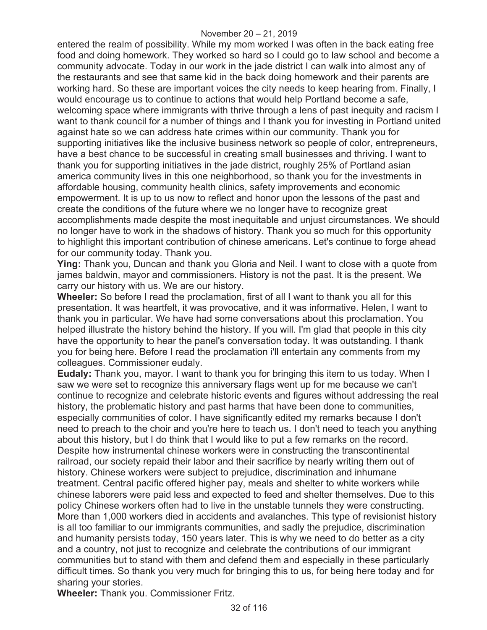entered the realm of possibility. While my mom worked I was often in the back eating free food and doing homework. They worked so hard so I could go to law school and become a community advocate. Today in our work in the jade district I can walk into almost any of the restaurants and see that same kid in the back doing homework and their parents are working hard. So these are important voices the city needs to keep hearing from. Finally, I would encourage us to continue to actions that would help Portland become a safe, welcoming space where immigrants with thrive through a lens of past inequity and racism I want to thank council for a number of things and I thank you for investing in Portland united against hate so we can address hate crimes within our community. Thank you for supporting initiatives like the inclusive business network so people of color, entrepreneurs, have a best chance to be successful in creating small businesses and thriving. I want to thank you for supporting initiatives in the jade district, roughly 25% of Portland asian america community lives in this one neighborhood, so thank you for the investments in affordable housing, community health clinics, safety improvements and economic empowerment. It is up to us now to reflect and honor upon the lessons of the past and create the conditions of the future where we no longer have to recognize great accomplishments made despite the most inequitable and unjust circumstances. We should no longer have to work in the shadows of history. Thank you so much for this opportunity to highlight this important contribution of chinese americans. Let's continue to forge ahead for our community today. Thank you.

**Ying:** Thank you, Duncan and thank you Gloria and Neil. I want to close with a quote from james baldwin, mayor and commissioners. History is not the past. It is the present. We carry our history with us. We are our history.

**Wheeler:** So before I read the proclamation, first of all I want to thank you all for this presentation. It was heartfelt, it was provocative, and it was informative. Helen, I want to thank you in particular. We have had some conversations about this proclamation. You helped illustrate the history behind the history. If you will. I'm glad that people in this city have the opportunity to hear the panel's conversation today. It was outstanding. I thank you for being here. Before I read the proclamation i'll entertain any comments from my colleagues. Commissioner eudaly.

**Eudaly:** Thank you, mayor. I want to thank you for bringing this item to us today. When I saw we were set to recognize this anniversary flags went up for me because we can't continue to recognize and celebrate historic events and figures without addressing the real history, the problematic history and past harms that have been done to communities, especially communities of color. I have significantly edited my remarks because I don't need to preach to the choir and you're here to teach us. I don't need to teach you anything about this history, but I do think that I would like to put a few remarks on the record. Despite how instrumental chinese workers were in constructing the transcontinental railroad, our society repaid their labor and their sacrifice by nearly writing them out of history. Chinese workers were subject to prejudice, discrimination and inhumane treatment. Central pacific offered higher pay, meals and shelter to white workers while chinese laborers were paid less and expected to feed and shelter themselves. Due to this policy Chinese workers often had to live in the unstable tunnels they were constructing. More than 1,000 workers died in accidents and avalanches. This type of revisionist history is all too familiar to our immigrants communities, and sadly the prejudice, discrimination and humanity persists today, 150 years later. This is why we need to do better as a city and a country, not just to recognize and celebrate the contributions of our immigrant communities but to stand with them and defend them and especially in these particularly difficult times. So thank you very much for bringing this to us, for being here today and for sharing your stories.

**Wheeler:** Thank you. Commissioner Fritz.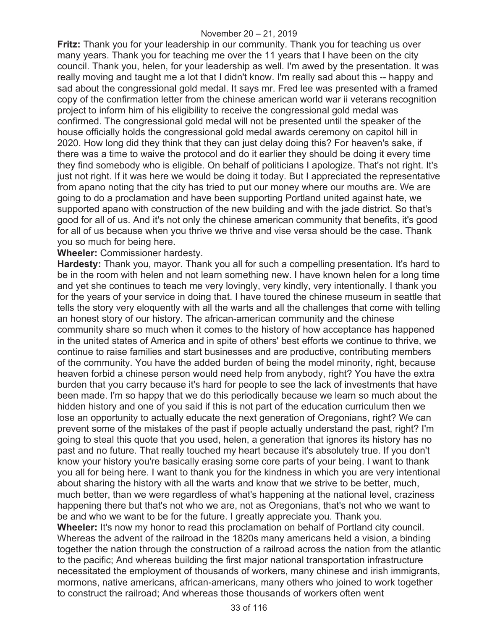**Fritz:** Thank you for your leadership in our community. Thank you for teaching us over many years. Thank you for teaching me over the 11 years that I have been on the city council. Thank you, helen, for your leadership as well. I'm awed by the presentation. It was really moving and taught me a lot that I didn't know. I'm really sad about this -- happy and sad about the congressional gold medal. It says mr. Fred lee was presented with a framed copy of the confirmation letter from the chinese american world war ii veterans recognition project to inform him of his eligibility to receive the congressional gold medal was confirmed. The congressional gold medal will not be presented until the speaker of the house officially holds the congressional gold medal awards ceremony on capitol hill in 2020. How long did they think that they can just delay doing this? For heaven's sake, if there was a time to waive the protocol and do it earlier they should be doing it every time they find somebody who is eligible. On behalf of politicians I apologize. That's not right. It's just not right. If it was here we would be doing it today. But I appreciated the representative from apano noting that the city has tried to put our money where our mouths are. We are going to do a proclamation and have been supporting Portland united against hate, we supported apano with construction of the new building and with the jade district. So that's good for all of us. And it's not only the chinese american community that benefits, it's good for all of us because when you thrive we thrive and vise versa should be the case. Thank you so much for being here.

**Wheeler:** Commissioner hardesty.

**Hardesty:** Thank you, mayor. Thank you all for such a compelling presentation. It's hard to be in the room with helen and not learn something new. I have known helen for a long time and yet she continues to teach me very lovingly, very kindly, very intentionally. I thank you for the years of your service in doing that. I have toured the chinese museum in seattle that tells the story very eloquently with all the warts and all the challenges that come with telling an honest story of our history. The african-american community and the chinese community share so much when it comes to the history of how acceptance has happened in the united states of America and in spite of others' best efforts we continue to thrive, we continue to raise families and start businesses and are productive, contributing members of the community. You have the added burden of being the model minority, right, because heaven forbid a chinese person would need help from anybody, right? You have the extra burden that you carry because it's hard for people to see the lack of investments that have been made. I'm so happy that we do this periodically because we learn so much about the hidden history and one of you said if this is not part of the education curriculum then we lose an opportunity to actually educate the next generation of Oregonians, right? We can prevent some of the mistakes of the past if people actually understand the past, right? I'm going to steal this quote that you used, helen, a generation that ignores its history has no past and no future. That really touched my heart because it's absolutely true. If you don't know your history you're basically erasing some core parts of your being. I want to thank you all for being here. I want to thank you for the kindness in which you are very intentional about sharing the history with all the warts and know that we strive to be better, much, much better, than we were regardless of what's happening at the national level, craziness happening there but that's not who we are, not as Oregonians, that's not who we want to be and who we want to be for the future. I greatly appreciate you. Thank you. **Wheeler:** It's now my honor to read this proclamation on behalf of Portland city council. Whereas the advent of the railroad in the 1820s many americans held a vision, a binding together the nation through the construction of a railroad across the nation from the atlantic to the pacific; And whereas building the first major national transportation infrastructure necessitated the employment of thousands of workers, many chinese and irish immigrants, mormons, native americans, african-americans, many others who joined to work together to construct the railroad; And whereas those thousands of workers often went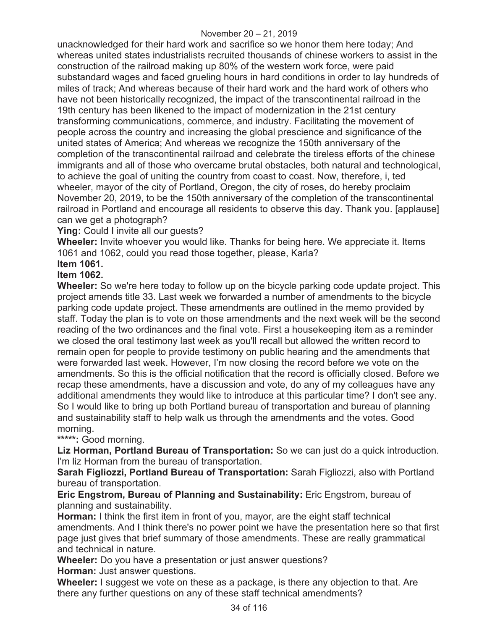unacknowledged for their hard work and sacrifice so we honor them here today; And whereas united states industrialists recruited thousands of chinese workers to assist in the construction of the railroad making up 80% of the western work force, were paid substandard wages and faced grueling hours in hard conditions in order to lay hundreds of miles of track; And whereas because of their hard work and the hard work of others who have not been historically recognized, the impact of the transcontinental railroad in the 19th century has been likened to the impact of modernization in the 21st century transforming communications, commerce, and industry. Facilitating the movement of people across the country and increasing the global prescience and significance of the united states of America; And whereas we recognize the 150th anniversary of the completion of the transcontinental railroad and celebrate the tireless efforts of the chinese immigrants and all of those who overcame brutal obstacles, both natural and technological, to achieve the goal of uniting the country from coast to coast. Now, therefore, i, ted wheeler, mayor of the city of Portland, Oregon, the city of roses, do hereby proclaim November 20, 2019, to be the 150th anniversary of the completion of the transcontinental railroad in Portland and encourage all residents to observe this day. Thank you. [applause] can we get a photograph?

**Ying:** Could I invite all our guests?

**Wheeler:** Invite whoever you would like. Thanks for being here. We appreciate it. Items 1061 and 1062, could you read those together, please, Karla?

**Item 1061.** 

# **Item 1062.**

**Wheeler:** So we're here today to follow up on the bicycle parking code update project. This project amends title 33. Last week we forwarded a number of amendments to the bicycle parking code update project. These amendments are outlined in the memo provided by staff. Today the plan is to vote on those amendments and the next week will be the second reading of the two ordinances and the final vote. First a housekeeping item as a reminder we closed the oral testimony last week as you'll recall but allowed the written record to remain open for people to provide testimony on public hearing and the amendments that were forwarded last week. However, I'm now closing the record before we vote on the amendments. So this is the official notification that the record is officially closed. Before we recap these amendments, have a discussion and vote, do any of my colleagues have any additional amendments they would like to introduce at this particular time? I don't see any. So I would like to bring up both Portland bureau of transportation and bureau of planning and sustainability staff to help walk us through the amendments and the votes. Good morning.

**\*\*\*\*\*:** Good morning.

**Liz Horman, Portland Bureau of Transportation:** So we can just do a quick introduction. I'm liz Horman from the bureau of transportation.

**Sarah Figliozzi, Portland Bureau of Transportation:** Sarah Figliozzi, also with Portland bureau of transportation.

**Eric Engstrom, Bureau of Planning and Sustainability:** Eric Engstrom, bureau of planning and sustainability.

**Horman:** I think the first item in front of you, mayor, are the eight staff technical amendments. And I think there's no power point we have the presentation here so that first page just gives that brief summary of those amendments. These are really grammatical and technical in nature.

**Wheeler:** Do you have a presentation or just answer questions? **Horman:** Just answer questions.

**Wheeler:** I suggest we vote on these as a package, is there any objection to that. Are there any further questions on any of these staff technical amendments?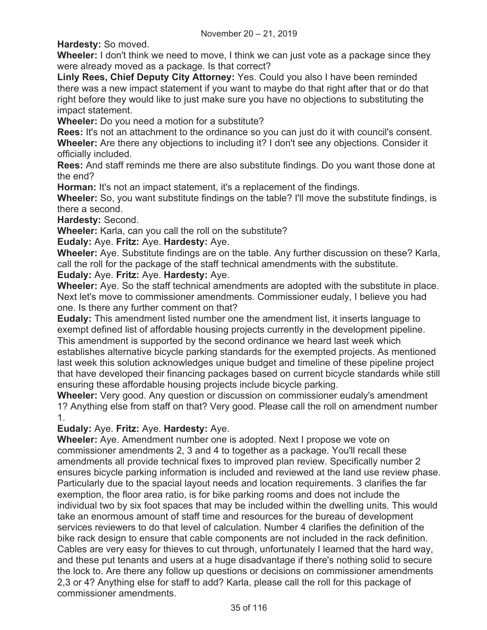**Hardesty:** So moved.

**Wheeler:** I don't think we need to move, I think we can just vote as a package since they were already moved as a package. Is that correct?

**Linly Rees, Chief Deputy City Attorney:** Yes. Could you also I have been reminded there was a new impact statement if you want to maybe do that right after that or do that right before they would like to just make sure you have no objections to substituting the impact statement.

**Wheeler:** Do you need a motion for a substitute?

**Rees:** It's not an attachment to the ordinance so you can just do it with council's consent. **Wheeler:** Are there any objections to including it? I don't see any objections. Consider it officially included.

**Rees:** And staff reminds me there are also substitute findings. Do you want those done at the end?

**Horman:** It's not an impact statement, it's a replacement of the findings.

**Wheeler:** So, you want substitute findings on the table? I'll move the substitute findings, is there a second.

**Hardesty:** Second.

**Wheeler:** Karla, can you call the roll on the substitute?

**Eudaly:** Aye. **Fritz:** Aye. **Hardesty:** Aye.

**Wheeler:** Aye. Substitute findings are on the table. Any further discussion on these? Karla, call the roll for the package of the staff technical amendments with the substitute.

# **Eudaly:** Aye. **Fritz:** Aye. **Hardesty:** Aye.

**Wheeler:** Aye. So the staff technical amendments are adopted with the substitute in place. Next let's move to commissioner amendments. Commissioner eudaly, I believe you had one. Is there any further comment on that?

**Eudaly:** This amendment listed number one the amendment list, it inserts language to exempt defined list of affordable housing projects currently in the development pipeline. This amendment is supported by the second ordinance we heard last week which establishes alternative bicycle parking standards for the exempted projects. As mentioned last week this solution acknowledges unique budget and timeline of these pipeline project that have developed their financing packages based on current bicycle standards while still ensuring these affordable housing projects include bicycle parking.

**Wheeler:** Very good. Any question or discussion on commissioner eudaly's amendment 1? Anything else from staff on that? Very good. Please call the roll on amendment number 1.

# **Eudaly:** Aye. **Fritz:** Aye. **Hardesty:** Aye.

**Wheeler:** Aye. Amendment number one is adopted. Next I propose we vote on commissioner amendments 2, 3 and 4 to together as a package. You'll recall these amendments all provide technical fixes to improved plan review. Specifically number 2 ensures bicycle parking information is included and reviewed at the land use review phase. Particularly due to the spacial layout needs and location requirements. 3 clarifies the far exemption, the floor area ratio, is for bike parking rooms and does not include the individual two by six foot spaces that may be included within the dwelling units. This would take an enormous amount of staff time and resources for the bureau of development services reviewers to do that level of calculation. Number 4 clarifies the definition of the bike rack design to ensure that cable components are not included in the rack definition. Cables are very easy for thieves to cut through, unfortunately I learned that the hard way, and these put tenants and users at a huge disadvantage if there's nothing solid to secure the lock to. Are there any follow up questions or decisions on commissioner amendments 2,3 or 4? Anything else for staff to add? Karla, please call the roll for this package of commissioner amendments.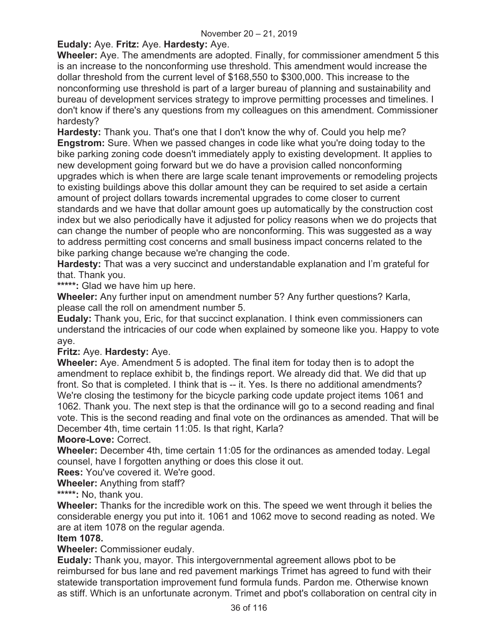# **Eudaly:** Aye. **Fritz:** Aye. **Hardesty:** Aye.

**Wheeler:** Aye. The amendments are adopted. Finally, for commissioner amendment 5 this is an increase to the nonconforming use threshold. This amendment would increase the dollar threshold from the current level of \$168,550 to \$300,000. This increase to the nonconforming use threshold is part of a larger bureau of planning and sustainability and bureau of development services strategy to improve permitting processes and timelines. I don't know if there's any questions from my colleagues on this amendment. Commissioner hardesty?

**Hardesty:** Thank you. That's one that I don't know the why of. Could you help me? **Engstrom:** Sure. When we passed changes in code like what you're doing today to the bike parking zoning code doesn't immediately apply to existing development. It applies to new development going forward but we do have a provision called nonconforming upgrades which is when there are large scale tenant improvements or remodeling projects to existing buildings above this dollar amount they can be required to set aside a certain amount of project dollars towards incremental upgrades to come closer to current standards and we have that dollar amount goes up automatically by the construction cost index but we also periodically have it adjusted for policy reasons when we do projects that can change the number of people who are nonconforming. This was suggested as a way to address permitting cost concerns and small business impact concerns related to the bike parking change because we're changing the code.

**Hardesty:** That was a very succinct and understandable explanation and I'm grateful for that. Thank you.

**\*\*\*\*\*:** Glad we have him up here.

**Wheeler:** Any further input on amendment number 5? Any further questions? Karla, please call the roll on amendment number 5.

**Eudaly:** Thank you, Eric, for that succinct explanation. I think even commissioners can understand the intricacies of our code when explained by someone like you. Happy to vote aye.

## **Fritz:** Aye. **Hardesty:** Aye.

**Wheeler:** Aye. Amendment 5 is adopted. The final item for today then is to adopt the amendment to replace exhibit b, the findings report. We already did that. We did that up front. So that is completed. I think that is -- it. Yes. Is there no additional amendments? We're closing the testimony for the bicycle parking code update project items 1061 and 1062. Thank you. The next step is that the ordinance will go to a second reading and final vote. This is the second reading and final vote on the ordinances as amended. That will be December 4th, time certain 11:05. Is that right, Karla?

## **Moore-Love:** Correct.

**Wheeler:** December 4th, time certain 11:05 for the ordinances as amended today. Legal counsel, have I forgotten anything or does this close it out.

**Rees:** You've covered it. We're good.

**Wheeler:** Anything from staff?

**\*\*\*\*\*:** No, thank you.

**Wheeler:** Thanks for the incredible work on this. The speed we went through it belies the considerable energy you put into it. 1061 and 1062 move to second reading as noted. We are at item 1078 on the regular agenda.

## **Item 1078.**

**Wheeler:** Commissioner eudaly.

**Eudaly:** Thank you, mayor. This intergovernmental agreement allows pbot to be reimbursed for bus lane and red pavement markings Trimet has agreed to fund with their statewide transportation improvement fund formula funds. Pardon me. Otherwise known as stiff. Which is an unfortunate acronym. Trimet and pbot's collaboration on central city in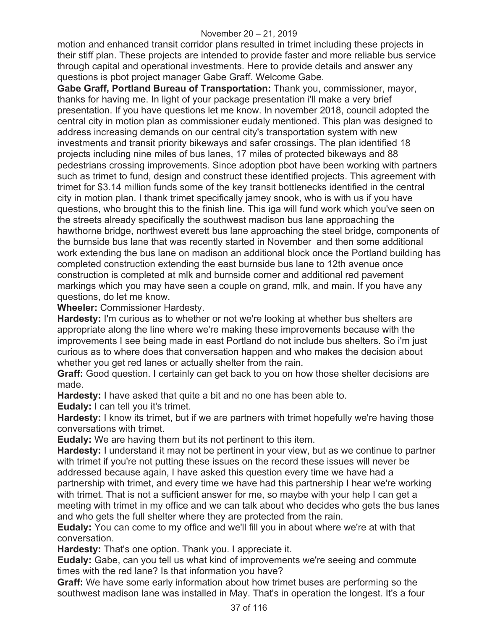#### November 20 – 21, 2019

motion and enhanced transit corridor plans resulted in trimet including these projects in their stiff plan. These projects are intended to provide faster and more reliable bus service through capital and operational investments. Here to provide details and answer any questions is pbot project manager Gabe Graff. Welcome Gabe.

**Gabe Graff, Portland Bureau of Transportation:** Thank you, commissioner, mayor, thanks for having me. In light of your package presentation i'll make a very brief presentation. If you have questions let me know. In november 2018, council adopted the central city in motion plan as commissioner eudaly mentioned. This plan was designed to address increasing demands on our central city's transportation system with new investments and transit priority bikeways and safer crossings. The plan identified 18 projects including nine miles of bus lanes, 17 miles of protected bikeways and 88 pedestrians crossing improvements. Since adoption pbot have been working with partners such as trimet to fund, design and construct these identified projects. This agreement with trimet for \$3.14 million funds some of the key transit bottlenecks identified in the central city in motion plan. I thank trimet specifically jamey snook, who is with us if you have questions, who brought this to the finish line. This iga will fund work which you've seen on the streets already specifically the southwest madison bus lane approaching the hawthorne bridge, northwest everett bus lane approaching the steel bridge, components of the burnside bus lane that was recently started in November and then some additional work extending the bus lane on madison an additional block once the Portland building has completed construction extending the east burnside bus lane to 12th avenue once construction is completed at mlk and burnside corner and additional red pavement markings which you may have seen a couple on grand, mlk, and main. If you have any questions, do let me know.

**Wheeler:** Commissioner Hardesty.

**Hardesty:** I'm curious as to whether or not we're looking at whether bus shelters are appropriate along the line where we're making these improvements because with the improvements I see being made in east Portland do not include bus shelters. So i'm just curious as to where does that conversation happen and who makes the decision about whether you get red lanes or actually shelter from the rain.

**Graff:** Good question. I certainly can get back to you on how those shelter decisions are made.

**Hardesty:** I have asked that quite a bit and no one has been able to.

**Eudaly:** I can tell you it's trimet.

**Hardesty:** I know its trimet, but if we are partners with trimet hopefully we're having those conversations with trimet.

**Eudaly:** We are having them but its not pertinent to this item.

**Hardesty:** I understand it may not be pertinent in your view, but as we continue to partner with trimet if you're not putting these issues on the record these issues will never be addressed because again, I have asked this question every time we have had a partnership with trimet, and every time we have had this partnership I hear we're working with trimet. That is not a sufficient answer for me, so maybe with your help I can get a meeting with trimet in my office and we can talk about who decides who gets the bus lanes and who gets the full shelter where they are protected from the rain.

**Eudaly:** You can come to my office and we'll fill you in about where we're at with that conversation.

**Hardesty:** That's one option. Thank you. I appreciate it.

**Eudaly:** Gabe, can you tell us what kind of improvements we're seeing and commute times with the red lane? Is that information you have?

**Graff:** We have some early information about how trimet buses are performing so the southwest madison lane was installed in May. That's in operation the longest. It's a four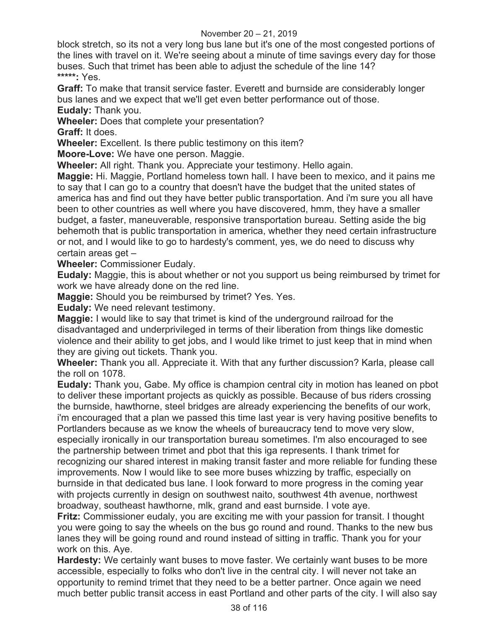## November 20 – 21, 2019

block stretch, so its not a very long bus lane but it's one of the most congested portions of the lines with travel on it. We're seeing about a minute of time savings every day for those buses. Such that trimet has been able to adjust the schedule of the line 14? **\*\*\*\*\*:** Yes.

**Graff:** To make that transit service faster. Everett and burnside are considerably longer bus lanes and we expect that we'll get even better performance out of those. **Eudaly:** Thank you.

**Wheeler:** Does that complete your presentation?

**Graff:** It does.

**Wheeler:** Excellent. Is there public testimony on this item?

**Moore-Love:** We have one person. Maggie.

**Wheeler:** All right. Thank you. Appreciate your testimony. Hello again.

**Maggie:** Hi. Maggie, Portland homeless town hall. I have been to mexico, and it pains me to say that I can go to a country that doesn't have the budget that the united states of america has and find out they have better public transportation. And i'm sure you all have been to other countries as well where you have discovered, hmm, they have a smaller budget, a faster, maneuverable, responsive transportation bureau. Setting aside the big behemoth that is public transportation in america, whether they need certain infrastructure or not, and I would like to go to hardesty's comment, yes, we do need to discuss why certain areas get –

**Wheeler:** Commissioner Eudaly.

**Eudaly:** Maggie, this is about whether or not you support us being reimbursed by trimet for work we have already done on the red line.

**Maggie:** Should you be reimbursed by trimet? Yes. Yes.

**Eudaly:** We need relevant testimony.

**Maggie:** I would like to say that trimet is kind of the underground railroad for the disadvantaged and underprivileged in terms of their liberation from things like domestic violence and their ability to get jobs, and I would like trimet to just keep that in mind when they are giving out tickets. Thank you.

**Wheeler:** Thank you all. Appreciate it. With that any further discussion? Karla, please call the roll on 1078.

**Eudaly:** Thank you, Gabe. My office is champion central city in motion has leaned on pbot to deliver these important projects as quickly as possible. Because of bus riders crossing the burnside, hawthorne, steel bridges are already experiencing the benefits of our work, i'm encouraged that a plan we passed this time last year is very having positive benefits to Portlanders because as we know the wheels of bureaucracy tend to move very slow, especially ironically in our transportation bureau sometimes. I'm also encouraged to see the partnership between trimet and pbot that this iga represents. I thank trimet for recognizing our shared interest in making transit faster and more reliable for funding these improvements. Now I would like to see more buses whizzing by traffic, especially on burnside in that dedicated bus lane. I look forward to more progress in the coming year with projects currently in design on southwest naito, southwest 4th avenue, northwest broadway, southeast hawthorne, mlk, grand and east burnside. I vote aye.

**Fritz:** Commissioner eudaly, you are exciting me with your passion for transit. I thought you were going to say the wheels on the bus go round and round. Thanks to the new bus lanes they will be going round and round instead of sitting in traffic. Thank you for your work on this. Aye.

**Hardesty:** We certainly want buses to move faster. We certainly want buses to be more accessible, especially to folks who don't live in the central city. I will never not take an opportunity to remind trimet that they need to be a better partner. Once again we need much better public transit access in east Portland and other parts of the city. I will also say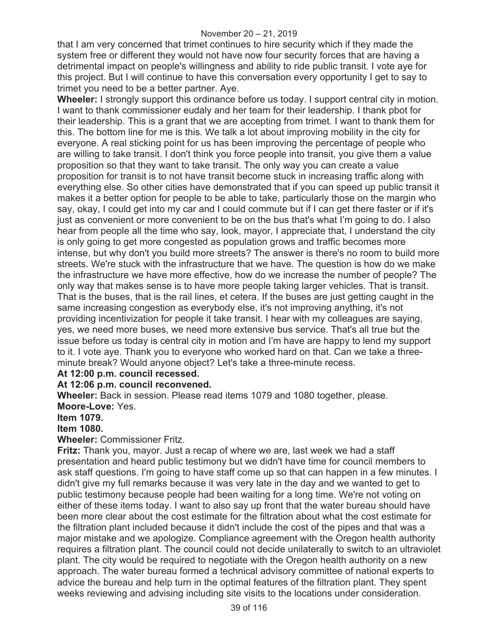that I am very concerned that trimet continues to hire security which if they made the system free or different they would not have now four security forces that are having a detrimental impact on people's willingness and ability to ride public transit. I vote aye for this project. But I will continue to have this conversation every opportunity I get to say to trimet you need to be a better partner. Aye.

**Wheeler:** I strongly support this ordinance before us today. I support central city in motion. I want to thank commissioner eudaly and her team for their leadership. I thank pbot for their leadership. This is a grant that we are accepting from trimet. I want to thank them for this. The bottom line for me is this. We talk a lot about improving mobility in the city for everyone. A real sticking point for us has been improving the percentage of people who are willing to take transit. I don't think you force people into transit, you give them a value proposition so that they want to take transit. The only way you can create a value proposition for transit is to not have transit become stuck in increasing traffic along with everything else. So other cities have demonstrated that if you can speed up public transit it makes it a better option for people to be able to take, particularly those on the margin who say, okay, I could get into my car and I could commute but if I can get there faster or if it's just as convenient or more convenient to be on the bus that's what I'm going to do. I also hear from people all the time who say, look, mayor, I appreciate that, I understand the city is only going to get more congested as population grows and traffic becomes more intense, but why don't you build more streets? The answer is there's no room to build more streets. We're stuck with the infrastructure that we have. The question is how do we make the infrastructure we have more effective, how do we increase the number of people? The only way that makes sense is to have more people taking larger vehicles. That is transit. That is the buses, that is the rail lines, et cetera. If the buses are just getting caught in the same increasing congestion as everybody else, it's not improving anything, it's not providing incentivization for people it take transit. I hear with my colleagues are saying, yes, we need more buses, we need more extensive bus service. That's all true but the issue before us today is central city in motion and I'm have are happy to lend my support to it. I vote aye. Thank you to everyone who worked hard on that. Can we take a threeminute break? Would anyone object? Let's take a three-minute recess.

## **At 12:00 p.m. council recessed.**

## **At 12:06 p.m. council reconvened.**

**Wheeler:** Back in session. Please read items 1079 and 1080 together, please. **Moore-Love:** Yes.

#### **Item 1079.**

**Item 1080.** 

**Wheeler:** Commissioner Fritz.

**Fritz:** Thank you, mayor. Just a recap of where we are, last week we had a staff presentation and heard public testimony but we didn't have time for council members to ask staff questions. I'm going to have staff come up so that can happen in a few minutes. I didn't give my full remarks because it was very late in the day and we wanted to get to public testimony because people had been waiting for a long time. We're not voting on either of these items today. I want to also say up front that the water bureau should have been more clear about the cost estimate for the filtration about what the cost estimate for the filtration plant included because it didn't include the cost of the pipes and that was a major mistake and we apologize. Compliance agreement with the Oregon health authority requires a filtration plant. The council could not decide unilaterally to switch to an ultraviolet plant. The city would be required to negotiate with the Oregon health authority on a new approach. The water bureau formed a technical advisory committee of national experts to advice the bureau and help turn in the optimal features of the filtration plant. They spent weeks reviewing and advising including site visits to the locations under consideration.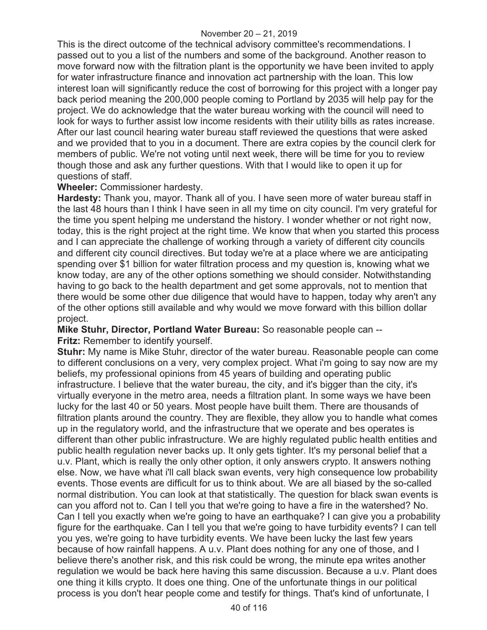This is the direct outcome of the technical advisory committee's recommendations. I passed out to you a list of the numbers and some of the background. Another reason to move forward now with the filtration plant is the opportunity we have been invited to apply for water infrastructure finance and innovation act partnership with the loan. This low interest loan will significantly reduce the cost of borrowing for this project with a longer pay back period meaning the 200,000 people coming to Portland by 2035 will help pay for the project. We do acknowledge that the water bureau working with the council will need to look for ways to further assist low income residents with their utility bills as rates increase. After our last council hearing water bureau staff reviewed the questions that were asked and we provided that to you in a document. There are extra copies by the council clerk for members of public. We're not voting until next week, there will be time for you to review though those and ask any further questions. With that I would like to open it up for questions of staff.

## **Wheeler:** Commissioner hardesty.

**Hardesty:** Thank you, mayor. Thank all of you. I have seen more of water bureau staff in the last 48 hours than I think I have seen in all my time on city council. I'm very grateful for the time you spent helping me understand the history. I wonder whether or not right now, today, this is the right project at the right time. We know that when you started this process and I can appreciate the challenge of working through a variety of different city councils and different city council directives. But today we're at a place where we are anticipating spending over \$1 billion for water filtration process and my question is, knowing what we know today, are any of the other options something we should consider. Notwithstanding having to go back to the health department and get some approvals, not to mention that there would be some other due diligence that would have to happen, today why aren't any of the other options still available and why would we move forward with this billion dollar project.

**Mike Stuhr, Director, Portland Water Bureau:** So reasonable people can -- **Fritz:** Remember to identify yourself.

**Stuhr:** My name is Mike Stuhr, director of the water bureau. Reasonable people can come to different conclusions on a very, very complex project. What i'm going to say now are my beliefs, my professional opinions from 45 years of building and operating public infrastructure. I believe that the water bureau, the city, and it's bigger than the city, it's virtually everyone in the metro area, needs a filtration plant. In some ways we have been lucky for the last 40 or 50 years. Most people have built them. There are thousands of filtration plants around the country. They are flexible, they allow you to handle what comes up in the regulatory world, and the infrastructure that we operate and bes operates is different than other public infrastructure. We are highly regulated public health entities and public health regulation never backs up. It only gets tighter. It's my personal belief that a u.v. Plant, which is really the only other option, it only answers crypto. It answers nothing else. Now, we have what i'll call black swan events, very high consequence low probability events. Those events are difficult for us to think about. We are all biased by the so-called normal distribution. You can look at that statistically. The question for black swan events is can you afford not to. Can I tell you that we're going to have a fire in the watershed? No. Can I tell you exactly when we're going to have an earthquake? I can give you a probability figure for the earthquake. Can I tell you that we're going to have turbidity events? I can tell you yes, we're going to have turbidity events. We have been lucky the last few years because of how rainfall happens. A u.v. Plant does nothing for any one of those, and I believe there's another risk, and this risk could be wrong, the minute epa writes another regulation we would be back here having this same discussion. Because a u.v. Plant does one thing it kills crypto. It does one thing. One of the unfortunate things in our political process is you don't hear people come and testify for things. That's kind of unfortunate, I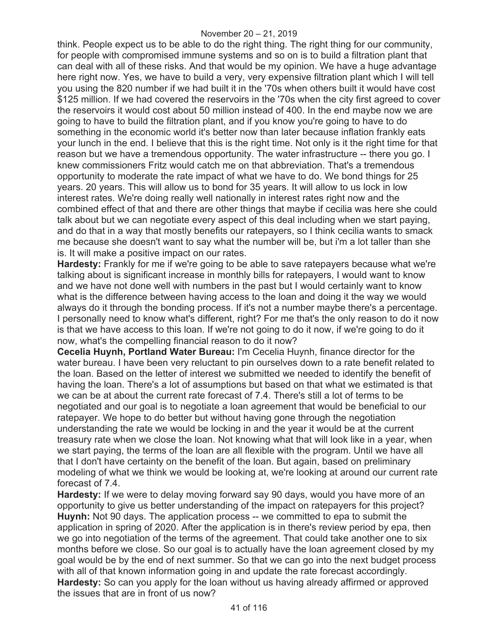think. People expect us to be able to do the right thing. The right thing for our community, for people with compromised immune systems and so on is to build a filtration plant that can deal with all of these risks. And that would be my opinion. We have a huge advantage here right now. Yes, we have to build a very, very expensive filtration plant which I will tell you using the 820 number if we had built it in the '70s when others built it would have cost \$125 million. If we had covered the reservoirs in the '70s when the city first agreed to cover the reservoirs it would cost about 50 million instead of 400. In the end maybe now we are going to have to build the filtration plant, and if you know you're going to have to do something in the economic world it's better now than later because inflation frankly eats your lunch in the end. I believe that this is the right time. Not only is it the right time for that reason but we have a tremendous opportunity. The water infrastructure -- there you go. I knew commissioners Fritz would catch me on that abbreviation. That's a tremendous opportunity to moderate the rate impact of what we have to do. We bond things for 25 years. 20 years. This will allow us to bond for 35 years. It will allow to us lock in low interest rates. We're doing really well nationally in interest rates right now and the combined effect of that and there are other things that maybe if cecilia was here she could talk about but we can negotiate every aspect of this deal including when we start paying, and do that in a way that mostly benefits our ratepayers, so I think cecilia wants to smack me because she doesn't want to say what the number will be, but i'm a lot taller than she is. It will make a positive impact on our rates.

**Hardesty:** Frankly for me if we're going to be able to save ratepayers because what we're talking about is significant increase in monthly bills for ratepayers, I would want to know and we have not done well with numbers in the past but I would certainly want to know what is the difference between having access to the loan and doing it the way we would always do it through the bonding process. If it's not a number maybe there's a percentage. I personally need to know what's different, right? For me that's the only reason to do it now is that we have access to this loan. If we're not going to do it now, if we're going to do it now, what's the compelling financial reason to do it now?

**Cecelia Huynh, Portland Water Bureau:** I'm Cecelia Huynh, finance director for the water bureau. I have been very reluctant to pin ourselves down to a rate benefit related to the loan. Based on the letter of interest we submitted we needed to identify the benefit of having the loan. There's a lot of assumptions but based on that what we estimated is that we can be at about the current rate forecast of 7.4. There's still a lot of terms to be negotiated and our goal is to negotiate a loan agreement that would be beneficial to our ratepayer. We hope to do better but without having gone through the negotiation understanding the rate we would be locking in and the year it would be at the current treasury rate when we close the loan. Not knowing what that will look like in a year, when we start paying, the terms of the loan are all flexible with the program. Until we have all that I don't have certainty on the benefit of the loan. But again, based on preliminary modeling of what we think we would be looking at, we're looking at around our current rate forecast of 7.4.

**Hardesty:** If we were to delay moving forward say 90 days, would you have more of an opportunity to give us better understanding of the impact on ratepayers for this project? **Huynh:** Not 90 days. The application process -- we committed to epa to submit the application in spring of 2020. After the application is in there's review period by epa, then we go into negotiation of the terms of the agreement. That could take another one to six months before we close. So our goal is to actually have the loan agreement closed by my goal would be by the end of next summer. So that we can go into the next budget process with all of that known information going in and update the rate forecast accordingly. **Hardesty:** So can you apply for the loan without us having already affirmed or approved the issues that are in front of us now?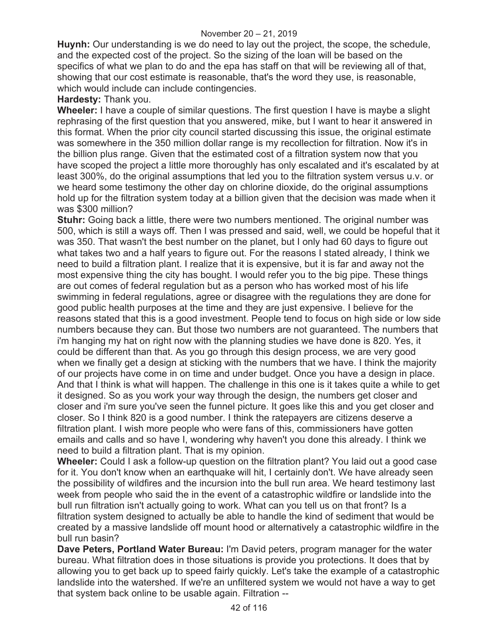#### November 20 – 21, 2019

**Huynh:** Our understanding is we do need to lay out the project, the scope, the schedule, and the expected cost of the project. So the sizing of the loan will be based on the specifics of what we plan to do and the epa has staff on that will be reviewing all of that, showing that our cost estimate is reasonable, that's the word they use, is reasonable, which would include can include contingencies.

**Hardesty:** Thank you.

**Wheeler:** I have a couple of similar questions. The first question I have is maybe a slight rephrasing of the first question that you answered, mike, but I want to hear it answered in this format. When the prior city council started discussing this issue, the original estimate was somewhere in the 350 million dollar range is my recollection for filtration. Now it's in the billion plus range. Given that the estimated cost of a filtration system now that you have scoped the project a little more thoroughly has only escalated and it's escalated by at least 300%, do the original assumptions that led you to the filtration system versus u.v. or we heard some testimony the other day on chlorine dioxide, do the original assumptions hold up for the filtration system today at a billion given that the decision was made when it was \$300 million?

**Stuhr:** Going back a little, there were two numbers mentioned. The original number was 500, which is still a ways off. Then I was pressed and said, well, we could be hopeful that it was 350. That wasn't the best number on the planet, but I only had 60 days to figure out what takes two and a half years to figure out. For the reasons I stated already, I think we need to build a filtration plant. I realize that it is expensive, but it is far and away not the most expensive thing the city has bought. I would refer you to the big pipe. These things are out comes of federal regulation but as a person who has worked most of his life swimming in federal regulations, agree or disagree with the regulations they are done for good public health purposes at the time and they are just expensive. I believe for the reasons stated that this is a good investment. People tend to focus on high side or low side numbers because they can. But those two numbers are not guaranteed. The numbers that i'm hanging my hat on right now with the planning studies we have done is 820. Yes, it could be different than that. As you go through this design process, we are very good when we finally get a design at sticking with the numbers that we have. I think the majority of our projects have come in on time and under budget. Once you have a design in place. And that I think is what will happen. The challenge in this one is it takes quite a while to get it designed. So as you work your way through the design, the numbers get closer and closer and i'm sure you've seen the funnel picture. It goes like this and you get closer and closer. So I think 820 is a good number. I think the ratepayers are citizens deserve a filtration plant. I wish more people who were fans of this, commissioners have gotten emails and calls and so have I, wondering why haven't you done this already. I think we need to build a filtration plant. That is my opinion.

**Wheeler:** Could I ask a follow-up question on the filtration plant? You laid out a good case for it. You don't know when an earthquake will hit, I certainly don't. We have already seen the possibility of wildfires and the incursion into the bull run area. We heard testimony last week from people who said the in the event of a catastrophic wildfire or landslide into the bull run filtration isn't actually going to work. What can you tell us on that front? Is a filtration system designed to actually be able to handle the kind of sediment that would be created by a massive landslide off mount hood or alternatively a catastrophic wildfire in the bull run basin?

**Dave Peters, Portland Water Bureau:** I'm David peters, program manager for the water bureau. What filtration does in those situations is provide you protections. It does that by allowing you to get back up to speed fairly quickly. Let's take the example of a catastrophic landslide into the watershed. If we're an unfiltered system we would not have a way to get that system back online to be usable again. Filtration --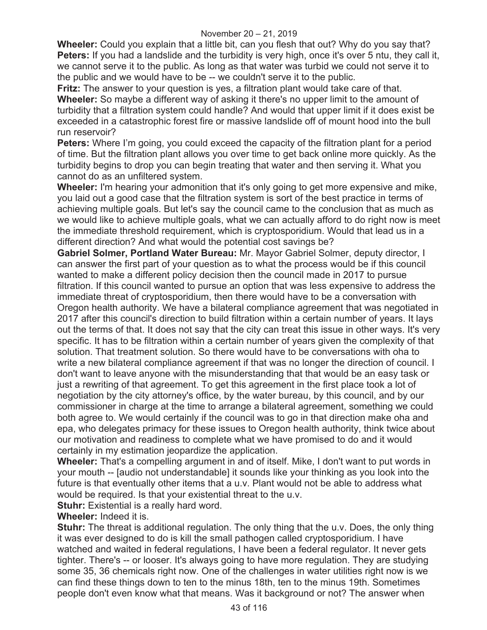**Wheeler:** Could you explain that a little bit, can you flesh that out? Why do you say that? **Peters:** If you had a landslide and the turbidity is very high, once it's over 5 ntu, they call it, we cannot serve it to the public. As long as that water was turbid we could not serve it to the public and we would have to be -- we couldn't serve it to the public.

**Fritz:** The answer to your question is yes, a filtration plant would take care of that. **Wheeler:** So maybe a different way of asking it there's no upper limit to the amount of turbidity that a filtration system could handle? And would that upper limit if it does exist be exceeded in a catastrophic forest fire or massive landslide off of mount hood into the bull run reservoir?

**Peters:** Where I'm going, you could exceed the capacity of the filtration plant for a period of time. But the filtration plant allows you over time to get back online more quickly. As the turbidity begins to drop you can begin treating that water and then serving it. What you cannot do as an unfiltered system.

**Wheeler:** I'm hearing your admonition that it's only going to get more expensive and mike, you laid out a good case that the filtration system is sort of the best practice in terms of achieving multiple goals. But let's say the council came to the conclusion that as much as we would like to achieve multiple goals, what we can actually afford to do right now is meet the immediate threshold requirement, which is cryptosporidium. Would that lead us in a different direction? And what would the potential cost savings be?

**Gabriel Solmer, Portland Water Bureau:** Mr. Mayor Gabriel Solmer, deputy director, I can answer the first part of your question as to what the process would be if this council wanted to make a different policy decision then the council made in 2017 to pursue filtration. If this council wanted to pursue an option that was less expensive to address the immediate threat of cryptosporidium, then there would have to be a conversation with Oregon health authority. We have a bilateral compliance agreement that was negotiated in 2017 after this council's direction to build filtration within a certain number of years. It lays out the terms of that. It does not say that the city can treat this issue in other ways. It's very specific. It has to be filtration within a certain number of years given the complexity of that solution. That treatment solution. So there would have to be conversations with oha to write a new bilateral compliance agreement if that was no longer the direction of council. I don't want to leave anyone with the misunderstanding that that would be an easy task or just a rewriting of that agreement. To get this agreement in the first place took a lot of negotiation by the city attorney's office, by the water bureau, by this council, and by our commissioner in charge at the time to arrange a bilateral agreement, something we could both agree to. We would certainly if the council was to go in that direction make oha and epa, who delegates primacy for these issues to Oregon health authority, think twice about our motivation and readiness to complete what we have promised to do and it would certainly in my estimation jeopardize the application.

**Wheeler:** That's a compelling argument in and of itself. Mike, I don't want to put words in your mouth -- [audio not understandable] it sounds like your thinking as you look into the future is that eventually other items that a u.v. Plant would not be able to address what would be required. Is that your existential threat to the u.v.

**Stuhr:** Existential is a really hard word.

**Wheeler:** Indeed it is.

**Stuhr:** The threat is additional regulation. The only thing that the u.v. Does, the only thing it was ever designed to do is kill the small pathogen called cryptosporidium. I have watched and waited in federal regulations, I have been a federal regulator. It never gets tighter. There's -- or looser. It's always going to have more regulation. They are studying some 35, 36 chemicals right now. One of the challenges in water utilities right now is we can find these things down to ten to the minus 18th, ten to the minus 19th. Sometimes people don't even know what that means. Was it background or not? The answer when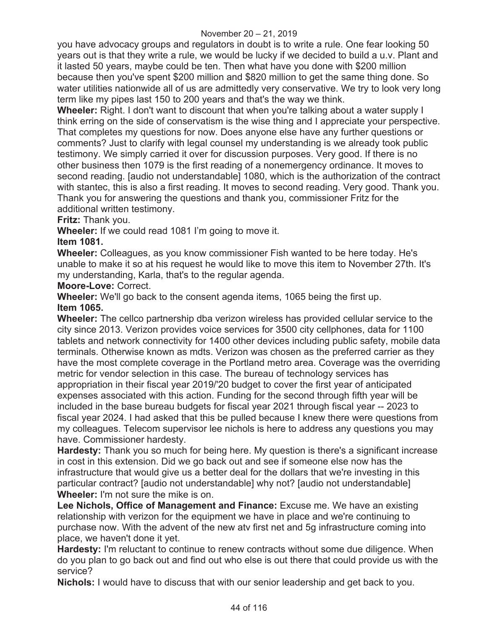you have advocacy groups and regulators in doubt is to write a rule. One fear looking 50 years out is that they write a rule, we would be lucky if we decided to build a u.v. Plant and it lasted 50 years, maybe could be ten. Then what have you done with \$200 million because then you've spent \$200 million and \$820 million to get the same thing done. So water utilities nationwide all of us are admittedly very conservative. We try to look very long term like my pipes last 150 to 200 years and that's the way we think.

**Wheeler:** Right. I don't want to discount that when you're talking about a water supply I think erring on the side of conservatism is the wise thing and I appreciate your perspective. That completes my questions for now. Does anyone else have any further questions or comments? Just to clarify with legal counsel my understanding is we already took public testimony. We simply carried it over for discussion purposes. Very good. If there is no other business then 1079 is the first reading of a nonemergency ordinance. It moves to second reading. [audio not understandable] 1080, which is the authorization of the contract with stantec, this is also a first reading. It moves to second reading. Very good. Thank you. Thank you for answering the questions and thank you, commissioner Fritz for the additional written testimony.

## **Fritz:** Thank you.

**Wheeler:** If we could read 1081 I'm going to move it.

## **Item 1081.**

**Wheeler:** Colleagues, as you know commissioner Fish wanted to be here today. He's unable to make it so at his request he would like to move this item to November 27th. It's my understanding, Karla, that's to the regular agenda.

**Moore-Love:** Correct.

**Wheeler:** We'll go back to the consent agenda items, 1065 being the first up. **Item 1065.**

**Wheeler:** The cellco partnership dba verizon wireless has provided cellular service to the city since 2013. Verizon provides voice services for 3500 city cellphones, data for 1100 tablets and network connectivity for 1400 other devices including public safety, mobile data terminals. Otherwise known as mdts. Verizon was chosen as the preferred carrier as they have the most complete coverage in the Portland metro area. Coverage was the overriding metric for vendor selection in this case. The bureau of technology services has appropriation in their fiscal year 2019/'20 budget to cover the first year of anticipated expenses associated with this action. Funding for the second through fifth year will be included in the base bureau budgets for fiscal year 2021 through fiscal year -- 2023 to fiscal year 2024. I had asked that this be pulled because I knew there were questions from my colleagues. Telecom supervisor lee nichols is here to address any questions you may have. Commissioner hardesty.

**Hardesty:** Thank you so much for being here. My question is there's a significant increase in cost in this extension. Did we go back out and see if someone else now has the infrastructure that would give us a better deal for the dollars that we're investing in this particular contract? [audio not understandable] why not? [audio not understandable] **Wheeler:** I'm not sure the mike is on.

**Lee Nichols, Office of Management and Finance:** Excuse me. We have an existing relationship with verizon for the equipment we have in place and we're continuing to purchase now. With the advent of the new atv first net and 5g infrastructure coming into place, we haven't done it yet.

**Hardesty:** I'm reluctant to continue to renew contracts without some due diligence. When do you plan to go back out and find out who else is out there that could provide us with the service?

**Nichols:** I would have to discuss that with our senior leadership and get back to you.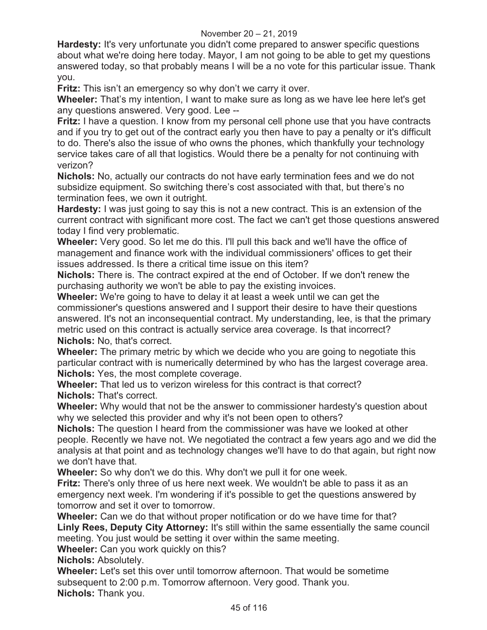**Hardesty:** It's very unfortunate you didn't come prepared to answer specific questions about what we're doing here today. Mayor, I am not going to be able to get my questions answered today, so that probably means I will be a no vote for this particular issue. Thank you.

**Fritz:** This isn't an emergency so why don't we carry it over.

**Wheeler:** That's my intention, I want to make sure as long as we have lee here let's get any questions answered. Very good. Lee --

**Fritz:** I have a question. I know from my personal cell phone use that you have contracts and if you try to get out of the contract early you then have to pay a penalty or it's difficult to do. There's also the issue of who owns the phones, which thankfully your technology service takes care of all that logistics. Would there be a penalty for not continuing with verizon?

**Nichols:** No, actually our contracts do not have early termination fees and we do not subsidize equipment. So switching there's cost associated with that, but there's no termination fees, we own it outright.

**Hardesty:** I was just going to say this is not a new contract. This is an extension of the current contract with significant more cost. The fact we can't get those questions answered today I find very problematic.

**Wheeler:** Very good. So let me do this. I'll pull this back and we'll have the office of management and finance work with the individual commissioners' offices to get their issues addressed. Is there a critical time issue on this item?

**Nichols:** There is. The contract expired at the end of October. If we don't renew the purchasing authority we won't be able to pay the existing invoices.

**Wheeler:** We're going to have to delay it at least a week until we can get the commissioner's questions answered and I support their desire to have their questions answered. It's not an inconsequential contract. My understanding, lee, is that the primary metric used on this contract is actually service area coverage. Is that incorrect? **Nichols:** No, that's correct.

**Wheeler:** The primary metric by which we decide who you are going to negotiate this particular contract with is numerically determined by who has the largest coverage area. **Nichols:** Yes, the most complete coverage.

**Wheeler:** That led us to verizon wireless for this contract is that correct? **Nichols:** That's correct.

**Wheeler:** Why would that not be the answer to commissioner hardesty's question about why we selected this provider and why it's not been open to others?

**Nichols:** The question I heard from the commissioner was have we looked at other people. Recently we have not. We negotiated the contract a few years ago and we did the analysis at that point and as technology changes we'll have to do that again, but right now we don't have that.

**Wheeler:** So why don't we do this. Why don't we pull it for one week.

**Fritz:** There's only three of us here next week. We wouldn't be able to pass it as an emergency next week. I'm wondering if it's possible to get the questions answered by tomorrow and set it over to tomorrow.

**Wheeler:** Can we do that without proper notification or do we have time for that? **Linly Rees, Deputy City Attorney:** It's still within the same essentially the same council meeting. You just would be setting it over within the same meeting.

**Wheeler:** Can you work quickly on this?

**Nichols:** Absolutely.

**Wheeler:** Let's set this over until tomorrow afternoon. That would be sometime subsequent to 2:00 p.m. Tomorrow afternoon. Very good. Thank you. **Nichols:** Thank you.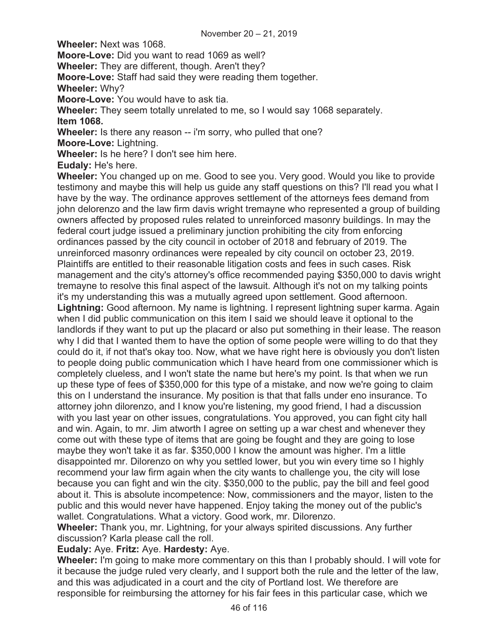**Wheeler:** Next was 1068.

**Moore-Love:** Did you want to read 1069 as well?

**Wheeler:** They are different, though. Aren't they?

**Moore-Love:** Staff had said they were reading them together.

**Wheeler:** Why?

**Moore-Love:** You would have to ask tia.

**Wheeler:** They seem totally unrelated to me, so I would say 1068 separately. **Item 1068.** 

**Wheeler:** Is there any reason -- i'm sorry, who pulled that one?

**Moore-Love:** Lightning.

**Wheeler:** Is he here? I don't see him here.

**Eudaly:** He's here.

**Wheeler:** You changed up on me. Good to see you. Very good. Would you like to provide testimony and maybe this will help us guide any staff questions on this? I'll read you what I have by the way. The ordinance approves settlement of the attorneys fees demand from john delorenzo and the law firm davis wright tremayne who represented a group of building owners affected by proposed rules related to unreinforced masonry buildings. In may the federal court judge issued a preliminary junction prohibiting the city from enforcing ordinances passed by the city council in october of 2018 and february of 2019. The unreinforced masonry ordinances were repealed by city council on october 23, 2019. Plaintiffs are entitled to their reasonable litigation costs and fees in such cases. Risk management and the city's attorney's office recommended paying \$350,000 to davis wright tremayne to resolve this final aspect of the lawsuit. Although it's not on my talking points it's my understanding this was a mutually agreed upon settlement. Good afternoon. **Lightning:** Good afternoon. My name is lightning. I represent lightning super karma. Again when I did public communication on this item I said we should leave it optional to the landlords if they want to put up the placard or also put something in their lease. The reason why I did that I wanted them to have the option of some people were willing to do that they could do it, if not that's okay too. Now, what we have right here is obviously you don't listen to people doing public communication which I have heard from one commissioner which is completely clueless, and I won't state the name but here's my point. Is that when we run up these type of fees of \$350,000 for this type of a mistake, and now we're going to claim this on I understand the insurance. My position is that that falls under eno insurance. To attorney john dilorenzo, and I know you're listening, my good friend, I had a discussion with you last year on other issues, congratulations. You approved, you can fight city hall and win. Again, to mr. Jim atworth I agree on setting up a war chest and whenever they come out with these type of items that are going be fought and they are going to lose maybe they won't take it as far. \$350,000 I know the amount was higher. I'm a little disappointed mr. Dilorenzo on why you settled lower, but you win every time so I highly recommend your law firm again when the city wants to challenge you, the city will lose because you can fight and win the city. \$350,000 to the public, pay the bill and feel good about it. This is absolute incompetence: Now, commissioners and the mayor, listen to the public and this would never have happened. Enjoy taking the money out of the public's wallet. Congratulations. What a victory. Good work, mr. Dilorenzo.

**Wheeler:** Thank you, mr. Lightning, for your always spirited discussions. Any further discussion? Karla please call the roll.

## **Eudaly:** Aye. **Fritz:** Aye. **Hardesty:** Aye.

**Wheeler:** I'm going to make more commentary on this than I probably should. I will vote for it because the judge ruled very clearly, and I support both the rule and the letter of the law, and this was adjudicated in a court and the city of Portland lost. We therefore are responsible for reimbursing the attorney for his fair fees in this particular case, which we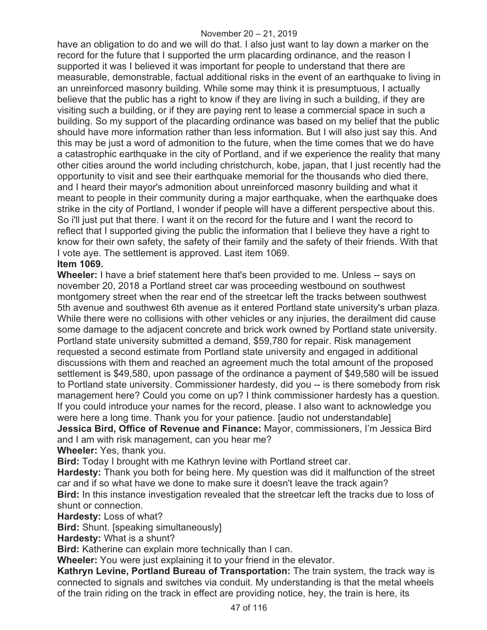have an obligation to do and we will do that. I also just want to lay down a marker on the record for the future that I supported the urm placarding ordinance, and the reason I supported it was I believed it was important for people to understand that there are measurable, demonstrable, factual additional risks in the event of an earthquake to living in an unreinforced masonry building. While some may think it is presumptuous, I actually believe that the public has a right to know if they are living in such a building, if they are visiting such a building, or if they are paying rent to lease a commercial space in such a building. So my support of the placarding ordinance was based on my belief that the public should have more information rather than less information. But I will also just say this. And this may be just a word of admonition to the future, when the time comes that we do have a catastrophic earthquake in the city of Portland, and if we experience the reality that many other cities around the world including christchurch, kobe, japan, that I just recently had the opportunity to visit and see their earthquake memorial for the thousands who died there, and I heard their mayor's admonition about unreinforced masonry building and what it meant to people in their community during a major earthquake, when the earthquake does strike in the city of Portland, I wonder if people will have a different perspective about this. So i'll just put that there. I want it on the record for the future and I want the record to reflect that I supported giving the public the information that I believe they have a right to know for their own safety, the safety of their family and the safety of their friends. With that I vote aye. The settlement is approved. Last item 1069.

## **Item 1069.**

**Wheeler:** I have a brief statement here that's been provided to me. Unless -- says on november 20, 2018 a Portland street car was proceeding westbound on southwest montgomery street when the rear end of the streetcar left the tracks between southwest 5th avenue and southwest 6th avenue as it entered Portland state university's urban plaza. While there were no collisions with other vehicles or any injuries, the derailment did cause some damage to the adjacent concrete and brick work owned by Portland state university. Portland state university submitted a demand, \$59,780 for repair. Risk management requested a second estimate from Portland state university and engaged in additional discussions with them and reached an agreement much the total amount of the proposed settlement is \$49,580, upon passage of the ordinance a payment of \$49,580 will be issued to Portland state university. Commissioner hardesty, did you -- is there somebody from risk management here? Could you come on up? I think commissioner hardesty has a question. If you could introduce your names for the record, please. I also want to acknowledge you were here a long time. Thank you for your patience. [audio not understandable]

**Jessica Bird, Office of Revenue and Finance:** Mayor, commissioners, I'm Jessica Bird and I am with risk management, can you hear me?

**Wheeler:** Yes, thank you.

**Bird:** Today I brought with me Kathryn levine with Portland street car.

**Hardesty:** Thank you both for being here. My question was did it malfunction of the street car and if so what have we done to make sure it doesn't leave the track again?

**Bird:** In this instance investigation revealed that the streetcar left the tracks due to loss of shunt or connection.

**Hardesty:** Loss of what?

**Bird:** Shunt. [speaking simultaneously]

**Hardesty:** What is a shunt?

**Bird:** Katherine can explain more technically than I can.

**Wheeler:** You were just explaining it to your friend in the elevator.

**Kathryn Levine, Portland Bureau of Transportation:** The train system, the track way is connected to signals and switches via conduit. My understanding is that the metal wheels of the train riding on the track in effect are providing notice, hey, the train is here, its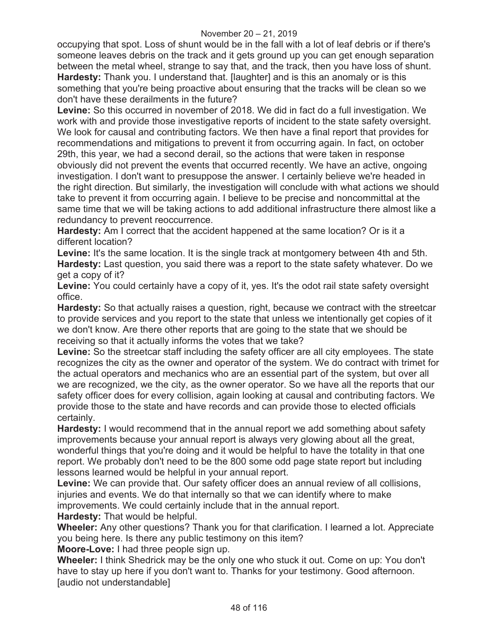#### November 20 – 21, 2019

occupying that spot. Loss of shunt would be in the fall with a lot of leaf debris or if there's someone leaves debris on the track and it gets ground up you can get enough separation between the metal wheel, strange to say that, and the track, then you have loss of shunt. **Hardesty:** Thank you. I understand that. [laughter] and is this an anomaly or is this something that you're being proactive about ensuring that the tracks will be clean so we don't have these derailments in the future?

**Levine:** So this occurred in november of 2018. We did in fact do a full investigation. We work with and provide those investigative reports of incident to the state safety oversight. We look for causal and contributing factors. We then have a final report that provides for recommendations and mitigations to prevent it from occurring again. In fact, on october 29th, this year, we had a second derail, so the actions that were taken in response obviously did not prevent the events that occurred recently. We have an active, ongoing investigation. I don't want to presuppose the answer. I certainly believe we're headed in the right direction. But similarly, the investigation will conclude with what actions we should take to prevent it from occurring again. I believe to be precise and noncommittal at the same time that we will be taking actions to add additional infrastructure there almost like a redundancy to prevent reoccurrence.

**Hardesty:** Am I correct that the accident happened at the same location? Or is it a different location?

Levine: It's the same location. It is the single track at montgomery between 4th and 5th. **Hardesty:** Last question, you said there was a report to the state safety whatever. Do we get a copy of it?

**Levine:** You could certainly have a copy of it, yes. It's the odot rail state safety oversight office.

**Hardesty:** So that actually raises a question, right, because we contract with the streetcar to provide services and you report to the state that unless we intentionally get copies of it we don't know. Are there other reports that are going to the state that we should be receiving so that it actually informs the votes that we take?

**Levine:** So the streetcar staff including the safety officer are all city employees. The state recognizes the city as the owner and operator of the system. We do contract with trimet for the actual operators and mechanics who are an essential part of the system, but over all we are recognized, we the city, as the owner operator. So we have all the reports that our safety officer does for every collision, again looking at causal and contributing factors. We provide those to the state and have records and can provide those to elected officials certainly.

**Hardesty:** I would recommend that in the annual report we add something about safety improvements because your annual report is always very glowing about all the great, wonderful things that you're doing and it would be helpful to have the totality in that one report. We probably don't need to be the 800 some odd page state report but including lessons learned would be helpful in your annual report.

**Levine:** We can provide that. Our safety officer does an annual review of all collisions, injuries and events. We do that internally so that we can identify where to make improvements. We could certainly include that in the annual report.

**Hardesty:** That would be helpful.

**Wheeler:** Any other questions? Thank you for that clarification. I learned a lot. Appreciate you being here. Is there any public testimony on this item?

**Moore-Love:** I had three people sign up.

**Wheeler:** I think Shedrick may be the only one who stuck it out. Come on up: You don't have to stay up here if you don't want to. Thanks for your testimony. Good afternoon. [audio not understandable]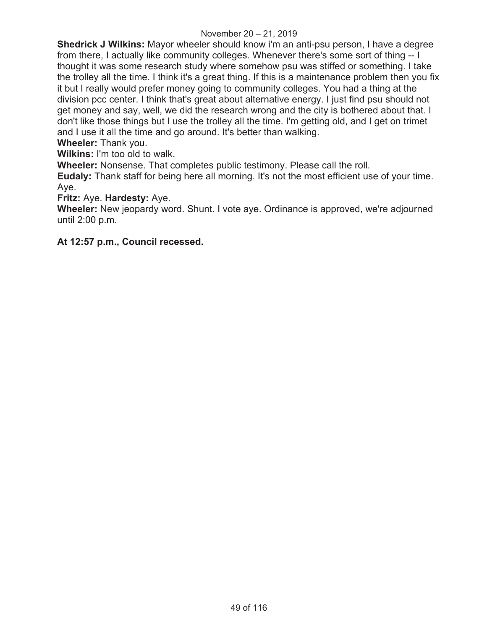**Shedrick J Wilkins:** Mayor wheeler should know i'm an anti-psu person, I have a degree from there, I actually like community colleges. Whenever there's some sort of thing -- I thought it was some research study where somehow psu was stiffed or something. I take the trolley all the time. I think it's a great thing. If this is a maintenance problem then you fix it but I really would prefer money going to community colleges. You had a thing at the division pcc center. I think that's great about alternative energy. I just find psu should not get money and say, well, we did the research wrong and the city is bothered about that. I don't like those things but I use the trolley all the time. I'm getting old, and I get on trimet and I use it all the time and go around. It's better than walking.

**Wheeler:** Thank you.

**Wilkins:** I'm too old to walk.

**Wheeler:** Nonsense. That completes public testimony. Please call the roll.

**Eudaly:** Thank staff for being here all morning. It's not the most efficient use of your time. Aye.

#### **Fritz:** Aye. **Hardesty:** Aye.

**Wheeler:** New jeopardy word. Shunt. I vote aye. Ordinance is approved, we're adjourned until 2:00 p.m.

**At 12:57 p.m., Council recessed.**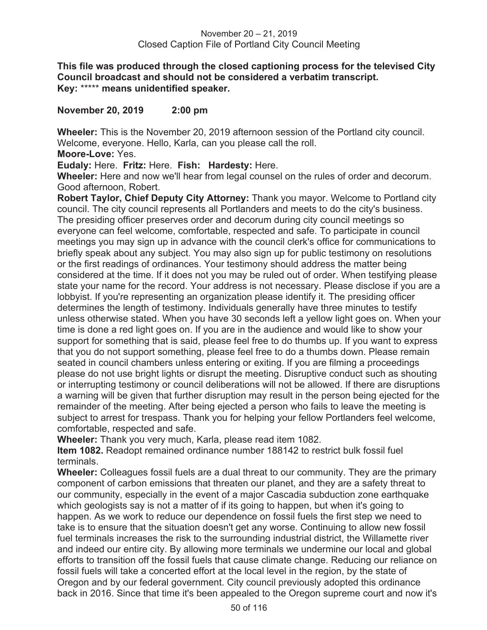**This file was produced through the closed captioning process for the televised City Council broadcast and should not be considered a verbatim transcript. Key:** \*\*\*\*\* **means unidentified speaker.** 

**November 20, 2019 2:00 pm** 

**Wheeler:** This is the November 20, 2019 afternoon session of the Portland city council. Welcome, everyone. Hello, Karla, can you please call the roll.

**Moore-Love:** Yes.

**Eudaly:** Here. **Fritz:** Here. **Fish: Hardesty:** Here.

**Wheeler:** Here and now we'll hear from legal counsel on the rules of order and decorum. Good afternoon, Robert.

**Robert Taylor, Chief Deputy City Attorney:** Thank you mayor. Welcome to Portland city council. The city council represents all Portlanders and meets to do the city's business. The presiding officer preserves order and decorum during city council meetings so everyone can feel welcome, comfortable, respected and safe. To participate in council meetings you may sign up in advance with the council clerk's office for communications to briefly speak about any subject. You may also sign up for public testimony on resolutions or the first readings of ordinances. Your testimony should address the matter being considered at the time. If it does not you may be ruled out of order. When testifying please state your name for the record. Your address is not necessary. Please disclose if you are a lobbyist. If you're representing an organization please identify it. The presiding officer determines the length of testimony. Individuals generally have three minutes to testify unless otherwise stated. When you have 30 seconds left a yellow light goes on. When your time is done a red light goes on. If you are in the audience and would like to show your support for something that is said, please feel free to do thumbs up. If you want to express that you do not support something, please feel free to do a thumbs down. Please remain seated in council chambers unless entering or exiting. If you are filming a proceedings please do not use bright lights or disrupt the meeting. Disruptive conduct such as shouting or interrupting testimony or council deliberations will not be allowed. If there are disruptions a warning will be given that further disruption may result in the person being ejected for the remainder of the meeting. After being ejected a person who fails to leave the meeting is subject to arrest for trespass. Thank you for helping your fellow Portlanders feel welcome, comfortable, respected and safe.

**Wheeler:** Thank you very much, Karla, please read item 1082.

**Item 1082.** Readopt remained ordinance number 188142 to restrict bulk fossil fuel terminals.

**Wheeler:** Colleagues fossil fuels are a dual threat to our community. They are the primary component of carbon emissions that threaten our planet, and they are a safety threat to our community, especially in the event of a major Cascadia subduction zone earthquake which geologists say is not a matter of if its going to happen, but when it's going to happen. As we work to reduce our dependence on fossil fuels the first step we need to take is to ensure that the situation doesn't get any worse. Continuing to allow new fossil fuel terminals increases the risk to the surrounding industrial district, the Willamette river and indeed our entire city. By allowing more terminals we undermine our local and global efforts to transition off the fossil fuels that cause climate change. Reducing our reliance on fossil fuels will take a concerted effort at the local level in the region, by the state of Oregon and by our federal government. City council previously adopted this ordinance back in 2016. Since that time it's been appealed to the Oregon supreme court and now it's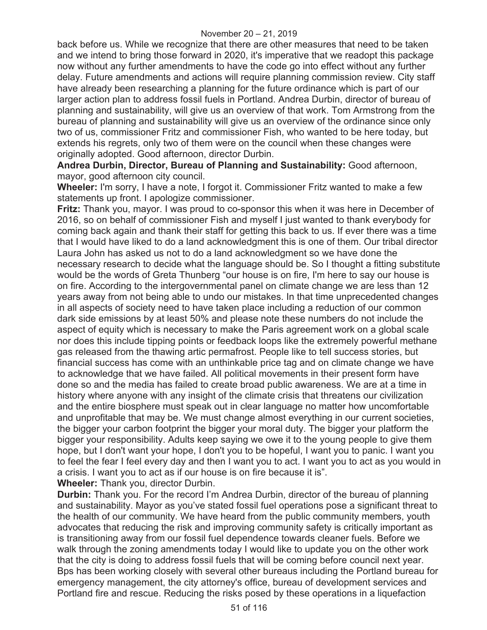back before us. While we recognize that there are other measures that need to be taken and we intend to bring those forward in 2020, it's imperative that we readopt this package now without any further amendments to have the code go into effect without any further delay. Future amendments and actions will require planning commission review. City staff have already been researching a planning for the future ordinance which is part of our larger action plan to address fossil fuels in Portland. Andrea Durbin, director of bureau of planning and sustainability, will give us an overview of that work. Tom Armstrong from the bureau of planning and sustainability will give us an overview of the ordinance since only two of us, commissioner Fritz and commissioner Fish, who wanted to be here today, but extends his regrets, only two of them were on the council when these changes were originally adopted. Good afternoon, director Durbin.

**Andrea Durbin, Director, Bureau of Planning and Sustainability:** Good afternoon, mayor, good afternoon city council.

**Wheeler:** I'm sorry, I have a note, I forgot it. Commissioner Fritz wanted to make a few statements up front. I apologize commissioner.

**Fritz:** Thank you, mayor. I was proud to co-sponsor this when it was here in December of 2016, so on behalf of commissioner Fish and myself I just wanted to thank everybody for coming back again and thank their staff for getting this back to us. If ever there was a time that I would have liked to do a land acknowledgment this is one of them. Our tribal director Laura John has asked us not to do a land acknowledgment so we have done the necessary research to decide what the language should be. So I thought a fitting substitute would be the words of Greta Thunberg "our house is on fire, I'm here to say our house is on fire. According to the intergovernmental panel on climate change we are less than 12 years away from not being able to undo our mistakes. In that time unprecedented changes in all aspects of society need to have taken place including a reduction of our common dark side emissions by at least 50% and please note these numbers do not include the aspect of equity which is necessary to make the Paris agreement work on a global scale nor does this include tipping points or feedback loops like the extremely powerful methane gas released from the thawing artic permafrost. People like to tell success stories, but financial success has come with an unthinkable price tag and on climate change we have to acknowledge that we have failed. All political movements in their present form have done so and the media has failed to create broad public awareness. We are at a time in history where anyone with any insight of the climate crisis that threatens our civilization and the entire biosphere must speak out in clear language no matter how uncomfortable and unprofitable that may be. We must change almost everything in our current societies, the bigger your carbon footprint the bigger your moral duty. The bigger your platform the bigger your responsibility. Adults keep saying we owe it to the young people to give them hope, but I don't want your hope, I don't you to be hopeful, I want you to panic. I want you to feel the fear I feel every day and then I want you to act. I want you to act as you would in a crisis. I want you to act as if our house is on fire because it is". **Wheeler:** Thank you, director Durbin.

**Durbin:** Thank you. For the record I'm Andrea Durbin, director of the bureau of planning and sustainability. Mayor as you've stated fossil fuel operations pose a significant threat to the health of our community. We have heard from the public community members, youth advocates that reducing the risk and improving community safety is critically important as is transitioning away from our fossil fuel dependence towards cleaner fuels. Before we walk through the zoning amendments today I would like to update you on the other work that the city is doing to address fossil fuels that will be coming before council next year. Bps has been working closely with several other bureaus including the Portland bureau for emergency management, the city attorney's office, bureau of development services and Portland fire and rescue. Reducing the risks posed by these operations in a liquefaction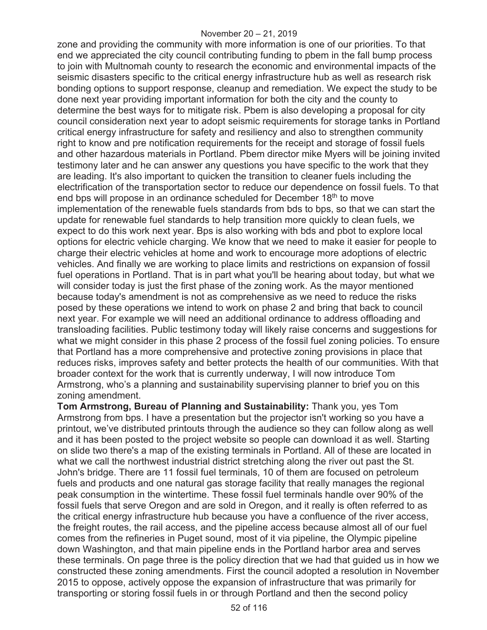zone and providing the community with more information is one of our priorities. To that end we appreciated the city council contributing funding to pbem in the fall bump process to join with Multnomah county to research the economic and environmental impacts of the seismic disasters specific to the critical energy infrastructure hub as well as research risk bonding options to support response, cleanup and remediation. We expect the study to be done next year providing important information for both the city and the county to determine the best ways for to mitigate risk. Pbem is also developing a proposal for city council consideration next year to adopt seismic requirements for storage tanks in Portland critical energy infrastructure for safety and resiliency and also to strengthen community right to know and pre notification requirements for the receipt and storage of fossil fuels and other hazardous materials in Portland. Pbem director mike Myers will be joining invited testimony later and he can answer any questions you have specific to the work that they are leading. It's also important to quicken the transition to cleaner fuels including the electrification of the transportation sector to reduce our dependence on fossil fuels. To that end bps will propose in an ordinance scheduled for December 18<sup>th</sup> to move implementation of the renewable fuels standards from bds to bps, so that we can start the update for renewable fuel standards to help transition more quickly to clean fuels, we expect to do this work next year. Bps is also working with bds and pbot to explore local options for electric vehicle charging. We know that we need to make it easier for people to charge their electric vehicles at home and work to encourage more adoptions of electric vehicles. And finally we are working to place limits and restrictions on expansion of fossil fuel operations in Portland. That is in part what you'll be hearing about today, but what we will consider today is just the first phase of the zoning work. As the mayor mentioned because today's amendment is not as comprehensive as we need to reduce the risks posed by these operations we intend to work on phase 2 and bring that back to council next year. For example we will need an additional ordinance to address offloading and transloading facilities. Public testimony today will likely raise concerns and suggestions for what we might consider in this phase 2 process of the fossil fuel zoning policies. To ensure that Portland has a more comprehensive and protective zoning provisions in place that reduces risks, improves safety and better protects the health of our communities. With that broader context for the work that is currently underway, I will now introduce Tom Armstrong, who's a planning and sustainability supervising planner to brief you on this zoning amendment.

**Tom Armstrong, Bureau of Planning and Sustainability:** Thank you, yes Tom Armstrong from bps. I have a presentation but the projector isn't working so you have a printout, we've distributed printouts through the audience so they can follow along as well and it has been posted to the project website so people can download it as well. Starting on slide two there's a map of the existing terminals in Portland. All of these are located in what we call the northwest industrial district stretching along the river out past the St. John's bridge. There are 11 fossil fuel terminals, 10 of them are focused on petroleum fuels and products and one natural gas storage facility that really manages the regional peak consumption in the wintertime. These fossil fuel terminals handle over 90% of the fossil fuels that serve Oregon and are sold in Oregon, and it really is often referred to as the critical energy infrastructure hub because you have a confluence of the river access, the freight routes, the rail access, and the pipeline access because almost all of our fuel comes from the refineries in Puget sound, most of it via pipeline, the Olympic pipeline down Washington, and that main pipeline ends in the Portland harbor area and serves these terminals. On page three is the policy direction that we had that guided us in how we constructed these zoning amendments. First the council adopted a resolution in November 2015 to oppose, actively oppose the expansion of infrastructure that was primarily for transporting or storing fossil fuels in or through Portland and then the second policy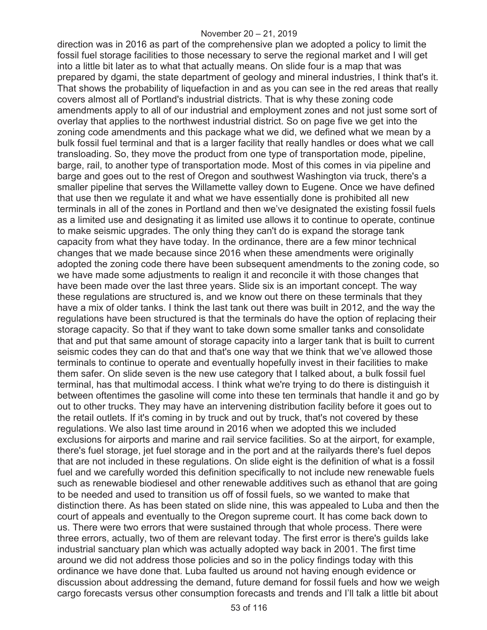direction was in 2016 as part of the comprehensive plan we adopted a policy to limit the fossil fuel storage facilities to those necessary to serve the regional market and I will get into a little bit later as to what that actually means. On slide four is a map that was prepared by dgami, the state department of geology and mineral industries, I think that's it. That shows the probability of liquefaction in and as you can see in the red areas that really covers almost all of Portland's industrial districts. That is why these zoning code amendments apply to all of our industrial and employment zones and not just some sort of overlay that applies to the northwest industrial district. So on page five we get into the zoning code amendments and this package what we did, we defined what we mean by a bulk fossil fuel terminal and that is a larger facility that really handles or does what we call transloading. So, they move the product from one type of transportation mode, pipeline, barge, rail, to another type of transportation mode. Most of this comes in via pipeline and barge and goes out to the rest of Oregon and southwest Washington via truck, there's a smaller pipeline that serves the Willamette valley down to Eugene. Once we have defined that use then we regulate it and what we have essentially done is prohibited all new terminals in all of the zones in Portland and then we've designated the existing fossil fuels as a limited use and designating it as limited use allows it to continue to operate, continue to make seismic upgrades. The only thing they can't do is expand the storage tank capacity from what they have today. In the ordinance, there are a few minor technical changes that we made because since 2016 when these amendments were originally adopted the zoning code there have been subsequent amendments to the zoning code, so we have made some adjustments to realign it and reconcile it with those changes that have been made over the last three years. Slide six is an important concept. The way these regulations are structured is, and we know out there on these terminals that they have a mix of older tanks. I think the last tank out there was built in 2012, and the way the regulations have been structured is that the terminals do have the option of replacing their storage capacity. So that if they want to take down some smaller tanks and consolidate that and put that same amount of storage capacity into a larger tank that is built to current seismic codes they can do that and that's one way that we think that we've allowed those terminals to continue to operate and eventually hopefully invest in their facilities to make them safer. On slide seven is the new use category that I talked about, a bulk fossil fuel terminal, has that multimodal access. I think what we're trying to do there is distinguish it between oftentimes the gasoline will come into these ten terminals that handle it and go by out to other trucks. They may have an intervening distribution facility before it goes out to the retail outlets. If it's coming in by truck and out by truck, that's not covered by these regulations. We also last time around in 2016 when we adopted this we included exclusions for airports and marine and rail service facilities. So at the airport, for example, there's fuel storage, jet fuel storage and in the port and at the railyards there's fuel depos that are not included in these regulations. On slide eight is the definition of what is a fossil fuel and we carefully worded this definition specifically to not include new renewable fuels such as renewable biodiesel and other renewable additives such as ethanol that are going to be needed and used to transition us off of fossil fuels, so we wanted to make that distinction there. As has been stated on slide nine, this was appealed to Luba and then the court of appeals and eventually to the Oregon supreme court. It has come back down to us. There were two errors that were sustained through that whole process. There were three errors, actually, two of them are relevant today. The first error is there's guilds lake industrial sanctuary plan which was actually adopted way back in 2001. The first time around we did not address those policies and so in the policy findings today with this ordinance we have done that. Luba faulted us around not having enough evidence or discussion about addressing the demand, future demand for fossil fuels and how we weigh cargo forecasts versus other consumption forecasts and trends and I'll talk a little bit about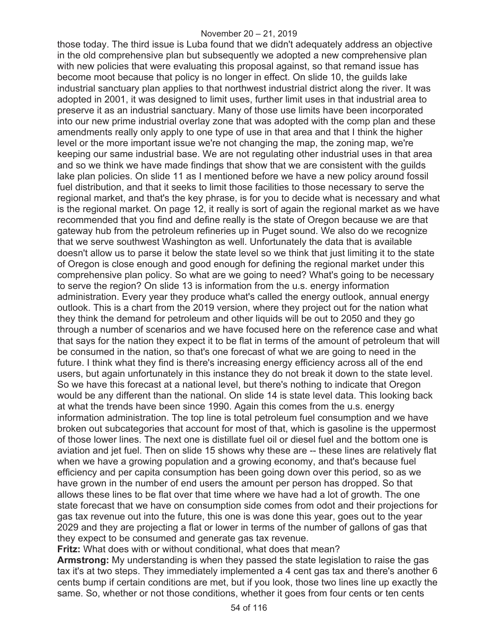those today. The third issue is Luba found that we didn't adequately address an objective in the old comprehensive plan but subsequently we adopted a new comprehensive plan with new policies that were evaluating this proposal against, so that remand issue has become moot because that policy is no longer in effect. On slide 10, the guilds lake industrial sanctuary plan applies to that northwest industrial district along the river. It was adopted in 2001, it was designed to limit uses, further limit uses in that industrial area to preserve it as an industrial sanctuary. Many of those use limits have been incorporated into our new prime industrial overlay zone that was adopted with the comp plan and these amendments really only apply to one type of use in that area and that I think the higher level or the more important issue we're not changing the map, the zoning map, we're keeping our same industrial base. We are not regulating other industrial uses in that area and so we think we have made findings that show that we are consistent with the guilds lake plan policies. On slide 11 as I mentioned before we have a new policy around fossil fuel distribution, and that it seeks to limit those facilities to those necessary to serve the regional market, and that's the key phrase, is for you to decide what is necessary and what is the regional market. On page 12, it really is sort of again the regional market as we have recommended that you find and define really is the state of Oregon because we are that gateway hub from the petroleum refineries up in Puget sound. We also do we recognize that we serve southwest Washington as well. Unfortunately the data that is available doesn't allow us to parse it below the state level so we think that just limiting it to the state of Oregon is close enough and good enough for defining the regional market under this comprehensive plan policy. So what are we going to need? What's going to be necessary to serve the region? On slide 13 is information from the u.s. energy information administration. Every year they produce what's called the energy outlook, annual energy outlook. This is a chart from the 2019 version, where they project out for the nation what they think the demand for petroleum and other liquids will be out to 2050 and they go through a number of scenarios and we have focused here on the reference case and what that says for the nation they expect it to be flat in terms of the amount of petroleum that will be consumed in the nation, so that's one forecast of what we are going to need in the future. I think what they find is there's increasing energy efficiency across all of the end users, but again unfortunately in this instance they do not break it down to the state level. So we have this forecast at a national level, but there's nothing to indicate that Oregon would be any different than the national. On slide 14 is state level data. This looking back at what the trends have been since 1990. Again this comes from the u.s. energy information administration. The top line is total petroleum fuel consumption and we have broken out subcategories that account for most of that, which is gasoline is the uppermost of those lower lines. The next one is distillate fuel oil or diesel fuel and the bottom one is aviation and jet fuel. Then on slide 15 shows why these are -- these lines are relatively flat when we have a growing population and a growing economy, and that's because fuel efficiency and per capita consumption has been going down over this period, so as we have grown in the number of end users the amount per person has dropped. So that allows these lines to be flat over that time where we have had a lot of growth. The one state forecast that we have on consumption side comes from odot and their projections for gas tax revenue out into the future, this one is was done this year, goes out to the year 2029 and they are projecting a flat or lower in terms of the number of gallons of gas that they expect to be consumed and generate gas tax revenue.

**Fritz:** What does with or without conditional, what does that mean?

**Armstrong:** My understanding is when they passed the state legislation to raise the gas tax it's at two steps. They immediately implemented a 4 cent gas tax and there's another 6 cents bump if certain conditions are met, but if you look, those two lines line up exactly the same. So, whether or not those conditions, whether it goes from four cents or ten cents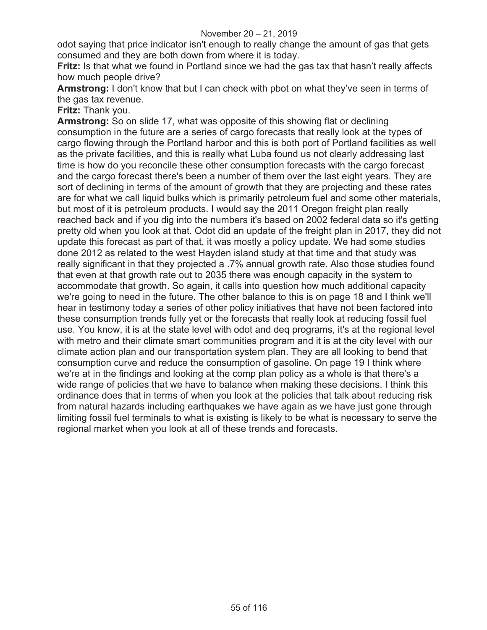odot saying that price indicator isn't enough to really change the amount of gas that gets consumed and they are both down from where it is today.

**Fritz:** Is that what we found in Portland since we had the gas tax that hasn't really affects how much people drive?

**Armstrong:** I don't know that but I can check with pbot on what they've seen in terms of the gas tax revenue.

**Fritz:** Thank you.

**Armstrong:** So on slide 17, what was opposite of this showing flat or declining consumption in the future are a series of cargo forecasts that really look at the types of cargo flowing through the Portland harbor and this is both port of Portland facilities as well as the private facilities, and this is really what Luba found us not clearly addressing last time is how do you reconcile these other consumption forecasts with the cargo forecast and the cargo forecast there's been a number of them over the last eight years. They are sort of declining in terms of the amount of growth that they are projecting and these rates are for what we call liquid bulks which is primarily petroleum fuel and some other materials, but most of it is petroleum products. I would say the 2011 Oregon freight plan really reached back and if you dig into the numbers it's based on 2002 federal data so it's getting pretty old when you look at that. Odot did an update of the freight plan in 2017, they did not update this forecast as part of that, it was mostly a policy update. We had some studies done 2012 as related to the west Hayden island study at that time and that study was really significant in that they projected a .7% annual growth rate. Also those studies found that even at that growth rate out to 2035 there was enough capacity in the system to accommodate that growth. So again, it calls into question how much additional capacity we're going to need in the future. The other balance to this is on page 18 and I think we'll hear in testimony today a series of other policy initiatives that have not been factored into these consumption trends fully yet or the forecasts that really look at reducing fossil fuel use. You know, it is at the state level with odot and deq programs, it's at the regional level with metro and their climate smart communities program and it is at the city level with our climate action plan and our transportation system plan. They are all looking to bend that consumption curve and reduce the consumption of gasoline. On page 19 I think where we're at in the findings and looking at the comp plan policy as a whole is that there's a wide range of policies that we have to balance when making these decisions. I think this ordinance does that in terms of when you look at the policies that talk about reducing risk from natural hazards including earthquakes we have again as we have just gone through limiting fossil fuel terminals to what is existing is likely to be what is necessary to serve the regional market when you look at all of these trends and forecasts.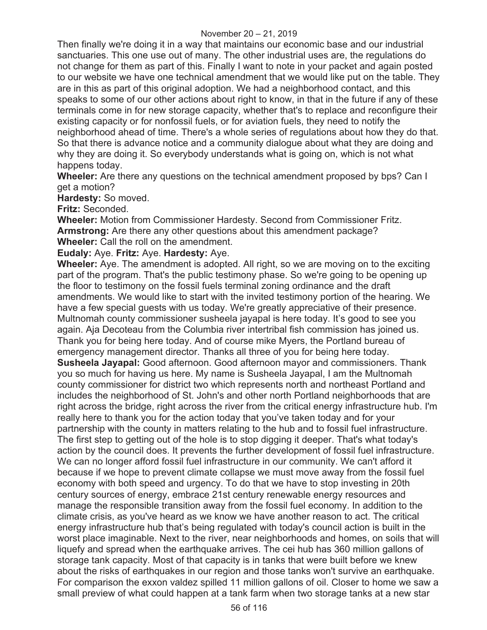Then finally we're doing it in a way that maintains our economic base and our industrial sanctuaries. This one use out of many. The other industrial uses are, the regulations do not change for them as part of this. Finally I want to note in your packet and again posted to our website we have one technical amendment that we would like put on the table. They are in this as part of this original adoption. We had a neighborhood contact, and this speaks to some of our other actions about right to know, in that in the future if any of these terminals come in for new storage capacity, whether that's to replace and reconfigure their existing capacity or for nonfossil fuels, or for aviation fuels, they need to notify the neighborhood ahead of time. There's a whole series of regulations about how they do that. So that there is advance notice and a community dialogue about what they are doing and why they are doing it. So everybody understands what is going on, which is not what happens today.

**Wheeler:** Are there any questions on the technical amendment proposed by bps? Can I get a motion?

**Hardesty:** So moved.

**Fritz:** Seconded.

**Wheeler:** Motion from Commissioner Hardesty. Second from Commissioner Fritz. **Armstrong:** Are there any other questions about this amendment package? **Wheeler:** Call the roll on the amendment.

**Eudaly:** Aye. **Fritz:** Aye. **Hardesty:** Aye.

**Wheeler:** Aye. The amendment is adopted. All right, so we are moving on to the exciting part of the program. That's the public testimony phase. So we're going to be opening up the floor to testimony on the fossil fuels terminal zoning ordinance and the draft amendments. We would like to start with the invited testimony portion of the hearing. We have a few special guests with us today. We're greatly appreciative of their presence. Multnomah county commissioner susheela jayapal is here today. It's good to see you again. Aja Decoteau from the Columbia river intertribal fish commission has joined us. Thank you for being here today. And of course mike Myers, the Portland bureau of emergency management director. Thanks all three of you for being here today. **Susheela Jayapal:** Good afternoon. Good afternoon mayor and commissioners. Thank you so much for having us here. My name is Susheela Jayapal, I am the Multnomah county commissioner for district two which represents north and northeast Portland and includes the neighborhood of St. John's and other north Portland neighborhoods that are right across the bridge, right across the river from the critical energy infrastructure hub. I'm really here to thank you for the action today that you've taken today and for your partnership with the county in matters relating to the hub and to fossil fuel infrastructure. The first step to getting out of the hole is to stop digging it deeper. That's what today's action by the council does. It prevents the further development of fossil fuel infrastructure. We can no longer afford fossil fuel infrastructure in our community. We can't afford it because if we hope to prevent climate collapse we must move away from the fossil fuel economy with both speed and urgency. To do that we have to stop investing in 20th century sources of energy, embrace 21st century renewable energy resources and manage the responsible transition away from the fossil fuel economy. In addition to the climate crisis, as you've heard as we know we have another reason to act. The critical energy infrastructure hub that's being regulated with today's council action is built in the worst place imaginable. Next to the river, near neighborhoods and homes, on soils that will liquefy and spread when the earthquake arrives. The cei hub has 360 million gallons of storage tank capacity. Most of that capacity is in tanks that were built before we knew about the risks of earthquakes in our region and those tanks won't survive an earthquake. For comparison the exxon valdez spilled 11 million gallons of oil. Closer to home we saw a small preview of what could happen at a tank farm when two storage tanks at a new star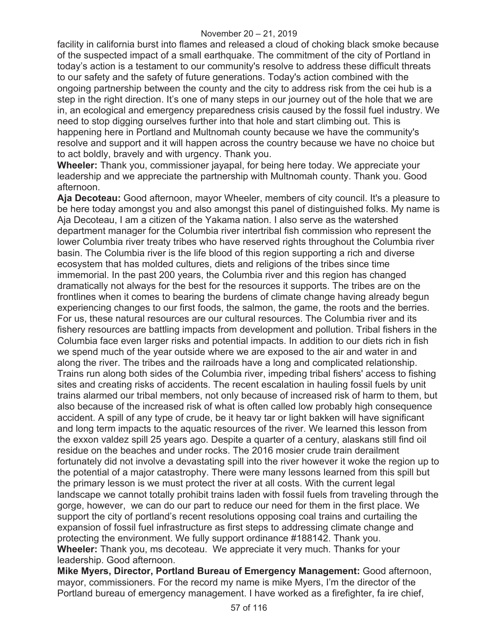facility in california burst into flames and released a cloud of choking black smoke because of the suspected impact of a small earthquake. The commitment of the city of Portland in today's action is a testament to our community's resolve to address these difficult threats to our safety and the safety of future generations. Today's action combined with the ongoing partnership between the county and the city to address risk from the cei hub is a step in the right direction. It's one of many steps in our journey out of the hole that we are in, an ecological and emergency preparedness crisis caused by the fossil fuel industry. We need to stop digging ourselves further into that hole and start climbing out. This is happening here in Portland and Multnomah county because we have the community's resolve and support and it will happen across the country because we have no choice but to act boldly, bravely and with urgency. Thank you.

**Wheeler:** Thank you, commissioner jayapal, for being here today. We appreciate your leadership and we appreciate the partnership with Multnomah county. Thank you. Good afternoon.

**Aja Decoteau:** Good afternoon, mayor Wheeler, members of city council. It's a pleasure to be here today amongst you and also amongst this panel of distinguished folks. My name is Aja Decoteau, I am a citizen of the Yakama nation. I also serve as the watershed department manager for the Columbia river intertribal fish commission who represent the lower Columbia river treaty tribes who have reserved rights throughout the Columbia river basin. The Columbia river is the life blood of this region supporting a rich and diverse ecosystem that has molded cultures, diets and religions of the tribes since time immemorial. In the past 200 years, the Columbia river and this region has changed dramatically not always for the best for the resources it supports. The tribes are on the frontlines when it comes to bearing the burdens of climate change having already begun experiencing changes to our first foods, the salmon, the game, the roots and the berries. For us, these natural resources are our cultural resources. The Columbia river and its fishery resources are battling impacts from development and pollution. Tribal fishers in the Columbia face even larger risks and potential impacts. In addition to our diets rich in fish we spend much of the year outside where we are exposed to the air and water in and along the river. The tribes and the railroads have a long and complicated relationship. Trains run along both sides of the Columbia river, impeding tribal fishers' access to fishing sites and creating risks of accidents. The recent escalation in hauling fossil fuels by unit trains alarmed our tribal members, not only because of increased risk of harm to them, but also because of the increased risk of what is often called low probably high consequence accident. A spill of any type of crude, be it heavy tar or light bakken will have significant and long term impacts to the aquatic resources of the river. We learned this lesson from the exxon valdez spill 25 years ago. Despite a quarter of a century, alaskans still find oil residue on the beaches and under rocks. The 2016 mosier crude train derailment fortunately did not involve a devastating spill into the river however it woke the region up to the potential of a major catastrophy. There were many lessons learned from this spill but the primary lesson is we must protect the river at all costs. With the current legal landscape we cannot totally prohibit trains laden with fossil fuels from traveling through the gorge, however, we can do our part to reduce our need for them in the first place. We support the city of portland's recent resolutions opposing coal trains and curtailing the expansion of fossil fuel infrastructure as first steps to addressing climate change and protecting the environment. We fully support ordinance #188142. Thank you. **Wheeler:** Thank you, ms decoteau. We appreciate it very much. Thanks for your leadership. Good afternoon.

**Mike Myers, Director, Portland Bureau of Emergency Management:** Good afternoon, mayor, commissioners. For the record my name is mike Myers, I'm the director of the Portland bureau of emergency management. I have worked as a firefighter, fa ire chief,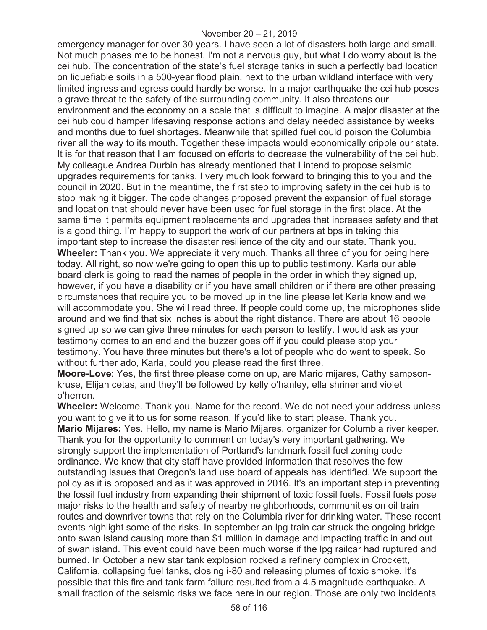#### November 20 – 21, 2019

emergency manager for over 30 years. I have seen a lot of disasters both large and small. Not much phases me to be honest. I'm not a nervous guy, but what I do worry about is the cei hub. The concentration of the state's fuel storage tanks in such a perfectly bad location on liquefiable soils in a 500-year flood plain, next to the urban wildland interface with very limited ingress and egress could hardly be worse. In a major earthquake the cei hub poses a grave threat to the safety of the surrounding community. It also threatens our environment and the economy on a scale that is difficult to imagine. A major disaster at the cei hub could hamper lifesaving response actions and delay needed assistance by weeks and months due to fuel shortages. Meanwhile that spilled fuel could poison the Columbia river all the way to its mouth. Together these impacts would economically cripple our state. It is for that reason that I am focused on efforts to decrease the vulnerability of the cei hub. My colleague Andrea Durbin has already mentioned that I intend to propose seismic upgrades requirements for tanks. I very much look forward to bringing this to you and the council in 2020. But in the meantime, the first step to improving safety in the cei hub is to stop making it bigger. The code changes proposed prevent the expansion of fuel storage and location that should never have been used for fuel storage in the first place. At the same time it permits equipment replacements and upgrades that increases safety and that is a good thing. I'm happy to support the work of our partners at bps in taking this important step to increase the disaster resilience of the city and our state. Thank you. **Wheeler:** Thank you. We appreciate it very much. Thanks all three of you for being here today. All right, so now we're going to open this up to public testimony. Karla our able board clerk is going to read the names of people in the order in which they signed up, however, if you have a disability or if you have small children or if there are other pressing circumstances that require you to be moved up in the line please let Karla know and we will accommodate you. She will read three. If people could come up, the microphones slide around and we find that six inches is about the right distance. There are about 16 people signed up so we can give three minutes for each person to testify. I would ask as your testimony comes to an end and the buzzer goes off if you could please stop your testimony. You have three minutes but there's a lot of people who do want to speak. So without further ado, Karla, could you please read the first three.

**Moore-Love**: Yes, the first three please come on up, are Mario mijares, Cathy sampsonkruse, Elijah cetas, and they'll be followed by kelly o'hanley, ella shriner and violet o'herron.

**Wheeler:** Welcome. Thank you. Name for the record. We do not need your address unless you want to give it to us for some reason. If you'd like to start please. Thank you. **Mario Mijares:** Yes. Hello, my name is Mario Mijares, organizer for Columbia river keeper. Thank you for the opportunity to comment on today's very important gathering. We strongly support the implementation of Portland's landmark fossil fuel zoning code ordinance. We know that city staff have provided information that resolves the few outstanding issues that Oregon's land use board of appeals has identified. We support the policy as it is proposed and as it was approved in 2016. It's an important step in preventing the fossil fuel industry from expanding their shipment of toxic fossil fuels. Fossil fuels pose major risks to the health and safety of nearby neighborhoods, communities on oil train routes and downriver towns that rely on the Columbia river for drinking water. These recent events highlight some of the risks. In september an lpg train car struck the ongoing bridge onto swan island causing more than \$1 million in damage and impacting traffic in and out of swan island. This event could have been much worse if the lpg railcar had ruptured and burned. In October a new star tank explosion rocked a refinery complex in Crockett, California, collapsing fuel tanks, closing i-80 and releasing plumes of toxic smoke. It's possible that this fire and tank farm failure resulted from a 4.5 magnitude earthquake. A small fraction of the seismic risks we face here in our region. Those are only two incidents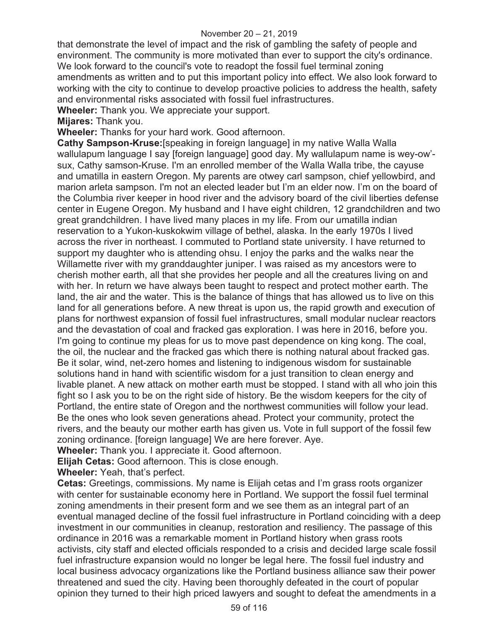#### November 20 – 21, 2019

that demonstrate the level of impact and the risk of gambling the safety of people and environment. The community is more motivated than ever to support the city's ordinance. We look forward to the council's vote to readopt the fossil fuel terminal zoning amendments as written and to put this important policy into effect. We also look forward to working with the city to continue to develop proactive policies to address the health, safety and environmental risks associated with fossil fuel infrastructures.

**Wheeler:** Thank you. We appreciate your support.

**Mijares:** Thank you.

**Wheeler:** Thanks for your hard work. Good afternoon.

**Cathy Sampson-Kruse:**[speaking in foreign language] in my native Walla Walla wallulapum language I say [foreign language] good day. My wallulapum name is wey-ow' sux, Cathy samson-Kruse. I'm an enrolled member of the Walla Walla tribe, the cayuse and umatilla in eastern Oregon. My parents are otwey carl sampson, chief yellowbird, and marion arleta sampson. I'm not an elected leader but I'm an elder now. I'm on the board of the Columbia river keeper in hood river and the advisory board of the civil liberties defense center in Eugene Oregon. My husband and I have eight children, 12 grandchildren and two great grandchildren. I have lived many places in my life. From our umatilla indian reservation to a Yukon-kuskokwim village of bethel, alaska. In the early 1970s I lived across the river in northeast. I commuted to Portland state university. I have returned to support my daughter who is attending ohsu. I enjoy the parks and the walks near the Willamette river with my granddaughter juniper. I was raised as my ancestors were to cherish mother earth, all that she provides her people and all the creatures living on and with her. In return we have always been taught to respect and protect mother earth. The land, the air and the water. This is the balance of things that has allowed us to live on this land for all generations before. A new threat is upon us, the rapid growth and execution of plans for northwest expansion of fossil fuel infrastructures, small modular nuclear reactors and the devastation of coal and fracked gas exploration. I was here in 2016, before you. I'm going to continue my pleas for us to move past dependence on king kong. The coal, the oil, the nuclear and the fracked gas which there is nothing natural about fracked gas. Be it solar, wind, net-zero homes and listening to indigenous wisdom for sustainable solutions hand in hand with scientific wisdom for a just transition to clean energy and livable planet. A new attack on mother earth must be stopped. I stand with all who join this fight so I ask you to be on the right side of history. Be the wisdom keepers for the city of Portland, the entire state of Oregon and the northwest communities will follow your lead. Be the ones who look seven generations ahead. Protect your community, protect the rivers, and the beauty our mother earth has given us. Vote in full support of the fossil few zoning ordinance. [foreign language] We are here forever. Aye.

**Wheeler:** Thank you. I appreciate it. Good afternoon.

**Elijah Cetas:** Good afternoon. This is close enough.

**Wheeler:** Yeah, that's perfect.

**Cetas:** Greetings, commissions. My name is Elijah cetas and I'm grass roots organizer with center for sustainable economy here in Portland. We support the fossil fuel terminal zoning amendments in their present form and we see them as an integral part of an eventual managed decline of the fossil fuel infrastructure in Portland coinciding with a deep investment in our communities in cleanup, restoration and resiliency. The passage of this ordinance in 2016 was a remarkable moment in Portland history when grass roots activists, city staff and elected officials responded to a crisis and decided large scale fossil fuel infrastructure expansion would no longer be legal here. The fossil fuel industry and local business advocacy organizations like the Portland business alliance saw their power threatened and sued the city. Having been thoroughly defeated in the court of popular opinion they turned to their high priced lawyers and sought to defeat the amendments in a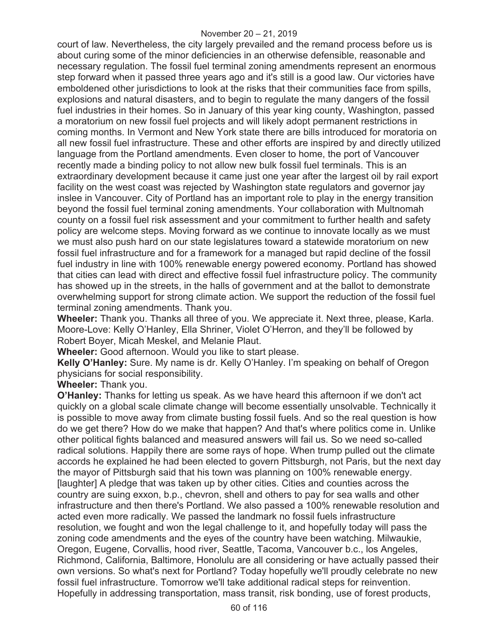court of law. Nevertheless, the city largely prevailed and the remand process before us is about curing some of the minor deficiencies in an otherwise defensible, reasonable and necessary regulation. The fossil fuel terminal zoning amendments represent an enormous step forward when it passed three years ago and it's still is a good law. Our victories have emboldened other jurisdictions to look at the risks that their communities face from spills, explosions and natural disasters, and to begin to regulate the many dangers of the fossil fuel industries in their homes. So in January of this year king county, Washington, passed a moratorium on new fossil fuel projects and will likely adopt permanent restrictions in coming months. In Vermont and New York state there are bills introduced for moratoria on all new fossil fuel infrastructure. These and other efforts are inspired by and directly utilized language from the Portland amendments. Even closer to home, the port of Vancouver recently made a binding policy to not allow new bulk fossil fuel terminals. This is an extraordinary development because it came just one year after the largest oil by rail export facility on the west coast was rejected by Washington state regulators and governor jay inslee in Vancouver. City of Portland has an important role to play in the energy transition beyond the fossil fuel terminal zoning amendments. Your collaboration with Multnomah county on a fossil fuel risk assessment and your commitment to further health and safety policy are welcome steps. Moving forward as we continue to innovate locally as we must we must also push hard on our state legislatures toward a statewide moratorium on new fossil fuel infrastructure and for a framework for a managed but rapid decline of the fossil fuel industry in line with 100% renewable energy powered economy. Portland has showed that cities can lead with direct and effective fossil fuel infrastructure policy. The community has showed up in the streets, in the halls of government and at the ballot to demonstrate overwhelming support for strong climate action. We support the reduction of the fossil fuel terminal zoning amendments. Thank you.

**Wheeler:** Thank you. Thanks all three of you. We appreciate it. Next three, please, Karla. Moore-Love: Kelly O'Hanley, Ella Shriner, Violet O'Herron, and they'll be followed by Robert Boyer, Micah Meskel, and Melanie Plaut.

**Wheeler:** Good afternoon. Would you like to start please.

**Kelly O'Hanley:** Sure. My name is dr. Kelly O'Hanley. I'm speaking on behalf of Oregon physicians for social responsibility.

**Wheeler:** Thank you.

**O'Hanley:** Thanks for letting us speak. As we have heard this afternoon if we don't act quickly on a global scale climate change will become essentially unsolvable. Technically it is possible to move away from climate busting fossil fuels. And so the real question is how do we get there? How do we make that happen? And that's where politics come in. Unlike other political fights balanced and measured answers will fail us. So we need so-called radical solutions. Happily there are some rays of hope. When trump pulled out the climate accords he explained he had been elected to govern Pittsburgh, not Paris, but the next day the mayor of Pittsburgh said that his town was planning on 100% renewable energy. [laughter] A pledge that was taken up by other cities. Cities and counties across the country are suing exxon, b.p., chevron, shell and others to pay for sea walls and other infrastructure and then there's Portland. We also passed a 100% renewable resolution and acted even more radically. We passed the landmark no fossil fuels infrastructure resolution, we fought and won the legal challenge to it, and hopefully today will pass the zoning code amendments and the eyes of the country have been watching. Milwaukie, Oregon, Eugene, Corvallis, hood river, Seattle, Tacoma, Vancouver b.c., los Angeles, Richmond, California, Baltimore, Honolulu are all considering or have actually passed their own versions. So what's next for Portland? Today hopefully we'll proudly celebrate no new fossil fuel infrastructure. Tomorrow we'll take additional radical steps for reinvention. Hopefully in addressing transportation, mass transit, risk bonding, use of forest products,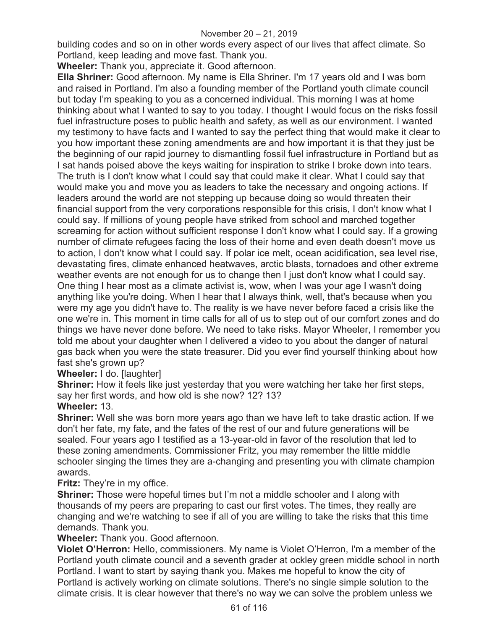building codes and so on in other words every aspect of our lives that affect climate. So Portland, keep leading and move fast. Thank you.

**Wheeler:** Thank you, appreciate it. Good afternoon.

**Ella Shriner:** Good afternoon. My name is Ella Shriner. I'm 17 years old and I was born and raised in Portland. I'm also a founding member of the Portland youth climate council but today I'm speaking to you as a concerned individual. This morning I was at home thinking about what I wanted to say to you today. I thought I would focus on the risks fossil fuel infrastructure poses to public health and safety, as well as our environment. I wanted my testimony to have facts and I wanted to say the perfect thing that would make it clear to you how important these zoning amendments are and how important it is that they just be the beginning of our rapid journey to dismantling fossil fuel infrastructure in Portland but as I sat hands poised above the keys waiting for inspiration to strike I broke down into tears. The truth is I don't know what I could say that could make it clear. What I could say that would make you and move you as leaders to take the necessary and ongoing actions. If leaders around the world are not stepping up because doing so would threaten their financial support from the very corporations responsible for this crisis, I don't know what I could say. If millions of young people have striked from school and marched together screaming for action without sufficient response I don't know what I could say. If a growing number of climate refugees facing the loss of their home and even death doesn't move us to action, I don't know what I could say. If polar ice melt, ocean acidification, sea level rise, devastating fires, climate enhanced heatwaves, arctic blasts, tornadoes and other extreme weather events are not enough for us to change then I just don't know what I could say. One thing I hear most as a climate activist is, wow, when I was your age I wasn't doing anything like you're doing. When I hear that I always think, well, that's because when you were my age you didn't have to. The reality is we have never before faced a crisis like the one we're in. This moment in time calls for all of us to step out of our comfort zones and do things we have never done before. We need to take risks. Mayor Wheeler, I remember you told me about your daughter when I delivered a video to you about the danger of natural gas back when you were the state treasurer. Did you ever find yourself thinking about how fast she's grown up?

**Wheeler:** I do. [laughter]

**Shriner:** How it feels like just yesterday that you were watching her take her first steps, say her first words, and how old is she now? 12? 13?

# **Wheeler:** 13.

**Shriner:** Well she was born more years ago than we have left to take drastic action. If we don't her fate, my fate, and the fates of the rest of our and future generations will be sealed. Four years ago I testified as a 13-year-old in favor of the resolution that led to these zoning amendments. Commissioner Fritz, you may remember the little middle schooler singing the times they are a-changing and presenting you with climate champion awards.

## **Fritz:** They're in my office.

**Shriner:** Those were hopeful times but I'm not a middle schooler and I along with thousands of my peers are preparing to cast our first votes. The times, they really are changing and we're watching to see if all of you are willing to take the risks that this time demands. Thank you.

**Wheeler:** Thank you. Good afternoon.

**Violet O'Herron:** Hello, commissioners. My name is Violet O'Herron, I'm a member of the Portland youth climate council and a seventh grader at ockley green middle school in north Portland. I want to start by saying thank you. Makes me hopeful to know the city of Portland is actively working on climate solutions. There's no single simple solution to the climate crisis. It is clear however that there's no way we can solve the problem unless we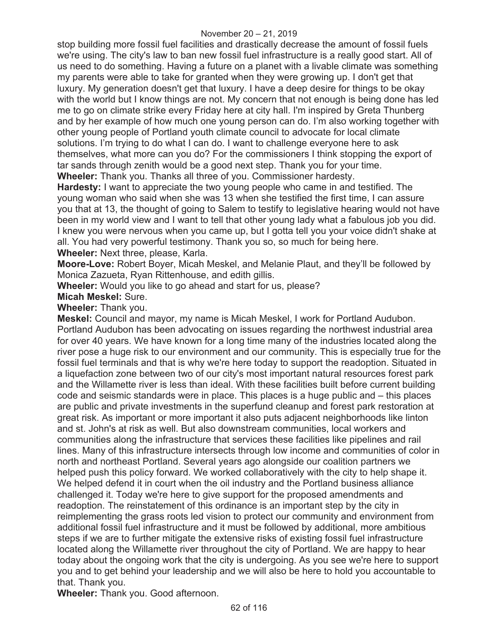stop building more fossil fuel facilities and drastically decrease the amount of fossil fuels we're using. The city's law to ban new fossil fuel infrastructure is a really good start. All of us need to do something. Having a future on a planet with a livable climate was something my parents were able to take for granted when they were growing up. I don't get that luxury. My generation doesn't get that luxury. I have a deep desire for things to be okay with the world but I know things are not. My concern that not enough is being done has led me to go on climate strike every Friday here at city hall. I'm inspired by Greta Thunberg and by her example of how much one young person can do. I'm also working together with other young people of Portland youth climate council to advocate for local climate solutions. I'm trying to do what I can do. I want to challenge everyone here to ask themselves, what more can you do? For the commissioners I think stopping the export of tar sands through zenith would be a good next step. Thank you for your time. **Wheeler:** Thank you. Thanks all three of you. Commissioner hardesty.

**Hardesty:** I want to appreciate the two young people who came in and testified. The young woman who said when she was 13 when she testified the first time, I can assure you that at 13, the thought of going to Salem to testify to legislative hearing would not have been in my world view and I want to tell that other young lady what a fabulous job you did. I knew you were nervous when you came up, but I gotta tell you your voice didn't shake at all. You had very powerful testimony. Thank you so, so much for being here. **Wheeler:** Next three, please, Karla.

**Moore-Love:** Robert Boyer, Micah Meskel, and Melanie Plaut, and they'll be followed by Monica Zazueta, Ryan Rittenhouse, and edith gillis.

**Wheeler:** Would you like to go ahead and start for us, please?

**Micah Meskel:** Sure.

**Wheeler:** Thank you.

**Meskel:** Council and mayor, my name is Micah Meskel, I work for Portland Audubon. Portland Audubon has been advocating on issues regarding the northwest industrial area for over 40 years. We have known for a long time many of the industries located along the river pose a huge risk to our environment and our community. This is especially true for the fossil fuel terminals and that is why we're here today to support the readoption. Situated in a liquefaction zone between two of our city's most important natural resources forest park and the Willamette river is less than ideal. With these facilities built before current building code and seismic standards were in place. This places is a huge public and – this places are public and private investments in the superfund cleanup and forest park restoration at great risk. As important or more important it also puts adjacent neighborhoods like linton and st. John's at risk as well. But also downstream communities, local workers and communities along the infrastructure that services these facilities like pipelines and rail lines. Many of this infrastructure intersects through low income and communities of color in north and northeast Portland. Several years ago alongside our coalition partners we helped push this policy forward. We worked collaboratively with the city to help shape it. We helped defend it in court when the oil industry and the Portland business alliance challenged it. Today we're here to give support for the proposed amendments and readoption. The reinstatement of this ordinance is an important step by the city in reimplementing the grass roots led vision to protect our community and environment from additional fossil fuel infrastructure and it must be followed by additional, more ambitious steps if we are to further mitigate the extensive risks of existing fossil fuel infrastructure located along the Willamette river throughout the city of Portland. We are happy to hear today about the ongoing work that the city is undergoing. As you see we're here to support you and to get behind your leadership and we will also be here to hold you accountable to that. Thank you.

**Wheeler:** Thank you. Good afternoon.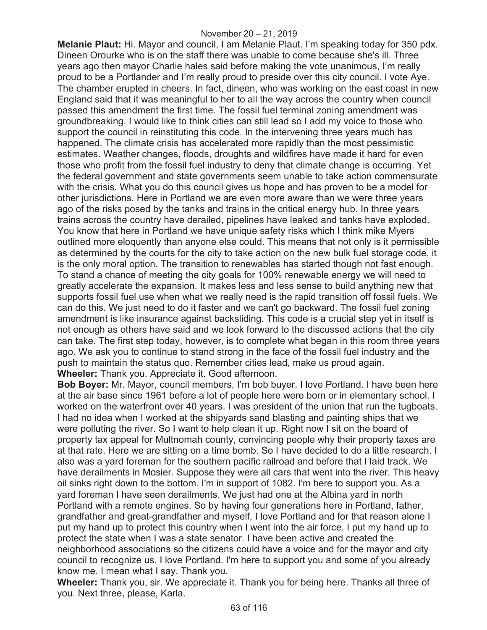**Melanie Plaut:** Hi. Mayor and council, I am Melanie Plaut. I'm speaking today for 350 pdx. Dineen Orourke who is on the staff there was unable to come because she's ill. Three years ago then mayor Charlie hales said before making the vote unanimous, I'm really proud to be a Portlander and I'm really proud to preside over this city council. I vote Aye. The chamber erupted in cheers. In fact, dineen, who was working on the east coast in new England said that it was meaningful to her to all the way across the country when council passed this amendment the first time. The fossil fuel terminal zoning amendment was groundbreaking. I would like to think cities can still lead so I add my voice to those who support the council in reinstituting this code. In the intervening three years much has happened. The climate crisis has accelerated more rapidly than the most pessimistic estimates. Weather changes, floods, droughts and wildfires have made it hard for even those who profit from the fossil fuel industry to deny that climate change is occurring. Yet the federal government and state governments seem unable to take action commensurate with the crisis. What you do this council gives us hope and has proven to be a model for other jurisdictions. Here in Portland we are even more aware than we were three years ago of the risks posed by the tanks and trains in the critical energy hub. In three years trains across the country have derailed, pipelines have leaked and tanks have exploded. You know that here in Portland we have unique safety risks which I think mike Myers outlined more eloquently than anyone else could. This means that not only is it permissible as determined by the courts for the city to take action on the new bulk fuel storage code, it is the only moral option. The transition to renewables has started though not fast enough. To stand a chance of meeting the city goals for 100% renewable energy we will need to greatly accelerate the expansion. It makes less and less sense to build anything new that supports fossil fuel use when what we really need is the rapid transition off fossil fuels. We can do this. We just need to do it faster and we can't go backward. The fossil fuel zoning amendment is like insurance against backsliding. This code is a crucial step yet in itself is not enough as others have said and we look forward to the discussed actions that the city can take. The first step today, however, is to complete what began in this room three years ago. We ask you to continue to stand strong in the face of the fossil fuel industry and the push to maintain the status quo. Remember cities lead, make us proud again. **Wheeler:** Thank you. Appreciate it. Good afternoon.

**Bob Boyer:** Mr. Mayor, council members, I'm bob buyer. I love Portland. I have been here at the air base since 1961 before a lot of people here were born or in elementary school. I worked on the waterfront over 40 years. I was president of the union that run the tugboats. I had no idea when I worked at the shipyards sand blasting and painting ships that we were polluting the river. So I want to help clean it up. Right now I sit on the board of property tax appeal for Multnomah county, convincing people why their property taxes are at that rate. Here we are sitting on a time bomb. So I have decided to do a little research. I also was a yard foreman for the southern pacific railroad and before that I laid track. We have derailments in Mosier. Suppose they were all cars that went into the river. This heavy oil sinks right down to the bottom. I'm in support of 1082. I'm here to support you. As a yard foreman I have seen derailments. We just had one at the Albina yard in north Portland with a remote engines. So by having four generations here in Portland, father, grandfather and great-grandfather and myself, I love Portland and for that reason alone I put my hand up to protect this country when I went into the air force. I put my hand up to protect the state when I was a state senator. I have been active and created the neighborhood associations so the citizens could have a voice and for the mayor and city council to recognize us. I love Portland. I'm here to support you and some of you already know me. I mean what I say. Thank you.

**Wheeler:** Thank you, sir. We appreciate it. Thank you for being here. Thanks all three of you. Next three, please, Karla.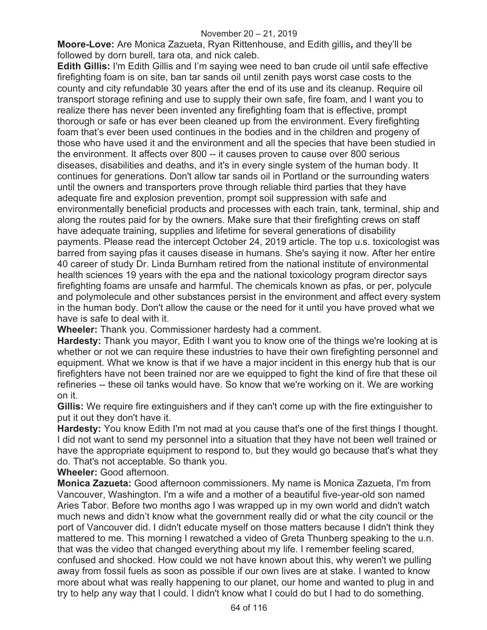**Moore-Love:** Are Monica Zazueta, Ryan Rittenhouse, and Edith gillis**,** and they'll be followed by dorn burell, tara ota, and nick caleb.

**Edith Gillis:** I'm Edith Gillis and I'm saying wee need to ban crude oil until safe effective firefighting foam is on site, ban tar sands oil until zenith pays worst case costs to the county and city refundable 30 years after the end of its use and its cleanup. Require oil transport storage refining and use to supply their own safe, fire foam, and I want you to realize there has never been invented any firefighting foam that is effective, prompt thorough or safe or has ever been cleaned up from the environment. Every firefighting foam that's ever been used continues in the bodies and in the children and progeny of those who have used it and the environment and all the species that have been studied in the environment. It affects over 800 -- it causes proven to cause over 800 serious diseases, disabilities and deaths, and it's in every single system of the human body. It continues for generations. Don't allow tar sands oil in Portland or the surrounding waters until the owners and transporters prove through reliable third parties that they have adequate fire and explosion prevention, prompt soil suppression with safe and environmentally beneficial products and processes with each train, tank, terminal, ship and along the routes paid for by the owners. Make sure that their firefighting crews on staff have adequate training, supplies and lifetime for several generations of disability payments. Please read the intercept October 24, 2019 article. The top u.s. toxicologist was barred from saying pfas it causes disease in humans. She's saying it now. After her entire 40 career of study Dr. Linda Burnham retired from the national institute of environmental health sciences 19 years with the epa and the national toxicology program director says firefighting foams are unsafe and harmful. The chemicals known as pfas, or per, polycule and polymolecule and other substances persist in the environment and affect every system in the human body. Don't allow the cause or the need for it until you have proved what we have is safe to deal with it.

**Wheeler:** Thank you. Commissioner hardesty had a comment.

**Hardesty:** Thank you mayor, Edith I want you to know one of the things we're looking at is whether or not we can require these industries to have their own firefighting personnel and equipment. What we know is that if we have a major incident in this energy hub that is our firefighters have not been trained nor are we equipped to fight the kind of fire that these oil refineries -- these oil tanks would have. So know that we're working on it. We are working on it.

**Gillis:** We require fire extinguishers and if they can't come up with the fire extinguisher to put it out they don't have it.

**Hardesty:** You know Edith I'm not mad at you cause that's one of the first things I thought. I did not want to send my personnel into a situation that they have not been well trained or have the appropriate equipment to respond to, but they would go because that's what they do. That's not acceptable. So thank you.

**Wheeler:** Good afternoon.

**Monica Zazueta:** Good afternoon commissioners. My name is Monica Zazueta, I'm from Vancouver, Washington. I'm a wife and a mother of a beautiful five-year-old son named Aries Tabor. Before two months ago I was wrapped up in my own world and didn't watch much news and didn't know what the government really did or what the city council or the port of Vancouver did. I didn't educate myself on those matters because I didn't think they mattered to me. This morning I rewatched a video of Greta Thunberg speaking to the u.n. that was the video that changed everything about my life. I remember feeling scared, confused and shocked. How could we not have known about this, why weren't we pulling away from fossil fuels as soon as possible if our own lives are at stake. I wanted to know more about what was really happening to our planet, our home and wanted to plug in and try to help any way that I could. I didn't know what I could do but I had to do something.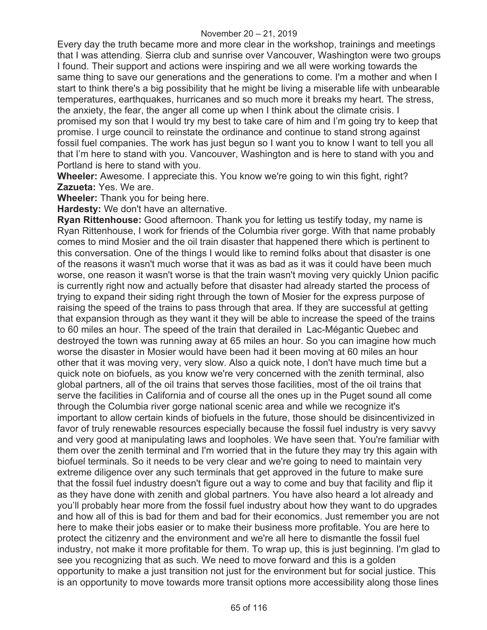Every day the truth became more and more clear in the workshop, trainings and meetings that I was attending. Sierra club and sunrise over Vancouver, Washington were two groups I found. Their support and actions were inspiring and we all were working towards the same thing to save our generations and the generations to come. I'm a mother and when I start to think there's a big possibility that he might be living a miserable life with unbearable temperatures, earthquakes, hurricanes and so much more it breaks my heart. The stress, the anxiety, the fear, the anger all come up when I think about the climate crisis. I promised my son that I would try my best to take care of him and I'm going try to keep that promise. I urge council to reinstate the ordinance and continue to stand strong against fossil fuel companies. The work has just begun so I want you to know I want to tell you all that I'm here to stand with you. Vancouver, Washington and is here to stand with you and Portland is here to stand with you.

**Wheeler:** Awesome. I appreciate this. You know we're going to win this fight, right? **Zazueta:** Yes. We are.

**Wheeler:** Thank you for being here.

**Hardesty:** We don't have an alternative.

**Ryan Rittenhouse:** Good afternoon. Thank you for letting us testify today, my name is Ryan Rittenhouse, I work for friends of the Columbia river gorge. With that name probably comes to mind Mosier and the oil train disaster that happened there which is pertinent to this conversation. One of the things I would like to remind folks about that disaster is one of the reasons it wasn't much worse that it was as bad as it was it could have been much worse, one reason it wasn't worse is that the train wasn't moving very quickly Union pacific is currently right now and actually before that disaster had already started the process of trying to expand their siding right through the town of Mosier for the express purpose of raising the speed of the trains to pass through that area. If they are successful at getting that expansion through as they want it they will be able to increase the speed of the trains to 60 miles an hour. The speed of the train that derailed in Lac-Mégantic Quebec and destroyed the town was running away at 65 miles an hour. So you can imagine how much worse the disaster in Mosier would have been had it been moving at 60 miles an hour other that it was moving very, very slow. Also a quick note, I don't have much time but a quick note on biofuels, as you know we're very concerned with the zenith terminal, also global partners, all of the oil trains that serves those facilities, most of the oil trains that serve the facilities in California and of course all the ones up in the Puget sound all come through the Columbia river gorge national scenic area and while we recognize it's important to allow certain kinds of biofuels in the future, those should be disincentivized in favor of truly renewable resources especially because the fossil fuel industry is very savvy and very good at manipulating laws and loopholes. We have seen that. You're familiar with them over the zenith terminal and I'm worried that in the future they may try this again with biofuel terminals. So it needs to be very clear and we're going to need to maintain very extreme diligence over any such terminals that get approved in the future to make sure that the fossil fuel industry doesn't figure out a way to come and buy that facility and flip it as they have done with zenith and global partners. You have also heard a lot already and you'll probably hear more from the fossil fuel industry about how they want to do upgrades and how all of this is bad for them and bad for their economics. Just remember you are not here to make their jobs easier or to make their business more profitable. You are here to protect the citizenry and the environment and we're all here to dismantle the fossil fuel industry, not make it more profitable for them. To wrap up, this is just beginning. I'm glad to see you recognizing that as such. We need to move forward and this is a golden opportunity to make a just transition not just for the environment but for social justice. This is an opportunity to move towards more transit options more accessibility along those lines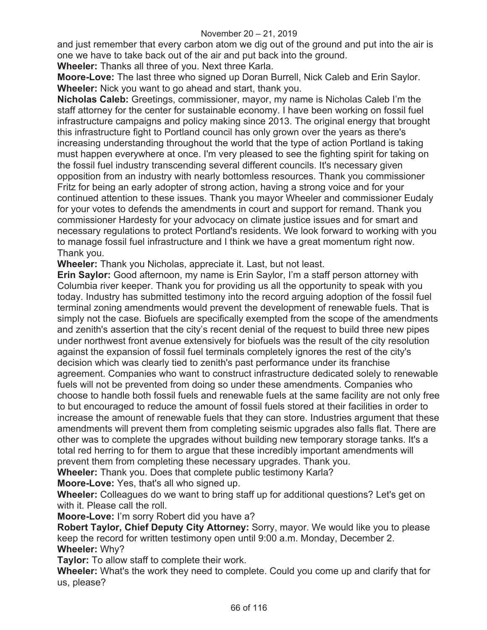and just remember that every carbon atom we dig out of the ground and put into the air is one we have to take back out of the air and put back into the ground.

**Wheeler:** Thanks all three of you. Next three Karla.

**Moore-Love:** The last three who signed up Doran Burrell, Nick Caleb and Erin Saylor. **Wheeler:** Nick you want to go ahead and start, thank you.

**Nicholas Caleb:** Greetings, commissioner, mayor, my name is Nicholas Caleb I'm the staff attorney for the center for sustainable economy. I have been working on fossil fuel infrastructure campaigns and policy making since 2013. The original energy that brought this infrastructure fight to Portland council has only grown over the years as there's increasing understanding throughout the world that the type of action Portland is taking must happen everywhere at once. I'm very pleased to see the fighting spirit for taking on the fossil fuel industry transcending several different councils. It's necessary given opposition from an industry with nearly bottomless resources. Thank you commissioner Fritz for being an early adopter of strong action, having a strong voice and for your continued attention to these issues. Thank you mayor Wheeler and commissioner Eudaly for your votes to defends the amendments in court and support for remand. Thank you commissioner Hardesty for your advocacy on climate justice issues and for smart and necessary regulations to protect Portland's residents. We look forward to working with you to manage fossil fuel infrastructure and I think we have a great momentum right now. Thank you.

**Wheeler:** Thank you Nicholas, appreciate it. Last, but not least.

**Erin Saylor:** Good afternoon, my name is Erin Saylor, I'm a staff person attorney with Columbia river keeper. Thank you for providing us all the opportunity to speak with you today. Industry has submitted testimony into the record arguing adoption of the fossil fuel terminal zoning amendments would prevent the development of renewable fuels. That is simply not the case. Biofuels are specifically exempted from the scope of the amendments and zenith's assertion that the city's recent denial of the request to build three new pipes under northwest front avenue extensively for biofuels was the result of the city resolution against the expansion of fossil fuel terminals completely ignores the rest of the city's decision which was clearly tied to zenith's past performance under its franchise agreement. Companies who want to construct infrastructure dedicated solely to renewable fuels will not be prevented from doing so under these amendments. Companies who choose to handle both fossil fuels and renewable fuels at the same facility are not only free to but encouraged to reduce the amount of fossil fuels stored at their facilities in order to increase the amount of renewable fuels that they can store. Industries argument that these amendments will prevent them from completing seismic upgrades also falls flat. There are other was to complete the upgrades without building new temporary storage tanks. It's a total red herring to for them to argue that these incredibly important amendments will prevent them from completing these necessary upgrades. Thank you.

**Wheeler:** Thank you. Does that complete public testimony Karla?

**Moore-Love:** Yes, that's all who signed up.

**Wheeler:** Colleagues do we want to bring staff up for additional questions? Let's get on with it. Please call the roll.

**Moore-Love:** I'm sorry Robert did you have a?

**Robert Taylor, Chief Deputy City Attorney:** Sorry, mayor. We would like you to please keep the record for written testimony open until 9:00 a.m. Monday, December 2. **Wheeler:** Why?

**Taylor:** To allow staff to complete their work.

**Wheeler:** What's the work they need to complete. Could you come up and clarify that for us, please?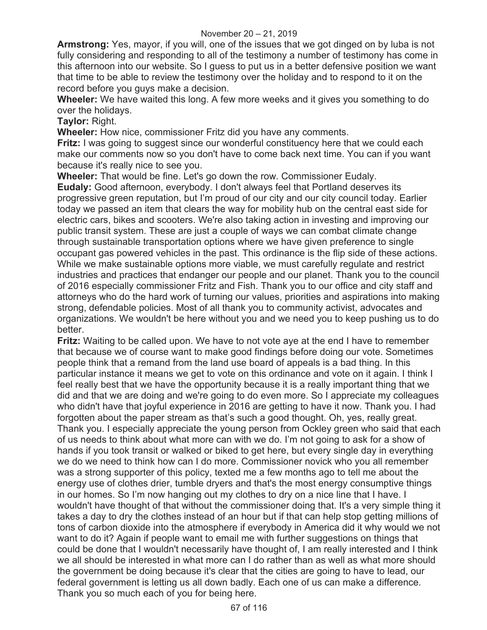**Armstrong:** Yes, mayor, if you will, one of the issues that we got dinged on by luba is not fully considering and responding to all of the testimony a number of testimony has come in this afternoon into our website. So I guess to put us in a better defensive position we want that time to be able to review the testimony over the holiday and to respond to it on the record before you guys make a decision.

**Wheeler:** We have waited this long. A few more weeks and it gives you something to do over the holidays.

**Taylor:** Right.

**Wheeler:** How nice, commissioner Fritz did you have any comments.

**Fritz:** I was going to suggest since our wonderful constituency here that we could each make our comments now so you don't have to come back next time. You can if you want because it's really nice to see you.

**Wheeler:** That would be fine. Let's go down the row. Commissioner Eudaly.

**Eudaly:** Good afternoon, everybody. I don't always feel that Portland deserves its progressive green reputation, but I'm proud of our city and our city council today. Earlier today we passed an item that clears the way for mobility hub on the central east side for electric cars, bikes and scooters. We're also taking action in investing and improving our public transit system. These are just a couple of ways we can combat climate change through sustainable transportation options where we have given preference to single occupant gas powered vehicles in the past. This ordinance is the flip side of these actions. While we make sustainable options more viable, we must carefully regulate and restrict industries and practices that endanger our people and our planet. Thank you to the council of 2016 especially commissioner Fritz and Fish. Thank you to our office and city staff and attorneys who do the hard work of turning our values, priorities and aspirations into making strong, defendable policies. Most of all thank you to community activist, advocates and organizations. We wouldn't be here without you and we need you to keep pushing us to do better.

**Fritz:** Waiting to be called upon. We have to not vote aye at the end I have to remember that because we of course want to make good findings before doing our vote. Sometimes people think that a remand from the land use board of appeals is a bad thing. In this particular instance it means we get to vote on this ordinance and vote on it again. I think I feel really best that we have the opportunity because it is a really important thing that we did and that we are doing and we're going to do even more. So I appreciate my colleagues who didn't have that joyful experience in 2016 are getting to have it now. Thank you. I had forgotten about the paper stream as that's such a good thought. Oh, yes, really great. Thank you. I especially appreciate the young person from Ockley green who said that each of us needs to think about what more can with we do. I'm not going to ask for a show of hands if you took transit or walked or biked to get here, but every single day in everything we do we need to think how can I do more. Commissioner novick who you all remember was a strong supporter of this policy, texted me a few months ago to tell me about the energy use of clothes drier, tumble dryers and that's the most energy consumptive things in our homes. So I'm now hanging out my clothes to dry on a nice line that I have. I wouldn't have thought of that without the commissioner doing that. It's a very simple thing it takes a day to dry the clothes instead of an hour but if that can help stop getting millions of tons of carbon dioxide into the atmosphere if everybody in America did it why would we not want to do it? Again if people want to email me with further suggestions on things that could be done that I wouldn't necessarily have thought of, I am really interested and I think we all should be interested in what more can I do rather than as well as what more should the government be doing because it's clear that the cities are going to have to lead, our federal government is letting us all down badly. Each one of us can make a difference. Thank you so much each of you for being here.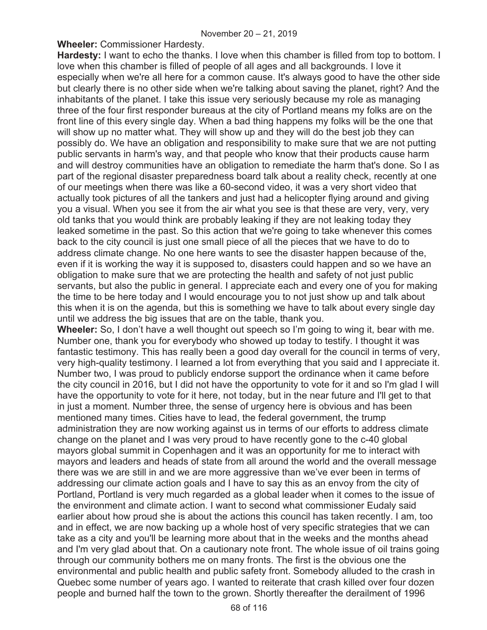**Wheeler:** Commissioner Hardesty.

**Hardesty:** I want to echo the thanks. I love when this chamber is filled from top to bottom. I love when this chamber is filled of people of all ages and all backgrounds. I love it especially when we're all here for a common cause. It's always good to have the other side but clearly there is no other side when we're talking about saving the planet, right? And the inhabitants of the planet. I take this issue very seriously because my role as managing three of the four first responder bureaus at the city of Portland means my folks are on the front line of this every single day. When a bad thing happens my folks will be the one that will show up no matter what. They will show up and they will do the best job they can possibly do. We have an obligation and responsibility to make sure that we are not putting public servants in harm's way, and that people who know that their products cause harm and will destroy communities have an obligation to remediate the harm that's done. So I as part of the regional disaster preparedness board talk about a reality check, recently at one of our meetings when there was like a 60-second video, it was a very short video that actually took pictures of all the tankers and just had a helicopter flying around and giving you a visual. When you see it from the air what you see is that these are very, very, very old tanks that you would think are probably leaking if they are not leaking today they leaked sometime in the past. So this action that we're going to take whenever this comes back to the city council is just one small piece of all the pieces that we have to do to address climate change. No one here wants to see the disaster happen because of the, even if it is working the way it is supposed to, disasters could happen and so we have an obligation to make sure that we are protecting the health and safety of not just public servants, but also the public in general. I appreciate each and every one of you for making the time to be here today and I would encourage you to not just show up and talk about this when it is on the agenda, but this is something we have to talk about every single day until we address the big issues that are on the table, thank you.

**Wheeler:** So, I don't have a well thought out speech so I'm going to wing it, bear with me. Number one, thank you for everybody who showed up today to testify. I thought it was fantastic testimony. This has really been a good day overall for the council in terms of very, very high-quality testimony. I learned a lot from everything that you said and I appreciate it. Number two, I was proud to publicly endorse support the ordinance when it came before the city council in 2016, but I did not have the opportunity to vote for it and so I'm glad I will have the opportunity to vote for it here, not today, but in the near future and I'll get to that in just a moment. Number three, the sense of urgency here is obvious and has been mentioned many times. Cities have to lead, the federal government, the trump administration they are now working against us in terms of our efforts to address climate change on the planet and I was very proud to have recently gone to the c-40 global mayors global summit in Copenhagen and it was an opportunity for me to interact with mayors and leaders and heads of state from all around the world and the overall message there was we are still in and we are more aggressive than we've ever been in terms of addressing our climate action goals and I have to say this as an envoy from the city of Portland, Portland is very much regarded as a global leader when it comes to the issue of the environment and climate action. I want to second what commissioner Eudaly said earlier about how proud she is about the actions this council has taken recently. I am, too and in effect, we are now backing up a whole host of very specific strategies that we can take as a city and you'll be learning more about that in the weeks and the months ahead and I'm very glad about that. On a cautionary note front. The whole issue of oil trains going through our community bothers me on many fronts. The first is the obvious one the environmental and public health and public safety front. Somebody alluded to the crash in Quebec some number of years ago. I wanted to reiterate that crash killed over four dozen people and burned half the town to the grown. Shortly thereafter the derailment of 1996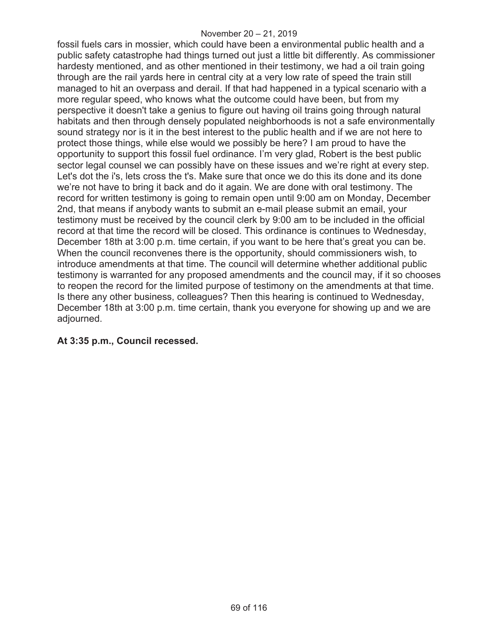fossil fuels cars in mossier, which could have been a environmental public health and a public safety catastrophe had things turned out just a little bit differently. As commissioner hardesty mentioned, and as other mentioned in their testimony, we had a oil train going through are the rail yards here in central city at a very low rate of speed the train still managed to hit an overpass and derail. If that had happened in a typical scenario with a more regular speed, who knows what the outcome could have been, but from my perspective it doesn't take a genius to figure out having oil trains going through natural habitats and then through densely populated neighborhoods is not a safe environmentally sound strategy nor is it in the best interest to the public health and if we are not here to protect those things, while else would we possibly be here? I am proud to have the opportunity to support this fossil fuel ordinance. I'm very glad, Robert is the best public sector legal counsel we can possibly have on these issues and we're right at every step. Let's dot the i's, lets cross the t's. Make sure that once we do this its done and its done we're not have to bring it back and do it again. We are done with oral testimony. The record for written testimony is going to remain open until 9:00 am on Monday, December 2nd, that means if anybody wants to submit an e-mail please submit an email, your testimony must be received by the council clerk by 9:00 am to be included in the official record at that time the record will be closed. This ordinance is continues to Wednesday, December 18th at 3:00 p.m. time certain, if you want to be here that's great you can be. When the council reconvenes there is the opportunity, should commissioners wish, to introduce amendments at that time. The council will determine whether additional public testimony is warranted for any proposed amendments and the council may, if it so chooses to reopen the record for the limited purpose of testimony on the amendments at that time. Is there any other business, colleagues? Then this hearing is continued to Wednesday, December 18th at 3:00 p.m. time certain, thank you everyone for showing up and we are adjourned.

## **At 3:35 p.m., Council recessed.**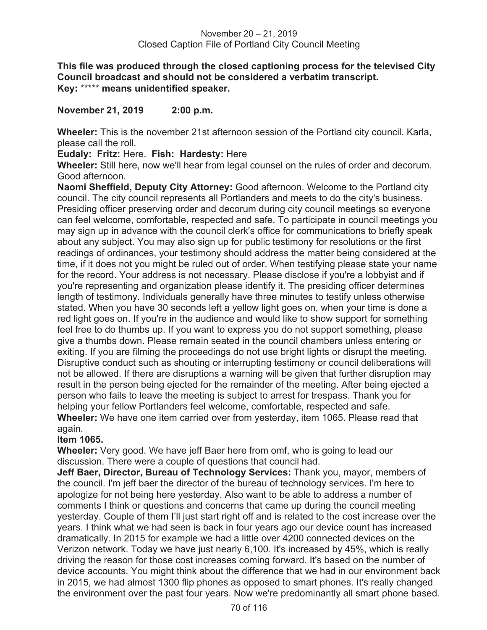**This file was produced through the closed captioning process for the televised City Council broadcast and should not be considered a verbatim transcript. Key:** \*\*\*\*\* **means unidentified speaker.** 

**November 21, 2019 2:00 p.m.** 

**Wheeler:** This is the november 21st afternoon session of the Portland city council. Karla, please call the roll.

**Eudaly: Fritz:** Here. **Fish: Hardesty:** Here

**Wheeler:** Still here, now we'll hear from legal counsel on the rules of order and decorum. Good afternoon.

**Naomi Sheffield, Deputy City Attorney:** Good afternoon. Welcome to the Portland city council. The city council represents all Portlanders and meets to do the city's business. Presiding officer preserving order and decorum during city council meetings so everyone can feel welcome, comfortable, respected and safe. To participate in council meetings you may sign up in advance with the council clerk's office for communications to briefly speak about any subject. You may also sign up for public testimony for resolutions or the first readings of ordinances, your testimony should address the matter being considered at the time, if it does not you might be ruled out of order. When testifying please state your name for the record. Your address is not necessary. Please disclose if you're a lobbyist and if you're representing and organization please identify it. The presiding officer determines length of testimony. Individuals generally have three minutes to testify unless otherwise stated. When you have 30 seconds left a yellow light goes on, when your time is done a red light goes on. If you're in the audience and would like to show support for something feel free to do thumbs up. If you want to express you do not support something, please give a thumbs down. Please remain seated in the council chambers unless entering or exiting. If you are filming the proceedings do not use bright lights or disrupt the meeting. Disruptive conduct such as shouting or interrupting testimony or council deliberations will not be allowed. If there are disruptions a warning will be given that further disruption may result in the person being ejected for the remainder of the meeting. After being ejected a person who fails to leave the meeting is subject to arrest for trespass. Thank you for helping your fellow Portlanders feel welcome, comfortable, respected and safe. **Wheeler:** We have one item carried over from yesterday, item 1065. Please read that again.

## **Item 1065.**

**Wheeler:** Very good. We have jeff Baer here from omf, who is going to lead our discussion. There were a couple of questions that council had.

**Jeff Baer, Director, Bureau of Technology Services:** Thank you, mayor, members of the council. I'm jeff baer the director of the bureau of technology services. I'm here to apologize for not being here yesterday. Also want to be able to address a number of comments I think or questions and concerns that came up during the council meeting yesterday. Couple of them I'll just start right off and is related to the cost increase over the years. I think what we had seen is back in four years ago our device count has increased dramatically. In 2015 for example we had a little over 4200 connected devices on the Verizon network. Today we have just nearly 6,100. It's increased by 45%, which is really driving the reason for those cost increases coming forward. It's based on the number of device accounts. You might think about the difference that we had in our environment back in 2015, we had almost 1300 flip phones as opposed to smart phones. It's really changed the environment over the past four years. Now we're predominantly all smart phone based.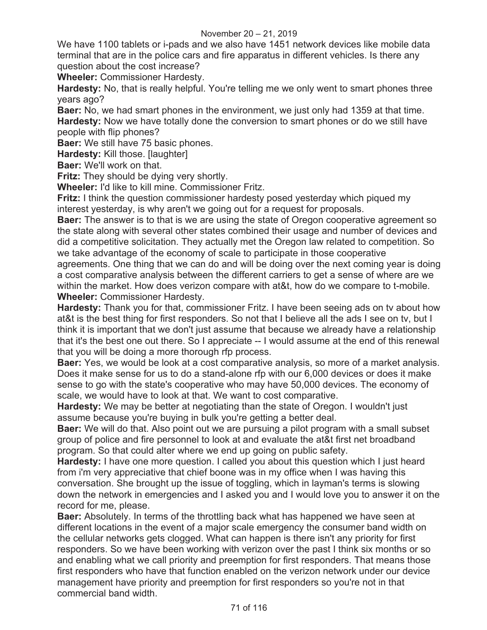We have 1100 tablets or i-pads and we also have 1451 network devices like mobile data terminal that are in the police cars and fire apparatus in different vehicles. Is there any question about the cost increase?

**Wheeler:** Commissioner Hardesty.

**Hardesty:** No, that is really helpful. You're telling me we only went to smart phones three years ago?

**Baer:** No, we had smart phones in the environment, we just only had 1359 at that time. **Hardesty:** Now we have totally done the conversion to smart phones or do we still have people with flip phones?

**Baer:** We still have 75 basic phones.

**Hardesty:** Kill those. **[laughter]** 

**Baer:** We'll work on that.

**Fritz:** They should be dying very shortly.

**Wheeler:** I'd like to kill mine. Commissioner Fritz.

**Fritz:** I think the question commissioner hardesty posed yesterday which piqued my interest yesterday, is why aren't we going out for a request for proposals.

**Baer:** The answer is to that is we are using the state of Oregon cooperative agreement so the state along with several other states combined their usage and number of devices and did a competitive solicitation. They actually met the Oregon law related to competition. So we take advantage of the economy of scale to participate in those cooperative

agreements. One thing that we can do and will be doing over the next coming year is doing a cost comparative analysis between the different carriers to get a sense of where are we within the market. How does verizon compare with at&t, how do we compare to t-mobile. **Wheeler:** Commissioner Hardesty.

**Hardesty:** Thank you for that, commissioner Fritz. I have been seeing ads on tv about how at&t is the best thing for first responders. So not that I believe all the ads I see on tv, but I think it is important that we don't just assume that because we already have a relationship that it's the best one out there. So I appreciate -- I would assume at the end of this renewal that you will be doing a more thorough rfp process.

**Baer:** Yes, we would be look at a cost comparative analysis, so more of a market analysis. Does it make sense for us to do a stand-alone rfp with our 6,000 devices or does it make sense to go with the state's cooperative who may have 50,000 devices. The economy of scale, we would have to look at that. We want to cost comparative.

**Hardesty:** We may be better at negotiating than the state of Oregon. I wouldn't just assume because you're buying in bulk you're getting a better deal.

**Baer:** We will do that. Also point out we are pursuing a pilot program with a small subset group of police and fire personnel to look at and evaluate the at&t first net broadband program. So that could alter where we end up going on public safety.

**Hardesty:** I have one more question. I called you about this question which I just heard from i'm very appreciative that chief boone was in my office when I was having this conversation. She brought up the issue of toggling, which in layman's terms is slowing down the network in emergencies and I asked you and I would love you to answer it on the record for me, please.

**Baer:** Absolutely. In terms of the throttling back what has happened we have seen at different locations in the event of a major scale emergency the consumer band width on the cellular networks gets clogged. What can happen is there isn't any priority for first responders. So we have been working with verizon over the past I think six months or so and enabling what we call priority and preemption for first responders. That means those first responders who have that function enabled on the verizon network under our device management have priority and preemption for first responders so you're not in that commercial band width.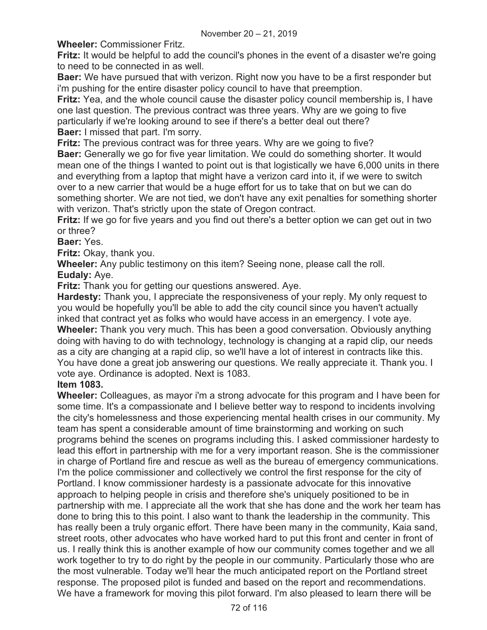**Wheeler:** Commissioner Fritz.

**Fritz:** It would be helpful to add the council's phones in the event of a disaster we're going to need to be connected in as well.

**Baer:** We have pursued that with verizon. Right now you have to be a first responder but i'm pushing for the entire disaster policy council to have that preemption.

**Fritz:** Yea, and the whole council cause the disaster policy council membership is, I have one last question. The previous contract was three years. Why are we going to five particularly if we're looking around to see if there's a better deal out there? **Baer:** I missed that part. I'm sorry.

**Fritz:** The previous contract was for three years. Why are we going to five?

**Baer:** Generally we go for five year limitation. We could do something shorter. It would mean one of the things I wanted to point out is that logistically we have 6,000 units in there and everything from a laptop that might have a verizon card into it, if we were to switch over to a new carrier that would be a huge effort for us to take that on but we can do something shorter. We are not tied, we don't have any exit penalties for something shorter with verizon. That's strictly upon the state of Oregon contract.

**Fritz:** If we go for five years and you find out there's a better option we can get out in two or three?

**Baer:** Yes.

**Fritz:** Okay, thank you.

**Wheeler:** Any public testimony on this item? Seeing none, please call the roll. **Eudaly:** Aye.

**Fritz:** Thank you for getting our questions answered. Aye.

**Hardesty:** Thank you, I appreciate the responsiveness of your reply. My only request to you would be hopefully you'll be able to add the city council since you haven't actually inked that contract yet as folks who would have access in an emergency. I vote aye. **Wheeler:** Thank you very much. This has been a good conversation. Obviously anything doing with having to do with technology, technology is changing at a rapid clip, our needs as a city are changing at a rapid clip, so we'll have a lot of interest in contracts like this. You have done a great job answering our questions. We really appreciate it. Thank you. I vote aye. Ordinance is adopted. Next is 1083.

## **Item 1083.**

**Wheeler:** Colleagues, as mayor i'm a strong advocate for this program and I have been for some time. It's a compassionate and I believe better way to respond to incidents involving the city's homelessness and those experiencing mental health crises in our community. My team has spent a considerable amount of time brainstorming and working on such programs behind the scenes on programs including this. I asked commissioner hardesty to lead this effort in partnership with me for a very important reason. She is the commissioner in charge of Portland fire and rescue as well as the bureau of emergency communications. I'm the police commissioner and collectively we control the first response for the city of Portland. I know commissioner hardesty is a passionate advocate for this innovative approach to helping people in crisis and therefore she's uniquely positioned to be in partnership with me. I appreciate all the work that she has done and the work her team has done to bring this to this point. I also want to thank the leadership in the community. This has really been a truly organic effort. There have been many in the community, Kaia sand, street roots, other advocates who have worked hard to put this front and center in front of us. I really think this is another example of how our community comes together and we all work together to try to do right by the people in our community. Particularly those who are the most vulnerable. Today we'll hear the much anticipated report on the Portland street response. The proposed pilot is funded and based on the report and recommendations. We have a framework for moving this pilot forward. I'm also pleased to learn there will be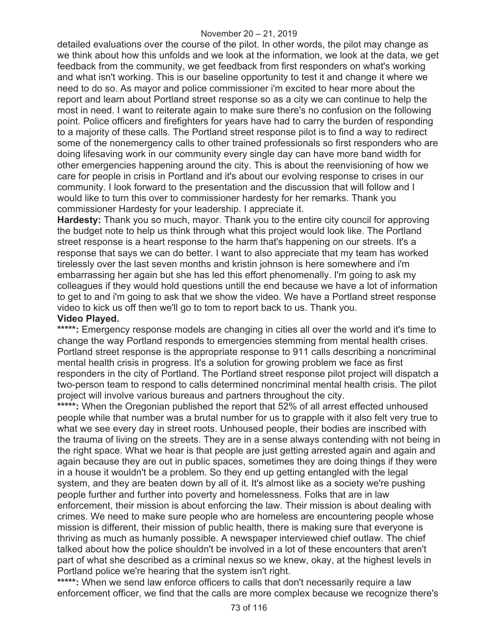detailed evaluations over the course of the pilot. In other words, the pilot may change as we think about how this unfolds and we look at the information, we look at the data, we get feedback from the community, we get feedback from first responders on what's working and what isn't working. This is our baseline opportunity to test it and change it where we need to do so. As mayor and police commissioner i'm excited to hear more about the report and learn about Portland street response so as a city we can continue to help the most in need. I want to reiterate again to make sure there's no confusion on the following point. Police officers and firefighters for years have had to carry the burden of responding to a majority of these calls. The Portland street response pilot is to find a way to redirect some of the nonemergency calls to other trained professionals so first responders who are doing lifesaving work in our community every single day can have more band width for other emergencies happening around the city. This is about the reenvisioning of how we care for people in crisis in Portland and it's about our evolving response to crises in our community. I look forward to the presentation and the discussion that will follow and I would like to turn this over to commissioner hardesty for her remarks. Thank you commissioner Hardesty for your leadership. I appreciate it.

**Hardesty:** Thank you so much, mayor. Thank you to the entire city council for approving the budget note to help us think through what this project would look like. The Portland street response is a heart response to the harm that's happening on our streets. It's a response that says we can do better. I want to also appreciate that my team has worked tirelessly over the last seven months and kristin johnson is here somewhere and i'm embarrassing her again but she has led this effort phenomenally. I'm going to ask my colleagues if they would hold questions untill the end because we have a lot of information to get to and i'm going to ask that we show the video. We have a Portland street response video to kick us off then we'll go to tom to report back to us. Thank you.

### **Video Played.**

\*\*\*\*\*: Emergency response models are changing in cities all over the world and it's time to change the way Portland responds to emergencies stemming from mental health crises. Portland street response is the appropriate response to 911 calls describing a noncriminal mental health crisis in progress. It's a solution for growing problem we face as first responders in the city of Portland. The Portland street response pilot project will dispatch a two-person team to respond to calls determined noncriminal mental health crisis. The pilot project will involve various bureaus and partners throughout the city.

\*\*\*\*\*: When the Oregonian published the report that 52% of all arrest effected unhoused people while that number was a brutal number for us to grapple with it also felt very true to what we see every day in street roots. Unhoused people, their bodies are inscribed with the trauma of living on the streets. They are in a sense always contending with not being in the right space. What we hear is that people are just getting arrested again and again and again because they are out in public spaces, sometimes they are doing things if they were in a house it wouldn't be a problem. So they end up getting entangled with the legal system, and they are beaten down by all of it. It's almost like as a society we're pushing people further and further into poverty and homelessness. Folks that are in law enforcement, their mission is about enforcing the law. Their mission is about dealing with crimes. We need to make sure people who are homeless are encountering people whose mission is different, their mission of public health, there is making sure that everyone is thriving as much as humanly possible. A newspaper interviewed chief outlaw. The chief talked about how the police shouldn't be involved in a lot of these encounters that aren't part of what she described as a criminal nexus so we knew, okay, at the highest levels in Portland police we're hearing that the system isn't right.

\*\*\*\*\*: When we send law enforce officers to calls that don't necessarily require a law enforcement officer, we find that the calls are more complex because we recognize there's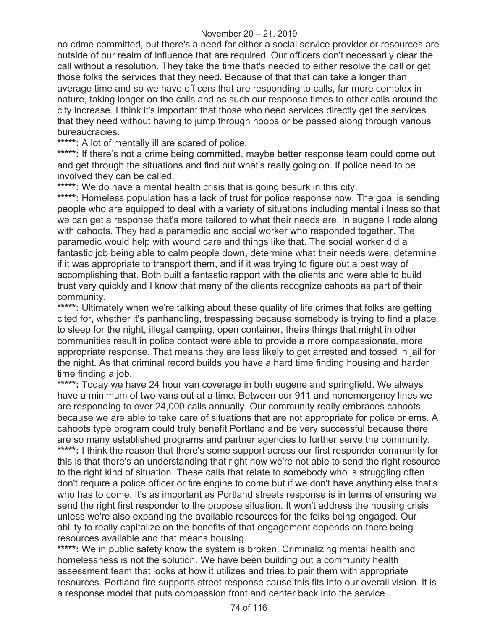no crime committed, but there's a need for either a social service provider or resources are outside of our realm of influence that are required. Our officers don't necessarily clear the call without a resolution. They take the time that's needed to either resolve the call or get those folks the services that they need. Because of that that can take a longer than average time and so we have officers that are responding to calls, far more complex in nature, taking longer on the calls and as such our response times to other calls around the city increase. I think it's important that those who need services directly get the services that they need without having to jump through hoops or be passed along through various bureaucracies.

**\*\*\*\*\*:** A lot of mentally ill are scared of police.

\*\*\*\*\*: If there's not a crime being committed, maybe better response team could come out and get through the situations and find out what's really going on. If police need to be involved they can be called.

\*\*\*\*\*: We do have a mental health crisis that is going besurk in this city.

\*\*\*\*\*: Homeless population has a lack of trust for police response now. The goal is sending people who are equipped to deal with a variety of situations including mental illness so that we can get a response that's more tailored to what their needs are. In eugene I rode along with cahoots. They had a paramedic and social worker who responded together. The paramedic would help with wound care and things like that. The social worker did a fantastic job being able to calm people down, determine what their needs were, determine if it was appropriate to transport them, and if it was trying to figure out a best way of accomplishing that. Both built a fantastic rapport with the clients and were able to build trust very quickly and I know that many of the clients recognize cahoots as part of their community.

\*\*\*\*\*: Ultimately when we're talking about these quality of life crimes that folks are getting cited for, whether it's panhandling, trespassing because somebody is trying to find a place to sleep for the night, illegal camping, open container, theirs things that might in other communities result in police contact were able to provide a more compassionate, more appropriate response. That means they are less likely to get arrested and tossed in jail for the night. As that criminal record builds you have a hard time finding housing and harder time finding a job.

\*\*\*\*\*: Today we have 24 hour van coverage in both eugene and springfield. We always have a minimum of two vans out at a time. Between our 911 and nonemergency lines we are responding to over 24,000 calls annually. Our community really embraces cahoots because we are able to take care of situations that are not appropriate for police or ems. A cahoots type program could truly benefit Portland and be very successful because there are so many established programs and partner agencies to further serve the community. \*\*\*\*\*: I think the reason that there's some support across our first responder community for this is that there's an understanding that right now we're not able to send the right resource to the right kind of situation. These calls that relate to somebody who is struggling often don't require a police officer or fire engine to come but if we don't have anything else that's who has to come. It's as important as Portland streets response is in terms of ensuring we send the right first responder to the propose situation. It won't address the housing crisis unless we're also expanding the available resources for the folks being engaged. Our ability to really capitalize on the benefits of that engagement depends on there being resources available and that means housing.

\*\*\*\*\*: We in public safety know the system is broken. Criminalizing mental health and homelessness is not the solution. We have been building out a community health assessment team that looks at how it utilizes and tries to pair them with appropriate resources. Portland fire supports street response cause this fits into our overall vision. It is a response model that puts compassion front and center back into the service.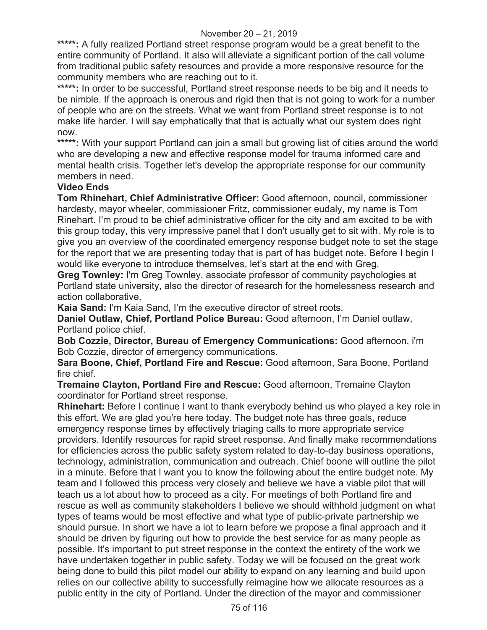\*\*\*\*\*: A fully realized Portland street response program would be a great benefit to the entire community of Portland. It also will alleviate a significant portion of the call volume from traditional public safety resources and provide a more responsive resource for the community members who are reaching out to it.

\*\*\*\*\*: In order to be successful, Portland street response needs to be big and it needs to be nimble. If the approach is onerous and rigid then that is not going to work for a number of people who are on the streets. What we want from Portland street response is to not make life harder. I will say emphatically that that is actually what our system does right now.

\*\*\*\*\*: With your support Portland can join a small but growing list of cities around the world who are developing a new and effective response model for trauma informed care and mental health crisis. Together let's develop the appropriate response for our community members in need.

### **Video Ends**

**Tom Rhinehart, Chief Administrative Officer:** Good afternoon, council, commissioner hardesty, mayor wheeler, commissioner Fritz, commissioner eudaly, my name is Tom Rinehart. I'm proud to be chief administrative officer for the city and am excited to be with this group today, this very impressive panel that I don't usually get to sit with. My role is to give you an overview of the coordinated emergency response budget note to set the stage for the report that we are presenting today that is part of has budget note. Before I begin I would like everyone to introduce themselves, let's start at the end with Greg.

**Greg Townley:** I'm Greg Townley, associate professor of community psychologies at Portland state university, also the director of research for the homelessness research and action collaborative.

**Kaia Sand:** I'm Kaia Sand, I'm the executive director of street roots.

**Daniel Outlaw, Chief, Portland Police Bureau:** Good afternoon, I'm Daniel outlaw, Portland police chief.

**Bob Cozzie, Director, Bureau of Emergency Communications:** Good afternoon, i'm Bob Cozzie, director of emergency communications.

**Sara Boone, Chief, Portland Fire and Rescue:** Good afternoon, Sara Boone, Portland fire chief.

**Tremaine Clayton, Portland Fire and Rescue:** Good afternoon, Tremaine Clayton coordinator for Portland street response.

**Rhinehart:** Before I continue I want to thank everybody behind us who played a key role in this effort. We are glad you're here today. The budget note has three goals, reduce emergency response times by effectively triaging calls to more appropriate service providers. Identify resources for rapid street response. And finally make recommendations for efficiencies across the public safety system related to day-to-day business operations, technology, administration, communication and outreach. Chief boone will outline the pilot in a minute. Before that I want you to know the following about the entire budget note. My team and I followed this process very closely and believe we have a viable pilot that will teach us a lot about how to proceed as a city. For meetings of both Portland fire and rescue as well as community stakeholders I believe we should withhold judgment on what types of teams would be most effective and what type of public-private partnership we should pursue. In short we have a lot to learn before we propose a final approach and it should be driven by figuring out how to provide the best service for as many people as possible. It's important to put street response in the context the entirety of the work we have undertaken together in public safety. Today we will be focused on the great work being done to build this pilot model our ability to expand on any learning and build upon relies on our collective ability to successfully reimagine how we allocate resources as a public entity in the city of Portland. Under the direction of the mayor and commissioner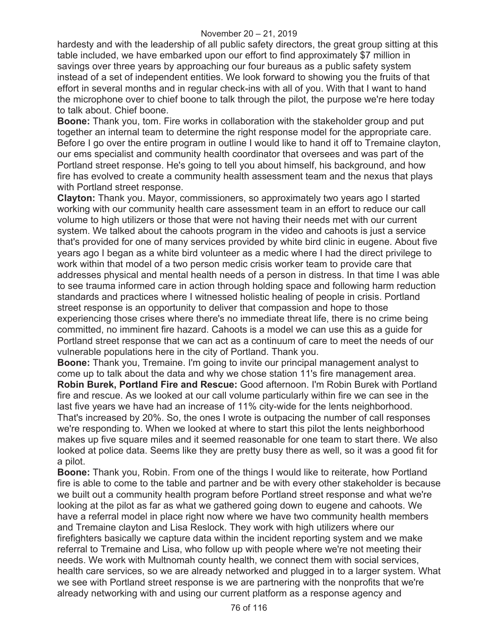#### November 20 – 21, 2019

hardesty and with the leadership of all public safety directors, the great group sitting at this table included, we have embarked upon our effort to find approximately \$7 million in savings over three years by approaching our four bureaus as a public safety system instead of a set of independent entities. We look forward to showing you the fruits of that effort in several months and in regular check-ins with all of you. With that I want to hand the microphone over to chief boone to talk through the pilot, the purpose we're here today to talk about. Chief boone.

**Boone:** Thank you, tom. Fire works in collaboration with the stakeholder group and put together an internal team to determine the right response model for the appropriate care. Before I go over the entire program in outline I would like to hand it off to Tremaine clayton, our ems specialist and community health coordinator that oversees and was part of the Portland street response. He's going to tell you about himself, his background, and how fire has evolved to create a community health assessment team and the nexus that plays with Portland street response.

**Clayton:** Thank you. Mayor, commissioners, so approximately two years ago I started working with our community health care assessment team in an effort to reduce our call volume to high utilizers or those that were not having their needs met with our current system. We talked about the cahoots program in the video and cahoots is just a service that's provided for one of many services provided by white bird clinic in eugene. About five years ago I began as a white bird volunteer as a medic where I had the direct privilege to work within that model of a two person medic crisis worker team to provide care that addresses physical and mental health needs of a person in distress. In that time I was able to see trauma informed care in action through holding space and following harm reduction standards and practices where I witnessed holistic healing of people in crisis. Portland street response is an opportunity to deliver that compassion and hope to those experiencing those crises where there's no immediate threat life, there is no crime being committed, no imminent fire hazard. Cahoots is a model we can use this as a guide for Portland street response that we can act as a continuum of care to meet the needs of our vulnerable populations here in the city of Portland. Thank you.

**Boone:** Thank you, Tremaine. I'm going to invite our principal management analyst to come up to talk about the data and why we chose station 11's fire management area.

**Robin Burek, Portland Fire and Rescue:** Good afternoon. I'm Robin Burek with Portland fire and rescue. As we looked at our call volume particularly within fire we can see in the last five years we have had an increase of 11% city-wide for the lents neighborhood. That's increased by 20%. So, the ones I wrote is outpacing the number of call responses we're responding to. When we looked at where to start this pilot the lents neighborhood makes up five square miles and it seemed reasonable for one team to start there. We also looked at police data. Seems like they are pretty busy there as well, so it was a good fit for a pilot.

**Boone:** Thank you, Robin. From one of the things I would like to reiterate, how Portland fire is able to come to the table and partner and be with every other stakeholder is because we built out a community health program before Portland street response and what we're looking at the pilot as far as what we gathered going down to eugene and cahoots. We have a referral model in place right now where we have two community health members and Tremaine clayton and Lisa Reslock. They work with high utilizers where our firefighters basically we capture data within the incident reporting system and we make referral to Tremaine and Lisa, who follow up with people where we're not meeting their needs. We work with Multnomah county health, we connect them with social services, health care services, so we are already networked and plugged in to a larger system. What we see with Portland street response is we are partnering with the nonprofits that we're already networking with and using our current platform as a response agency and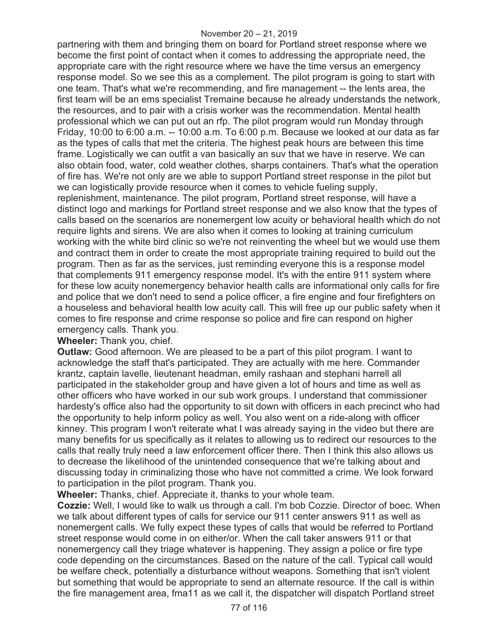partnering with them and bringing them on board for Portland street response where we become the first point of contact when it comes to addressing the appropriate need, the appropriate care with the right resource where we have the time versus an emergency response model. So we see this as a complement. The pilot program is going to start with one team. That's what we're recommending, and fire management -- the lents area, the first team will be an ems specialist Tremaine because he already understands the network, the resources, and to pair with a crisis worker was the recommendation. Mental health professional which we can put out an rfp. The pilot program would run Monday through Friday, 10:00 to 6:00 a.m. -- 10:00 a.m. To 6:00 p.m. Because we looked at our data as far as the types of calls that met the criteria. The highest peak hours are between this time frame. Logistically we can outfit a van basically an suv that we have in reserve. We can also obtain food, water, cold weather clothes, sharps containers. That's what the operation of fire has. We're not only are we able to support Portland street response in the pilot but we can logistically provide resource when it comes to vehicle fueling supply, replenishment, maintenance. The pilot program, Portland street response, will have a distinct logo and markings for Portland street response and we also know that the types of calls based on the scenarios are nonemergent low acuity or behavioral health which do not require lights and sirens. We are also when it comes to looking at training curriculum working with the white bird clinic so we're not reinventing the wheel but we would use them and contract them in order to create the most appropriate training required to build out the program. Then as far as the services, just reminding everyone this is a response model that complements 911 emergency response model. It's with the entire 911 system where for these low acuity nonemergency behavior health calls are informational only calls for fire and police that we don't need to send a police officer, a fire engine and four firefighters on a houseless and behavioral health low acuity call. This will free up our public safety when it comes to fire response and crime response so police and fire can respond on higher emergency calls. Thank you.

**Wheeler:** Thank you, chief.

**Outlaw:** Good afternoon. We are pleased to be a part of this pilot program. I want to acknowledge the staff that's participated. They are actually with me here. Commander krantz, captain lavelle, lieutenant headman, emily rashaan and stephani harrell all participated in the stakeholder group and have given a lot of hours and time as well as other officers who have worked in our sub work groups. I understand that commissioner hardesty's office also had the opportunity to sit down with officers in each precinct who had the opportunity to help inform policy as well. You also went on a ride-along with officer kinney. This program I won't reiterate what I was already saying in the video but there are many benefits for us specifically as it relates to allowing us to redirect our resources to the calls that really truly need a law enforcement officer there. Then I think this also allows us to decrease the likelihood of the unintended consequence that we're talking about and discussing today in criminalizing those who have not committed a crime. We look forward to participation in the pilot program. Thank you.

**Wheeler:** Thanks, chief. Appreciate it, thanks to your whole team.

**Cozzie:** Well, I would like to walk us through a call. I'm bob Cozzie. Director of boec. When we talk about different types of calls for service our 911 center answers 911 as well as nonemergent calls. We fully expect these types of calls that would be referred to Portland street response would come in on either/or. When the call taker answers 911 or that nonemergency call they triage whatever is happening. They assign a police or fire type code depending on the circumstances. Based on the nature of the call. Typical call would be welfare check, potentially a disturbance without weapons. Something that isn't violent but something that would be appropriate to send an alternate resource. If the call is within the fire management area, fma11 as we call it, the dispatcher will dispatch Portland street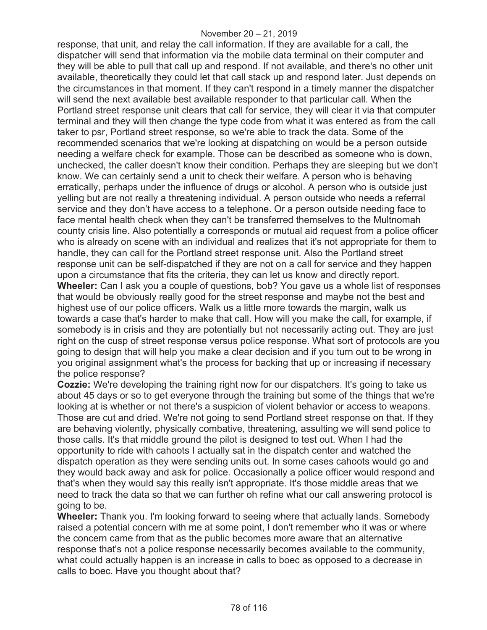response, that unit, and relay the call information. If they are available for a call, the dispatcher will send that information via the mobile data terminal on their computer and they will be able to pull that call up and respond. If not available, and there's no other unit available, theoretically they could let that call stack up and respond later. Just depends on the circumstances in that moment. If they can't respond in a timely manner the dispatcher will send the next available best available responder to that particular call. When the Portland street response unit clears that call for service, they will clear it via that computer terminal and they will then change the type code from what it was entered as from the call taker to psr, Portland street response, so we're able to track the data. Some of the recommended scenarios that we're looking at dispatching on would be a person outside needing a welfare check for example. Those can be described as someone who is down, unchecked, the caller doesn't know their condition. Perhaps they are sleeping but we don't know. We can certainly send a unit to check their welfare. A person who is behaving erratically, perhaps under the influence of drugs or alcohol. A person who is outside just yelling but are not really a threatening individual. A person outside who needs a referral service and they don't have access to a telephone. Or a person outside needing face to face mental health check when they can't be transferred themselves to the Multnomah county crisis line. Also potentially a corresponds or mutual aid request from a police officer who is already on scene with an individual and realizes that it's not appropriate for them to handle, they can call for the Portland street response unit. Also the Portland street response unit can be self-dispatched if they are not on a call for service and they happen upon a circumstance that fits the criteria, they can let us know and directly report. **Wheeler:** Can I ask you a couple of questions, bob? You gave us a whole list of responses that would be obviously really good for the street response and maybe not the best and highest use of our police officers. Walk us a little more towards the margin, walk us towards a case that's harder to make that call. How will you make the call, for example, if somebody is in crisis and they are potentially but not necessarily acting out. They are just right on the cusp of street response versus police response. What sort of protocols are you going to design that will help you make a clear decision and if you turn out to be wrong in you original assignment what's the process for backing that up or increasing if necessary the police response?

**Cozzie:** We're developing the training right now for our dispatchers. It's going to take us about 45 days or so to get everyone through the training but some of the things that we're looking at is whether or not there's a suspicion of violent behavior or access to weapons. Those are cut and dried. We're not going to send Portland street response on that. If they are behaving violently, physically combative, threatening, assulting we will send police to those calls. It's that middle ground the pilot is designed to test out. When I had the opportunity to ride with cahoots I actually sat in the dispatch center and watched the dispatch operation as they were sending units out. In some cases cahoots would go and they would back away and ask for police. Occasionally a police officer would respond and that's when they would say this really isn't appropriate. It's those middle areas that we need to track the data so that we can further oh refine what our call answering protocol is going to be.

**Wheeler:** Thank you. I'm looking forward to seeing where that actually lands. Somebody raised a potential concern with me at some point, I don't remember who it was or where the concern came from that as the public becomes more aware that an alternative response that's not a police response necessarily becomes available to the community, what could actually happen is an increase in calls to boec as opposed to a decrease in calls to boec. Have you thought about that?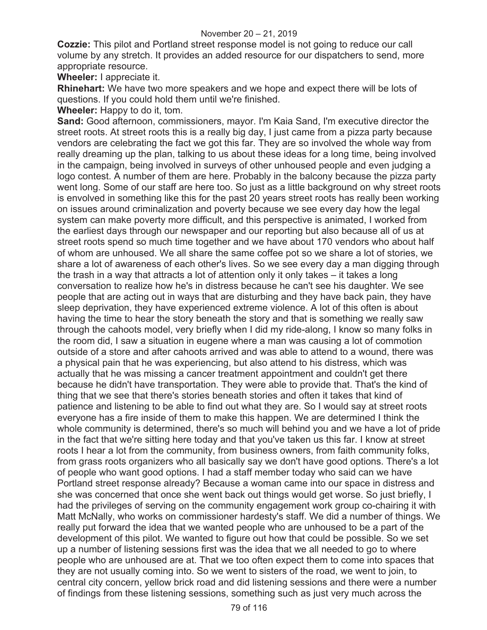**Cozzie:** This pilot and Portland street response model is not going to reduce our call volume by any stretch. It provides an added resource for our dispatchers to send, more appropriate resource.

**Wheeler:** I appreciate it.

**Rhinehart:** We have two more speakers and we hope and expect there will be lots of questions. If you could hold them until we're finished.

**Wheeler:** Happy to do it, tom.

**Sand:** Good afternoon, commissioners, mayor. I'm Kaia Sand, I'm executive director the street roots. At street roots this is a really big day, I just came from a pizza party because vendors are celebrating the fact we got this far. They are so involved the whole way from really dreaming up the plan, talking to us about these ideas for a long time, being involved in the campaign, being involved in surveys of other unhoused people and even judging a logo contest. A number of them are here. Probably in the balcony because the pizza party went long. Some of our staff are here too. So just as a little background on why street roots is envolved in something like this for the past 20 years street roots has really been working on issues around criminalization and poverty because we see every day how the legal system can make poverty more difficult, and this perspective is animated, I worked from the earliest days through our newspaper and our reporting but also because all of us at street roots spend so much time together and we have about 170 vendors who about half of whom are unhoused. We all share the same coffee pot so we share a lot of stories, we share a lot of awareness of each other's lives. So we see every day a man digging through the trash in a way that attracts a lot of attention only it only takes – it takes a long conversation to realize how he's in distress because he can't see his daughter. We see people that are acting out in ways that are disturbing and they have back pain, they have sleep deprivation, they have experienced extreme violence. A lot of this often is about having the time to hear the story beneath the story and that is something we really saw through the cahoots model, very briefly when I did my ride-along, I know so many folks in the room did, I saw a situation in eugene where a man was causing a lot of commotion outside of a store and after cahoots arrived and was able to attend to a wound, there was a physical pain that he was experiencing, but also attend to his distress, which was actually that he was missing a cancer treatment appointment and couldn't get there because he didn't have transportation. They were able to provide that. That's the kind of thing that we see that there's stories beneath stories and often it takes that kind of patience and listening to be able to find out what they are. So I would say at street roots everyone has a fire inside of them to make this happen. We are determined I think the whole community is determined, there's so much will behind you and we have a lot of pride in the fact that we're sitting here today and that you've taken us this far. I know at street roots I hear a lot from the community, from business owners, from faith community folks, from grass roots organizers who all basically say we don't have good options. There's a lot of people who want good options. I had a staff member today who said can we have Portland street response already? Because a woman came into our space in distress and she was concerned that once she went back out things would get worse. So just briefly, I had the privileges of serving on the community engagement work group co-chairing it with Matt McNally, who works on commissioner hardesty's staff. We did a number of things. We really put forward the idea that we wanted people who are unhoused to be a part of the development of this pilot. We wanted to figure out how that could be possible. So we set up a number of listening sessions first was the idea that we all needed to go to where people who are unhoused are at. That we too often expect them to come into spaces that they are not usually coming into. So we went to sisters of the road, we went to join, to central city concern, yellow brick road and did listening sessions and there were a number of findings from these listening sessions, something such as just very much across the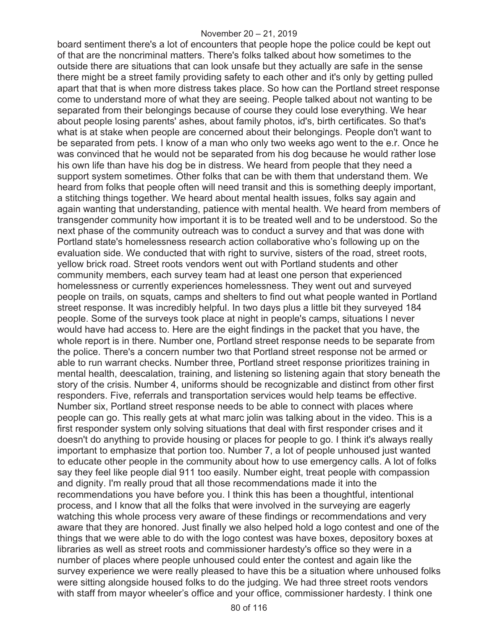board sentiment there's a lot of encounters that people hope the police could be kept out of that are the noncriminal matters. There's folks talked about how sometimes to the outside there are situations that can look unsafe but they actually are safe in the sense there might be a street family providing safety to each other and it's only by getting pulled apart that that is when more distress takes place. So how can the Portland street response come to understand more of what they are seeing. People talked about not wanting to be separated from their belongings because of course they could lose everything. We hear about people losing parents' ashes, about family photos, id's, birth certificates. So that's what is at stake when people are concerned about their belongings. People don't want to be separated from pets. I know of a man who only two weeks ago went to the e.r. Once he was convinced that he would not be separated from his dog because he would rather lose his own life than have his dog be in distress. We heard from people that they need a support system sometimes. Other folks that can be with them that understand them. We heard from folks that people often will need transit and this is something deeply important, a stitching things together. We heard about mental health issues, folks say again and again wanting that understanding, patience with mental health. We heard from members of transgender community how important it is to be treated well and to be understood. So the next phase of the community outreach was to conduct a survey and that was done with Portland state's homelessness research action collaborative who's following up on the evaluation side. We conducted that with right to survive, sisters of the road, street roots, yellow brick road. Street roots vendors went out with Portland students and other community members, each survey team had at least one person that experienced homelessness or currently experiences homelessness. They went out and surveyed people on trails, on squats, camps and shelters to find out what people wanted in Portland street response. It was incredibly helpful. In two days plus a little bit they surveyed 184 people. Some of the surveys took place at night in people's camps, situations I never would have had access to. Here are the eight findings in the packet that you have, the whole report is in there. Number one, Portland street response needs to be separate from the police. There's a concern number two that Portland street response not be armed or able to run warrant checks. Number three, Portland street response prioritizes training in mental health, deescalation, training, and listening so listening again that story beneath the story of the crisis. Number 4, uniforms should be recognizable and distinct from other first responders. Five, referrals and transportation services would help teams be effective. Number six, Portland street response needs to be able to connect with places where people can go. This really gets at what marc jolin was talking about in the video. This is a first responder system only solving situations that deal with first responder crises and it doesn't do anything to provide housing or places for people to go. I think it's always really important to emphasize that portion too. Number 7, a lot of people unhoused just wanted to educate other people in the community about how to use emergency calls. A lot of folks say they feel like people dial 911 too easily. Number eight, treat people with compassion and dignity. I'm really proud that all those recommendations made it into the recommendations you have before you. I think this has been a thoughtful, intentional process, and I know that all the folks that were involved in the surveying are eagerly watching this whole process very aware of these findings or recommendations and very aware that they are honored. Just finally we also helped hold a logo contest and one of the things that we were able to do with the logo contest was have boxes, depository boxes at libraries as well as street roots and commissioner hardesty's office so they were in a number of places where people unhoused could enter the contest and again like the survey experience we were really pleased to have this be a situation where unhoused folks were sitting alongside housed folks to do the judging. We had three street roots vendors with staff from mayor wheeler's office and your office, commissioner hardesty. I think one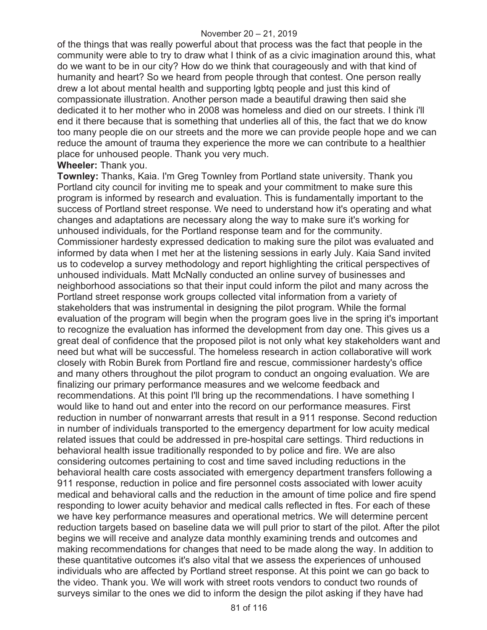of the things that was really powerful about that process was the fact that people in the community were able to try to draw what I think of as a civic imagination around this, what do we want to be in our city? How do we think that courageously and with that kind of humanity and heart? So we heard from people through that contest. One person really drew a lot about mental health and supporting lgbtq people and just this kind of compassionate illustration. Another person made a beautiful drawing then said she dedicated it to her mother who in 2008 was homeless and died on our streets. I think i'll end it there because that is something that underlies all of this, the fact that we do know too many people die on our streets and the more we can provide people hope and we can reduce the amount of trauma they experience the more we can contribute to a healthier place for unhoused people. Thank you very much.

#### **Wheeler:** Thank you.

**Townley:** Thanks, Kaia. I'm Greg Townley from Portland state university. Thank you Portland city council for inviting me to speak and your commitment to make sure this program is informed by research and evaluation. This is fundamentally important to the success of Portland street response. We need to understand how it's operating and what changes and adaptations are necessary along the way to make sure it's working for unhoused individuals, for the Portland response team and for the community. Commissioner hardesty expressed dedication to making sure the pilot was evaluated and informed by data when I met her at the listening sessions in early July. Kaia Sand invited us to codevelop a survey methodology and report highlighting the critical perspectives of unhoused individuals. Matt McNally conducted an online survey of businesses and neighborhood associations so that their input could inform the pilot and many across the Portland street response work groups collected vital information from a variety of stakeholders that was instrumental in designing the pilot program. While the formal evaluation of the program will begin when the program goes live in the spring it's important to recognize the evaluation has informed the development from day one. This gives us a great deal of confidence that the proposed pilot is not only what key stakeholders want and need but what will be successful. The homeless research in action collaborative will work closely with Robin Burek from Portland fire and rescue, commissioner hardesty's office and many others throughout the pilot program to conduct an ongoing evaluation. We are finalizing our primary performance measures and we welcome feedback and recommendations. At this point I'll bring up the recommendations. I have something I would like to hand out and enter into the record on our performance measures. First reduction in number of nonwarrant arrests that result in a 911 response. Second reduction in number of individuals transported to the emergency department for low acuity medical related issues that could be addressed in pre-hospital care settings. Third reductions in behavioral health issue traditionally responded to by police and fire. We are also considering outcomes pertaining to cost and time saved including reductions in the behavioral health care costs associated with emergency department transfers following a 911 response, reduction in police and fire personnel costs associated with lower acuity medical and behavioral calls and the reduction in the amount of time police and fire spend responding to lower acuity behavior and medical calls reflected in ftes. For each of these we have key performance measures and operational metrics. We will determine percent reduction targets based on baseline data we will pull prior to start of the pilot. After the pilot begins we will receive and analyze data monthly examining trends and outcomes and making recommendations for changes that need to be made along the way. In addition to these quantitative outcomes it's also vital that we assess the experiences of unhoused individuals who are affected by Portland street response. At this point we can go back to the video. Thank you. We will work with street roots vendors to conduct two rounds of surveys similar to the ones we did to inform the design the pilot asking if they have had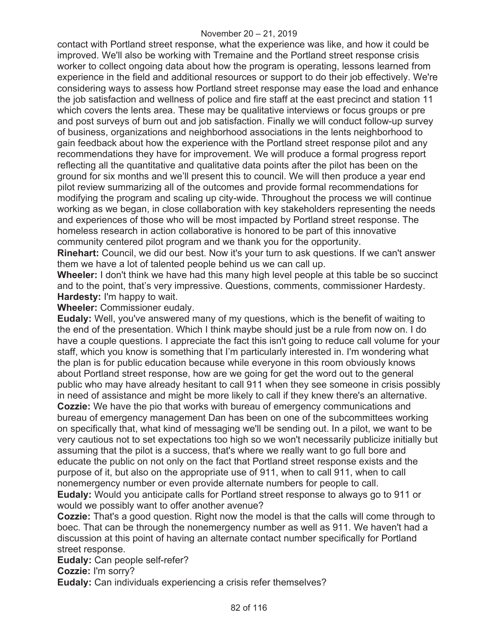contact with Portland street response, what the experience was like, and how it could be improved. We'll also be working with Tremaine and the Portland street response crisis worker to collect ongoing data about how the program is operating, lessons learned from experience in the field and additional resources or support to do their job effectively. We're considering ways to assess how Portland street response may ease the load and enhance the job satisfaction and wellness of police and fire staff at the east precinct and station 11 which covers the lents area. These may be qualitative interviews or focus groups or pre and post surveys of burn out and job satisfaction. Finally we will conduct follow-up survey of business, organizations and neighborhood associations in the lents neighborhood to gain feedback about how the experience with the Portland street response pilot and any recommendations they have for improvement. We will produce a formal progress report reflecting all the quantitative and qualitative data points after the pilot has been on the ground for six months and we'll present this to council. We will then produce a year end pilot review summarizing all of the outcomes and provide formal recommendations for modifying the program and scaling up city-wide. Throughout the process we will continue working as we began, in close collaboration with key stakeholders representing the needs and experiences of those who will be most impacted by Portland street response. The homeless research in action collaborative is honored to be part of this innovative community centered pilot program and we thank you for the opportunity.

**Rinehart:** Council, we did our best. Now it's your turn to ask questions. If we can't answer them we have a lot of talented people behind us we can call up.

**Wheeler:** I don't think we have had this many high level people at this table be so succinct and to the point, that's very impressive. Questions, comments, commissioner Hardesty. **Hardesty:** I'm happy to wait.

**Wheeler:** Commissioner eudaly.

**Eudaly:** Well, you've answered many of my questions, which is the benefit of waiting to the end of the presentation. Which I think maybe should just be a rule from now on. I do have a couple questions. I appreciate the fact this isn't going to reduce call volume for your staff, which you know is something that I'm particularly interested in. I'm wondering what the plan is for public education because while everyone in this room obviously knows about Portland street response, how are we going for get the word out to the general public who may have already hesitant to call 911 when they see someone in crisis possibly in need of assistance and might be more likely to call if they knew there's an alternative. **Cozzie:** We have the pio that works with bureau of emergency communications and bureau of emergency management Dan has been on one of the subcommittees working on specifically that, what kind of messaging we'll be sending out. In a pilot, we want to be very cautious not to set expectations too high so we won't necessarily publicize initially but assuming that the pilot is a success, that's where we really want to go full bore and educate the public on not only on the fact that Portland street response exists and the purpose of it, but also on the appropriate use of 911, when to call 911, when to call nonemergency number or even provide alternate numbers for people to call. **Eudaly:** Would you anticipate calls for Portland street response to always go to 911 or would we possibly want to offer another avenue?

**Cozzie:** That's a good question. Right now the model is that the calls will come through to boec. That can be through the nonemergency number as well as 911. We haven't had a discussion at this point of having an alternate contact number specifically for Portland street response.

**Eudaly:** Can people self-refer?

**Cozzie:** I'm sorry?

**Eudaly:** Can individuals experiencing a crisis refer themselves?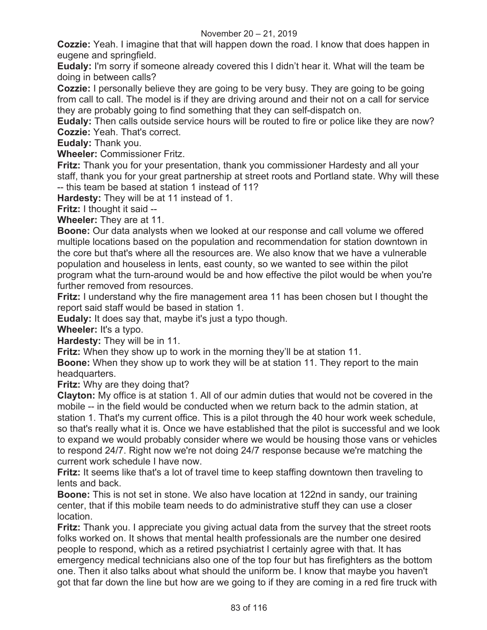**Cozzie:** Yeah. I imagine that that will happen down the road. I know that does happen in eugene and springfield.

**Eudaly:** I'm sorry if someone already covered this I didn't hear it. What will the team be doing in between calls?

**Cozzie:** I personally believe they are going to be very busy. They are going to be going from call to call. The model is if they are driving around and their not on a call for service they are probably going to find something that they can self-dispatch on.

**Eudaly:** Then calls outside service hours will be routed to fire or police like they are now? **Cozzie:** Yeah. That's correct.

**Eudaly:** Thank you.

**Wheeler:** Commissioner Fritz.

**Fritz:** Thank you for your presentation, thank you commissioner Hardesty and all your staff, thank you for your great partnership at street roots and Portland state. Why will these -- this team be based at station 1 instead of 11?

**Hardesty:** They will be at 11 instead of 1.

**Fritz:** I thought it said --

**Wheeler:** They are at 11.

**Boone:** Our data analysts when we looked at our response and call volume we offered multiple locations based on the population and recommendation for station downtown in the core but that's where all the resources are. We also know that we have a vulnerable population and houseless in lents, east county, so we wanted to see within the pilot program what the turn-around would be and how effective the pilot would be when you're further removed from resources.

**Fritz:** I understand why the fire management area 11 has been chosen but I thought the report said staff would be based in station 1.

**Eudaly:** It does say that, maybe it's just a typo though.

**Wheeler:** It's a typo.

**Hardesty:** They will be in 11.

**Fritz:** When they show up to work in the morning they'll be at station 11.

**Boone:** When they show up to work they will be at station 11. They report to the main headquarters.

**Fritz:** Why are they doing that?

**Clayton:** My office is at station 1. All of our admin duties that would not be covered in the mobile -- in the field would be conducted when we return back to the admin station, at station 1. That's my current office. This is a pilot through the 40 hour work week schedule, so that's really what it is. Once we have established that the pilot is successful and we look to expand we would probably consider where we would be housing those vans or vehicles to respond 24/7. Right now we're not doing 24/7 response because we're matching the current work schedule I have now.

**Fritz:** It seems like that's a lot of travel time to keep staffing downtown then traveling to lents and back.

**Boone:** This is not set in stone. We also have location at 122nd in sandy, our training center, that if this mobile team needs to do administrative stuff they can use a closer location.

**Fritz:** Thank you. I appreciate you giving actual data from the survey that the street roots folks worked on. It shows that mental health professionals are the number one desired people to respond, which as a retired psychiatrist I certainly agree with that. It has emergency medical technicians also one of the top four but has firefighters as the bottom one. Then it also talks about what should the uniform be. I know that maybe you haven't got that far down the line but how are we going to if they are coming in a red fire truck with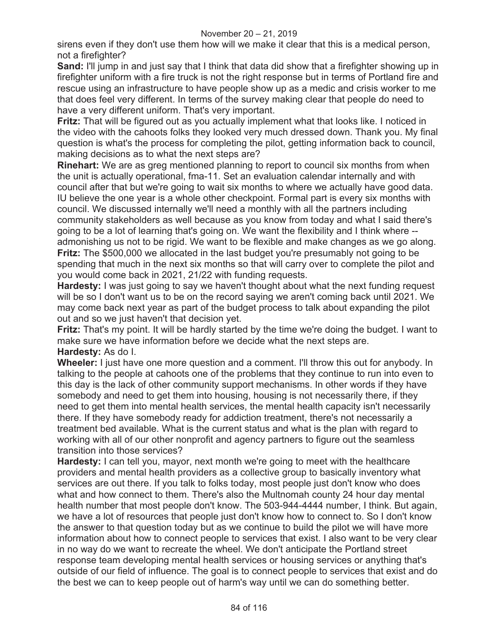sirens even if they don't use them how will we make it clear that this is a medical person, not a firefighter?

**Sand:** I'll jump in and just say that I think that data did show that a firefighter showing up in firefighter uniform with a fire truck is not the right response but in terms of Portland fire and rescue using an infrastructure to have people show up as a medic and crisis worker to me that does feel very different. In terms of the survey making clear that people do need to have a very different uniform. That's very important.

**Fritz:** That will be figured out as you actually implement what that looks like. I noticed in the video with the cahoots folks they looked very much dressed down. Thank you. My final question is what's the process for completing the pilot, getting information back to council, making decisions as to what the next steps are?

**Rinehart:** We are as greg mentioned planning to report to council six months from when the unit is actually operational, fma-11. Set an evaluation calendar internally and with council after that but we're going to wait six months to where we actually have good data. IU believe the one year is a whole other checkpoint. Formal part is every six months with council. We discussed internally we'll need a monthly with all the partners including community stakeholders as well because as you know from today and what I said there's going to be a lot of learning that's going on. We want the flexibility and I think where - admonishing us not to be rigid. We want to be flexible and make changes as we go along. **Fritz:** The \$500,000 we allocated in the last budget you're presumably not going to be spending that much in the next six months so that will carry over to complete the pilot and you would come back in 2021, 21/22 with funding requests.

**Hardesty:** I was just going to say we haven't thought about what the next funding request will be so I don't want us to be on the record saying we aren't coming back until 2021. We may come back next year as part of the budget process to talk about expanding the pilot out and so we just haven't that decision yet.

**Fritz:** That's my point. It will be hardly started by the time we're doing the budget. I want to make sure we have information before we decide what the next steps are. **Hardesty:** As do I.

**Wheeler:** I just have one more question and a comment. I'll throw this out for anybody. In talking to the people at cahoots one of the problems that they continue to run into even to this day is the lack of other community support mechanisms. In other words if they have somebody and need to get them into housing, housing is not necessarily there, if they need to get them into mental health services, the mental health capacity isn't necessarily there. If they have somebody ready for addiction treatment, there's not necessarily a treatment bed available. What is the current status and what is the plan with regard to working with all of our other nonprofit and agency partners to figure out the seamless transition into those services?

**Hardesty:** I can tell you, mayor, next month we're going to meet with the healthcare providers and mental health providers as a collective group to basically inventory what services are out there. If you talk to folks today, most people just don't know who does what and how connect to them. There's also the Multnomah county 24 hour day mental health number that most people don't know. The 503-944-4444 number, I think. But again, we have a lot of resources that people just don't know how to connect to. So I don't know the answer to that question today but as we continue to build the pilot we will have more information about how to connect people to services that exist. I also want to be very clear in no way do we want to recreate the wheel. We don't anticipate the Portland street response team developing mental health services or housing services or anything that's outside of our field of influence. The goal is to connect people to services that exist and do the best we can to keep people out of harm's way until we can do something better.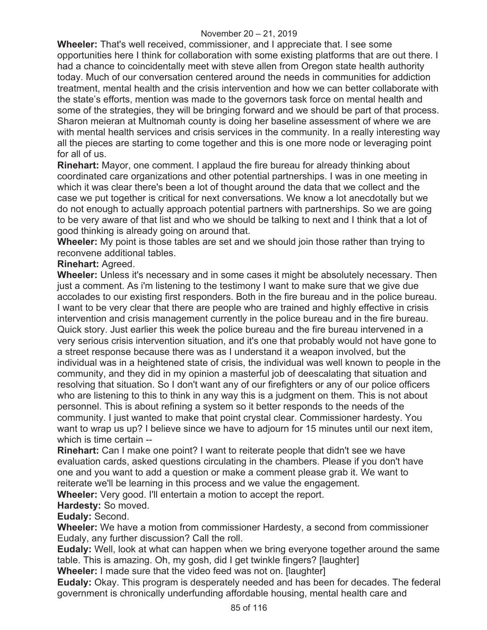**Wheeler:** That's well received, commissioner, and I appreciate that. I see some opportunities here I think for collaboration with some existing platforms that are out there. I had a chance to coincidentally meet with steve allen from Oregon state health authority today. Much of our conversation centered around the needs in communities for addiction treatment, mental health and the crisis intervention and how we can better collaborate with the state's efforts, mention was made to the governors task force on mental health and some of the strategies, they will be bringing forward and we should be part of that process. Sharon meieran at Multnomah county is doing her baseline assessment of where we are with mental health services and crisis services in the community. In a really interesting way all the pieces are starting to come together and this is one more node or leveraging point for all of us.

**Rinehart:** Mayor, one comment. I applaud the fire bureau for already thinking about coordinated care organizations and other potential partnerships. I was in one meeting in which it was clear there's been a lot of thought around the data that we collect and the case we put together is critical for next conversations. We know a lot anecdotally but we do not enough to actually approach potential partners with partnerships. So we are going to be very aware of that list and who we should be talking to next and I think that a lot of good thinking is already going on around that.

**Wheeler:** My point is those tables are set and we should join those rather than trying to reconvene additional tables.

### **Rinehart:** Agreed.

**Wheeler:** Unless it's necessary and in some cases it might be absolutely necessary. Then just a comment. As i'm listening to the testimony I want to make sure that we give due accolades to our existing first responders. Both in the fire bureau and in the police bureau. I want to be very clear that there are people who are trained and highly effective in crisis intervention and crisis management currently in the police bureau and in the fire bureau. Quick story. Just earlier this week the police bureau and the fire bureau intervened in a very serious crisis intervention situation, and it's one that probably would not have gone to a street response because there was as I understand it a weapon involved, but the individual was in a heightened state of crisis, the individual was well known to people in the community, and they did in my opinion a masterful job of deescalating that situation and resolving that situation. So I don't want any of our firefighters or any of our police officers who are listening to this to think in any way this is a judgment on them. This is not about personnel. This is about refining a system so it better responds to the needs of the community. I just wanted to make that point crystal clear. Commissioner hardesty. You want to wrap us up? I believe since we have to adjourn for 15 minutes until our next item, which is time certain --

**Rinehart:** Can I make one point? I want to reiterate people that didn't see we have evaluation cards, asked questions circulating in the chambers. Please if you don't have one and you want to add a question or make a comment please grab it. We want to reiterate we'll be learning in this process and we value the engagement. **Wheeler:** Very good. I'll entertain a motion to accept the report.

**Hardesty:** So moved.

**Eudaly:** Second.

**Wheeler:** We have a motion from commissioner Hardesty, a second from commissioner Eudaly, any further discussion? Call the roll.

**Eudaly:** Well, look at what can happen when we bring everyone together around the same table. This is amazing. Oh, my gosh, did I get twinkle fingers? [laughter]

**Wheeler:** I made sure that the video feed was not on. [laughter]

**Eudaly:** Okay. This program is desperately needed and has been for decades. The federal government is chronically underfunding affordable housing, mental health care and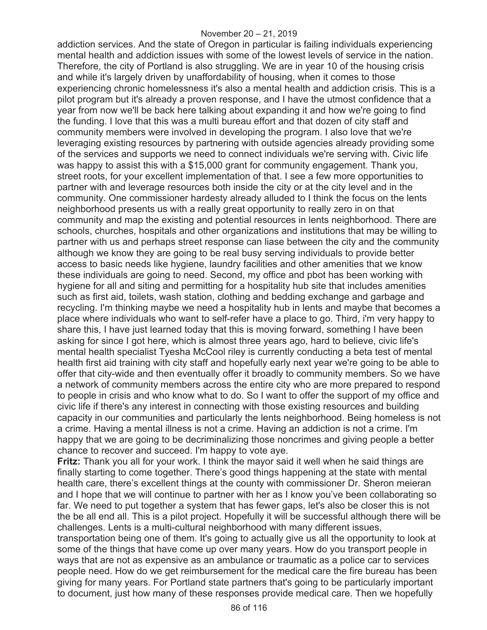addiction services. And the state of Oregon in particular is failing individuals experiencing mental health and addiction issues with some of the lowest levels of service in the nation. Therefore, the city of Portland is also struggling. We are in year 10 of the housing crisis and while it's largely driven by unaffordability of housing, when it comes to those experiencing chronic homelessness it's also a mental health and addiction crisis. This is a pilot program but it's already a proven response, and I have the utmost confidence that a year from now we'll be back here talking about expanding it and how we're going to find the funding. I love that this was a multi bureau effort and that dozen of city staff and community members were involved in developing the program. I also love that we're leveraging existing resources by partnering with outside agencies already providing some of the services and supports we need to connect individuals we're serving with. Civic life was happy to assist this with a \$15,000 grant for community engagement. Thank you, street roots, for your excellent implementation of that. I see a few more opportunities to partner with and leverage resources both inside the city or at the city level and in the community. One commissioner hardesty already alluded to I think the focus on the lents neighborhood presents us with a really great opportunity to really zero in on that community and map the existing and potential resources in lents neighborhood. There are schools, churches, hospitals and other organizations and institutions that may be willing to partner with us and perhaps street response can liase between the city and the community although we know they are going to be real busy serving individuals to provide better access to basic needs like hygiene, laundry facilities and other amenities that we know these individuals are going to need. Second, my office and pbot has been working with hygiene for all and siting and permitting for a hospitality hub site that includes amenities such as first aid, toilets, wash station, clothing and bedding exchange and garbage and recycling. I'm thinking maybe we need a hospitality hub in lents and maybe that becomes a place where individuals who want to self-refer have a place to go. Third, i'm very happy to share this, I have just learned today that this is moving forward, something I have been asking for since I got here, which is almost three years ago, hard to believe, civic life's mental health specialist Tyesha McCool riley is currently conducting a beta test of mental health first aid training with city staff and hopefully early next year we're going to be able to offer that city-wide and then eventually offer it broadly to community members. So we have a network of community members across the entire city who are more prepared to respond to people in crisis and who know what to do. So I want to offer the support of my office and civic life if there's any interest in connecting with those existing resources and building capacity in our communities and particularly the lents neighborhood. Being homeless is not a crime. Having a mental illness is not a crime. Having an addiction is not a crime. I'm happy that we are going to be decriminalizing those noncrimes and giving people a better chance to recover and succeed. I'm happy to vote aye.

**Fritz:** Thank you all for your work. I think the mayor said it well when he said things are finally starting to come together. There's good things happening at the state with mental health care, there's excellent things at the county with commissioner Dr. Sheron meieran and I hope that we will continue to partner with her as I know you've been collaborating so far. We need to put together a system that has fewer gaps, let's also be closer this is not the be all end all. This is a pilot project. Hopefully it will be successful although there will be challenges. Lents is a multi-cultural neighborhood with many different issues,

transportation being one of them. It's going to actually give us all the opportunity to look at some of the things that have come up over many years. How do you transport people in ways that are not as expensive as an ambulance or traumatic as a police car to services people need. How do we get reimbursement for the medical care the fire bureau has been giving for many years. For Portland state partners that's going to be particularly important to document, just how many of these responses provide medical care. Then we hopefully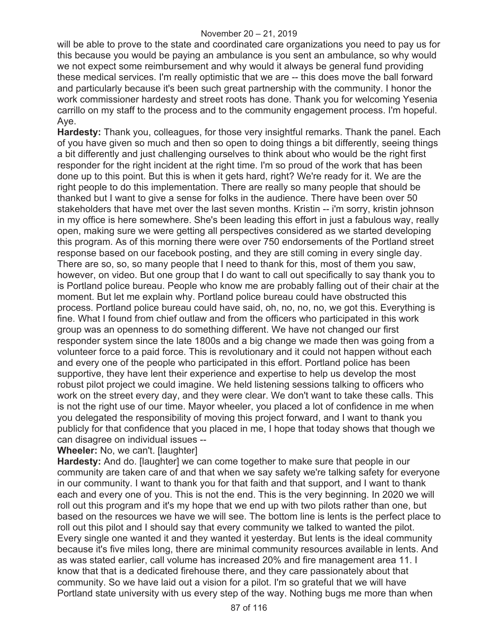will be able to prove to the state and coordinated care organizations you need to pay us for this because you would be paying an ambulance is you sent an ambulance, so why would we not expect some reimbursement and why would it always be general fund providing these medical services. I'm really optimistic that we are -- this does move the ball forward and particularly because it's been such great partnership with the community. I honor the work commissioner hardesty and street roots has done. Thank you for welcoming Yesenia carrillo on my staff to the process and to the community engagement process. I'm hopeful. Aye.

**Hardesty:** Thank you, colleagues, for those very insightful remarks. Thank the panel. Each of you have given so much and then so open to doing things a bit differently, seeing things a bit differently and just challenging ourselves to think about who would be the right first responder for the right incident at the right time. I'm so proud of the work that has been done up to this point. But this is when it gets hard, right? We're ready for it. We are the right people to do this implementation. There are really so many people that should be thanked but I want to give a sense for folks in the audience. There have been over 50 stakeholders that have met over the last seven months. Kristin -- i'm sorry, kristin johnson in my office is here somewhere. She's been leading this effort in just a fabulous way, really open, making sure we were getting all perspectives considered as we started developing this program. As of this morning there were over 750 endorsements of the Portland street response based on our facebook posting, and they are still coming in every single day. There are so, so, so many people that I need to thank for this, most of them you saw, however, on video. But one group that I do want to call out specifically to say thank you to is Portland police bureau. People who know me are probably falling out of their chair at the moment. But let me explain why. Portland police bureau could have obstructed this process. Portland police bureau could have said, oh, no, no, no, we got this. Everything is fine. What I found from chief outlaw and from the officers who participated in this work group was an openness to do something different. We have not changed our first responder system since the late 1800s and a big change we made then was going from a volunteer force to a paid force. This is revolutionary and it could not happen without each and every one of the people who participated in this effort. Portland police has been supportive, they have lent their experience and expertise to help us develop the most robust pilot project we could imagine. We held listening sessions talking to officers who work on the street every day, and they were clear. We don't want to take these calls. This is not the right use of our time. Mayor wheeler, you placed a lot of confidence in me when you delegated the responsibility of moving this project forward, and I want to thank you publicly for that confidence that you placed in me, I hope that today shows that though we can disagree on individual issues --

**Wheeler:** No, we can't. [laughter]

**Hardesty:** And do. [laughter] we can come together to make sure that people in our community are taken care of and that when we say safety we're talking safety for everyone in our community. I want to thank you for that faith and that support, and I want to thank each and every one of you. This is not the end. This is the very beginning. In 2020 we will roll out this program and it's my hope that we end up with two pilots rather than one, but based on the resources we have we will see. The bottom line is lents is the perfect place to roll out this pilot and I should say that every community we talked to wanted the pilot. Every single one wanted it and they wanted it yesterday. But lents is the ideal community because it's five miles long, there are minimal community resources available in lents. And as was stated earlier, call volume has increased 20% and fire management area 11. I know that that is a dedicated firehouse there, and they care passionately about that community. So we have laid out a vision for a pilot. I'm so grateful that we will have Portland state university with us every step of the way. Nothing bugs me more than when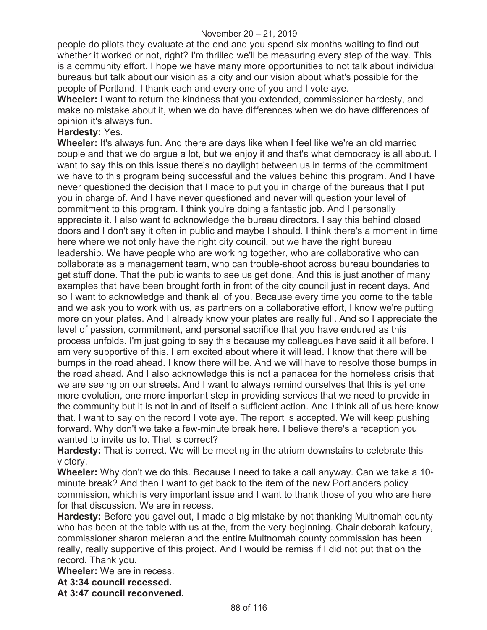people do pilots they evaluate at the end and you spend six months waiting to find out whether it worked or not, right? I'm thrilled we'll be measuring every step of the way. This is a community effort. I hope we have many more opportunities to not talk about individual bureaus but talk about our vision as a city and our vision about what's possible for the people of Portland. I thank each and every one of you and I vote aye.

**Wheeler:** I want to return the kindness that you extended, commissioner hardesty, and make no mistake about it, when we do have differences when we do have differences of opinion it's always fun.

## **Hardesty:** Yes.

**Wheeler:** It's always fun. And there are days like when I feel like we're an old married couple and that we do argue a lot, but we enjoy it and that's what democracy is all about. I want to say this on this issue there's no daylight between us in terms of the commitment we have to this program being successful and the values behind this program. And I have never questioned the decision that I made to put you in charge of the bureaus that I put you in charge of. And I have never questioned and never will question your level of commitment to this program. I think you're doing a fantastic job. And I personally appreciate it. I also want to acknowledge the bureau directors. I say this behind closed doors and I don't say it often in public and maybe I should. I think there's a moment in time here where we not only have the right city council, but we have the right bureau leadership. We have people who are working together, who are collaborative who can collaborate as a management team, who can trouble-shoot across bureau boundaries to get stuff done. That the public wants to see us get done. And this is just another of many examples that have been brought forth in front of the city council just in recent days. And so I want to acknowledge and thank all of you. Because every time you come to the table and we ask you to work with us, as partners on a collaborative effort, I know we're putting more on your plates. And I already know your plates are really full. And so I appreciate the level of passion, commitment, and personal sacrifice that you have endured as this process unfolds. I'm just going to say this because my colleagues have said it all before. I am very supportive of this. I am excited about where it will lead. I know that there will be bumps in the road ahead. I know there will be. And we will have to resolve those bumps in the road ahead. And I also acknowledge this is not a panacea for the homeless crisis that we are seeing on our streets. And I want to always remind ourselves that this is yet one more evolution, one more important step in providing services that we need to provide in the community but it is not in and of itself a sufficient action. And I think all of us here know that. I want to say on the record I vote aye. The report is accepted. We will keep pushing forward. Why don't we take a few-minute break here. I believe there's a reception you wanted to invite us to. That is correct?

**Hardesty:** That is correct. We will be meeting in the atrium downstairs to celebrate this victory.

**Wheeler:** Why don't we do this. Because I need to take a call anyway. Can we take a 10 minute break? And then I want to get back to the item of the new Portlanders policy commission, which is very important issue and I want to thank those of you who are here for that discussion. We are in recess.

**Hardesty:** Before you gavel out, I made a big mistake by not thanking Multnomah county who has been at the table with us at the, from the very beginning. Chair deborah kafoury, commissioner sharon meieran and the entire Multnomah county commission has been really, really supportive of this project. And I would be remiss if I did not put that on the record. Thank you.

**Wheeler:** We are in recess.

**At 3:34 council recessed.** 

**At 3:47 council reconvened.**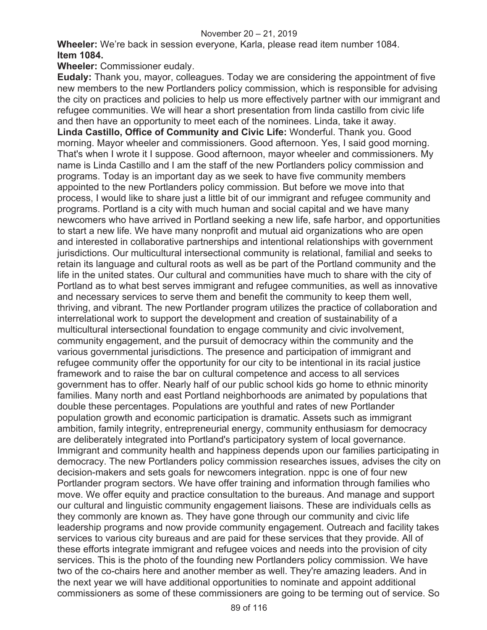**Wheeler:** We're back in session everyone, Karla, please read item number 1084. **Item 1084.**

**Wheeler:** Commissioner eudaly.

**Eudaly:** Thank you, mayor, colleagues. Today we are considering the appointment of five new members to the new Portlanders policy commission, which is responsible for advising the city on practices and policies to help us more effectively partner with our immigrant and refugee communities. We will hear a short presentation from linda castillo from civic life and then have an opportunity to meet each of the nominees. Linda, take it away. **Linda Castillo, Office of Community and Civic Life:** Wonderful. Thank you. Good morning. Mayor wheeler and commissioners. Good afternoon. Yes, I said good morning. That's when I wrote it I suppose. Good afternoon, mayor wheeler and commissioners. My name is Linda Castillo and I am the staff of the new Portlanders policy commission and programs. Today is an important day as we seek to have five community members appointed to the new Portlanders policy commission. But before we move into that process, I would like to share just a little bit of our immigrant and refugee community and programs. Portland is a city with much human and social capital and we have many newcomers who have arrived in Portland seeking a new life, safe harbor, and opportunities to start a new life. We have many nonprofit and mutual aid organizations who are open and interested in collaborative partnerships and intentional relationships with government jurisdictions. Our multicultural intersectional community is relational, familial and seeks to retain its language and cultural roots as well as be part of the Portland community and the life in the united states. Our cultural and communities have much to share with the city of Portland as to what best serves immigrant and refugee communities, as well as innovative and necessary services to serve them and benefit the community to keep them well, thriving, and vibrant. The new Portlander program utilizes the practice of collaboration and interrelational work to support the development and creation of sustainability of a multicultural intersectional foundation to engage community and civic involvement, community engagement, and the pursuit of democracy within the community and the various governmental jurisdictions. The presence and participation of immigrant and refugee community offer the opportunity for our city to be intentional in its racial justice framework and to raise the bar on cultural competence and access to all services government has to offer. Nearly half of our public school kids go home to ethnic minority families. Many north and east Portland neighborhoods are animated by populations that double these percentages. Populations are youthful and rates of new Portlander population growth and economic participation is dramatic. Assets such as immigrant ambition, family integrity, entrepreneurial energy, community enthusiasm for democracy are deliberately integrated into Portland's participatory system of local governance. Immigrant and community health and happiness depends upon our families participating in democracy. The new Portlanders policy commission researches issues, advises the city on decision-makers and sets goals for newcomers integration. nppc is one of four new Portlander program sectors. We have offer training and information through families who move. We offer equity and practice consultation to the bureaus. And manage and support our cultural and linguistic community engagement liaisons. These are individuals cells as they commonly are known as. They have gone through our community and civic life leadership programs and now provide community engagement. Outreach and facility takes services to various city bureaus and are paid for these services that they provide. All of these efforts integrate immigrant and refugee voices and needs into the provision of city services. This is the photo of the founding new Portlanders policy commission. We have two of the co-chairs here and another member as well. They're amazing leaders. And in the next year we will have additional opportunities to nominate and appoint additional commissioners as some of these commissioners are going to be terming out of service. So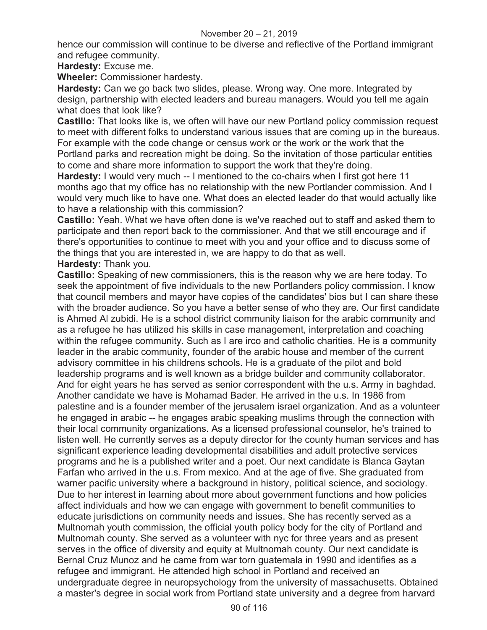#### November 20 – 21, 2019

hence our commission will continue to be diverse and reflective of the Portland immigrant and refugee community.

**Hardesty:** Excuse me.

**Wheeler:** Commissioner hardesty.

**Hardesty:** Can we go back two slides, please. Wrong way. One more. Integrated by design, partnership with elected leaders and bureau managers. Would you tell me again what does that look like?

**Castillo:** That looks like is, we often will have our new Portland policy commission request to meet with different folks to understand various issues that are coming up in the bureaus. For example with the code change or census work or the work or the work that the Portland parks and recreation might be doing. So the invitation of those particular entities to come and share more information to support the work that they're doing.

**Hardesty:** I would very much -- I mentioned to the co-chairs when I first got here 11 months ago that my office has no relationship with the new Portlander commission. And I would very much like to have one. What does an elected leader do that would actually like to have a relationship with this commission?

**Castillo:** Yeah. What we have often done is we've reached out to staff and asked them to participate and then report back to the commissioner. And that we still encourage and if there's opportunities to continue to meet with you and your office and to discuss some of the things that you are interested in, we are happy to do that as well.

**Hardesty:** Thank you.

**Castillo:** Speaking of new commissioners, this is the reason why we are here today. To seek the appointment of five individuals to the new Portlanders policy commission. I know that council members and mayor have copies of the candidates' bios but I can share these with the broader audience. So you have a better sense of who they are. Our first candidate is Ahmed Al zubidi. He is a school district community liaison for the arabic community and as a refugee he has utilized his skills in case management, interpretation and coaching within the refugee community. Such as I are irco and catholic charities. He is a community leader in the arabic community, founder of the arabic house and member of the current advisory committee in his childrens schools. He is a graduate of the pilot and bold leadership programs and is well known as a bridge builder and community collaborator. And for eight years he has served as senior correspondent with the u.s. Army in baghdad. Another candidate we have is Mohamad Bader. He arrived in the u.s. In 1986 from palestine and is a founder member of the jerusalem israel organization. And as a volunteer he engaged in arabic -- he engages arabic speaking muslims through the connection with their local community organizations. As a licensed professional counselor, he's trained to listen well. He currently serves as a deputy director for the county human services and has significant experience leading developmental disabilities and adult protective services programs and he is a published writer and a poet. Our next candidate is Blanca Gaytan Farfan who arrived in the u.s. From mexico. And at the age of five. She graduated from warner pacific university where a background in history, political science, and sociology. Due to her interest in learning about more about government functions and how policies affect individuals and how we can engage with government to benefit communities to educate jurisdictions on community needs and issues. She has recently served as a Multnomah youth commission, the official youth policy body for the city of Portland and Multnomah county. She served as a volunteer with nyc for three years and as present serves in the office of diversity and equity at Multnomah county. Our next candidate is Bernal Cruz Munoz and he came from war torn guatemala in 1990 and identifies as a refugee and immigrant. He attended high school in Portland and received an undergraduate degree in neuropsychology from the university of massachusetts. Obtained a master's degree in social work from Portland state university and a degree from harvard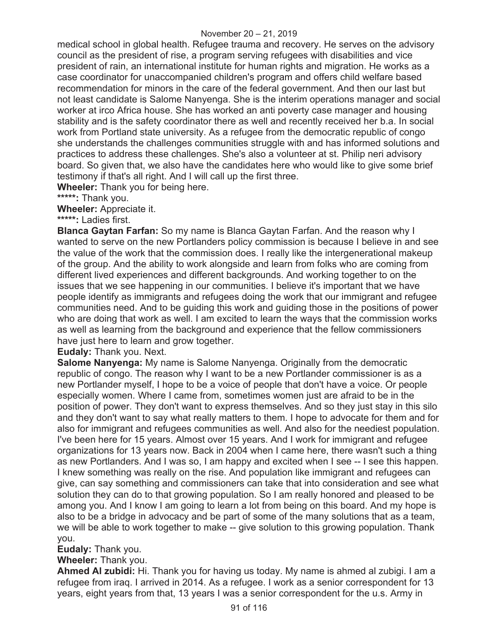medical school in global health. Refugee trauma and recovery. He serves on the advisory council as the president of rise, a program serving refugees with disabilities and vice president of rain, an international institute for human rights and migration. He works as a case coordinator for unaccompanied children's program and offers child welfare based recommendation for minors in the care of the federal government. And then our last but not least candidate is Salome Nanyenga. She is the interim operations manager and social worker at irco Africa house. She has worked an anti poverty case manager and housing stability and is the safety coordinator there as well and recently received her b.a. In social work from Portland state university. As a refugee from the democratic republic of congo she understands the challenges communities struggle with and has informed solutions and practices to address these challenges. She's also a volunteer at st. Philip neri advisory board. So given that, we also have the candidates here who would like to give some brief testimony if that's all right. And I will call up the first three.

**Wheeler:** Thank you for being here.

**\*\*\*\*\*:** Thank you.

**Wheeler:** Appreciate it.

**\*\*\*\*\*:** Ladies first.

**Blanca Gaytan Farfan:** So my name is Blanca Gaytan Farfan. And the reason why I wanted to serve on the new Portlanders policy commission is because I believe in and see the value of the work that the commission does. I really like the intergenerational makeup of the group. And the ability to work alongside and learn from folks who are coming from different lived experiences and different backgrounds. And working together to on the issues that we see happening in our communities. I believe it's important that we have people identify as immigrants and refugees doing the work that our immigrant and refugee communities need. And to be guiding this work and guiding those in the positions of power who are doing that work as well. I am excited to learn the ways that the commission works as well as learning from the background and experience that the fellow commissioners have just here to learn and grow together.

**Eudaly:** Thank you. Next.

**Salome Nanyenga:** My name is Salome Nanyenga. Originally from the democratic republic of congo. The reason why I want to be a new Portlander commissioner is as a new Portlander myself, I hope to be a voice of people that don't have a voice. Or people especially women. Where I came from, sometimes women just are afraid to be in the position of power. They don't want to express themselves. And so they just stay in this silo and they don't want to say what really matters to them. I hope to advocate for them and for also for immigrant and refugees communities as well. And also for the neediest population. I've been here for 15 years. Almost over 15 years. And I work for immigrant and refugee organizations for 13 years now. Back in 2004 when I came here, there wasn't such a thing as new Portlanders. And I was so, I am happy and excited when I see -- I see this happen. I knew something was really on the rise. And population like immigrant and refugees can give, can say something and commissioners can take that into consideration and see what solution they can do to that growing population. So I am really honored and pleased to be among you. And I know I am going to learn a lot from being on this board. And my hope is also to be a bridge in advocacy and be part of some of the many solutions that as a team, we will be able to work together to make -- give solution to this growing population. Thank you.

**Eudaly:** Thank you.

**Wheeler:** Thank you.

**Ahmed Al zubidi:** Hi. Thank you for having us today. My name is ahmed al zubigi. I am a refugee from iraq. I arrived in 2014. As a refugee. I work as a senior correspondent for 13 years, eight years from that, 13 years I was a senior correspondent for the u.s. Army in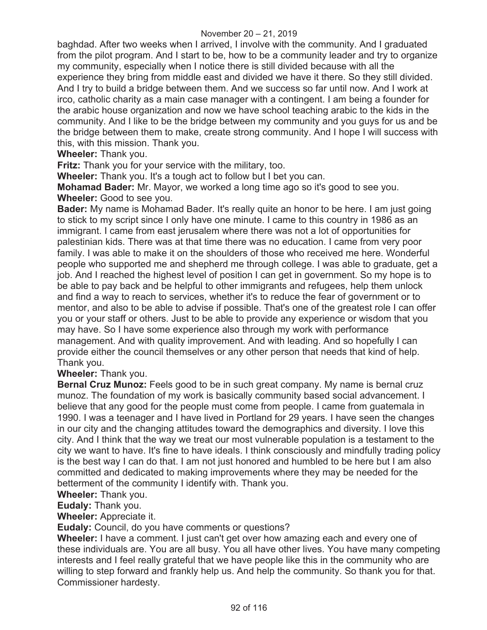baghdad. After two weeks when I arrived, I involve with the community. And I graduated from the pilot program. And I start to be, how to be a community leader and try to organize my community, especially when I notice there is still divided because with all the experience they bring from middle east and divided we have it there. So they still divided. And I try to build a bridge between them. And we success so far until now. And I work at irco, catholic charity as a main case manager with a contingent. I am being a founder for the arabic house organization and now we have school teaching arabic to the kids in the community. And I like to be the bridge between my community and you guys for us and be the bridge between them to make, create strong community. And I hope I will success with this, with this mission. Thank you.

**Wheeler:** Thank you.

**Fritz:** Thank you for your service with the military, too.

**Wheeler:** Thank you. It's a tough act to follow but I bet you can.

**Mohamad Bader:** Mr. Mayor, we worked a long time ago so it's good to see you. **Wheeler:** Good to see you.

**Bader:** My name is Mohamad Bader. It's really quite an honor to be here. I am just going to stick to my script since I only have one minute. I came to this country in 1986 as an immigrant. I came from east jerusalem where there was not a lot of opportunities for palestinian kids. There was at that time there was no education. I came from very poor family. I was able to make it on the shoulders of those who received me here. Wonderful people who supported me and shepherd me through college. I was able to graduate, get a job. And I reached the highest level of position I can get in government. So my hope is to be able to pay back and be helpful to other immigrants and refugees, help them unlock and find a way to reach to services, whether it's to reduce the fear of government or to mentor, and also to be able to advise if possible. That's one of the greatest role I can offer you or your staff or others. Just to be able to provide any experience or wisdom that you may have. So I have some experience also through my work with performance management. And with quality improvement. And with leading. And so hopefully I can provide either the council themselves or any other person that needs that kind of help. Thank you.

**Wheeler:** Thank you.

**Bernal Cruz Munoz:** Feels good to be in such great company. My name is bernal cruz munoz. The foundation of my work is basically community based social advancement. I believe that any good for the people must come from people. I came from guatemala in 1990. I was a teenager and I have lived in Portland for 29 years. I have seen the changes in our city and the changing attitudes toward the demographics and diversity. I love this city. And I think that the way we treat our most vulnerable population is a testament to the city we want to have. It's fine to have ideals. I think consciously and mindfully trading policy is the best way I can do that. I am not just honored and humbled to be here but I am also committed and dedicated to making improvements where they may be needed for the betterment of the community I identify with. Thank you.

#### **Wheeler:** Thank you.

**Eudaly:** Thank you.

**Wheeler:** Appreciate it.

**Eudaly:** Council, do you have comments or questions?

**Wheeler:** I have a comment. I just can't get over how amazing each and every one of these individuals are. You are all busy. You all have other lives. You have many competing interests and I feel really grateful that we have people like this in the community who are willing to step forward and frankly help us. And help the community. So thank you for that. Commissioner hardesty.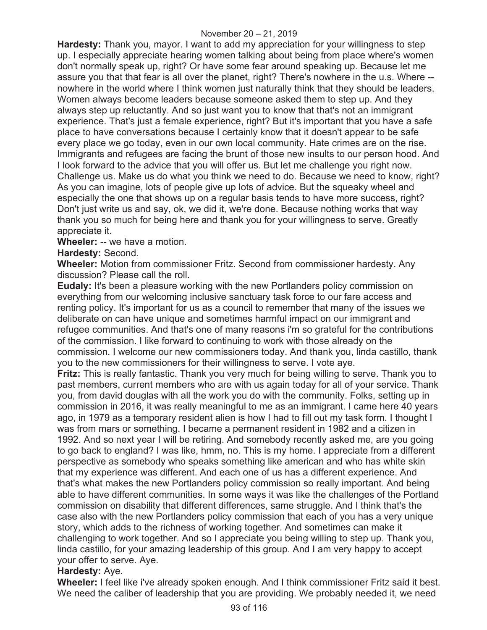**Hardesty:** Thank you, mayor. I want to add my appreciation for your willingness to step up. I especially appreciate hearing women talking about being from place where's women don't normally speak up, right? Or have some fear around speaking up. Because let me assure you that that fear is all over the planet, right? There's nowhere in the u.s. Where - nowhere in the world where I think women just naturally think that they should be leaders. Women always become leaders because someone asked them to step up. And they always step up reluctantly. And so just want you to know that that's not an immigrant experience. That's just a female experience, right? But it's important that you have a safe place to have conversations because I certainly know that it doesn't appear to be safe every place we go today, even in our own local community. Hate crimes are on the rise. Immigrants and refugees are facing the brunt of those new insults to our person hood. And I look forward to the advice that you will offer us. But let me challenge you right now. Challenge us. Make us do what you think we need to do. Because we need to know, right? As you can imagine, lots of people give up lots of advice. But the squeaky wheel and especially the one that shows up on a regular basis tends to have more success, right? Don't just write us and say, ok, we did it, we're done. Because nothing works that way thank you so much for being here and thank you for your willingness to serve. Greatly appreciate it.

### **Wheeler:** -- we have a motion.

### **Hardesty:** Second.

**Wheeler:** Motion from commissioner Fritz. Second from commissioner hardesty. Any discussion? Please call the roll.

**Eudaly:** It's been a pleasure working with the new Portlanders policy commission on everything from our welcoming inclusive sanctuary task force to our fare access and renting policy. It's important for us as a council to remember that many of the issues we deliberate on can have unique and sometimes harmful impact on our immigrant and refugee communities. And that's one of many reasons i'm so grateful for the contributions of the commission. I like forward to continuing to work with those already on the commission. I welcome our new commissioners today. And thank you, linda castillo, thank you to the new commissioners for their willingness to serve. I vote aye.

**Fritz:** This is really fantastic. Thank you very much for being willing to serve. Thank you to past members, current members who are with us again today for all of your service. Thank you, from david douglas with all the work you do with the community. Folks, setting up in commission in 2016, it was really meaningful to me as an immigrant. I came here 40 years ago, in 1979 as a temporary resident alien is how I had to fill out my task form. I thought I was from mars or something. I became a permanent resident in 1982 and a citizen in 1992. And so next year I will be retiring. And somebody recently asked me, are you going to go back to england? I was like, hmm, no. This is my home. I appreciate from a different perspective as somebody who speaks something like american and who has white skin that my experience was different. And each one of us has a different experience. And that's what makes the new Portlanders policy commission so really important. And being able to have different communities. In some ways it was like the challenges of the Portland commission on disability that different differences, same struggle. And I think that's the case also with the new Portlanders policy commission that each of you has a very unique story, which adds to the richness of working together. And sometimes can make it challenging to work together. And so I appreciate you being willing to step up. Thank you, linda castillo, for your amazing leadership of this group. And I am very happy to accept your offer to serve. Aye.

### **Hardesty:** Aye.

**Wheeler:** I feel like i've already spoken enough. And I think commissioner Fritz said it best. We need the caliber of leadership that you are providing. We probably needed it, we need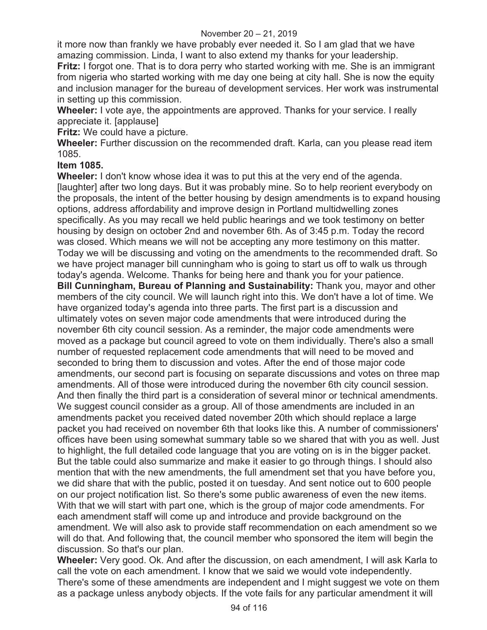it more now than frankly we have probably ever needed it. So I am glad that we have amazing commission. Linda, I want to also extend my thanks for your leadership.

**Fritz:** I forgot one. That is to dora perry who started working with me. She is an immigrant from nigeria who started working with me day one being at city hall. She is now the equity and inclusion manager for the bureau of development services. Her work was instrumental in setting up this commission.

**Wheeler:** I vote aye, the appointments are approved. Thanks for your service. I really appreciate it. [applause]

**Fritz:** We could have a picture.

**Wheeler:** Further discussion on the recommended draft. Karla, can you please read item 1085.

### **Item 1085.**

**Wheeler:** I don't know whose idea it was to put this at the very end of the agenda. [laughter] after two long days. But it was probably mine. So to help reorient everybody on the proposals, the intent of the better housing by design amendments is to expand housing options, address affordability and improve design in Portland multidwelling zones specifically. As you may recall we held public hearings and we took testimony on better housing by design on october 2nd and november 6th. As of 3:45 p.m. Today the record was closed. Which means we will not be accepting any more testimony on this matter. Today we will be discussing and voting on the amendments to the recommended draft. So we have project manager bill cunningham who is going to start us off to walk us through today's agenda. Welcome. Thanks for being here and thank you for your patience. **Bill Cunningham, Bureau of Planning and Sustainability:** Thank you, mayor and other members of the city council. We will launch right into this. We don't have a lot of time. We have organized today's agenda into three parts. The first part is a discussion and ultimately votes on seven major code amendments that were introduced during the november 6th city council session. As a reminder, the major code amendments were moved as a package but council agreed to vote on them individually. There's also a small number of requested replacement code amendments that will need to be moved and seconded to bring them to discussion and votes. After the end of those major code amendments, our second part is focusing on separate discussions and votes on three map amendments. All of those were introduced during the november 6th city council session. And then finally the third part is a consideration of several minor or technical amendments. We suggest council consider as a group. All of those amendments are included in an amendments packet you received dated november 20th which should replace a large packet you had received on november 6th that looks like this. A number of commissioners' offices have been using somewhat summary table so we shared that with you as well. Just to highlight, the full detailed code language that you are voting on is in the bigger packet. But the table could also summarize and make it easier to go through things. I should also mention that with the new amendments, the full amendment set that you have before you, we did share that with the public, posted it on tuesday. And sent notice out to 600 people on our project notification list. So there's some public awareness of even the new items. With that we will start with part one, which is the group of major code amendments. For each amendment staff will come up and introduce and provide background on the amendment. We will also ask to provide staff recommendation on each amendment so we will do that. And following that, the council member who sponsored the item will begin the discussion. So that's our plan.

**Wheeler:** Very good. Ok. And after the discussion, on each amendment, I will ask Karla to call the vote on each amendment. I know that we said we would vote independently. There's some of these amendments are independent and I might suggest we vote on them as a package unless anybody objects. If the vote fails for any particular amendment it will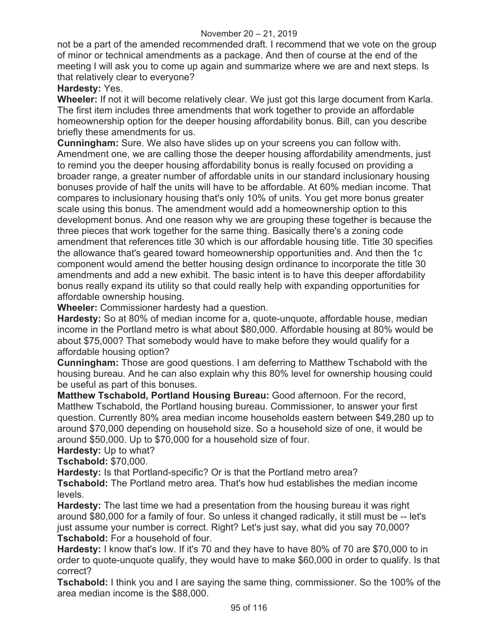not be a part of the amended recommended draft. I recommend that we vote on the group of minor or technical amendments as a package. And then of course at the end of the meeting I will ask you to come up again and summarize where we are and next steps. Is that relatively clear to everyone?

## **Hardesty:** Yes.

**Wheeler:** If not it will become relatively clear. We just got this large document from Karla. The first item includes three amendments that work together to provide an affordable homeownership option for the deeper housing affordability bonus. Bill, can you describe briefly these amendments for us.

**Cunningham:** Sure. We also have slides up on your screens you can follow with. Amendment one, we are calling those the deeper housing affordability amendments, just to remind you the deeper housing affordability bonus is really focused on providing a broader range, a greater number of affordable units in our standard inclusionary housing bonuses provide of half the units will have to be affordable. At 60% median income. That compares to inclusionary housing that's only 10% of units. You get more bonus greater scale using this bonus. The amendment would add a homeownership option to this development bonus. And one reason why we are grouping these together is because the three pieces that work together for the same thing. Basically there's a zoning code amendment that references title 30 which is our affordable housing title. Title 30 specifies the allowance that's geared toward homeownership opportunities and. And then the 1c component would amend the better housing design ordinance to incorporate the title 30 amendments and add a new exhibit. The basic intent is to have this deeper affordability bonus really expand its utility so that could really help with expanding opportunities for affordable ownership housing.

**Wheeler:** Commissioner hardesty had a question.

**Hardesty:** So at 80% of median income for a, quote-unquote, affordable house, median income in the Portland metro is what about \$80,000. Affordable housing at 80% would be about \$75,000? That somebody would have to make before they would qualify for a affordable housing option?

**Cunningham:** Those are good questions. I am deferring to Matthew Tschabold with the housing bureau. And he can also explain why this 80% level for ownership housing could be useful as part of this bonuses.

**Matthew Tschabold, Portland Housing Bureau:** Good afternoon. For the record, Matthew Tschabold, the Portland housing bureau. Commissioner, to answer your first question. Currently 80% area median income households eastern between \$49,280 up to around \$70,000 depending on household size. So a household size of one, it would be around \$50,000. Up to \$70,000 for a household size of four.

**Hardesty:** Up to what?

**Tschabold:** \$70,000.

**Hardesty:** Is that Portland-specific? Or is that the Portland metro area?

**Tschabold:** The Portland metro area. That's how hud establishes the median income levels.

**Hardesty:** The last time we had a presentation from the housing bureau it was right around \$80,000 for a family of four. So unless it changed radically, it still must be -- let's just assume your number is correct. Right? Let's just say, what did you say 70,000? **Tschabold:** For a household of four.

**Hardesty:** I know that's low. If it's 70 and they have to have 80% of 70 are \$70,000 to in order to quote-unquote qualify, they would have to make \$60,000 in order to qualify. Is that correct?

**Tschabold:** I think you and I are saying the same thing, commissioner. So the 100% of the area median income is the \$88,000.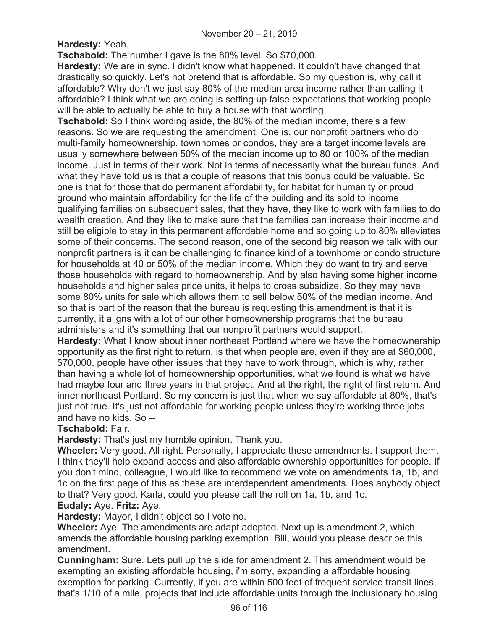**Hardesty:** Yeah.

**Tschabold:** The number I gave is the 80% level. So \$70,000.

**Hardesty:** We are in sync. I didn't know what happened. It couldn't have changed that drastically so quickly. Let's not pretend that is affordable. So my question is, why call it affordable? Why don't we just say 80% of the median area income rather than calling it affordable? I think what we are doing is setting up false expectations that working people will be able to actually be able to buy a house with that wording.

**Tschabold:** So I think wording aside, the 80% of the median income, there's a few reasons. So we are requesting the amendment. One is, our nonprofit partners who do multi-family homeownership, townhomes or condos, they are a target income levels are usually somewhere between 50% of the median income up to 80 or 100% of the median income. Just in terms of their work. Not in terms of necessarily what the bureau funds. And what they have told us is that a couple of reasons that this bonus could be valuable. So one is that for those that do permanent affordability, for habitat for humanity or proud ground who maintain affordability for the life of the building and its sold to income qualifying families on subsequent sales, that they have, they like to work with families to do wealth creation. And they like to make sure that the families can increase their income and still be eligible to stay in this permanent affordable home and so going up to 80% alleviates some of their concerns. The second reason, one of the second big reason we talk with our nonprofit partners is it can be challenging to finance kind of a townhome or condo structure for households at 40 or 50% of the median income. Which they do want to try and serve those households with regard to homeownership. And by also having some higher income households and higher sales price units, it helps to cross subsidize. So they may have some 80% units for sale which allows them to sell below 50% of the median income. And so that is part of the reason that the bureau is requesting this amendment is that it is currently, it aligns with a lot of our other homeownership programs that the bureau administers and it's something that our nonprofit partners would support.

**Hardesty:** What I know about inner northeast Portland where we have the homeownership opportunity as the first right to return, is that when people are, even if they are at \$60,000, \$70,000, people have other issues that they have to work through, which is why, rather than having a whole lot of homeownership opportunities, what we found is what we have had maybe four and three years in that project. And at the right, the right of first return. And inner northeast Portland. So my concern is just that when we say affordable at 80%, that's just not true. It's just not affordable for working people unless they're working three jobs and have no kids. So --

### **Tschabold:** Fair.

**Hardesty:** That's just my humble opinion. Thank you.

**Wheeler:** Very good. All right. Personally, I appreciate these amendments. I support them. I think they'll help expand access and also affordable ownership opportunities for people. If you don't mind, colleague, I would like to recommend we vote on amendments 1a, 1b, and 1c on the first page of this as these are interdependent amendments. Does anybody object to that? Very good. Karla, could you please call the roll on 1a, 1b, and 1c.

### **Eudaly:** Aye. **Fritz:** Aye.

**Hardesty:** Mayor, I didn't object so I vote no.

**Wheeler:** Aye. The amendments are adapt adopted. Next up is amendment 2, which amends the affordable housing parking exemption. Bill, would you please describe this amendment.

**Cunningham:** Sure. Lets pull up the slide for amendment 2. This amendment would be exempting an existing affordable housing, i'm sorry, expanding a affordable housing exemption for parking. Currently, if you are within 500 feet of frequent service transit lines, that's 1/10 of a mile, projects that include affordable units through the inclusionary housing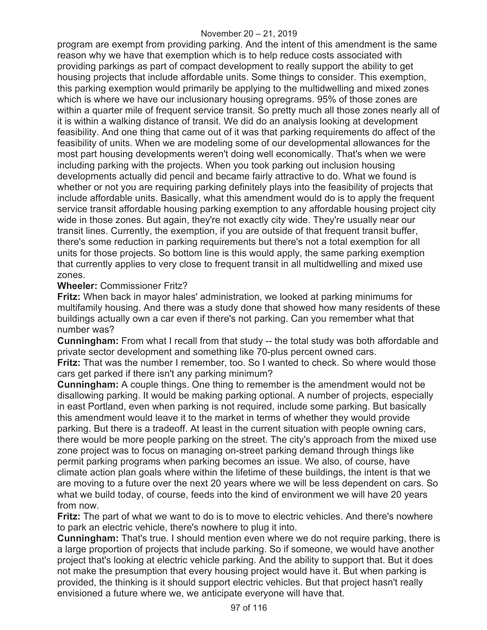program are exempt from providing parking. And the intent of this amendment is the same reason why we have that exemption which is to help reduce costs associated with providing parkings as part of compact development to really support the ability to get housing projects that include affordable units. Some things to consider. This exemption, this parking exemption would primarily be applying to the multidwelling and mixed zones which is where we have our inclusionary housing opregrams. 95% of those zones are within a quarter mile of frequent service transit. So pretty much all those zones nearly all of it is within a walking distance of transit. We did do an analysis looking at development feasibility. And one thing that came out of it was that parking requirements do affect of the feasibility of units. When we are modeling some of our developmental allowances for the most part housing developments weren't doing well economically. That's when we were including parking with the projects. When you took parking out inclusion housing developments actually did pencil and became fairly attractive to do. What we found is whether or not you are requiring parking definitely plays into the feasibility of projects that include affordable units. Basically, what this amendment would do is to apply the frequent service transit affordable housing parking exemption to any affordable housing project city wide in those zones. But again, they're not exactly city wide. They're usually near our transit lines. Currently, the exemption, if you are outside of that frequent transit buffer, there's some reduction in parking requirements but there's not a total exemption for all units for those projects. So bottom line is this would apply, the same parking exemption that currently applies to very close to frequent transit in all multidwelling and mixed use zones.

### **Wheeler:** Commissioner Fritz?

**Fritz:** When back in mayor hales' administration, we looked at parking minimums for multifamily housing. And there was a study done that showed how many residents of these buildings actually own a car even if there's not parking. Can you remember what that number was?

**Cunningham:** From what I recall from that study -- the total study was both affordable and private sector development and something like 70-plus percent owned cars.

**Fritz:** That was the number I remember, too. So I wanted to check. So where would those cars get parked if there isn't any parking minimum?

**Cunningham:** A couple things. One thing to remember is the amendment would not be disallowing parking. It would be making parking optional. A number of projects, especially in east Portland, even when parking is not required, include some parking. But basically this amendment would leave it to the market in terms of whether they would provide parking. But there is a tradeoff. At least in the current situation with people owning cars, there would be more people parking on the street. The city's approach from the mixed use zone project was to focus on managing on-street parking demand through things like permit parking programs when parking becomes an issue. We also, of course, have climate action plan goals where within the lifetime of these buildings, the intent is that we are moving to a future over the next 20 years where we will be less dependent on cars. So what we build today, of course, feeds into the kind of environment we will have 20 years from now.

**Fritz:** The part of what we want to do is to move to electric vehicles. And there's nowhere to park an electric vehicle, there's nowhere to plug it into.

**Cunningham:** That's true. I should mention even where we do not require parking, there is a large proportion of projects that include parking. So if someone, we would have another project that's looking at electric vehicle parking. And the ability to support that. But it does not make the presumption that every housing project would have it. But when parking is provided, the thinking is it should support electric vehicles. But that project hasn't really envisioned a future where we, we anticipate everyone will have that.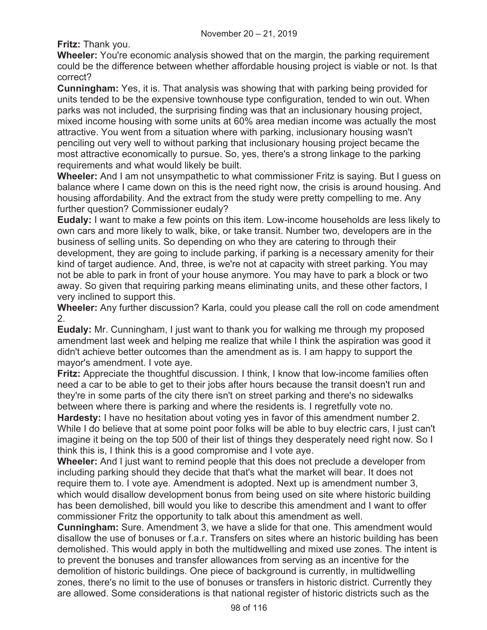**Fritz:** Thank you.

**Wheeler:** You're economic analysis showed that on the margin, the parking requirement could be the difference between whether affordable housing project is viable or not. Is that correct?

**Cunningham:** Yes, it is. That analysis was showing that with parking being provided for units tended to be the expensive townhouse type configuration, tended to win out. When parks was not included, the surprising finding was that an inclusionary housing project, mixed income housing with some units at 60% area median income was actually the most attractive. You went from a situation where with parking, inclusionary housing wasn't penciling out very well to without parking that inclusionary housing project became the most attractive economically to pursue. So, yes, there's a strong linkage to the parking requirements and what would likely be built.

**Wheeler:** And I am not unsympathetic to what commissioner Fritz is saying. But I guess on balance where I came down on this is the need right now, the crisis is around housing. And housing affordability. And the extract from the study were pretty compelling to me. Any further question? Commissioner eudaly?

**Eudaly:** I want to make a few points on this item. Low-income households are less likely to own cars and more likely to walk, bike, or take transit. Number two, developers are in the business of selling units. So depending on who they are catering to through their development, they are going to include parking, if parking is a necessary amenity for their kind of target audience. And, three, is we're not at capacity with street parking. You may not be able to park in front of your house anymore. You may have to park a block or two away. So given that requiring parking means eliminating units, and these other factors, I very inclined to support this.

**Wheeler:** Any further discussion? Karla, could you please call the roll on code amendment 2.

**Eudaly:** Mr. Cunningham, I just want to thank you for walking me through my proposed amendment last week and helping me realize that while I think the aspiration was good it didn't achieve better outcomes than the amendment as is. I am happy to support the mayor's amendment. I vote aye.

**Fritz:** Appreciate the thoughtful discussion. I think, I know that low-income families often need a car to be able to get to their jobs after hours because the transit doesn't run and they're in some parts of the city there isn't on street parking and there's no sidewalks between where there is parking and where the residents is. I regretfully vote no.

**Hardesty:** I have no hesitation about voting yes in favor of this amendment number 2. While I do believe that at some point poor folks will be able to buy electric cars, I just can't imagine it being on the top 500 of their list of things they desperately need right now. So I think this is, I think this is a good compromise and I vote aye.

**Wheeler:** And I just want to remind people that this does not preclude a developer from including parking should they decide that that's what the market will bear. It does not require them to. I vote aye. Amendment is adopted. Next up is amendment number 3, which would disallow development bonus from being used on site where historic building has been demolished, bill would you like to describe this amendment and I want to offer commissioner Fritz the opportunity to talk about this amendment as well.

**Cunningham:** Sure. Amendment 3, we have a slide for that one. This amendment would disallow the use of bonuses or f.a.r. Transfers on sites where an historic building has been demolished. This would apply in both the multidwelling and mixed use zones. The intent is to prevent the bonuses and transfer allowances from serving as an incentive for the demolition of historic buildings. One piece of background is currently, in multidwelling zones, there's no limit to the use of bonuses or transfers in historic district. Currently they are allowed. Some considerations is that national register of historic districts such as the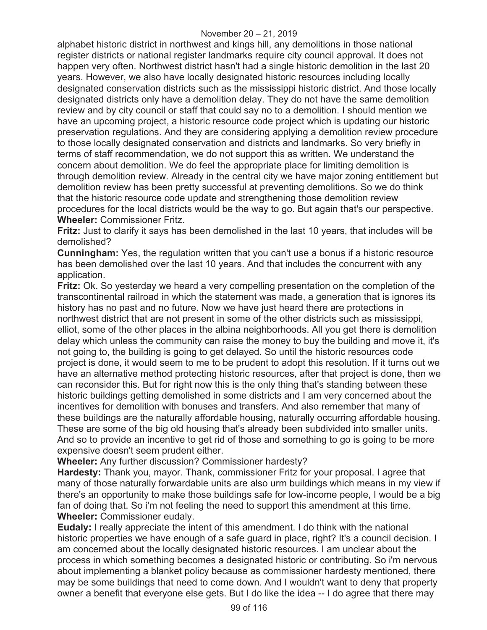alphabet historic district in northwest and kings hill, any demolitions in those national register districts or national register landmarks require city council approval. It does not happen very often. Northwest district hasn't had a single historic demolition in the last 20 years. However, we also have locally designated historic resources including locally designated conservation districts such as the mississippi historic district. And those locally designated districts only have a demolition delay. They do not have the same demolition review and by city council or staff that could say no to a demolition. I should mention we have an upcoming project, a historic resource code project which is updating our historic preservation regulations. And they are considering applying a demolition review procedure to those locally designated conservation and districts and landmarks. So very briefly in terms of staff recommendation, we do not support this as written. We understand the concern about demolition. We do feel the appropriate place for limiting demolition is through demolition review. Already in the central city we have major zoning entitlement but demolition review has been pretty successful at preventing demolitions. So we do think that the historic resource code update and strengthening those demolition review procedures for the local districts would be the way to go. But again that's our perspective. **Wheeler:** Commissioner Fritz.

**Fritz:** Just to clarify it says has been demolished in the last 10 years, that includes will be demolished?

**Cunningham:** Yes, the regulation written that you can't use a bonus if a historic resource has been demolished over the last 10 years. And that includes the concurrent with any application.

**Fritz:** Ok. So yesterday we heard a very compelling presentation on the completion of the transcontinental railroad in which the statement was made, a generation that is ignores its history has no past and no future. Now we have just heard there are protections in northwest district that are not present in some of the other districts such as mississippi, elliot, some of the other places in the albina neighborhoods. All you get there is demolition delay which unless the community can raise the money to buy the building and move it, it's not going to, the building is going to get delayed. So until the historic resources code project is done, it would seem to me to be prudent to adopt this resolution. If it turns out we have an alternative method protecting historic resources, after that project is done, then we can reconsider this. But for right now this is the only thing that's standing between these historic buildings getting demolished in some districts and I am very concerned about the incentives for demolition with bonuses and transfers. And also remember that many of these buildings are the naturally affordable housing, naturally occurring affordable housing. These are some of the big old housing that's already been subdivided into smaller units. And so to provide an incentive to get rid of those and something to go is going to be more expensive doesn't seem prudent either.

**Wheeler:** Any further discussion? Commissioner hardesty?

**Hardesty:** Thank you, mayor. Thank, commissioner Fritz for your proposal. I agree that many of those naturally forwardable units are also urm buildings which means in my view if there's an opportunity to make those buildings safe for low-income people, I would be a big fan of doing that. So i'm not feeling the need to support this amendment at this time. **Wheeler:** Commissioner eudaly.

**Eudaly:** I really appreciate the intent of this amendment. I do think with the national historic properties we have enough of a safe guard in place, right? It's a council decision. I am concerned about the locally designated historic resources. I am unclear about the process in which something becomes a designated historic or contributing. So i'm nervous about implementing a blanket policy because as commissioner hardesty mentioned, there may be some buildings that need to come down. And I wouldn't want to deny that property owner a benefit that everyone else gets. But I do like the idea -- I do agree that there may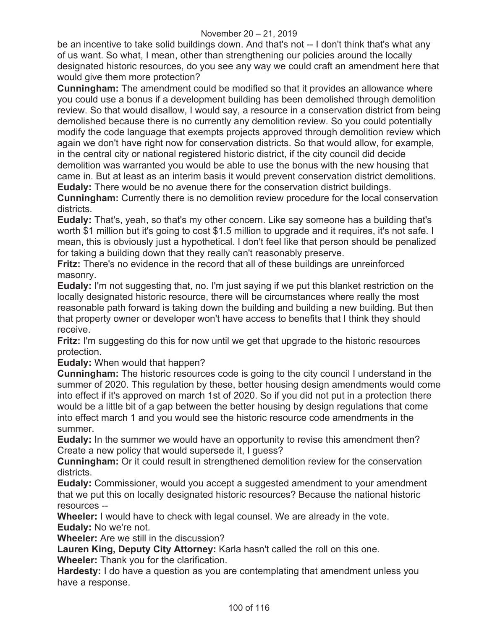be an incentive to take solid buildings down. And that's not -- I don't think that's what any of us want. So what, I mean, other than strengthening our policies around the locally designated historic resources, do you see any way we could craft an amendment here that would give them more protection?

**Cunningham:** The amendment could be modified so that it provides an allowance where you could use a bonus if a development building has been demolished through demolition review. So that would disallow, I would say, a resource in a conservation district from being demolished because there is no currently any demolition review. So you could potentially modify the code language that exempts projects approved through demolition review which again we don't have right now for conservation districts. So that would allow, for example, in the central city or national registered historic district, if the city council did decide demolition was warranted you would be able to use the bonus with the new housing that came in. But at least as an interim basis it would prevent conservation district demolitions. **Eudaly:** There would be no avenue there for the conservation district buildings.

**Cunningham:** Currently there is no demolition review procedure for the local conservation districts.

**Eudaly:** That's, yeah, so that's my other concern. Like say someone has a building that's worth \$1 million but it's going to cost \$1.5 million to upgrade and it requires, it's not safe. I mean, this is obviously just a hypothetical. I don't feel like that person should be penalized for taking a building down that they really can't reasonably preserve.

**Fritz:** There's no evidence in the record that all of these buildings are unreinforced masonry.

**Eudaly:** I'm not suggesting that, no. I'm just saying if we put this blanket restriction on the locally designated historic resource, there will be circumstances where really the most reasonable path forward is taking down the building and building a new building. But then that property owner or developer won't have access to benefits that I think they should receive.

**Fritz:** I'm suggesting do this for now until we get that upgrade to the historic resources protection.

**Eudaly:** When would that happen?

**Cunningham:** The historic resources code is going to the city council I understand in the summer of 2020. This regulation by these, better housing design amendments would come into effect if it's approved on march 1st of 2020. So if you did not put in a protection there would be a little bit of a gap between the better housing by design regulations that come into effect march 1 and you would see the historic resource code amendments in the summer.

**Eudaly:** In the summer we would have an opportunity to revise this amendment then? Create a new policy that would supersede it, I guess?

**Cunningham:** Or it could result in strengthened demolition review for the conservation districts.

**Eudaly:** Commissioner, would you accept a suggested amendment to your amendment that we put this on locally designated historic resources? Because the national historic resources --

**Wheeler:** I would have to check with legal counsel. We are already in the vote. **Eudaly:** No we're not.

**Wheeler:** Are we still in the discussion?

**Lauren King, Deputy City Attorney:** Karla hasn't called the roll on this one.

**Wheeler:** Thank you for the clarification.

**Hardesty:** I do have a question as you are contemplating that amendment unless you have a response.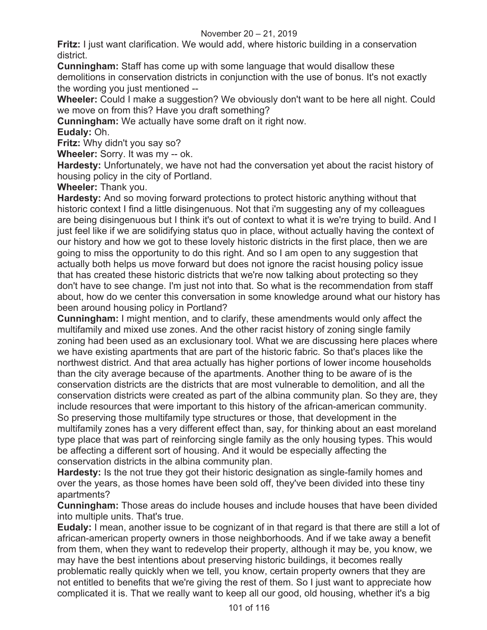#### November 20 – 21, 2019

**Fritz:** I just want clarification. We would add, where historic building in a conservation district.

**Cunningham:** Staff has come up with some language that would disallow these demolitions in conservation districts in conjunction with the use of bonus. It's not exactly the wording you just mentioned --

**Wheeler:** Could I make a suggestion? We obviously don't want to be here all night. Could we move on from this? Have you draft something?

**Cunningham:** We actually have some draft on it right now.

**Eudaly:** Oh.

**Fritz:** Why didn't you say so?

**Wheeler:** Sorry. It was my -- ok.

**Hardesty:** Unfortunately, we have not had the conversation yet about the racist history of housing policy in the city of Portland.

**Wheeler:** Thank you.

**Hardesty:** And so moving forward protections to protect historic anything without that historic context I find a little disingenuous. Not that i'm suggesting any of my colleagues are being disingenuous but I think it's out of context to what it is we're trying to build. And I just feel like if we are solidifying status quo in place, without actually having the context of our history and how we got to these lovely historic districts in the first place, then we are going to miss the opportunity to do this right. And so I am open to any suggestion that actually both helps us move forward but does not ignore the racist housing policy issue that has created these historic districts that we're now talking about protecting so they don't have to see change. I'm just not into that. So what is the recommendation from staff about, how do we center this conversation in some knowledge around what our history has been around housing policy in Portland?

**Cunningham:** I might mention, and to clarify, these amendments would only affect the multifamily and mixed use zones. And the other racist history of zoning single family zoning had been used as an exclusionary tool. What we are discussing here places where we have existing apartments that are part of the historic fabric. So that's places like the northwest district. And that area actually has higher portions of lower income households than the city average because of the apartments. Another thing to be aware of is the conservation districts are the districts that are most vulnerable to demolition, and all the conservation districts were created as part of the albina community plan. So they are, they include resources that were important to this history of the african-american community. So preserving those multifamily type structures or those, that development in the multifamily zones has a very different effect than, say, for thinking about an east moreland type place that was part of reinforcing single family as the only housing types. This would be affecting a different sort of housing. And it would be especially affecting the conservation districts in the albina community plan.

**Hardesty:** Is the not true they got their historic designation as single-family homes and over the years, as those homes have been sold off, they've been divided into these tiny apartments?

**Cunningham:** Those areas do include houses and include houses that have been divided into multiple units. That's true.

**Eudaly:** I mean, another issue to be cognizant of in that regard is that there are still a lot of african-american property owners in those neighborhoods. And if we take away a benefit from them, when they want to redevelop their property, although it may be, you know, we may have the best intentions about preserving historic buildings, it becomes really problematic really quickly when we tell, you know, certain property owners that they are not entitled to benefits that we're giving the rest of them. So I just want to appreciate how complicated it is. That we really want to keep all our good, old housing, whether it's a big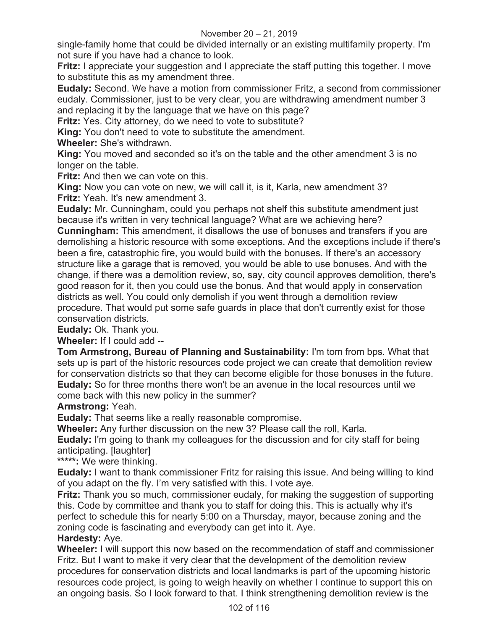single-family home that could be divided internally or an existing multifamily property. I'm not sure if you have had a chance to look.

**Fritz:** I appreciate your suggestion and I appreciate the staff putting this together. I move to substitute this as my amendment three.

**Eudaly:** Second. We have a motion from commissioner Fritz, a second from commissioner eudaly. Commissioner, just to be very clear, you are withdrawing amendment number 3 and replacing it by the language that we have on this page?

**Fritz:** Yes. City attorney, do we need to vote to substitute?

**King:** You don't need to vote to substitute the amendment.

**Wheeler:** She's withdrawn.

**King:** You moved and seconded so it's on the table and the other amendment 3 is no longer on the table.

**Fritz:** And then we can vote on this.

**King:** Now you can vote on new, we will call it, is it, Karla, new amendment 3? **Fritz:** Yeah. It's new amendment 3.

**Eudaly:** Mr. Cunningham, could you perhaps not shelf this substitute amendment just because it's written in very technical language? What are we achieving here?

**Cunningham:** This amendment, it disallows the use of bonuses and transfers if you are demolishing a historic resource with some exceptions. And the exceptions include if there's been a fire, catastrophic fire, you would build with the bonuses. If there's an accessory structure like a garage that is removed, you would be able to use bonuses. And with the change, if there was a demolition review, so, say, city council approves demolition, there's good reason for it, then you could use the bonus. And that would apply in conservation districts as well. You could only demolish if you went through a demolition review procedure. That would put some safe guards in place that don't currently exist for those conservation districts.

**Eudaly:** Ok. Thank you.

**Wheeler:** If I could add --

**Tom Armstrong, Bureau of Planning and Sustainability:** I'm tom from bps. What that sets up is part of the historic resources code project we can create that demolition review for conservation districts so that they can become eligible for those bonuses in the future. **Eudaly:** So for three months there won't be an avenue in the local resources until we come back with this new policy in the summer?

**Armstrong:** Yeah.

**Eudaly:** That seems like a really reasonable compromise.

**Wheeler:** Any further discussion on the new 3? Please call the roll, Karla.

**Eudaly:** I'm going to thank my colleagues for the discussion and for city staff for being anticipating. [laughter]

**\*\*\*\*\*:** We were thinking.

**Eudaly:** I want to thank commissioner Fritz for raising this issue. And being willing to kind of you adapt on the fly. I'm very satisfied with this. I vote aye.

**Fritz:** Thank you so much, commissioner eudaly, for making the suggestion of supporting this. Code by committee and thank you to staff for doing this. This is actually why it's perfect to schedule this for nearly 5:00 on a Thursday, mayor, because zoning and the zoning code is fascinating and everybody can get into it. Aye.

### **Hardesty:** Aye.

**Wheeler:** I will support this now based on the recommendation of staff and commissioner Fritz. But I want to make it very clear that the development of the demolition review procedures for conservation districts and local landmarks is part of the upcoming historic resources code project, is going to weigh heavily on whether I continue to support this on an ongoing basis. So I look forward to that. I think strengthening demolition review is the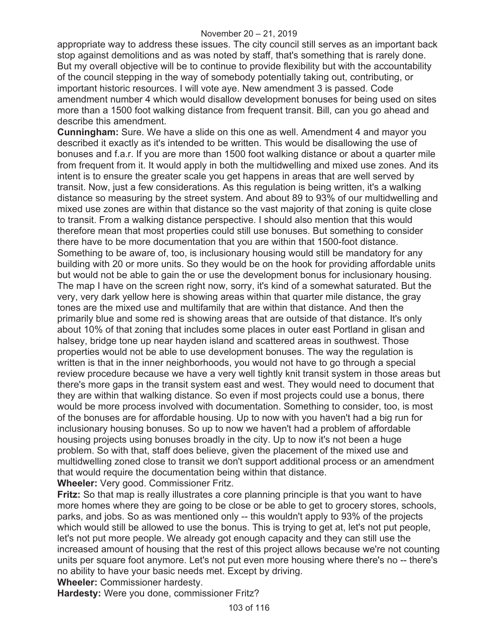appropriate way to address these issues. The city council still serves as an important back stop against demolitions and as was noted by staff, that's something that is rarely done. But my overall objective will be to continue to provide flexibility but with the accountability of the council stepping in the way of somebody potentially taking out, contributing, or important historic resources. I will vote aye. New amendment 3 is passed. Code amendment number 4 which would disallow development bonuses for being used on sites more than a 1500 foot walking distance from frequent transit. Bill, can you go ahead and describe this amendment.

**Cunningham:** Sure. We have a slide on this one as well. Amendment 4 and mayor you described it exactly as it's intended to be written. This would be disallowing the use of bonuses and f.a.r. If you are more than 1500 foot walking distance or about a quarter mile from frequent from it. It would apply in both the multidwelling and mixed use zones. And its intent is to ensure the greater scale you get happens in areas that are well served by transit. Now, just a few considerations. As this regulation is being written, it's a walking distance so measuring by the street system. And about 89 to 93% of our multidwelling and mixed use zones are within that distance so the vast majority of that zoning is quite close to transit. From a walking distance perspective. I should also mention that this would therefore mean that most properties could still use bonuses. But something to consider there have to be more documentation that you are within that 1500-foot distance. Something to be aware of, too, is inclusionary housing would still be mandatory for any building with 20 or more units. So they would be on the hook for providing affordable units but would not be able to gain the or use the development bonus for inclusionary housing. The map I have on the screen right now, sorry, it's kind of a somewhat saturated. But the very, very dark yellow here is showing areas within that quarter mile distance, the gray tones are the mixed use and multifamily that are within that distance. And then the primarily blue and some red is showing areas that are outside of that distance. It's only about 10% of that zoning that includes some places in outer east Portland in glisan and halsey, bridge tone up near hayden island and scattered areas in southwest. Those properties would not be able to use development bonuses. The way the regulation is written is that in the inner neighborhoods, you would not have to go through a special review procedure because we have a very well tightly knit transit system in those areas but there's more gaps in the transit system east and west. They would need to document that they are within that walking distance. So even if most projects could use a bonus, there would be more process involved with documentation. Something to consider, too, is most of the bonuses are for affordable housing. Up to now with you haven't had a big run for inclusionary housing bonuses. So up to now we haven't had a problem of affordable housing projects using bonuses broadly in the city. Up to now it's not been a huge problem. So with that, staff does believe, given the placement of the mixed use and multidwelling zoned close to transit we don't support additional process or an amendment that would require the documentation being within that distance.

**Wheeler:** Very good. Commissioner Fritz.

**Fritz:** So that map is really illustrates a core planning principle is that you want to have more homes where they are going to be close or be able to get to grocery stores, schools, parks, and jobs. So as was mentioned only -- this wouldn't apply to 93% of the projects which would still be allowed to use the bonus. This is trying to get at, let's not put people, let's not put more people. We already got enough capacity and they can still use the increased amount of housing that the rest of this project allows because we're not counting units per square foot anymore. Let's not put even more housing where there's no -- there's no ability to have your basic needs met. Except by driving.

**Wheeler:** Commissioner hardesty.

**Hardesty:** Were you done, commissioner Fritz?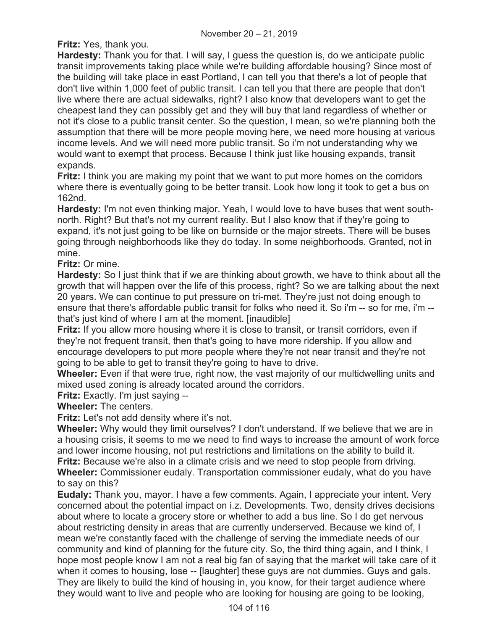**Fritz:** Yes, thank you.

**Hardesty:** Thank you for that. I will say, I guess the question is, do we anticipate public transit improvements taking place while we're building affordable housing? Since most of the building will take place in east Portland, I can tell you that there's a lot of people that don't live within 1,000 feet of public transit. I can tell you that there are people that don't live where there are actual sidewalks, right? I also know that developers want to get the cheapest land they can possibly get and they will buy that land regardless of whether or not it's close to a public transit center. So the question, I mean, so we're planning both the assumption that there will be more people moving here, we need more housing at various income levels. And we will need more public transit. So i'm not understanding why we would want to exempt that process. Because I think just like housing expands, transit expands.

**Fritz:** I think you are making my point that we want to put more homes on the corridors where there is eventually going to be better transit. Look how long it took to get a bus on 162nd.

**Hardesty:** I'm not even thinking major. Yeah, I would love to have buses that went southnorth. Right? But that's not my current reality. But I also know that if they're going to expand, it's not just going to be like on burnside or the major streets. There will be buses going through neighborhoods like they do today. In some neighborhoods. Granted, not in mine.

**Fritz:** Or mine.

**Hardesty:** So I just think that if we are thinking about growth, we have to think about all the growth that will happen over the life of this process, right? So we are talking about the next 20 years. We can continue to put pressure on tri-met. They're just not doing enough to ensure that there's affordable public transit for folks who need it. So i'm -- so for me, i'm - that's just kind of where I am at the moment. [inaudible]

**Fritz:** If you allow more housing where it is close to transit, or transit corridors, even if they're not frequent transit, then that's going to have more ridership. If you allow and encourage developers to put more people where they're not near transit and they're not going to be able to get to transit they're going to have to drive.

**Wheeler:** Even if that were true, right now, the vast majority of our multidwelling units and mixed used zoning is already located around the corridors.

**Fritz:** Exactly. I'm just saying --

**Wheeler:** The centers.

**Fritz:** Let's not add density where it's not.

**Wheeler:** Why would they limit ourselves? I don't understand. If we believe that we are in a housing crisis, it seems to me we need to find ways to increase the amount of work force and lower income housing, not put restrictions and limitations on the ability to build it. **Fritz:** Because we're also in a climate crisis and we need to stop people from driving. **Wheeler:** Commissioner eudaly. Transportation commissioner eudaly, what do you have to say on this?

**Eudaly:** Thank you, mayor. I have a few comments. Again, I appreciate your intent. Very concerned about the potential impact on i.z. Developments. Two, density drives decisions about where to locate a grocery store or whether to add a bus line. So I do get nervous about restricting density in areas that are currently underserved. Because we kind of, I mean we're constantly faced with the challenge of serving the immediate needs of our community and kind of planning for the future city. So, the third thing again, and I think, I hope most people know I am not a real big fan of saying that the market will take care of it when it comes to housing, lose -- [laughter] these guys are not dummies. Guys and gals. They are likely to build the kind of housing in, you know, for their target audience where they would want to live and people who are looking for housing are going to be looking,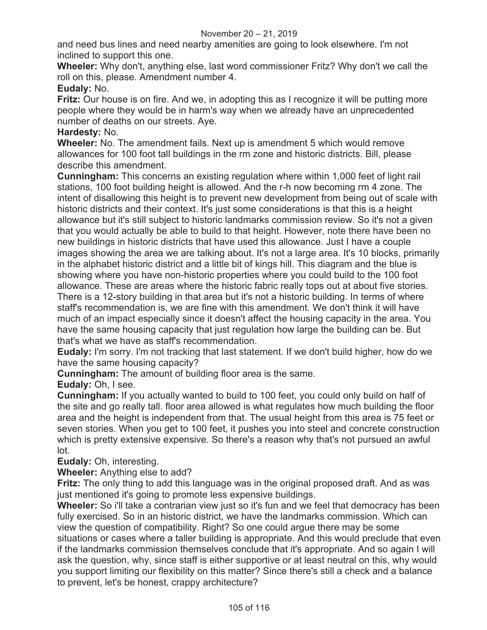and need bus lines and need nearby amenities are going to look elsewhere. I'm not inclined to support this one.

**Wheeler:** Why don't, anything else, last word commissioner Fritz? Why don't we call the roll on this, please. Amendment number 4.

## **Eudaly:** No.

**Fritz:** Our house is on fire. And we, in adopting this as I recognize it will be putting more people where they would be in harm's way when we already have an unprecedented number of deaths on our streets. Aye.

### **Hardesty:** No.

**Wheeler:** No. The amendment fails. Next up is amendment 5 which would remove allowances for 100 foot tall buildings in the rm zone and historic districts. Bill, please describe this amendment.

**Cunningham:** This concerns an existing regulation where within 1,000 feet of light rail stations, 100 foot building height is allowed. And the r-h now becoming rm 4 zone. The intent of disallowing this height is to prevent new development from being out of scale with historic districts and their context. It's just some considerations is that this is a height allowance but it's still subject to historic landmarks commission review. So it's not a given that you would actually be able to build to that height. However, note there have been no new buildings in historic districts that have used this allowance. Just I have a couple images showing the area we are talking about. It's not a large area. It's 10 blocks, primarily in the alphabet historic district and a little bit of kings hill. This diagram and the blue is showing where you have non-historic properties where you could build to the 100 foot allowance. These are areas where the historic fabric really tops out at about five stories. There is a 12-story building in that area but it's not a historic building. In terms of where staff's recommendation is, we are fine with this amendment. We don't think it will have much of an impact especially since it doesn't affect the housing capacity in the area. You have the same housing capacity that just regulation how large the building can be. But that's what we have as staff's recommendation.

**Eudaly:** I'm sorry. I'm not tracking that last statement. If we don't build higher, how do we have the same housing capacity?

**Cunningham:** The amount of building floor area is the same.

**Eudaly:** Oh, I see.

**Cunningham:** If you actually wanted to build to 100 feet, you could only build on half of the site and go really tall. floor area allowed is what regulates how much building the floor area and the height is independent from that. The usual height from this area is 75 feet or seven stories. When you get to 100 feet, it pushes you into steel and concrete construction which is pretty extensive expensive. So there's a reason why that's not pursued an awful lot.

# **Eudaly:** Oh, interesting.

**Wheeler:** Anything else to add?

**Fritz:** The only thing to add this language was in the original proposed draft. And as was just mentioned it's going to promote less expensive buildings.

**Wheeler:** So i'll take a contrarian view just so it's fun and we feel that democracy has been fully exercised. So in an historic district, we have the landmarks commission. Which can view the question of compatibility. Right? So one could argue there may be some situations or cases where a taller building is appropriate. And this would preclude that even if the landmarks commission themselves conclude that it's appropriate. And so again I will ask the question, why, since staff is either supportive or at least neutral on this, why would you support limiting our flexibility on this matter? Since there's still a check and a balance to prevent, let's be honest, crappy architecture?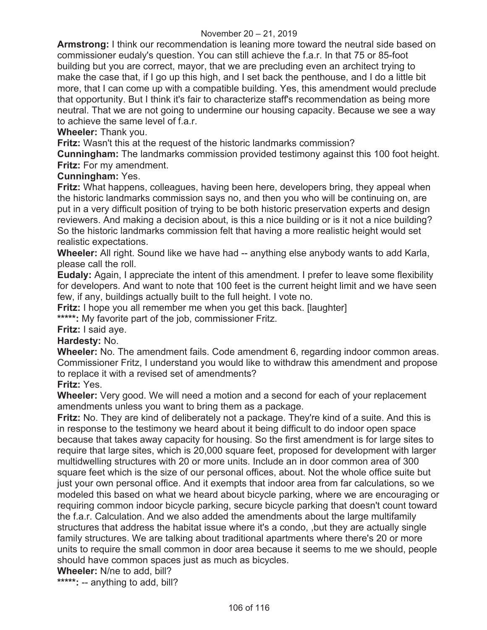**Armstrong:** I think our recommendation is leaning more toward the neutral side based on commissioner eudaly's question. You can still achieve the f.a.r. In that 75 or 85-foot building but you are correct, mayor, that we are precluding even an architect trying to make the case that, if I go up this high, and I set back the penthouse, and I do a little bit more, that I can come up with a compatible building. Yes, this amendment would preclude that opportunity. But I think it's fair to characterize staff's recommendation as being more neutral. That we are not going to undermine our housing capacity. Because we see a way to achieve the same level of f.a.r.

## **Wheeler:** Thank you.

**Fritz:** Wasn't this at the request of the historic landmarks commission?

**Cunningham:** The landmarks commission provided testimony against this 100 foot height. **Fritz:** For my amendment.

### **Cunningham:** Yes.

**Fritz:** What happens, colleagues, having been here, developers bring, they appeal when the historic landmarks commission says no, and then you who will be continuing on, are put in a very difficult position of trying to be both historic preservation experts and design reviewers. And making a decision about, is this a nice building or is it not a nice building? So the historic landmarks commission felt that having a more realistic height would set realistic expectations.

**Wheeler:** All right. Sound like we have had -- anything else anybody wants to add Karla, please call the roll.

**Eudaly:** Again, I appreciate the intent of this amendment. I prefer to leave some flexibility for developers. And want to note that 100 feet is the current height limit and we have seen few, if any, buildings actually built to the full height. I vote no.

**Fritz:** I hope you all remember me when you get this back. [laughter]

**\*\*\*\*\*:** My favorite part of the job, commissioner Fritz.

**Fritz:** I said aye.

**Hardesty:** No.

**Wheeler:** No. The amendment fails. Code amendment 6, regarding indoor common areas. Commissioner Fritz, I understand you would like to withdraw this amendment and propose to replace it with a revised set of amendments?

**Fritz:** Yes.

**Wheeler:** Very good. We will need a motion and a second for each of your replacement amendments unless you want to bring them as a package.

**Fritz:** No. They are kind of deliberately not a package. They're kind of a suite. And this is in response to the testimony we heard about it being difficult to do indoor open space because that takes away capacity for housing. So the first amendment is for large sites to require that large sites, which is 20,000 square feet, proposed for development with larger multidwelling structures with 20 or more units. Include an in door common area of 300 square feet which is the size of our personal offices, about. Not the whole office suite but just your own personal office. And it exempts that indoor area from far calculations, so we modeled this based on what we heard about bicycle parking, where we are encouraging or requiring common indoor bicycle parking, secure bicycle parking that doesn't count toward the f.a.r. Calculation. And we also added the amendments about the large multifamily structures that address the habitat issue where it's a condo, ,but they are actually single family structures. We are talking about traditional apartments where there's 20 or more units to require the small common in door area because it seems to me we should, people should have common spaces just as much as bicycles.

**Wheeler:** N/ne to add, bill?

**\*\*\*\*\*:** -- anything to add, bill?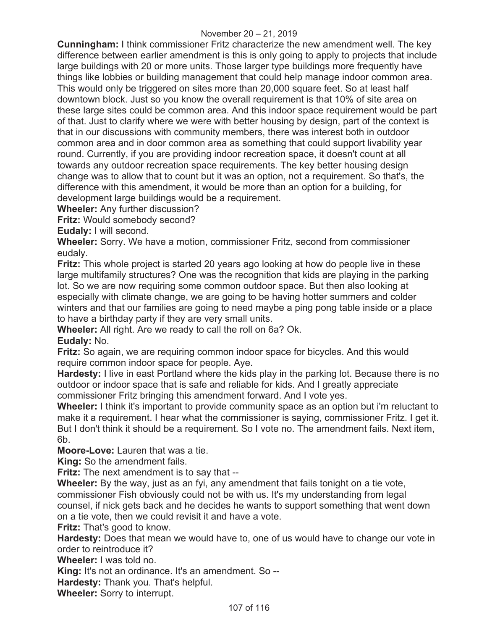**Cunningham:** I think commissioner Fritz characterize the new amendment well. The key difference between earlier amendment is this is only going to apply to projects that include large buildings with 20 or more units. Those larger type buildings more frequently have things like lobbies or building management that could help manage indoor common area. This would only be triggered on sites more than 20,000 square feet. So at least half downtown block. Just so you know the overall requirement is that 10% of site area on these large sites could be common area. And this indoor space requirement would be part of that. Just to clarify where we were with better housing by design, part of the context is that in our discussions with community members, there was interest both in outdoor common area and in door common area as something that could support livability year round. Currently, if you are providing indoor recreation space, it doesn't count at all towards any outdoor recreation space requirements. The key better housing design change was to allow that to count but it was an option, not a requirement. So that's, the difference with this amendment, it would be more than an option for a building, for development large buildings would be a requirement.

**Wheeler:** Any further discussion?

**Fritz:** Would somebody second?

**Eudaly:** I will second.

**Wheeler:** Sorry. We have a motion, commissioner Fritz, second from commissioner eudaly.

**Fritz:** This whole project is started 20 years ago looking at how do people live in these large multifamily structures? One was the recognition that kids are playing in the parking lot. So we are now requiring some common outdoor space. But then also looking at especially with climate change, we are going to be having hotter summers and colder winters and that our families are going to need maybe a ping pong table inside or a place to have a birthday party if they are very small units.

**Wheeler:** All right. Are we ready to call the roll on 6a? Ok.

# **Eudaly:** No.

**Fritz:** So again, we are requiring common indoor space for bicycles. And this would require common indoor space for people. Aye.

**Hardesty:** I live in east Portland where the kids play in the parking lot. Because there is no outdoor or indoor space that is safe and reliable for kids. And I greatly appreciate commissioner Fritz bringing this amendment forward. And I vote yes.

**Wheeler:** I think it's important to provide community space as an option but i'm reluctant to make it a requirement. I hear what the commissioner is saying, commissioner Fritz. I get it. But I don't think it should be a requirement. So I vote no. The amendment fails. Next item, 6b.

**Moore-Love:** Lauren that was a tie.

**King:** So the amendment fails.

**Fritz:** The next amendment is to say that --

**Wheeler:** By the way, just as an fyi, any amendment that fails tonight on a tie vote, commissioner Fish obviously could not be with us. It's my understanding from legal counsel, if nick gets back and he decides he wants to support something that went down on a tie vote, then we could revisit it and have a vote.

**Fritz:** That's good to know.

**Hardesty:** Does that mean we would have to, one of us would have to change our vote in order to reintroduce it?

**Wheeler:** I was told no.

**King:** It's not an ordinance. It's an amendment. So --

**Hardesty:** Thank you. That's helpful.

**Wheeler:** Sorry to interrupt.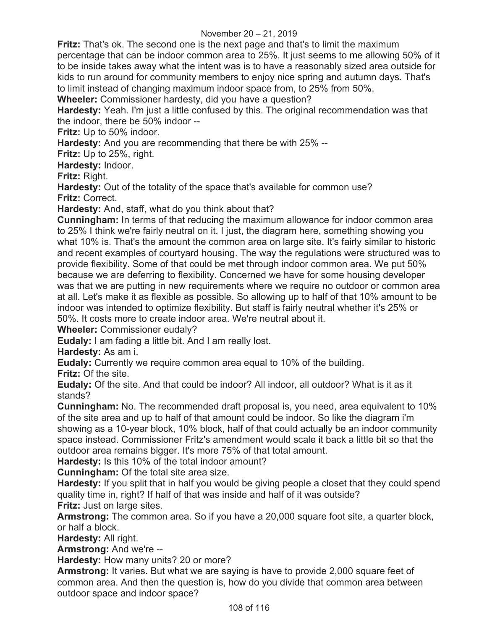**Fritz:** That's ok. The second one is the next page and that's to limit the maximum percentage that can be indoor common area to 25%. It just seems to me allowing 50% of it to be inside takes away what the intent was is to have a reasonably sized area outside for kids to run around for community members to enjoy nice spring and autumn days. That's to limit instead of changing maximum indoor space from, to 25% from 50%.

**Wheeler:** Commissioner hardesty, did you have a question?

**Hardesty:** Yeah. I'm just a little confused by this. The original recommendation was that the indoor, there be 50% indoor --

**Fritz:** Up to 50% indoor.

**Hardesty:** And you are recommending that there be with 25% --

**Fritz:** Up to 25%, right.

**Hardesty:** Indoor.

**Fritz:** Right.

**Hardesty:** Out of the totality of the space that's available for common use? **Fritz:** Correct.

**Hardesty:** And, staff, what do you think about that?

**Cunningham:** In terms of that reducing the maximum allowance for indoor common area to 25% I think we're fairly neutral on it. I just, the diagram here, something showing you what 10% is. That's the amount the common area on large site. It's fairly similar to historic and recent examples of courtyard housing. The way the regulations were structured was to provide flexibility. Some of that could be met through indoor common area. We put 50% because we are deferring to flexibility. Concerned we have for some housing developer was that we are putting in new requirements where we require no outdoor or common area at all. Let's make it as flexible as possible. So allowing up to half of that 10% amount to be indoor was intended to optimize flexibility. But staff is fairly neutral whether it's 25% or 50%. It costs more to create indoor area. We're neutral about it.

**Wheeler:** Commissioner eudaly?

**Eudaly:** I am fading a little bit. And I am really lost.

**Hardesty:** As am i.

**Eudaly:** Currently we require common area equal to 10% of the building.

**Fritz:** Of the site.

**Eudaly:** Of the site. And that could be indoor? All indoor, all outdoor? What is it as it stands?

**Cunningham:** No. The recommended draft proposal is, you need, area equivalent to 10% of the site area and up to half of that amount could be indoor. So like the diagram i'm showing as a 10-year block, 10% block, half of that could actually be an indoor community space instead. Commissioner Fritz's amendment would scale it back a little bit so that the outdoor area remains bigger. It's more 75% of that total amount.

**Hardesty:** Is this 10% of the total indoor amount?

**Cunningham:** Of the total site area size.

**Hardesty:** If you split that in half you would be giving people a closet that they could spend quality time in, right? If half of that was inside and half of it was outside? **Fritz:** Just on large sites.

**Armstrong:** The common area. So if you have a 20,000 square foot site, a quarter block, or half a block.

**Hardesty:** All right.

**Armstrong:** And we're --

**Hardesty:** How many units? 20 or more?

**Armstrong:** It varies. But what we are saying is have to provide 2,000 square feet of common area. And then the question is, how do you divide that common area between outdoor space and indoor space?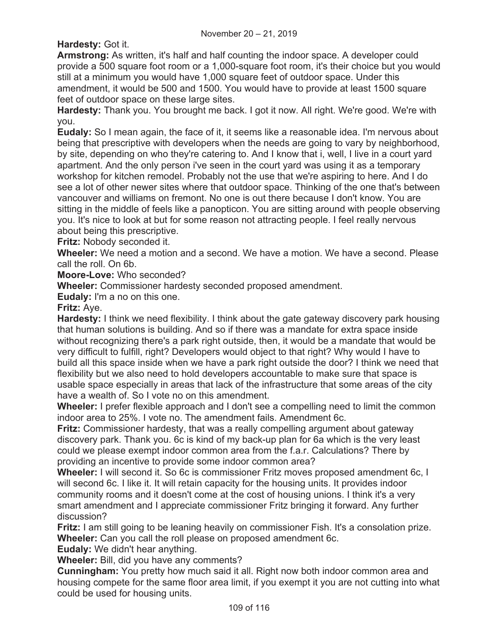**Hardesty:** Got it.

**Armstrong:** As written, it's half and half counting the indoor space. A developer could provide a 500 square foot room or a 1,000-square foot room, it's their choice but you would still at a minimum you would have 1,000 square feet of outdoor space. Under this amendment, it would be 500 and 1500. You would have to provide at least 1500 square feet of outdoor space on these large sites.

**Hardesty:** Thank you. You brought me back. I got it now. All right. We're good. We're with you.

**Eudaly:** So I mean again, the face of it, it seems like a reasonable idea. I'm nervous about being that prescriptive with developers when the needs are going to vary by neighborhood, by site, depending on who they're catering to. And I know that i, well, I live in a court yard apartment. And the only person i've seen in the court yard was using it as a temporary workshop for kitchen remodel. Probably not the use that we're aspiring to here. And I do see a lot of other newer sites where that outdoor space. Thinking of the one that's between vancouver and williams on fremont. No one is out there because I don't know. You are sitting in the middle of feels like a panopticon. You are sitting around with people observing you. It's nice to look at but for some reason not attracting people. I feel really nervous about being this prescriptive.

**Fritz:** Nobody seconded it.

**Wheeler:** We need a motion and a second. We have a motion. We have a second. Please call the roll. On 6b.

**Moore-Love:** Who seconded?

**Wheeler:** Commissioner hardesty seconded proposed amendment.

**Eudaly:** I'm a no on this one.

**Fritz:** Aye.

**Hardesty:** I think we need flexibility. I think about the gate gateway discovery park housing that human solutions is building. And so if there was a mandate for extra space inside without recognizing there's a park right outside, then, it would be a mandate that would be very difficult to fulfill, right? Developers would object to that right? Why would I have to build all this space inside when we have a park right outside the door? I think we need that flexibility but we also need to hold developers accountable to make sure that space is usable space especially in areas that lack of the infrastructure that some areas of the city have a wealth of. So I vote no on this amendment.

**Wheeler:** I prefer flexible approach and I don't see a compelling need to limit the common indoor area to 25%. I vote no. The amendment fails. Amendment 6c.

**Fritz:** Commissioner hardesty, that was a really compelling argument about gateway discovery park. Thank you. 6c is kind of my back-up plan for 6a which is the very least could we please exempt indoor common area from the f.a.r. Calculations? There by providing an incentive to provide some indoor common area?

**Wheeler:** I will second it. So 6c is commissioner Fritz moves proposed amendment 6c, I will second 6c. I like it. It will retain capacity for the housing units. It provides indoor community rooms and it doesn't come at the cost of housing unions. I think it's a very smart amendment and I appreciate commissioner Fritz bringing it forward. Any further discussion?

**Fritz:** I am still going to be leaning heavily on commissioner Fish. It's a consolation prize. **Wheeler:** Can you call the roll please on proposed amendment 6c.

**Eudaly:** We didn't hear anything.

**Wheeler:** Bill, did you have any comments?

**Cunningham:** You pretty how much said it all. Right now both indoor common area and housing compete for the same floor area limit, if you exempt it you are not cutting into what could be used for housing units.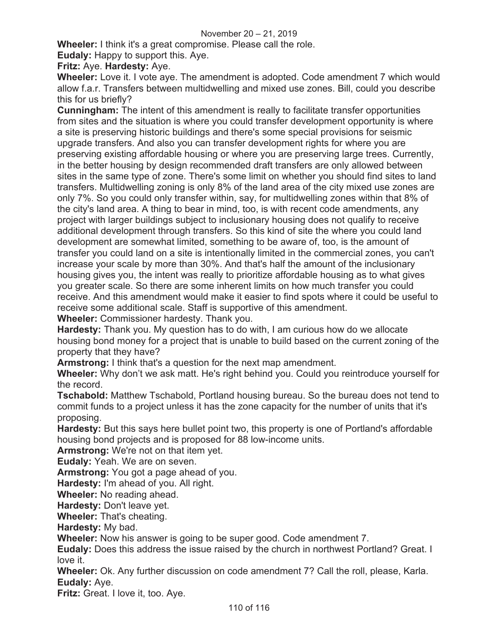## November 20 – 21, 2019

**Wheeler:** I think it's a great compromise. Please call the role.

**Eudaly:** Happy to support this. Aye.

**Fritz:** Aye. **Hardesty:** Aye.

**Wheeler:** Love it. I vote aye. The amendment is adopted. Code amendment 7 which would allow f.a.r. Transfers between multidwelling and mixed use zones. Bill, could you describe this for us briefly?

**Cunningham:** The intent of this amendment is really to facilitate transfer opportunities from sites and the situation is where you could transfer development opportunity is where a site is preserving historic buildings and there's some special provisions for seismic upgrade transfers. And also you can transfer development rights for where you are preserving existing affordable housing or where you are preserving large trees. Currently, in the better housing by design recommended draft transfers are only allowed between sites in the same type of zone. There's some limit on whether you should find sites to land transfers. Multidwelling zoning is only 8% of the land area of the city mixed use zones are only 7%. So you could only transfer within, say, for multidwelling zones within that 8% of the city's land area. A thing to bear in mind, too, is with recent code amendments, any project with larger buildings subject to inclusionary housing does not qualify to receive additional development through transfers. So this kind of site the where you could land development are somewhat limited, something to be aware of, too, is the amount of transfer you could land on a site is intentionally limited in the commercial zones, you can't increase your scale by more than 30%. And that's half the amount of the inclusionary housing gives you, the intent was really to prioritize affordable housing as to what gives you greater scale. So there are some inherent limits on how much transfer you could receive. And this amendment would make it easier to find spots where it could be useful to receive some additional scale. Staff is supportive of this amendment.

**Wheeler:** Commissioner hardesty. Thank you.

**Hardesty:** Thank you. My question has to do with, I am curious how do we allocate housing bond money for a project that is unable to build based on the current zoning of the property that they have?

**Armstrong:** I think that's a question for the next map amendment.

**Wheeler:** Why don't we ask matt. He's right behind you. Could you reintroduce yourself for the record.

**Tschabold:** Matthew Tschabold, Portland housing bureau. So the bureau does not tend to commit funds to a project unless it has the zone capacity for the number of units that it's proposing.

**Hardesty:** But this says here bullet point two, this property is one of Portland's affordable housing bond projects and is proposed for 88 low-income units.

**Armstrong:** We're not on that item yet.

**Eudaly:** Yeah. We are on seven.

**Armstrong:** You got a page ahead of you.

**Hardesty:** I'm ahead of you. All right.

**Wheeler:** No reading ahead.

**Hardesty:** Don't leave yet.

**Wheeler:** That's cheating.

**Hardesty:** My bad.

**Wheeler:** Now his answer is going to be super good. Code amendment 7.

**Eudaly:** Does this address the issue raised by the church in northwest Portland? Great. I love it.

**Wheeler:** Ok. Any further discussion on code amendment 7? Call the roll, please, Karla. **Eudaly:** Aye.

**Fritz:** Great. I love it, too. Aye.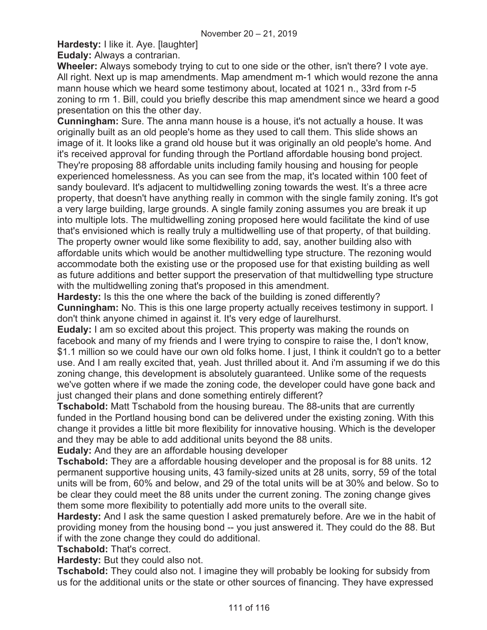**Hardesty:** I like it. Aye. [laughter]

**Eudaly:** Always a contrarian.

**Wheeler:** Always somebody trying to cut to one side or the other, isn't there? I vote aye. All right. Next up is map amendments. Map amendment m-1 which would rezone the anna mann house which we heard some testimony about, located at 1021 n., 33rd from r-5 zoning to rm 1. Bill, could you briefly describe this map amendment since we heard a good presentation on this the other day.

**Cunningham:** Sure. The anna mann house is a house, it's not actually a house. It was originally built as an old people's home as they used to call them. This slide shows an image of it. It looks like a grand old house but it was originally an old people's home. And it's received approval for funding through the Portland affordable housing bond project. They're proposing 88 affordable units including family housing and housing for people experienced homelessness. As you can see from the map, it's located within 100 feet of sandy boulevard. It's adjacent to multidwelling zoning towards the west. It's a three acre property, that doesn't have anything really in common with the single family zoning. It's got a very large building, large grounds. A single family zoning assumes you are break it up into multiple lots. The multidwelling zoning proposed here would facilitate the kind of use that's envisioned which is really truly a multidwelling use of that property, of that building. The property owner would like some flexibility to add, say, another building also with affordable units which would be another multidwelling type structure. The rezoning would accommodate both the existing use or the proposed use for that existing building as well as future additions and better support the preservation of that multidwelling type structure with the multidwelling zoning that's proposed in this amendment.

**Hardesty:** Is this the one where the back of the building is zoned differently? **Cunningham:** No. This is this one large property actually receives testimony in support. I don't think anyone chimed in against it. It's very edge of laurelhurst.

**Eudaly:** I am so excited about this project. This property was making the rounds on facebook and many of my friends and I were trying to conspire to raise the, I don't know, \$1.1 million so we could have our own old folks home. I just, I think it couldn't go to a better use. And I am really excited that, yeah. Just thrilled about it. And i'm assuming if we do this zoning change, this development is absolutely guaranteed. Unlike some of the requests we've gotten where if we made the zoning code, the developer could have gone back and just changed their plans and done something entirely different?

**Tschabold:** Matt Tschabold from the housing bureau. The 88-units that are currently funded in the Portland housing bond can be delivered under the existing zoning. With this change it provides a little bit more flexibility for innovative housing. Which is the developer and they may be able to add additional units beyond the 88 units.

**Eudaly:** And they are an affordable housing developer

**Tschabold:** They are a affordable housing developer and the proposal is for 88 units. 12 permanent supportive housing units, 43 family-sized units at 28 units, sorry, 59 of the total units will be from, 60% and below, and 29 of the total units will be at 30% and below. So to be clear they could meet the 88 units under the current zoning. The zoning change gives them some more flexibility to potentially add more units to the overall site.

**Hardesty:** And I ask the same question I asked prematurely before. Are we in the habit of providing money from the housing bond -- you just answered it. They could do the 88. But if with the zone change they could do additional.

**Tschabold:** That's correct.

**Hardesty:** But they could also not.

**Tschabold:** They could also not. I imagine they will probably be looking for subsidy from us for the additional units or the state or other sources of financing. They have expressed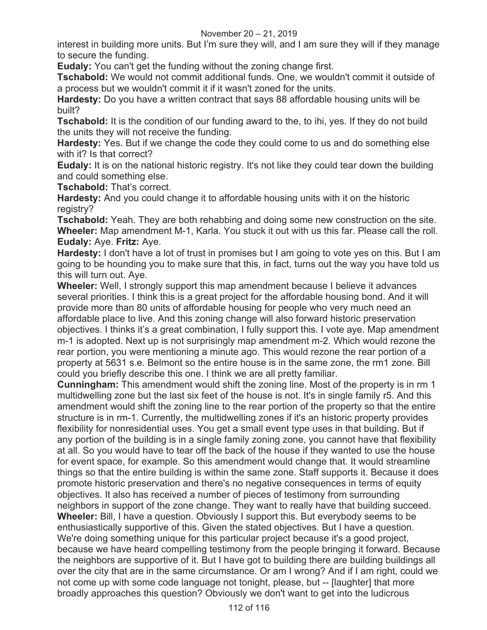## November 20 – 21, 2019

interest in building more units. But I'm sure they will, and I am sure they will if they manage to secure the funding.

**Eudaly:** You can't get the funding without the zoning change first.

**Tschabold:** We would not commit additional funds. One, we wouldn't commit it outside of a process but we wouldn't commit it if it wasn't zoned for the units.

**Hardesty:** Do you have a written contract that says 88 affordable housing units will be built?

**Tschabold:** It is the condition of our funding award to the, to ihi, yes. If they do not build the units they will not receive the funding.

**Hardesty:** Yes. But if we change the code they could come to us and do something else with it? Is that correct?

**Eudaly:** It is on the national historic registry. It's not like they could tear down the building and could something else.

**Tschabold:** That's correct.

**Hardesty:** And you could change it to affordable housing units with it on the historic registry?

**Tschabold:** Yeah. They are both rehabbing and doing some new construction on the site. **Wheeler:** Map amendment M-1, Karla. You stuck it out with us this far. Please call the roll. **Eudaly:** Aye. **Fritz:** Aye.

**Hardesty:** I don't have a lot of trust in promises but I am going to vote yes on this. But I am going to be hounding you to make sure that this, in fact, turns out the way you have told us this will turn out. Aye.

**Wheeler:** Well, I strongly support this map amendment because I believe it advances several priorities. I think this is a great project for the affordable housing bond. And it will provide more than 80 units of affordable housing for people who very much need an affordable place to live. And this zoning change will also forward historic preservation objectives. I thinks it's a great combination, I fully support this. I vote aye. Map amendment m-1 is adopted. Next up is not surprisingly map amendment m-2. Which would rezone the rear portion, you were mentioning a minute ago. This would rezone the rear portion of a property at 5631 s.e. Belmont so the entire house is in the same zone, the rm1 zone. Bill could you briefly describe this one. I think we are all pretty familiar.

**Cunningham:** This amendment would shift the zoning line. Most of the property is in rm 1 multidwelling zone but the last six feet of the house is not. It's in single family r5. And this amendment would shift the zoning line to the rear portion of the property so that the entire structure is in rm-1. Currently, the multidwelling zones if it's an historic property provides flexibility for nonresidential uses. You get a small event type uses in that building. But if any portion of the building is in a single family zoning zone, you cannot have that flexibility at all. So you would have to tear off the back of the house if they wanted to use the house for event space, for example. So this amendment would change that. It would streamline things so that the entire building is within the same zone. Staff supports it. Because it does promote historic preservation and there's no negative consequences in terms of equity objectives. It also has received a number of pieces of testimony from surrounding neighbors in support of the zone change. They want to really have that building succeed. **Wheeler:** Bill, I have a question. Obviously I support this. But everybody seems to be enthusiastically supportive of this. Given the stated objectives. But I have a question. We're doing something unique for this particular project because it's a good project, because we have heard compelling testimony from the people bringing it forward. Because the neighbors are supportive of it. But I have got to building there are building buildings all over the city that are in the same circumstance. Or am I wrong? And if I am right, could we not come up with some code language not tonight, please, but -- [laughter] that more broadly approaches this question? Obviously we don't want to get into the ludicrous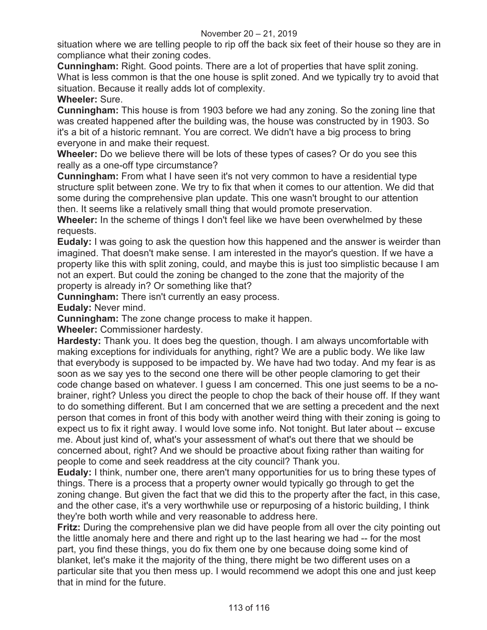situation where we are telling people to rip off the back six feet of their house so they are in compliance what their zoning codes.

**Cunningham:** Right. Good points. There are a lot of properties that have split zoning. What is less common is that the one house is split zoned. And we typically try to avoid that situation. Because it really adds lot of complexity.

# **Wheeler:** Sure.

**Cunningham:** This house is from 1903 before we had any zoning. So the zoning line that was created happened after the building was, the house was constructed by in 1903. So it's a bit of a historic remnant. You are correct. We didn't have a big process to bring everyone in and make their request.

**Wheeler:** Do we believe there will be lots of these types of cases? Or do you see this really as a one-off type circumstance?

**Cunningham:** From what I have seen it's not very common to have a residential type structure split between zone. We try to fix that when it comes to our attention. We did that some during the comprehensive plan update. This one wasn't brought to our attention then. It seems like a relatively small thing that would promote preservation.

**Wheeler:** In the scheme of things I don't feel like we have been overwhelmed by these requests.

**Eudaly:** I was going to ask the question how this happened and the answer is weirder than imagined. That doesn't make sense. I am interested in the mayor's question. If we have a property like this with split zoning, could, and maybe this is just too simplistic because I am not an expert. But could the zoning be changed to the zone that the majority of the property is already in? Or something like that?

**Cunningham:** There isn't currently an easy process.

**Eudaly:** Never mind.

**Cunningham:** The zone change process to make it happen.

**Wheeler:** Commissioner hardesty.

**Hardesty:** Thank you. It does beg the question, though. I am always uncomfortable with making exceptions for individuals for anything, right? We are a public body. We like law that everybody is supposed to be impacted by. We have had two today. And my fear is as soon as we say yes to the second one there will be other people clamoring to get their code change based on whatever. I guess I am concerned. This one just seems to be a nobrainer, right? Unless you direct the people to chop the back of their house off. If they want to do something different. But I am concerned that we are setting a precedent and the next person that comes in front of this body with another weird thing with their zoning is going to expect us to fix it right away. I would love some info. Not tonight. But later about -- excuse me. About just kind of, what's your assessment of what's out there that we should be concerned about, right? And we should be proactive about fixing rather than waiting for people to come and seek readdress at the city council? Thank you.

**Eudaly:** I think, number one, there aren't many opportunities for us to bring these types of things. There is a process that a property owner would typically go through to get the zoning change. But given the fact that we did this to the property after the fact, in this case, and the other case, it's a very worthwhile use or repurposing of a historic building, I think they're both worth while and very reasonable to address here.

**Fritz:** During the comprehensive plan we did have people from all over the city pointing out the little anomaly here and there and right up to the last hearing we had -- for the most part, you find these things, you do fix them one by one because doing some kind of blanket, let's make it the majority of the thing, there might be two different uses on a particular site that you then mess up. I would recommend we adopt this one and just keep that in mind for the future.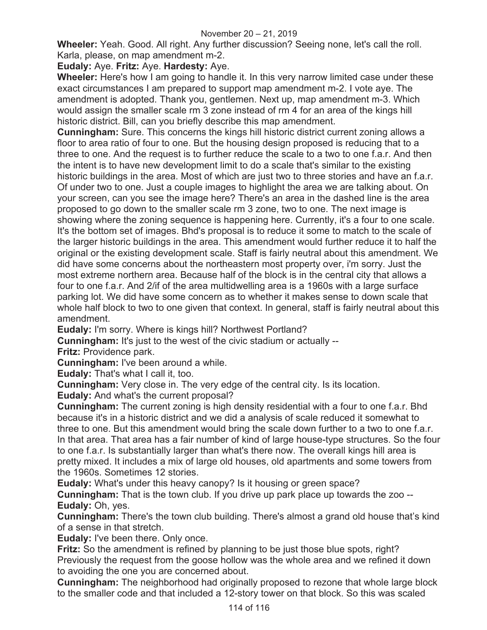**Wheeler:** Yeah. Good. All right. Any further discussion? Seeing none, let's call the roll. Karla, please, on map amendment m-2.

# **Eudaly:** Aye. **Fritz:** Aye. **Hardesty:** Aye.

**Wheeler:** Here's how I am going to handle it. In this very narrow limited case under these exact circumstances I am prepared to support map amendment m-2. I vote aye. The amendment is adopted. Thank you, gentlemen. Next up, map amendment m-3. Which would assign the smaller scale rm 3 zone instead of rm 4 for an area of the kings hill historic district. Bill, can you briefly describe this map amendment.

**Cunningham:** Sure. This concerns the kings hill historic district current zoning allows a floor to area ratio of four to one. But the housing design proposed is reducing that to a three to one. And the request is to further reduce the scale to a two to one f.a.r. And then the intent is to have new development limit to do a scale that's similar to the existing historic buildings in the area. Most of which are just two to three stories and have an f.a.r. Of under two to one. Just a couple images to highlight the area we are talking about. On your screen, can you see the image here? There's an area in the dashed line is the area proposed to go down to the smaller scale rm 3 zone, two to one. The next image is showing where the zoning sequence is happening here. Currently, it's a four to one scale. It's the bottom set of images. Bhd's proposal is to reduce it some to match to the scale of the larger historic buildings in the area. This amendment would further reduce it to half the original or the existing development scale. Staff is fairly neutral about this amendment. We did have some concerns about the northeastern most property over, i'm sorry. Just the most extreme northern area. Because half of the block is in the central city that allows a four to one f.a.r. And 2/if of the area multidwelling area is a 1960s with a large surface parking lot. We did have some concern as to whether it makes sense to down scale that whole half block to two to one given that context. In general, staff is fairly neutral about this amendment.

**Eudaly:** I'm sorry. Where is kings hill? Northwest Portland?

**Cunningham:** It's just to the west of the civic stadium or actually --

**Fritz:** Providence park.

**Cunningham:** I've been around a while.

**Eudaly:** That's what I call it, too.

**Cunningham:** Very close in. The very edge of the central city. Is its location.

**Eudaly:** And what's the current proposal?

**Cunningham:** The current zoning is high density residential with a four to one f.a.r. Bhd because it's in a historic district and we did a analysis of scale reduced it somewhat to three to one. But this amendment would bring the scale down further to a two to one f.a.r. In that area. That area has a fair number of kind of large house-type structures. So the four to one f.a.r. Is substantially larger than what's there now. The overall kings hill area is pretty mixed. It includes a mix of large old houses, old apartments and some towers from the 1960s. Sometimes 12 stories.

**Eudaly:** What's under this heavy canopy? Is it housing or green space?

**Cunningham:** That is the town club. If you drive up park place up towards the zoo -- **Eudaly:** Oh, yes.

**Cunningham:** There's the town club building. There's almost a grand old house that's kind of a sense in that stretch.

**Eudaly:** I've been there. Only once.

**Fritz:** So the amendment is refined by planning to be just those blue spots, right? Previously the request from the goose hollow was the whole area and we refined it down to avoiding the one you are concerned about.

**Cunningham:** The neighborhood had originally proposed to rezone that whole large block to the smaller code and that included a 12-story tower on that block. So this was scaled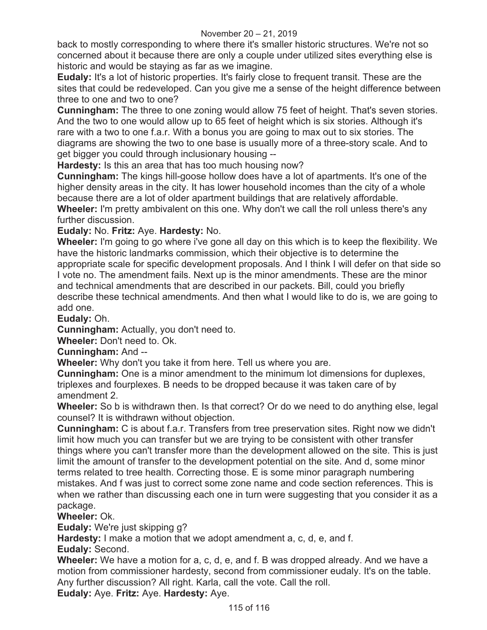back to mostly corresponding to where there it's smaller historic structures. We're not so concerned about it because there are only a couple under utilized sites everything else is historic and would be staying as far as we imagine.

**Eudaly:** It's a lot of historic properties. It's fairly close to frequent transit. These are the sites that could be redeveloped. Can you give me a sense of the height difference between three to one and two to one?

**Cunningham:** The three to one zoning would allow 75 feet of height. That's seven stories. And the two to one would allow up to 65 feet of height which is six stories. Although it's rare with a two to one f.a.r. With a bonus you are going to max out to six stories. The diagrams are showing the two to one base is usually more of a three-story scale. And to get bigger you could through inclusionary housing --

**Hardesty:** Is this an area that has too much housing now?

**Cunningham:** The kings hill-goose hollow does have a lot of apartments. It's one of the higher density areas in the city. It has lower household incomes than the city of a whole because there are a lot of older apartment buildings that are relatively affordable. **Wheeler:** I'm pretty ambivalent on this one. Why don't we call the roll unless there's any further discussion.

**Eudaly:** No. **Fritz:** Aye. **Hardesty:** No.

**Wheeler:** I'm going to go where i've gone all day on this which is to keep the flexibility. We have the historic landmarks commission, which their objective is to determine the appropriate scale for specific development proposals. And I think I will defer on that side so I vote no. The amendment fails. Next up is the minor amendments. These are the minor and technical amendments that are described in our packets. Bill, could you briefly describe these technical amendments. And then what I would like to do is, we are going to add one.

**Eudaly:** Oh.

**Cunningham:** Actually, you don't need to.

**Wheeler:** Don't need to. Ok.

**Cunningham:** And --

**Wheeler:** Why don't you take it from here. Tell us where you are.

**Cunningham:** One is a minor amendment to the minimum lot dimensions for duplexes, triplexes and fourplexes. B needs to be dropped because it was taken care of by amendment 2.

**Wheeler:** So b is withdrawn then. Is that correct? Or do we need to do anything else, legal counsel? It is withdrawn without objection.

**Cunningham:** C is about f.a.r. Transfers from tree preservation sites. Right now we didn't limit how much you can transfer but we are trying to be consistent with other transfer things where you can't transfer more than the development allowed on the site. This is just limit the amount of transfer to the development potential on the site. And d, some minor terms related to tree health. Correcting those. E is some minor paragraph numbering mistakes. And f was just to correct some zone name and code section references. This is when we rather than discussing each one in turn were suggesting that you consider it as a package.

**Wheeler:** Ok.

**Eudaly:** We're just skipping g?

**Hardesty:** I make a motion that we adopt amendment a, c, d, e, and f.

**Eudaly:** Second.

**Wheeler:** We have a motion for a, c, d, e, and f. B was dropped already. And we have a motion from commissioner hardesty, second from commissioner eudaly. It's on the table. Any further discussion? All right. Karla, call the vote. Call the roll.

**Eudaly:** Aye. **Fritz:** Aye. **Hardesty:** Aye.